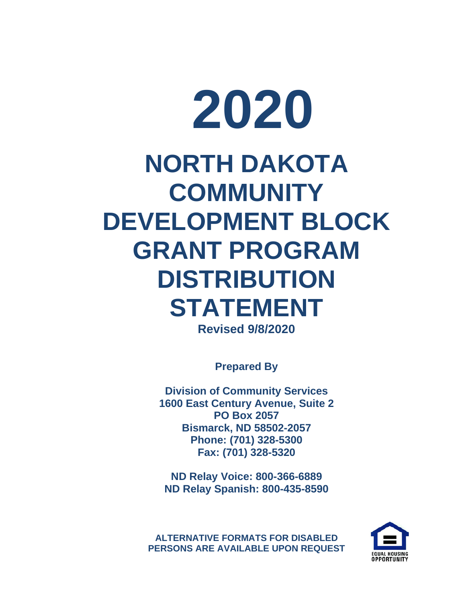# **2020 NORTH DAKOTA COMMUNITY DEVELOPMENT BLOCK GRANT PROGRAM DISTRIBUTION STATEMENT Revised 9/8/2020**

**Prepared By**

**Division of Community Services 1600 East Century Avenue, Suite 2 PO Box 2057 Bismarck, ND 58502-2057 Phone: (701) 328-5300 Fax: (701) 328-5320**

**ND Relay Voice: 800-366-6889 ND Relay Spanish: 800-435-8590**

**ALTERNATIVE FORMATS FOR DISABLED PERSONS ARE AVAILABLE UPON REQUEST**

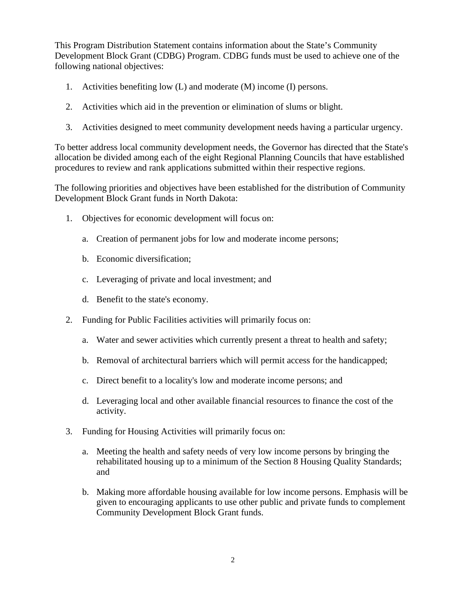This Program Distribution Statement contains information about the State's Community Development Block Grant (CDBG) Program. CDBG funds must be used to achieve one of the following national objectives:

- 1. Activities benefiting low (L) and moderate (M) income (I) persons.
- 2. Activities which aid in the prevention or elimination of slums or blight.
- 3. Activities designed to meet community development needs having a particular urgency.

To better address local community development needs, the Governor has directed that the State's allocation be divided among each of the eight Regional Planning Councils that have established procedures to review and rank applications submitted within their respective regions.

The following priorities and objectives have been established for the distribution of Community Development Block Grant funds in North Dakota:

- 1. Objectives for economic development will focus on:
	- a. Creation of permanent jobs for low and moderate income persons;
	- b. Economic diversification;
	- c. Leveraging of private and local investment; and
	- d. Benefit to the state's economy.
- 2. Funding for Public Facilities activities will primarily focus on:
	- a. Water and sewer activities which currently present a threat to health and safety;
	- b. Removal of architectural barriers which will permit access for the handicapped;
	- c. Direct benefit to a locality's low and moderate income persons; and
	- d. Leveraging local and other available financial resources to finance the cost of the activity.
- 3. Funding for Housing Activities will primarily focus on:
	- a. Meeting the health and safety needs of very low income persons by bringing the rehabilitated housing up to a minimum of the Section 8 Housing Quality Standards; and
	- b. Making more affordable housing available for low income persons. Emphasis will be given to encouraging applicants to use other public and private funds to complement Community Development Block Grant funds.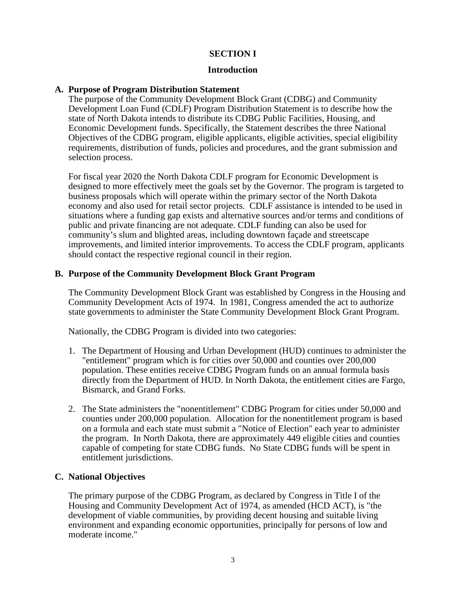# **SECTION I**

## **Introduction**

## **A. Purpose of Program Distribution Statement**

The purpose of the Community Development Block Grant (CDBG) and Community Development Loan Fund (CDLF) Program Distribution Statement is to describe how the state of North Dakota intends to distribute its CDBG Public Facilities, Housing, and Economic Development funds. Specifically, the Statement describes the three National Objectives of the CDBG program, eligible applicants, eligible activities, special eligibility requirements, distribution of funds, policies and procedures, and the grant submission and selection process.

For fiscal year 2020 the North Dakota CDLF program for Economic Development is designed to more effectively meet the goals set by the Governor. The program is targeted to business proposals which will operate within the primary sector of the North Dakota economy and also used for retail sector projects. CDLF assistance is intended to be used in situations where a funding gap exists and alternative sources and/or terms and conditions of public and private financing are not adequate. CDLF funding can also be used for community's slum and blighted areas, including downtown façade and streetscape improvements, and limited interior improvements. To access the CDLF program, applicants should contact the respective regional council in their region.

# **B. Purpose of the Community Development Block Grant Program**

The Community Development Block Grant was established by Congress in the Housing and Community Development Acts of 1974. In 1981, Congress amended the act to authorize state governments to administer the State Community Development Block Grant Program.

Nationally, the CDBG Program is divided into two categories:

- 1. The Department of Housing and Urban Development (HUD) continues to administer the "entitlement" program which is for cities over 50,000 and counties over 200,000 population. These entities receive CDBG Program funds on an annual formula basis directly from the Department of HUD. In North Dakota, the entitlement cities are Fargo, Bismarck, and Grand Forks.
- 2. The State administers the "nonentitlement" CDBG Program for cities under 50,000 and counties under 200,000 population. Allocation for the nonentitlement program is based on a formula and each state must submit a "Notice of Election" each year to administer the program. In North Dakota, there are approximately 449 eligible cities and counties capable of competing for state CDBG funds. No State CDBG funds will be spent in entitlement jurisdictions.

# **C. National Objectives**

The primary purpose of the CDBG Program, as declared by Congress in Title I of the Housing and Community Development Act of 1974, as amended (HCD ACT), is "the development of viable communities, by providing decent housing and suitable living environment and expanding economic opportunities, principally for persons of low and moderate income."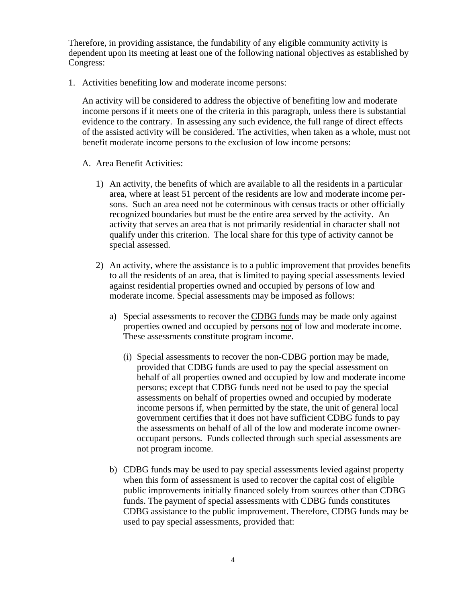Therefore, in providing assistance, the fundability of any eligible community activity is dependent upon its meeting at least one of the following national objectives as established by Congress:

1. Activities benefiting low and moderate income persons:

An activity will be considered to address the objective of benefiting low and moderate income persons if it meets one of the criteria in this paragraph, unless there is substantial evidence to the contrary. In assessing any such evidence, the full range of direct effects of the assisted activity will be considered. The activities, when taken as a whole, must not benefit moderate income persons to the exclusion of low income persons:

- A. Area Benefit Activities:
	- 1) An activity, the benefits of which are available to all the residents in a particular area, where at least 51 percent of the residents are low and moderate income persons. Such an area need not be coterminous with census tracts or other officially recognized boundaries but must be the entire area served by the activity. An activity that serves an area that is not primarily residential in character shall not qualify under this criterion. The local share for this type of activity cannot be special assessed.
	- 2) An activity, where the assistance is to a public improvement that provides benefits to all the residents of an area, that is limited to paying special assessments levied against residential properties owned and occupied by persons of low and moderate income. Special assessments may be imposed as follows:
		- a) Special assessments to recover the CDBG funds may be made only against properties owned and occupied by persons not of low and moderate income. These assessments constitute program income.
			- (i) Special assessments to recover the non-CDBG portion may be made, provided that CDBG funds are used to pay the special assessment on behalf of all properties owned and occupied by low and moderate income persons; except that CDBG funds need not be used to pay the special assessments on behalf of properties owned and occupied by moderate income persons if, when permitted by the state, the unit of general local government certifies that it does not have sufficient CDBG funds to pay the assessments on behalf of all of the low and moderate income owneroccupant persons. Funds collected through such special assessments are not program income.
		- b) CDBG funds may be used to pay special assessments levied against property when this form of assessment is used to recover the capital cost of eligible public improvements initially financed solely from sources other than CDBG funds. The payment of special assessments with CDBG funds constitutes CDBG assistance to the public improvement. Therefore, CDBG funds may be used to pay special assessments, provided that: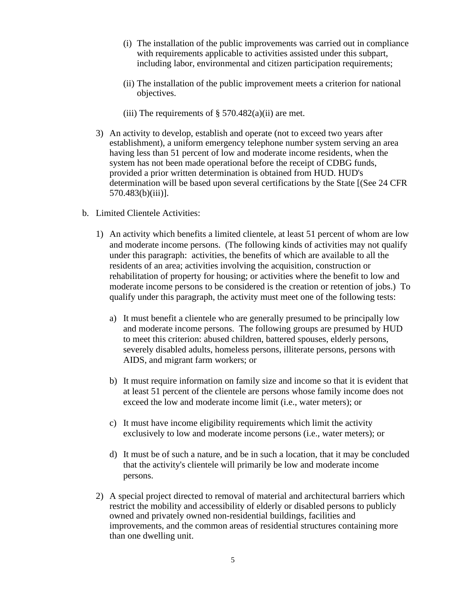- (i) The installation of the public improvements was carried out in compliance with requirements applicable to activities assisted under this subpart, including labor, environmental and citizen participation requirements;
- (ii) The installation of the public improvement meets a criterion for national objectives.
- (iii) The requirements of  $\S$  570.482(a)(ii) are met.
- 3) An activity to develop, establish and operate (not to exceed two years after establishment), a uniform emergency telephone number system serving an area having less than 51 percent of low and moderate income residents, when the system has not been made operational before the receipt of CDBG funds, provided a prior written determination is obtained from HUD. HUD's determination will be based upon several certifications by the State [(See 24 CFR 570.483(b)(iii)].
- b. Limited Clientele Activities:
	- 1) An activity which benefits a limited clientele, at least 51 percent of whom are low and moderate income persons. (The following kinds of activities may not qualify under this paragraph: activities, the benefits of which are available to all the residents of an area; activities involving the acquisition, construction or rehabilitation of property for housing; or activities where the benefit to low and moderate income persons to be considered is the creation or retention of jobs.) To qualify under this paragraph, the activity must meet one of the following tests:
		- a) It must benefit a clientele who are generally presumed to be principally low and moderate income persons. The following groups are presumed by HUD to meet this criterion: abused children, battered spouses, elderly persons, severely disabled adults, homeless persons, illiterate persons, persons with AIDS, and migrant farm workers; or
		- b) It must require information on family size and income so that it is evident that at least 51 percent of the clientele are persons whose family income does not exceed the low and moderate income limit (i.e., water meters); or
		- c) It must have income eligibility requirements which limit the activity exclusively to low and moderate income persons (i.e., water meters); or
		- d) It must be of such a nature, and be in such a location, that it may be concluded that the activity's clientele will primarily be low and moderate income persons.
	- 2) A special project directed to removal of material and architectural barriers which restrict the mobility and accessibility of elderly or disabled persons to publicly owned and privately owned non-residential buildings, facilities and improvements, and the common areas of residential structures containing more than one dwelling unit.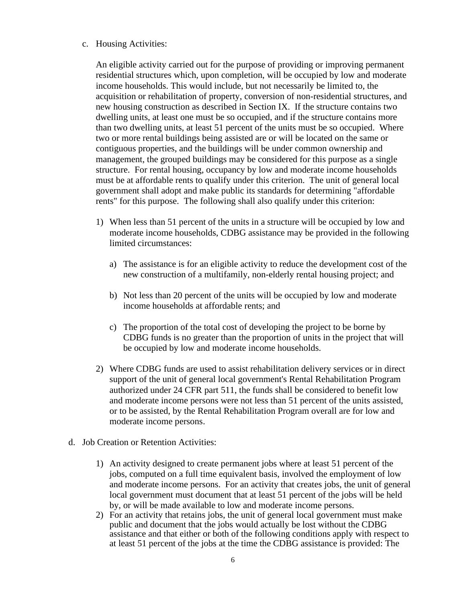#### c. Housing Activities:

An eligible activity carried out for the purpose of providing or improving permanent residential structures which, upon completion, will be occupied by low and moderate income households. This would include, but not necessarily be limited to, the acquisition or rehabilitation of property, conversion of non-residential structures, and new housing construction as described in Section IX. If the structure contains two dwelling units, at least one must be so occupied, and if the structure contains more than two dwelling units, at least 51 percent of the units must be so occupied. Where two or more rental buildings being assisted are or will be located on the same or contiguous properties, and the buildings will be under common ownership and management, the grouped buildings may be considered for this purpose as a single structure. For rental housing, occupancy by low and moderate income households must be at affordable rents to qualify under this criterion. The unit of general local government shall adopt and make public its standards for determining "affordable rents" for this purpose. The following shall also qualify under this criterion:

- 1) When less than 51 percent of the units in a structure will be occupied by low and moderate income households, CDBG assistance may be provided in the following limited circumstances:
	- a) The assistance is for an eligible activity to reduce the development cost of the new construction of a multifamily, non-elderly rental housing project; and
	- b) Not less than 20 percent of the units will be occupied by low and moderate income households at affordable rents; and
	- c) The proportion of the total cost of developing the project to be borne by CDBG funds is no greater than the proportion of units in the project that will be occupied by low and moderate income households.
- 2) Where CDBG funds are used to assist rehabilitation delivery services or in direct support of the unit of general local government's Rental Rehabilitation Program authorized under 24 CFR part 511, the funds shall be considered to benefit low and moderate income persons were not less than 51 percent of the units assisted, or to be assisted, by the Rental Rehabilitation Program overall are for low and moderate income persons.
- d. Job Creation or Retention Activities:
	- 1) An activity designed to create permanent jobs where at least 51 percent of the jobs, computed on a full time equivalent basis, involved the employment of low and moderate income persons. For an activity that creates jobs, the unit of general local government must document that at least 51 percent of the jobs will be held by, or will be made available to low and moderate income persons.
	- 2) For an activity that retains jobs, the unit of general local government must make public and document that the jobs would actually be lost without the CDBG assistance and that either or both of the following conditions apply with respect to at least 51 percent of the jobs at the time the CDBG assistance is provided: The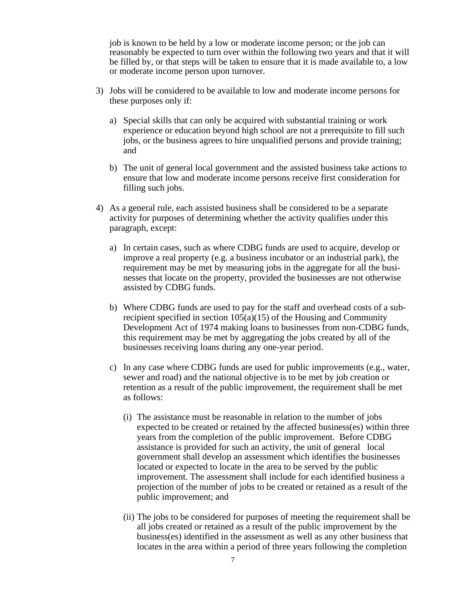job is known to be held by a low or moderate income person; or the job can reasonably be expected to turn over within the following two years and that it will be filled by, or that steps will be taken to ensure that it is made available to, a low or moderate income person upon turnover.

- 3) Jobs will be considered to be available to low and moderate income persons for these purposes only if:
	- a) Special skills that can only be acquired with substantial training or work experience or education beyond high school are not a prerequisite to fill such jobs, or the business agrees to hire unqualified persons and provide training; and
	- b) The unit of general local government and the assisted business take actions to ensure that low and moderate income persons receive first consideration for filling such jobs.
- 4) As a general rule, each assisted business shall be considered to be a separate activity for purposes of determining whether the activity qualifies under this paragraph, except:
	- a) In certain cases, such as where CDBG funds are used to acquire, develop or improve a real property (e.g. a business incubator or an industrial park), the requirement may be met by measuring jobs in the aggregate for all the businesses that locate on the property, provided the businesses are not otherwise assisted by CDBG funds.
	- b) Where CDBG funds are used to pay for the staff and overhead costs of a subrecipient specified in section 105(a)(15) of the Housing and Community Development Act of 1974 making loans to businesses from non-CDBG funds, this requirement may be met by aggregating the jobs created by all of the businesses receiving loans during any one-year period.
	- c) In any case where CDBG funds are used for public improvements (e.g., water, sewer and road) and the national objective is to be met by job creation or retention as a result of the public improvement, the requirement shall be met as follows:
		- (i) The assistance must be reasonable in relation to the number of jobs expected to be created or retained by the affected business(es) within three years from the completion of the public improvement. Before CDBG assistance is provided for such an activity, the unit of general local government shall develop an assessment which identifies the businesses located or expected to locate in the area to be served by the public improvement. The assessment shall include for each identified business a projection of the number of jobs to be created or retained as a result of the public improvement; and
		- (ii) The jobs to be considered for purposes of meeting the requirement shall be all jobs created or retained as a result of the public improvement by the business(es) identified in the assessment as well as any other business that locates in the area within a period of three years following the completion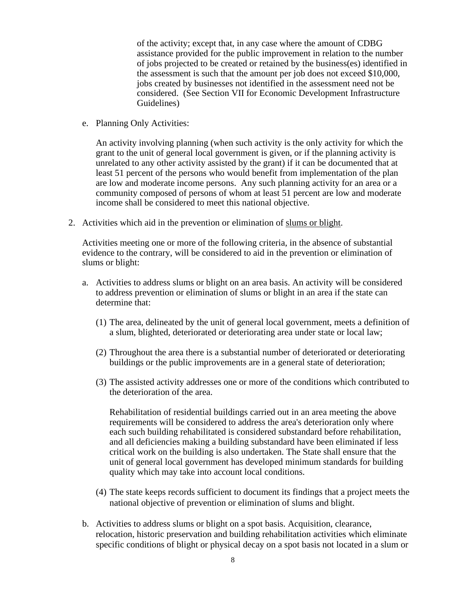of the activity; except that, in any case where the amount of CDBG assistance provided for the public improvement in relation to the number of jobs projected to be created or retained by the business(es) identified in the assessment is such that the amount per job does not exceed \$10,000, jobs created by businesses not identified in the assessment need not be considered. (See Section VII for Economic Development Infrastructure Guidelines)

e. Planning Only Activities:

An activity involving planning (when such activity is the only activity for which the grant to the unit of general local government is given, or if the planning activity is unrelated to any other activity assisted by the grant) if it can be documented that at least 51 percent of the persons who would benefit from implementation of the plan are low and moderate income persons. Any such planning activity for an area or a community composed of persons of whom at least 51 percent are low and moderate income shall be considered to meet this national objective.

2. Activities which aid in the prevention or elimination of slums or blight.

Activities meeting one or more of the following criteria, in the absence of substantial evidence to the contrary, will be considered to aid in the prevention or elimination of slums or blight:

- a. Activities to address slums or blight on an area basis. An activity will be considered to address prevention or elimination of slums or blight in an area if the state can determine that:
	- (1) The area, delineated by the unit of general local government, meets a definition of a slum, blighted, deteriorated or deteriorating area under state or local law;
	- (2) Throughout the area there is a substantial number of deteriorated or deteriorating buildings or the public improvements are in a general state of deterioration;
	- (3) The assisted activity addresses one or more of the conditions which contributed to the deterioration of the area.

Rehabilitation of residential buildings carried out in an area meeting the above requirements will be considered to address the area's deterioration only where each such building rehabilitated is considered substandard before rehabilitation, and all deficiencies making a building substandard have been eliminated if less critical work on the building is also undertaken. The State shall ensure that the unit of general local government has developed minimum standards for building quality which may take into account local conditions.

- (4) The state keeps records sufficient to document its findings that a project meets the national objective of prevention or elimination of slums and blight.
- b. Activities to address slums or blight on a spot basis. Acquisition, clearance, relocation, historic preservation and building rehabilitation activities which eliminate specific conditions of blight or physical decay on a spot basis not located in a slum or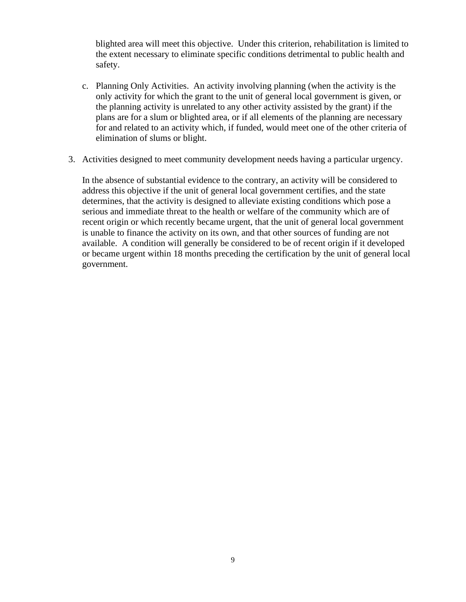blighted area will meet this objective. Under this criterion, rehabilitation is limited to the extent necessary to eliminate specific conditions detrimental to public health and safety.

- c. Planning Only Activities. An activity involving planning (when the activity is the only activity for which the grant to the unit of general local government is given, or the planning activity is unrelated to any other activity assisted by the grant) if the plans are for a slum or blighted area, or if all elements of the planning are necessary for and related to an activity which, if funded, would meet one of the other criteria of elimination of slums or blight.
- 3. Activities designed to meet community development needs having a particular urgency.

In the absence of substantial evidence to the contrary, an activity will be considered to address this objective if the unit of general local government certifies, and the state determines, that the activity is designed to alleviate existing conditions which pose a serious and immediate threat to the health or welfare of the community which are of recent origin or which recently became urgent, that the unit of general local government is unable to finance the activity on its own, and that other sources of funding are not available. A condition will generally be considered to be of recent origin if it developed or became urgent within 18 months preceding the certification by the unit of general local government.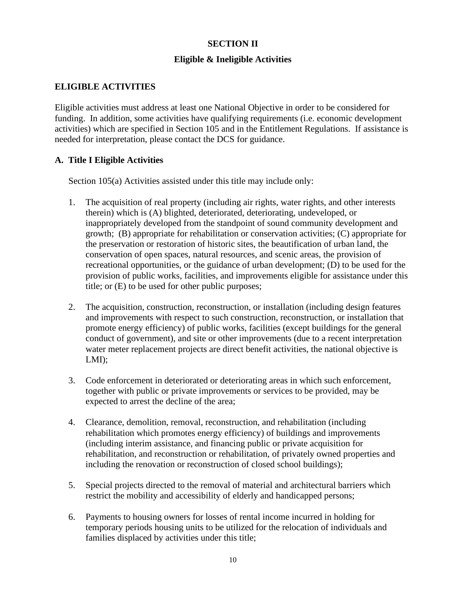# **SECTION II**

# **Eligible & Ineligible Activities**

# **ELIGIBLE ACTIVITIES**

Eligible activities must address at least one National Objective in order to be considered for funding. In addition, some activities have qualifying requirements (i.e. economic development activities) which are specified in Section 105 and in the Entitlement Regulations. If assistance is needed for interpretation, please contact the DCS for guidance.

# **A. Title I Eligible Activities**

Section 105(a) Activities assisted under this title may include only:

- 1. The acquisition of real property (including air rights, water rights, and other interests therein) which is (A) blighted, deteriorated, deteriorating, undeveloped, or inappropriately developed from the standpoint of sound community development and growth; (B) appropriate for rehabilitation or conservation activities; (C) appropriate for the preservation or restoration of historic sites, the beautification of urban land, the conservation of open spaces, natural resources, and scenic areas, the provision of recreational opportunities, or the guidance of urban development; (D) to be used for the provision of public works, facilities, and improvements eligible for assistance under this title; or (E) to be used for other public purposes;
- 2. The acquisition, construction, reconstruction, or installation (including design features and improvements with respect to such construction, reconstruction, or installation that promote energy efficiency) of public works, facilities (except buildings for the general conduct of government), and site or other improvements (due to a recent interpretation water meter replacement projects are direct benefit activities, the national objective is LMI);
- 3. Code enforcement in deteriorated or deteriorating areas in which such enforcement, together with public or private improvements or services to be provided, may be expected to arrest the decline of the area;
- 4. Clearance, demolition, removal, reconstruction, and rehabilitation (including rehabilitation which promotes energy efficiency) of buildings and improvements (including interim assistance, and financing public or private acquisition for rehabilitation, and reconstruction or rehabilitation, of privately owned properties and including the renovation or reconstruction of closed school buildings);
- 5. Special projects directed to the removal of material and architectural barriers which restrict the mobility and accessibility of elderly and handicapped persons;
- 6. Payments to housing owners for losses of rental income incurred in holding for temporary periods housing units to be utilized for the relocation of individuals and families displaced by activities under this title;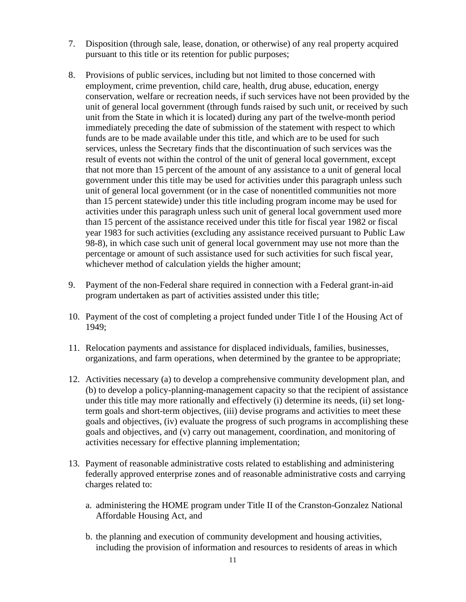- 7. Disposition (through sale, lease, donation, or otherwise) of any real property acquired pursuant to this title or its retention for public purposes;
- 8. Provisions of public services, including but not limited to those concerned with employment, crime prevention, child care, health, drug abuse, education, energy conservation, welfare or recreation needs, if such services have not been provided by the unit of general local government (through funds raised by such unit, or received by such unit from the State in which it is located) during any part of the twelve-month period immediately preceding the date of submission of the statement with respect to which funds are to be made available under this title, and which are to be used for such services, unless the Secretary finds that the discontinuation of such services was the result of events not within the control of the unit of general local government, except that not more than 15 percent of the amount of any assistance to a unit of general local government under this title may be used for activities under this paragraph unless such unit of general local government (or in the case of nonentitled communities not more than 15 percent statewide) under this title including program income may be used for activities under this paragraph unless such unit of general local government used more than 15 percent of the assistance received under this title for fiscal year 1982 or fiscal year 1983 for such activities (excluding any assistance received pursuant to Public Law 98-8), in which case such unit of general local government may use not more than the percentage or amount of such assistance used for such activities for such fiscal year, whichever method of calculation yields the higher amount;
- 9. Payment of the non-Federal share required in connection with a Federal grant-in-aid program undertaken as part of activities assisted under this title;
- 10. Payment of the cost of completing a project funded under Title I of the Housing Act of 1949;
- 11. Relocation payments and assistance for displaced individuals, families, businesses, organizations, and farm operations, when determined by the grantee to be appropriate;
- 12. Activities necessary (a) to develop a comprehensive community development plan, and (b) to develop a policy-planning-management capacity so that the recipient of assistance under this title may more rationally and effectively (i) determine its needs, (ii) set longterm goals and short-term objectives, (iii) devise programs and activities to meet these goals and objectives, (iv) evaluate the progress of such programs in accomplishing these goals and objectives, and (v) carry out management, coordination, and monitoring of activities necessary for effective planning implementation;
- 13. Payment of reasonable administrative costs related to establishing and administering federally approved enterprise zones and of reasonable administrative costs and carrying charges related to:
	- a. administering the HOME program under Title II of the Cranston-Gonzalez National Affordable Housing Act, and
	- b. the planning and execution of community development and housing activities, including the provision of information and resources to residents of areas in which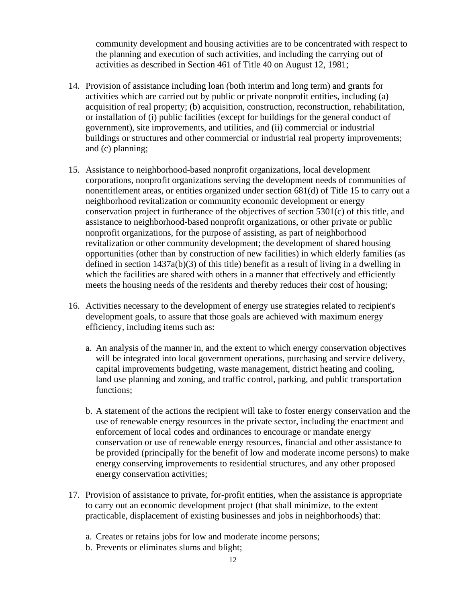community development and housing activities are to be concentrated with respect to the planning and execution of such activities, and including the carrying out of activities as described in Section 461 of Title 40 on August 12, 1981;

- 14. Provision of assistance including loan (both interim and long term) and grants for activities which are carried out by public or private nonprofit entities, including (a) acquisition of real property; (b) acquisition, construction, reconstruction, rehabilitation, or installation of (i) public facilities (except for buildings for the general conduct of government), site improvements, and utilities, and (ii) commercial or industrial buildings or structures and other commercial or industrial real property improvements; and (c) planning;
- 15. Assistance to neighborhood-based nonprofit organizations, local development corporations, nonprofit organizations serving the development needs of communities of nonentitlement areas, or entities organized under section 681(d) of Title 15 to carry out a neighborhood revitalization or community economic development or energy conservation project in furtherance of the objectives of section 5301(c) of this title, and assistance to neighborhood-based nonprofit organizations, or other private or public nonprofit organizations, for the purpose of assisting, as part of neighborhood revitalization or other community development; the development of shared housing opportunities (other than by construction of new facilities) in which elderly families (as defined in section 1437a(b)(3) of this title) benefit as a result of living in a dwelling in which the facilities are shared with others in a manner that effectively and efficiently meets the housing needs of the residents and thereby reduces their cost of housing;
- 16. Activities necessary to the development of energy use strategies related to recipient's development goals, to assure that those goals are achieved with maximum energy efficiency, including items such as:
	- a. An analysis of the manner in, and the extent to which energy conservation objectives will be integrated into local government operations, purchasing and service delivery, capital improvements budgeting, waste management, district heating and cooling, land use planning and zoning, and traffic control, parking, and public transportation functions;
	- b. A statement of the actions the recipient will take to foster energy conservation and the use of renewable energy resources in the private sector, including the enactment and enforcement of local codes and ordinances to encourage or mandate energy conservation or use of renewable energy resources, financial and other assistance to be provided (principally for the benefit of low and moderate income persons) to make energy conserving improvements to residential structures, and any other proposed energy conservation activities;
- 17. Provision of assistance to private, for-profit entities, when the assistance is appropriate to carry out an economic development project (that shall minimize, to the extent practicable, displacement of existing businesses and jobs in neighborhoods) that:
	- a. Creates or retains jobs for low and moderate income persons;
	- b. Prevents or eliminates slums and blight;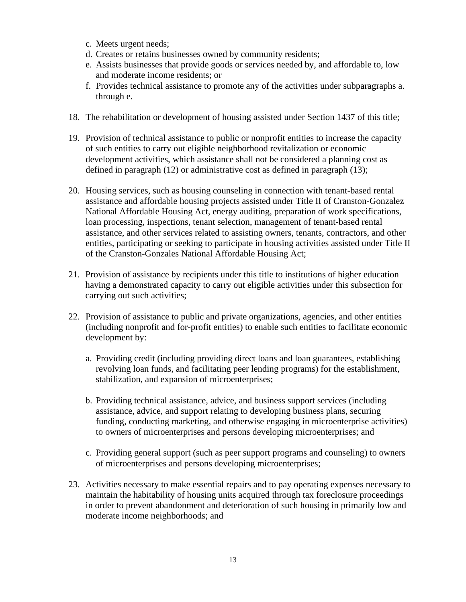- c. Meets urgent needs;
- d. Creates or retains businesses owned by community residents;
- e. Assists businesses that provide goods or services needed by, and affordable to, low and moderate income residents; or
- f. Provides technical assistance to promote any of the activities under subparagraphs a. through e.
- 18. The rehabilitation or development of housing assisted under Section 1437 of this title;
- 19. Provision of technical assistance to public or nonprofit entities to increase the capacity of such entities to carry out eligible neighborhood revitalization or economic development activities, which assistance shall not be considered a planning cost as defined in paragraph (12) or administrative cost as defined in paragraph (13);
- 20. Housing services, such as housing counseling in connection with tenant-based rental assistance and affordable housing projects assisted under Title II of Cranston-Gonzalez National Affordable Housing Act, energy auditing, preparation of work specifications, loan processing, inspections, tenant selection, management of tenant-based rental assistance, and other services related to assisting owners, tenants, contractors, and other entities, participating or seeking to participate in housing activities assisted under Title II of the Cranston-Gonzales National Affordable Housing Act;
- 21. Provision of assistance by recipients under this title to institutions of higher education having a demonstrated capacity to carry out eligible activities under this subsection for carrying out such activities;
- 22. Provision of assistance to public and private organizations, agencies, and other entities (including nonprofit and for-profit entities) to enable such entities to facilitate economic development by:
	- a. Providing credit (including providing direct loans and loan guarantees, establishing revolving loan funds, and facilitating peer lending programs) for the establishment, stabilization, and expansion of microenterprises;
	- b. Providing technical assistance, advice, and business support services (including assistance, advice, and support relating to developing business plans, securing funding, conducting marketing, and otherwise engaging in microenterprise activities) to owners of microenterprises and persons developing microenterprises; and
	- c. Providing general support (such as peer support programs and counseling) to owners of microenterprises and persons developing microenterprises;
- 23. Activities necessary to make essential repairs and to pay operating expenses necessary to maintain the habitability of housing units acquired through tax foreclosure proceedings in order to prevent abandonment and deterioration of such housing in primarily low and moderate income neighborhoods; and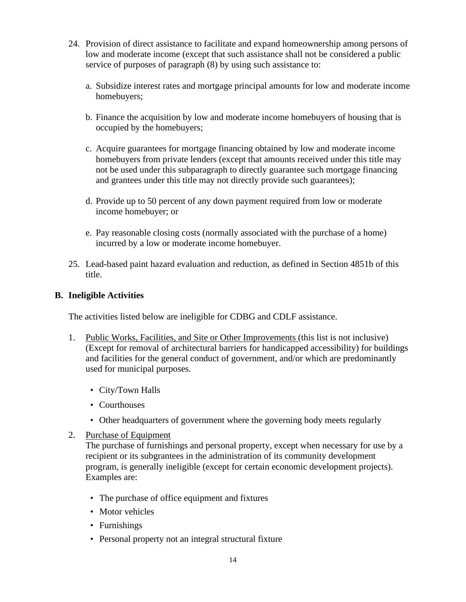- 24. Provision of direct assistance to facilitate and expand homeownership among persons of low and moderate income (except that such assistance shall not be considered a public service of purposes of paragraph (8) by using such assistance to:
	- a. Subsidize interest rates and mortgage principal amounts for low and moderate income homebuyers;
	- b. Finance the acquisition by low and moderate income homebuyers of housing that is occupied by the homebuyers;
	- c. Acquire guarantees for mortgage financing obtained by low and moderate income homebuyers from private lenders (except that amounts received under this title may not be used under this subparagraph to directly guarantee such mortgage financing and grantees under this title may not directly provide such guarantees);
	- d. Provide up to 50 percent of any down payment required from low or moderate income homebuyer; or
	- e. Pay reasonable closing costs (normally associated with the purchase of a home) incurred by a low or moderate income homebuyer.
- 25. Lead-based paint hazard evaluation and reduction, as defined in Section 4851b of this title.

# **B. Ineligible Activities**

The activities listed below are ineligible for CDBG and CDLF assistance.

- 1. Public Works, Facilities, and Site or Other Improvements (this list is not inclusive) (Except for removal of architectural barriers for handicapped accessibility) for buildings and facilities for the general conduct of government, and/or which are predominantly used for municipal purposes.
	- City/Town Halls
	- Courthouses
	- Other headquarters of government where the governing body meets regularly
- 2. Purchase of Equipment

The purchase of furnishings and personal property, except when necessary for use by a recipient or its subgrantees in the administration of its community development program, is generally ineligible (except for certain economic development projects). Examples are:

- The purchase of office equipment and fixtures
- Motor vehicles
- Furnishings
- Personal property not an integral structural fixture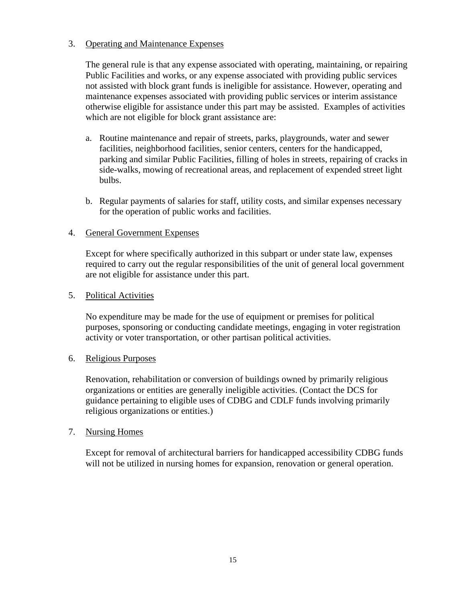# 3. Operating and Maintenance Expenses

The general rule is that any expense associated with operating, maintaining, or repairing Public Facilities and works, or any expense associated with providing public services not assisted with block grant funds is ineligible for assistance. However, operating and maintenance expenses associated with providing public services or interim assistance otherwise eligible for assistance under this part may be assisted. Examples of activities which are not eligible for block grant assistance are:

- a. Routine maintenance and repair of streets, parks, playgrounds, water and sewer facilities, neighborhood facilities, senior centers, centers for the handicapped, parking and similar Public Facilities, filling of holes in streets, repairing of cracks in side-walks, mowing of recreational areas, and replacement of expended street light bulbs.
- b. Regular payments of salaries for staff, utility costs, and similar expenses necessary for the operation of public works and facilities.

## 4. General Government Expenses

Except for where specifically authorized in this subpart or under state law, expenses required to carry out the regular responsibilities of the unit of general local government are not eligible for assistance under this part.

## 5. Political Activities

No expenditure may be made for the use of equipment or premises for political purposes, sponsoring or conducting candidate meetings, engaging in voter registration activity or voter transportation, or other partisan political activities.

## 6. Religious Purposes

Renovation, rehabilitation or conversion of buildings owned by primarily religious organizations or entities are generally ineligible activities. (Contact the DCS for guidance pertaining to eligible uses of CDBG and CDLF funds involving primarily religious organizations or entities.)

## 7. Nursing Homes

Except for removal of architectural barriers for handicapped accessibility CDBG funds will not be utilized in nursing homes for expansion, renovation or general operation.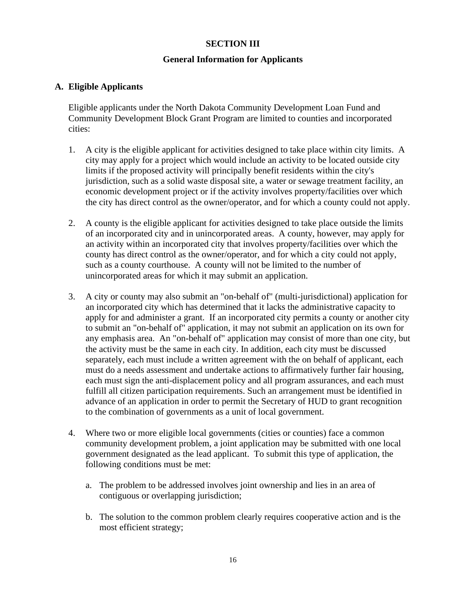# **SECTION III**

## **General Information for Applicants**

# **A. Eligible Applicants**

Eligible applicants under the North Dakota Community Development Loan Fund and Community Development Block Grant Program are limited to counties and incorporated cities:

- 1. A city is the eligible applicant for activities designed to take place within city limits. A city may apply for a project which would include an activity to be located outside city limits if the proposed activity will principally benefit residents within the city's jurisdiction, such as a solid waste disposal site, a water or sewage treatment facility, an economic development project or if the activity involves property/facilities over which the city has direct control as the owner/operator, and for which a county could not apply.
- 2. A county is the eligible applicant for activities designed to take place outside the limits of an incorporated city and in unincorporated areas. A county, however, may apply for an activity within an incorporated city that involves property/facilities over which the county has direct control as the owner/operator, and for which a city could not apply, such as a county courthouse. A county will not be limited to the number of unincorporated areas for which it may submit an application.
- 3. A city or county may also submit an "on-behalf of" (multi-jurisdictional) application for an incorporated city which has determined that it lacks the administrative capacity to apply for and administer a grant. If an incorporated city permits a county or another city to submit an "on-behalf of" application, it may not submit an application on its own for any emphasis area. An "on-behalf of" application may consist of more than one city, but the activity must be the same in each city. In addition, each city must be discussed separately, each must include a written agreement with the on behalf of applicant, each must do a needs assessment and undertake actions to affirmatively further fair housing, each must sign the anti-displacement policy and all program assurances, and each must fulfill all citizen participation requirements. Such an arrangement must be identified in advance of an application in order to permit the Secretary of HUD to grant recognition to the combination of governments as a unit of local government.
- 4. Where two or more eligible local governments (cities or counties) face a common community development problem, a joint application may be submitted with one local government designated as the lead applicant. To submit this type of application, the following conditions must be met:
	- a. The problem to be addressed involves joint ownership and lies in an area of contiguous or overlapping jurisdiction;
	- b. The solution to the common problem clearly requires cooperative action and is the most efficient strategy;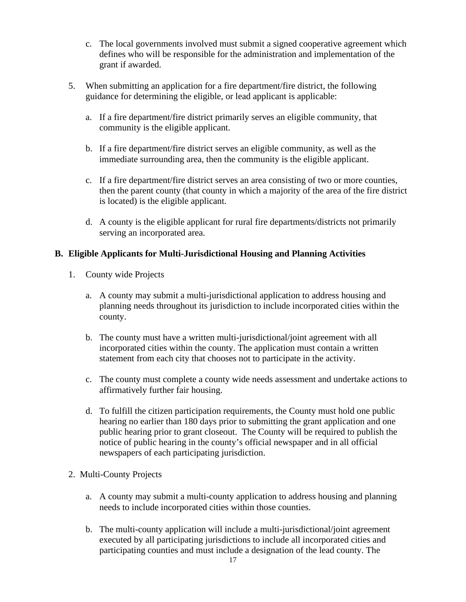- c. The local governments involved must submit a signed cooperative agreement which defines who will be responsible for the administration and implementation of the grant if awarded.
- 5. When submitting an application for a fire department/fire district, the following guidance for determining the eligible, or lead applicant is applicable:
	- a. If a fire department/fire district primarily serves an eligible community, that community is the eligible applicant.
	- b. If a fire department/fire district serves an eligible community, as well as the immediate surrounding area, then the community is the eligible applicant.
	- c. If a fire department/fire district serves an area consisting of two or more counties, then the parent county (that county in which a majority of the area of the fire district is located) is the eligible applicant.
	- d. A county is the eligible applicant for rural fire departments/districts not primarily serving an incorporated area.

# **B. Eligible Applicants for Multi-Jurisdictional Housing and Planning Activities**

- 1. County wide Projects
	- a. A county may submit a multi-jurisdictional application to address housing and planning needs throughout its jurisdiction to include incorporated cities within the county.
	- b. The county must have a written multi-jurisdictional/joint agreement with all incorporated cities within the county. The application must contain a written statement from each city that chooses not to participate in the activity.
	- c. The county must complete a county wide needs assessment and undertake actions to affirmatively further fair housing.
	- d. To fulfill the citizen participation requirements, the County must hold one public hearing no earlier than 180 days prior to submitting the grant application and one public hearing prior to grant closeout. The County will be required to publish the notice of public hearing in the county's official newspaper and in all official newspapers of each participating jurisdiction.
- 2. Multi-County Projects
	- a. A county may submit a multi-county application to address housing and planning needs to include incorporated cities within those counties.
	- b. The multi-county application will include a multi-jurisdictional/joint agreement executed by all participating jurisdictions to include all incorporated cities and participating counties and must include a designation of the lead county. The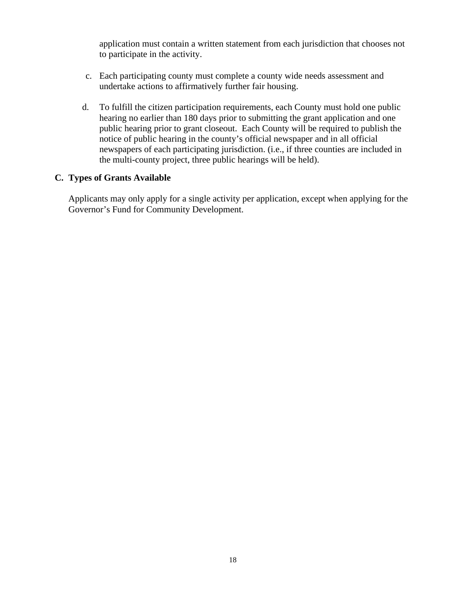application must contain a written statement from each jurisdiction that chooses not to participate in the activity.

- c. Each participating county must complete a county wide needs assessment and undertake actions to affirmatively further fair housing.
- d. To fulfill the citizen participation requirements, each County must hold one public hearing no earlier than 180 days prior to submitting the grant application and one public hearing prior to grant closeout. Each County will be required to publish the notice of public hearing in the county's official newspaper and in all official newspapers of each participating jurisdiction. (i.e., if three counties are included in the multi-county project, three public hearings will be held).

# **C. Types of Grants Available**

Applicants may only apply for a single activity per application, except when applying for the Governor's Fund for Community Development.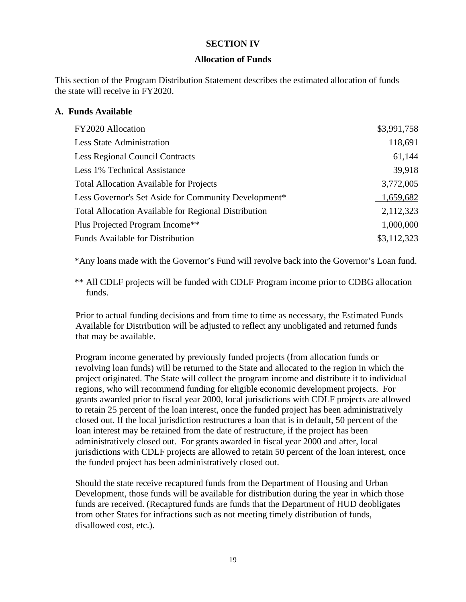## **SECTION IV**

#### **Allocation of Funds**

This section of the Program Distribution Statement describes the estimated allocation of funds the state will receive in FY2020.

## **A. Funds Available**

| FY2020 Allocation                                    | \$3,991,758 |
|------------------------------------------------------|-------------|
| <b>Less State Administration</b>                     | 118,691     |
| <b>Less Regional Council Contracts</b>               | 61,144      |
| Less 1% Technical Assistance                         | 39,918      |
| <b>Total Allocation Available for Projects</b>       | 3,772,005   |
| Less Governor's Set Aside for Community Development* | 1,659,682   |
| Total Allocation Available for Regional Distribution | 2,112,323   |
| Plus Projected Program Income**                      | 1,000,000   |
| <b>Funds Available for Distribution</b>              | \$3,112,323 |

\*Any loans made with the Governor's Fund will revolve back into the Governor's Loan fund.

\*\* All CDLF projects will be funded with CDLF Program income prior to CDBG allocation funds.

Prior to actual funding decisions and from time to time as necessary, the Estimated Funds Available for Distribution will be adjusted to reflect any unobligated and returned funds that may be available.

Program income generated by previously funded projects (from allocation funds or revolving loan funds) will be returned to the State and allocated to the region in which the project originated. The State will collect the program income and distribute it to individual regions, who will recommend funding for eligible economic development projects. For grants awarded prior to fiscal year 2000, local jurisdictions with CDLF projects are allowed to retain 25 percent of the loan interest, once the funded project has been administratively closed out. If the local jurisdiction restructures a loan that is in default, 50 percent of the loan interest may be retained from the date of restructure, if the project has been administratively closed out. For grants awarded in fiscal year 2000 and after, local jurisdictions with CDLF projects are allowed to retain 50 percent of the loan interest, once the funded project has been administratively closed out.

Should the state receive recaptured funds from the Department of Housing and Urban Development, those funds will be available for distribution during the year in which those funds are received. (Recaptured funds are funds that the Department of HUD deobligates from other States for infractions such as not meeting timely distribution of funds, disallowed cost, etc.).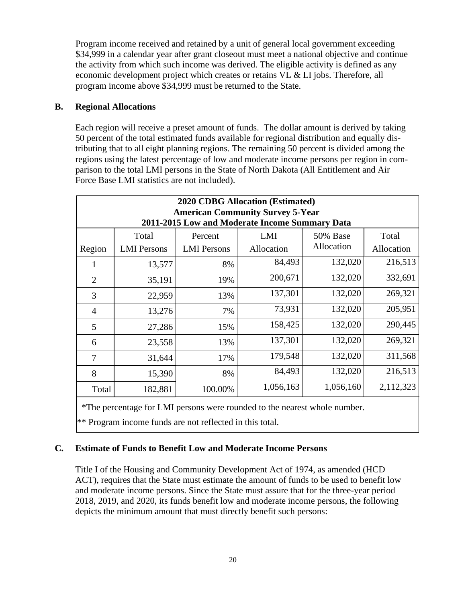Program income received and retained by a unit of general local government exceeding \$34,999 in a calendar year after grant closeout must meet a national objective and continue the activity from which such income was derived. The eligible activity is defined as any economic development project which creates or retains VL & LI jobs. Therefore, all program income above \$34,999 must be returned to the State.

# **B. Regional Allocations**

Each region will receive a preset amount of funds. The dollar amount is derived by taking 50 percent of the total estimated funds available for regional distribution and equally distributing that to all eight planning regions. The remaining 50 percent is divided among the regions using the latest percentage of low and moderate income persons per region in comparison to the total LMI persons in the State of North Dakota (All Entitlement and Air Force Base LMI statistics are not included).

| <b>2020 CDBG Allocation (Estimated)</b><br><b>American Community Survey 5-Year</b><br>2011-2015 Low and Moderate Income Summary Data |                    |                    |            |            |            |  |
|--------------------------------------------------------------------------------------------------------------------------------------|--------------------|--------------------|------------|------------|------------|--|
|                                                                                                                                      | Total              | Percent            | LMI        | 50% Base   | Total      |  |
| Region                                                                                                                               | <b>LMI</b> Persons | <b>LMI</b> Persons | Allocation | Allocation | Allocation |  |
| 1                                                                                                                                    | 13,577             | 8%                 | 84,493     | 132,020    | 216,513    |  |
| 2                                                                                                                                    | 35,191             | 19%                | 200,671    | 132,020    | 332,691    |  |
| 3                                                                                                                                    | 22,959             | 13%                | 137,301    | 132,020    | 269,321    |  |
| 4                                                                                                                                    | 13,276             | 7%                 | 73,931     | 132,020    | 205,951    |  |
| 5                                                                                                                                    | 27,286             | 15%                | 158,425    | 132,020    | 290,445    |  |
| 6                                                                                                                                    | 23,558             | 13%                | 137,301    | 132,020    | 269,321    |  |
| 7                                                                                                                                    | 31,644             | 17%                | 179,548    | 132,020    | 311,568    |  |
| 8                                                                                                                                    | 15,390             | 8%                 | 84,493     | 132,020    | 216,513    |  |
| Total                                                                                                                                | 182,881            | 100.00%            | 1,056,163  | 1,056,160  | 2,112,323  |  |

\*The percentage for LMI persons were rounded to the nearest whole number.

\*\* Program income funds are not reflected in this total.

# **C. Estimate of Funds to Benefit Low and Moderate Income Persons**

Title I of the Housing and Community Development Act of 1974, as amended (HCD ACT), requires that the State must estimate the amount of funds to be used to benefit low and moderate income persons. Since the State must assure that for the three-year period 2018, 2019, and 2020, its funds benefit low and moderate income persons, the following depicts the minimum amount that must directly benefit such persons: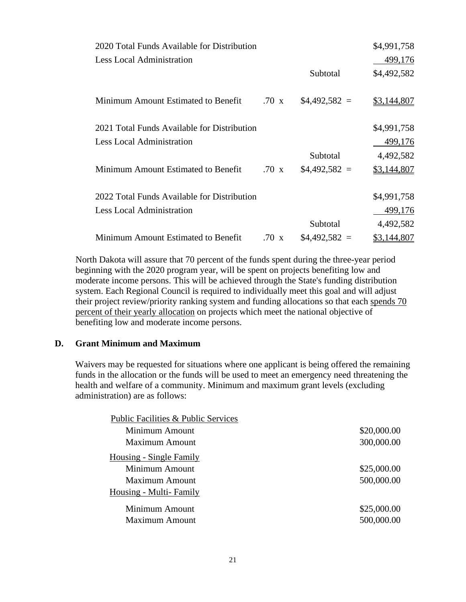| 2020 Total Funds Available for Distribution |              |                | \$4,991,758 |
|---------------------------------------------|--------------|----------------|-------------|
| <b>Less Local Administration</b>            |              |                | 499,176     |
|                                             |              | Subtotal       | \$4,492,582 |
|                                             |              |                |             |
| Minimum Amount Estimated to Benefit         | $.70 \times$ | $$4,492,582 =$ | \$3,144,807 |
|                                             |              |                |             |
| 2021 Total Funds Available for Distribution |              |                | \$4,991,758 |
| <b>Less Local Administration</b>            |              |                | 499,176     |
|                                             |              | Subtotal       | 4,492,582   |
| Minimum Amount Estimated to Benefit         | $.70 \times$ | $$4,492,582 =$ | \$3,144,807 |
|                                             |              |                |             |
| 2022 Total Funds Available for Distribution |              |                | \$4,991,758 |
| <b>Less Local Administration</b>            |              |                | 499,176     |
|                                             |              | Subtotal       | 4,492,582   |
| Minimum Amount Estimated to Benefit         | $.70 \times$ | $$4,492,582 =$ | \$3,144,807 |

North Dakota will assure that 70 percent of the funds spent during the three-year period beginning with the 2020 program year, will be spent on projects benefiting low and moderate income persons. This will be achieved through the State's funding distribution system. Each Regional Council is required to individually meet this goal and will adjust their project review/priority ranking system and funding allocations so that each spends 70 percent of their yearly allocation on projects which meet the national objective of benefiting low and moderate income persons.

#### **D. Grant Minimum and Maximum**

Waivers may be requested for situations where one applicant is being offered the remaining funds in the allocation or the funds will be used to meet an emergency need threatening the health and welfare of a community. Minimum and maximum grant levels (excluding administration) are as follows:

| Public Facilities & Public Services |             |
|-------------------------------------|-------------|
| Minimum Amount                      | \$20,000.00 |
| <b>Maximum Amount</b>               | 300,000.00  |
| Housing - Single Family             |             |
| Minimum Amount                      | \$25,000.00 |
| <b>Maximum Amount</b>               | 500,000.00  |
| Housing - Multi-Family              |             |
| Minimum Amount                      | \$25,000.00 |
| <b>Maximum Amount</b>               | 500,000.00  |
|                                     |             |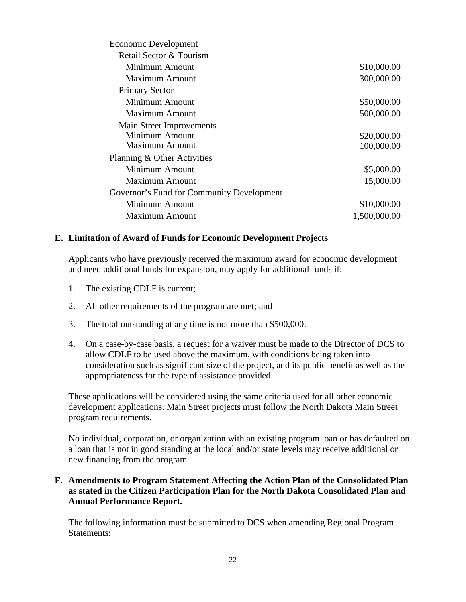| \$10,000.00  |
|--------------|
| 300,000.00   |
|              |
| \$50,000.00  |
| 500,000.00   |
|              |
| \$20,000.00  |
| 100,000.00   |
|              |
| \$5,000.00   |
| 15,000.00    |
|              |
| \$10,000.00  |
| 1,500,000.00 |
|              |

## **E. Limitation of Award of Funds for Economic Development Projects**

Applicants who have previously received the maximum award for economic development and need additional funds for expansion, may apply for additional funds if:

- 1. The existing CDLF is current;
- 2. All other requirements of the program are met; and
- 3. The total outstanding at any time is not more than \$500,000.
- 4. On a case-by-case basis, a request for a waiver must be made to the Director of DCS to allow CDLF to be used above the maximum, with conditions being taken into consideration such as significant size of the project, and its public benefit as well as the appropriateness for the type of assistance provided.

These applications will be considered using the same criteria used for all other economic development applications. Main Street projects must follow the North Dakota Main Street program requirements.

No individual, corporation, or organization with an existing program loan or has defaulted on a loan that is not in good standing at the local and/or state levels may receive additional or new financing from the program.

# **F. Amendments to Program Statement Affecting the Action Plan of the Consolidated Plan as stated in the Citizen Participation Plan for the North Dakota Consolidated Plan and Annual Performance Report.**

The following information must be submitted to DCS when amending Regional Program Statements: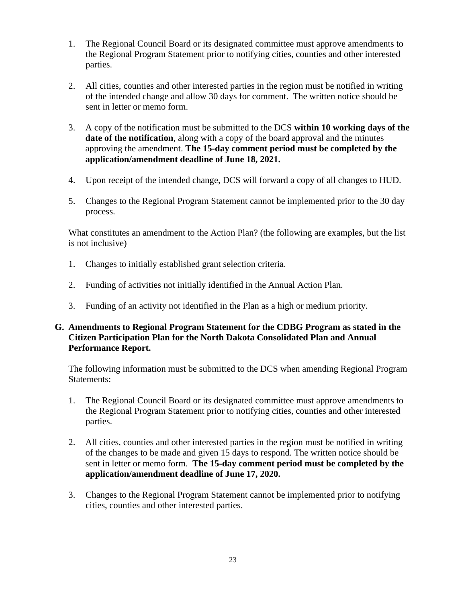- 1. The Regional Council Board or its designated committee must approve amendments to the Regional Program Statement prior to notifying cities, counties and other interested parties.
- 2. All cities, counties and other interested parties in the region must be notified in writing of the intended change and allow 30 days for comment. The written notice should be sent in letter or memo form.
- 3. A copy of the notification must be submitted to the DCS **within 10 working days of the date of the notification**, along with a copy of the board approval and the minutes approving the amendment. **The 15-day comment period must be completed by the application/amendment deadline of June 18, 2021.**
- 4. Upon receipt of the intended change, DCS will forward a copy of all changes to HUD.
- 5. Changes to the Regional Program Statement cannot be implemented prior to the 30 day process.

What constitutes an amendment to the Action Plan? (the following are examples, but the list is not inclusive)

- 1. Changes to initially established grant selection criteria.
- 2. Funding of activities not initially identified in the Annual Action Plan.
- 3. Funding of an activity not identified in the Plan as a high or medium priority.

# **G. Amendments to Regional Program Statement for the CDBG Program as stated in the Citizen Participation Plan for the North Dakota Consolidated Plan and Annual Performance Report.**

The following information must be submitted to the DCS when amending Regional Program Statements:

- 1. The Regional Council Board or its designated committee must approve amendments to the Regional Program Statement prior to notifying cities, counties and other interested parties.
- 2. All cities, counties and other interested parties in the region must be notified in writing of the changes to be made and given 15 days to respond. The written notice should be sent in letter or memo form. **The 15-day comment period must be completed by the application/amendment deadline of June 17, 2020.**
- 3. Changes to the Regional Program Statement cannot be implemented prior to notifying cities, counties and other interested parties.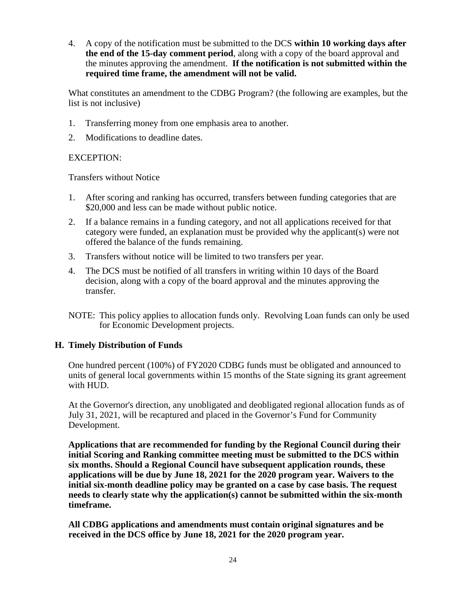4. A copy of the notification must be submitted to the DCS **within 10 working days after the end of the 15-day comment period**, along with a copy of the board approval and the minutes approving the amendment. **If the notification is not submitted within the required time frame, the amendment will not be valid.**

What constitutes an amendment to the CDBG Program? (the following are examples, but the list is not inclusive)

- 1. Transferring money from one emphasis area to another.
- 2. Modifications to deadline dates.

# EXCEPTION:

Transfers without Notice

- 1. After scoring and ranking has occurred, transfers between funding categories that are \$20,000 and less can be made without public notice.
- 2. If a balance remains in a funding category, and not all applications received for that category were funded, an explanation must be provided why the applicant(s) were not offered the balance of the funds remaining.
- 3. Transfers without notice will be limited to two transfers per year.
- 4. The DCS must be notified of all transfers in writing within 10 days of the Board decision, along with a copy of the board approval and the minutes approving the transfer.
- NOTE: This policy applies to allocation funds only. Revolving Loan funds can only be used for Economic Development projects.

# **H. Timely Distribution of Funds**

One hundred percent (100%) of FY2020 CDBG funds must be obligated and announced to units of general local governments within 15 months of the State signing its grant agreement with HUD.

At the Governor's direction, any unobligated and deobligated regional allocation funds as of July 31, 2021, will be recaptured and placed in the Governor's Fund for Community Development.

**Applications that are recommended for funding by the Regional Council during their initial Scoring and Ranking committee meeting must be submitted to the DCS within six months. Should a Regional Council have subsequent application rounds, these applications will be due by June 18, 2021 for the 2020 program year. Waivers to the initial six-month deadline policy may be granted on a case by case basis. The request needs to clearly state why the application(s) cannot be submitted within the six-month timeframe.**

**All CDBG applications and amendments must contain original signatures and be received in the DCS office by June 18, 2021 for the 2020 program year.**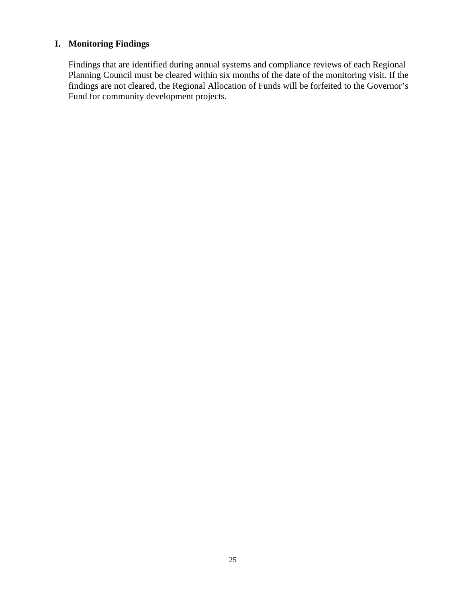# **I. Monitoring Findings**

Findings that are identified during annual systems and compliance reviews of each Regional Planning Council must be cleared within six months of the date of the monitoring visit. If the findings are not cleared, the Regional Allocation of Funds will be forfeited to the Governor's Fund for community development projects.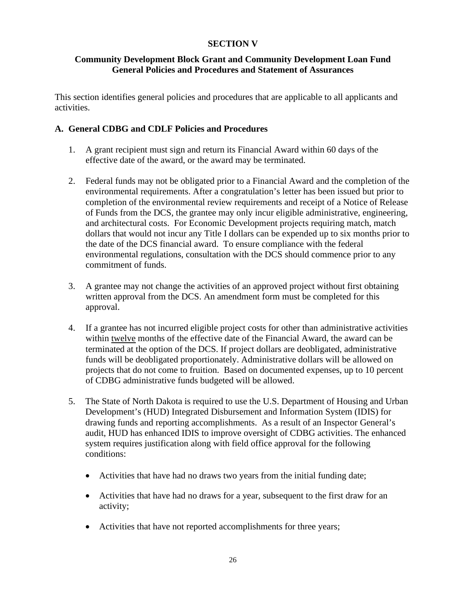# **SECTION V**

# **Community Development Block Grant and Community Development Loan Fund General Policies and Procedures and Statement of Assurances**

This section identifies general policies and procedures that are applicable to all applicants and activities.

# **A. General CDBG and CDLF Policies and Procedures**

- 1. A grant recipient must sign and return its Financial Award within 60 days of the effective date of the award, or the award may be terminated.
- 2. Federal funds may not be obligated prior to a Financial Award and the completion of the environmental requirements. After a congratulation's letter has been issued but prior to completion of the environmental review requirements and receipt of a Notice of Release of Funds from the DCS, the grantee may only incur eligible administrative, engineering, and architectural costs. For Economic Development projects requiring match, match dollars that would not incur any Title I dollars can be expended up to six months prior to the date of the DCS financial award. To ensure compliance with the federal environmental regulations, consultation with the DCS should commence prior to any commitment of funds.
- 3. A grantee may not change the activities of an approved project without first obtaining written approval from the DCS. An amendment form must be completed for this approval.
- 4. If a grantee has not incurred eligible project costs for other than administrative activities within twelve months of the effective date of the Financial Award, the award can be terminated at the option of the DCS. If project dollars are deobligated, administrative funds will be deobligated proportionately. Administrative dollars will be allowed on projects that do not come to fruition. Based on documented expenses, up to 10 percent of CDBG administrative funds budgeted will be allowed.
- 5. The State of North Dakota is required to use the U.S. Department of Housing and Urban Development's (HUD) Integrated Disbursement and Information System (IDIS) for drawing funds and reporting accomplishments. As a result of an Inspector General's audit, HUD has enhanced IDIS to improve oversight of CDBG activities. The enhanced system requires justification along with field office approval for the following conditions:
	- Activities that have had no draws two years from the initial funding date;
	- Activities that have had no draws for a year, subsequent to the first draw for an activity;
	- Activities that have not reported accomplishments for three years;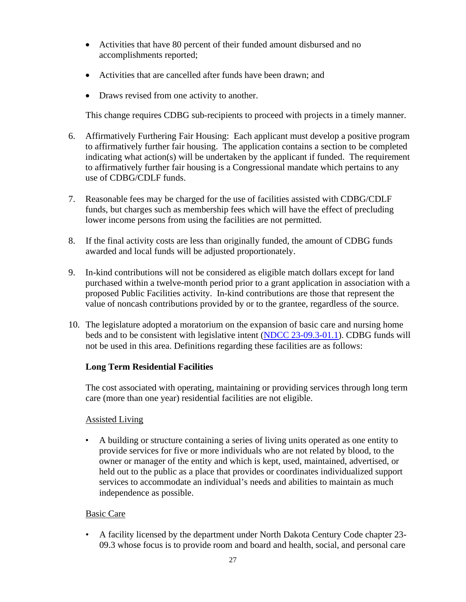- Activities that have 80 percent of their funded amount disbursed and no accomplishments reported;
- Activities that are cancelled after funds have been drawn; and
- Draws revised from one activity to another.

This change requires CDBG sub-recipients to proceed with projects in a timely manner.

- 6. Affirmatively Furthering Fair Housing: Each applicant must develop a positive program to affirmatively further fair housing. The application contains a section to be completed indicating what action(s) will be undertaken by the applicant if funded. The requirement to affirmatively further fair housing is a Congressional mandate which pertains to any use of CDBG/CDLF funds.
- 7. Reasonable fees may be charged for the use of facilities assisted with CDBG/CDLF funds, but charges such as membership fees which will have the effect of precluding lower income persons from using the facilities are not permitted.
- 8. If the final activity costs are less than originally funded, the amount of CDBG funds awarded and local funds will be adjusted proportionately.
- 9. In-kind contributions will not be considered as eligible match dollars except for land purchased within a twelve-month period prior to a grant application in association with a proposed Public Facilities activity. In-kind contributions are those that represent the value of noncash contributions provided by or to the grantee, regardless of the source.
- 10. The legislature adopted a moratorium on the expansion of basic care and nursing home beds and to be consistent with legislative intent [\(NDCC 23-09.3-01.1\)](https://www.legis.nd.gov/cencode/t23c09-3.pdf#nameddest=23-09p3-01p1). CDBG funds will not be used in this area. Definitions regarding these facilities are as follows:

# **Long Term Residential Facilities**

The cost associated with operating, maintaining or providing services through long term care (more than one year) residential facilities are not eligible.

## Assisted Living

• A building or structure containing a series of living units operated as one entity to provide services for five or more individuals who are not related by blood, to the owner or manager of the entity and which is kept, used, maintained, advertised, or held out to the public as a place that provides or coordinates individualized support services to accommodate an individual's needs and abilities to maintain as much independence as possible.

# Basic Care

• A facility licensed by the department under North Dakota Century Code chapter 23- 09.3 whose focus is to provide room and board and health, social, and personal care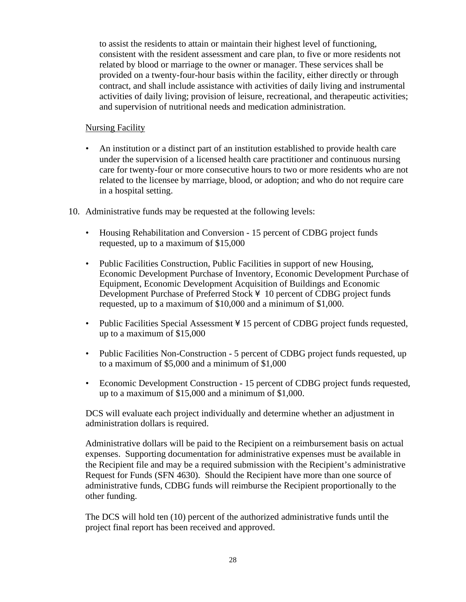to assist the residents to attain or maintain their highest level of functioning, consistent with the resident assessment and care plan, to five or more residents not related by blood or marriage to the owner or manager. These services shall be provided on a twenty-four-hour basis within the facility, either directly or through contract, and shall include assistance with activities of daily living and instrumental activities of daily living; provision of leisure, recreational, and therapeutic activities; and supervision of nutritional needs and medication administration.

# Nursing Facility

- An institution or a distinct part of an institution established to provide health care under the supervision of a licensed health care practitioner and continuous nursing care for twenty-four or more consecutive hours to two or more residents who are not related to the licensee by marriage, blood, or adoption; and who do not require care in a hospital setting.
- 10. Administrative funds may be requested at the following levels:
	- Housing Rehabilitation and Conversion 15 percent of CDBG project funds requested, up to a maximum of \$15,000
	- Public Facilities Construction, Public Facilities in support of new Housing, Economic Development Purchase of Inventory, Economic Development Purchase of Equipment, Economic Development Acquisition of Buildings and Economic Development Purchase of Preferred Stock  $4 \overline{10}$  percent of CDBG project funds requested, up to a maximum of \$10,000 and a minimum of \$1,000.
	- Public Facilities Special Assessment ¥ 15 percent of CDBG project funds requested, up to a maximum of \$15,000
	- Public Facilities Non-Construction 5 percent of CDBG project funds requested, up to a maximum of \$5,000 and a minimum of \$1,000
	- Economic Development Construction 15 percent of CDBG project funds requested, up to a maximum of \$15,000 and a minimum of \$1,000.

DCS will evaluate each project individually and determine whether an adjustment in administration dollars is required.

Administrative dollars will be paid to the Recipient on a reimbursement basis on actual expenses. Supporting documentation for administrative expenses must be available in the Recipient file and may be a required submission with the Recipient's administrative Request for Funds (SFN 4630). Should the Recipient have more than one source of administrative funds, CDBG funds will reimburse the Recipient proportionally to the other funding.

The DCS will hold ten (10) percent of the authorized administrative funds until the project final report has been received and approved.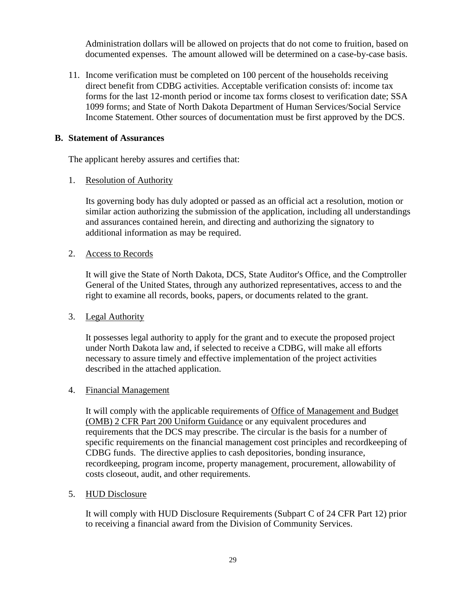Administration dollars will be allowed on projects that do not come to fruition, based on documented expenses. The amount allowed will be determined on a case-by-case basis.

11. Income verification must be completed on 100 percent of the households receiving direct benefit from CDBG activities. Acceptable verification consists of: income tax forms for the last 12-month period or income tax forms closest to verification date; SSA 1099 forms; and State of North Dakota Department of Human Services/Social Service Income Statement. Other sources of documentation must be first approved by the DCS.

## **B. Statement of Assurances**

The applicant hereby assures and certifies that:

#### 1. Resolution of Authority

Its governing body has duly adopted or passed as an official act a resolution, motion or similar action authorizing the submission of the application, including all understandings and assurances contained herein, and directing and authorizing the signatory to additional information as may be required.

#### 2. Access to Records

It will give the State of North Dakota, DCS, State Auditor's Office, and the Comptroller General of the United States, through any authorized representatives, access to and the right to examine all records, books, papers, or documents related to the grant.

#### 3. Legal Authority

It possesses legal authority to apply for the grant and to execute the proposed project under North Dakota law and, if selected to receive a CDBG, will make all efforts necessary to assure timely and effective implementation of the project activities described in the attached application.

#### 4. Financial Management

It will comply with the applicable requirements of Office of Management and Budget (OMB) 2 CFR Part 200 Uniform Guidance or any equivalent procedures and requirements that the DCS may prescribe. The circular is the basis for a number of specific requirements on the financial management cost principles and recordkeeping of CDBG funds. The directive applies to cash depositories, bonding insurance, recordkeeping, program income, property management, procurement, allowability of costs closeout, audit, and other requirements.

#### 5. HUD Disclosure

It will comply with HUD Disclosure Requirements (Subpart C of 24 CFR Part 12) prior to receiving a financial award from the Division of Community Services.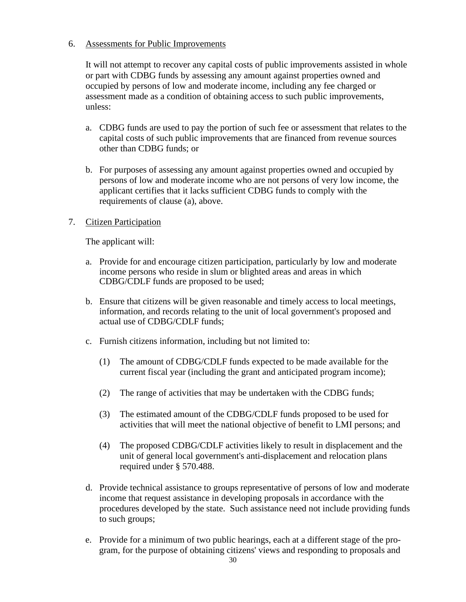# 6. Assessments for Public Improvements

It will not attempt to recover any capital costs of public improvements assisted in whole or part with CDBG funds by assessing any amount against properties owned and occupied by persons of low and moderate income, including any fee charged or assessment made as a condition of obtaining access to such public improvements, unless:

- a. CDBG funds are used to pay the portion of such fee or assessment that relates to the capital costs of such public improvements that are financed from revenue sources other than CDBG funds; or
- b. For purposes of assessing any amount against properties owned and occupied by persons of low and moderate income who are not persons of very low income, the applicant certifies that it lacks sufficient CDBG funds to comply with the requirements of clause (a), above.

# 7. Citizen Participation

The applicant will:

- a. Provide for and encourage citizen participation, particularly by low and moderate income persons who reside in slum or blighted areas and areas in which CDBG/CDLF funds are proposed to be used;
- b. Ensure that citizens will be given reasonable and timely access to local meetings, information, and records relating to the unit of local government's proposed and actual use of CDBG/CDLF funds;
- c. Furnish citizens information, including but not limited to:
	- (1) The amount of CDBG/CDLF funds expected to be made available for the current fiscal year (including the grant and anticipated program income);
	- (2) The range of activities that may be undertaken with the CDBG funds;
	- (3) The estimated amount of the CDBG/CDLF funds proposed to be used for activities that will meet the national objective of benefit to LMI persons; and
	- (4) The proposed CDBG/CDLF activities likely to result in displacement and the unit of general local government's anti-displacement and relocation plans required under § 570.488.
- d. Provide technical assistance to groups representative of persons of low and moderate income that request assistance in developing proposals in accordance with the procedures developed by the state. Such assistance need not include providing funds to such groups;
- e. Provide for a minimum of two public hearings, each at a different stage of the program, for the purpose of obtaining citizens' views and responding to proposals and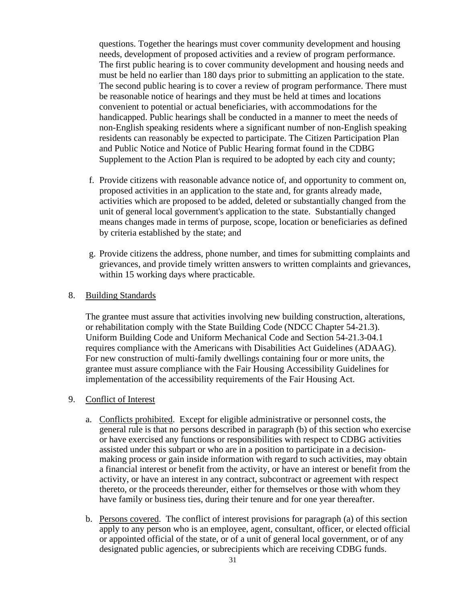questions. Together the hearings must cover community development and housing needs, development of proposed activities and a review of program performance. The first public hearing is to cover community development and housing needs and must be held no earlier than 180 days prior to submitting an application to the state. The second public hearing is to cover a review of program performance. There must be reasonable notice of hearings and they must be held at times and locations convenient to potential or actual beneficiaries, with accommodations for the handicapped. Public hearings shall be conducted in a manner to meet the needs of non-English speaking residents where a significant number of non-English speaking residents can reasonably be expected to participate. The Citizen Participation Plan and Public Notice and Notice of Public Hearing format found in the CDBG Supplement to the Action Plan is required to be adopted by each city and county;

- f. Provide citizens with reasonable advance notice of, and opportunity to comment on, proposed activities in an application to the state and, for grants already made, activities which are proposed to be added, deleted or substantially changed from the unit of general local government's application to the state. Substantially changed means changes made in terms of purpose, scope, location or beneficiaries as defined by criteria established by the state; and
- g. Provide citizens the address, phone number, and times for submitting complaints and grievances, and provide timely written answers to written complaints and grievances, within 15 working days where practicable.

#### 8. Building Standards

The grantee must assure that activities involving new building construction, alterations, or rehabilitation comply with the State Building Code (NDCC Chapter 54-21.3). Uniform Building Code and Uniform Mechanical Code and Section 54-21.3-04.1 requires compliance with the Americans with Disabilities Act Guidelines (ADAAG). For new construction of multi-family dwellings containing four or more units, the grantee must assure compliance with the Fair Housing Accessibility Guidelines for implementation of the accessibility requirements of the Fair Housing Act.

#### 9. Conflict of Interest

- a. Conflicts prohibited. Except for eligible administrative or personnel costs, the general rule is that no persons described in paragraph (b) of this section who exercise or have exercised any functions or responsibilities with respect to CDBG activities assisted under this subpart or who are in a position to participate in a decisionmaking process or gain inside information with regard to such activities, may obtain a financial interest or benefit from the activity, or have an interest or benefit from the activity, or have an interest in any contract, subcontract or agreement with respect thereto, or the proceeds thereunder, either for themselves or those with whom they have family or business ties, during their tenure and for one year thereafter.
- b. Persons covered. The conflict of interest provisions for paragraph (a) of this section apply to any person who is an employee, agent, consultant, officer, or elected official or appointed official of the state, or of a unit of general local government, or of any designated public agencies, or subrecipients which are receiving CDBG funds.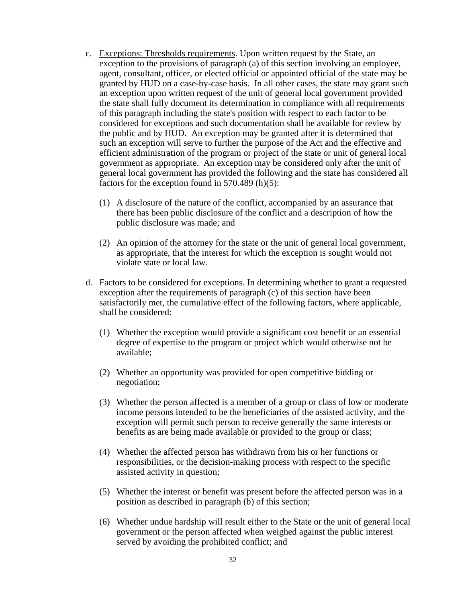- c. Exceptions: Thresholds requirements. Upon written request by the State, an exception to the provisions of paragraph (a) of this section involving an employee, agent, consultant, officer, or elected official or appointed official of the state may be granted by HUD on a case-by-case basis. In all other cases, the state may grant such an exception upon written request of the unit of general local government provided the state shall fully document its determination in compliance with all requirements of this paragraph including the state's position with respect to each factor to be considered for exceptions and such documentation shall be available for review by the public and by HUD. An exception may be granted after it is determined that such an exception will serve to further the purpose of the Act and the effective and efficient administration of the program or project of the state or unit of general local government as appropriate. An exception may be considered only after the unit of general local government has provided the following and the state has considered all factors for the exception found in 570.489 (h)(5):
	- (1) A disclosure of the nature of the conflict, accompanied by an assurance that there has been public disclosure of the conflict and a description of how the public disclosure was made; and
	- (2) An opinion of the attorney for the state or the unit of general local government, as appropriate, that the interest for which the exception is sought would not violate state or local law.
- d. Factors to be considered for exceptions. In determining whether to grant a requested exception after the requirements of paragraph (c) of this section have been satisfactorily met, the cumulative effect of the following factors, where applicable, shall be considered:
	- (1) Whether the exception would provide a significant cost benefit or an essential degree of expertise to the program or project which would otherwise not be available;
	- (2) Whether an opportunity was provided for open competitive bidding or negotiation;
	- (3) Whether the person affected is a member of a group or class of low or moderate income persons intended to be the beneficiaries of the assisted activity, and the exception will permit such person to receive generally the same interests or benefits as are being made available or provided to the group or class;
	- (4) Whether the affected person has withdrawn from his or her functions or responsibilities, or the decision-making process with respect to the specific assisted activity in question;
	- (5) Whether the interest or benefit was present before the affected person was in a position as described in paragraph (b) of this section;
	- (6) Whether undue hardship will result either to the State or the unit of general local government or the person affected when weighed against the public interest served by avoiding the prohibited conflict; and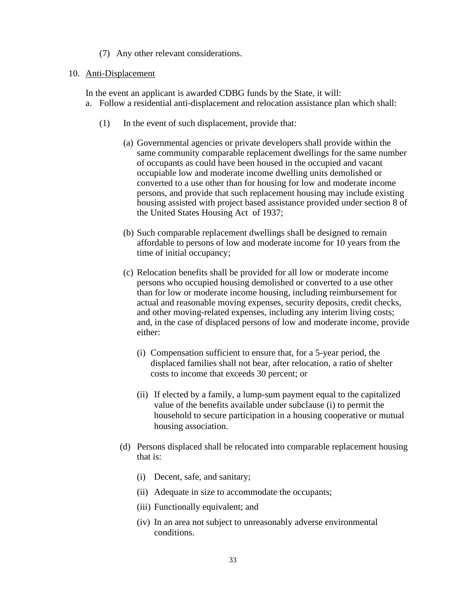#### (7) Any other relevant considerations.

#### 10. Anti-Displacement

In the event an applicant is awarded CDBG funds by the State, it will:

- a. Follow a residential anti-displacement and relocation assistance plan which shall:
	- (1) In the event of such displacement, provide that:
		- (a) Governmental agencies or private developers shall provide within the same community comparable replacement dwellings for the same number of occupants as could have been housed in the occupied and vacant occupiable low and moderate income dwelling units demolished or converted to a use other than for housing for low and moderate income persons, and provide that such replacement housing may include existing housing assisted with project based assistance provided under section 8 of the United States Housing Act of 1937;
		- (b) Such comparable replacement dwellings shall be designed to remain affordable to persons of low and moderate income for 10 years from the time of initial occupancy;
		- (c) Relocation benefits shall be provided for all low or moderate income persons who occupied housing demolished or converted to a use other than for low or moderate income housing, including reimbursement for actual and reasonable moving expenses, security deposits, credit checks, and other moving-related expenses, including any interim living costs; and, in the case of displaced persons of low and moderate income, provide either:
			- (i) Compensation sufficient to ensure that, for a 5-year period, the displaced families shall not bear, after relocation, a ratio of shelter costs to income that exceeds 30 percent; or
			- (ii) If elected by a family, a lump-sum payment equal to the capitalized value of the benefits available under subclause (i) to permit the household to secure participation in a housing cooperative or mutual housing association.
		- (d) Persons displaced shall be relocated into comparable replacement housing that is:
			- (i) Decent, safe, and sanitary;
			- (ii) Adequate in size to accommodate the occupants;
			- (iii) Functionally equivalent; and
			- (iv) In an area not subject to unreasonably adverse environmental conditions.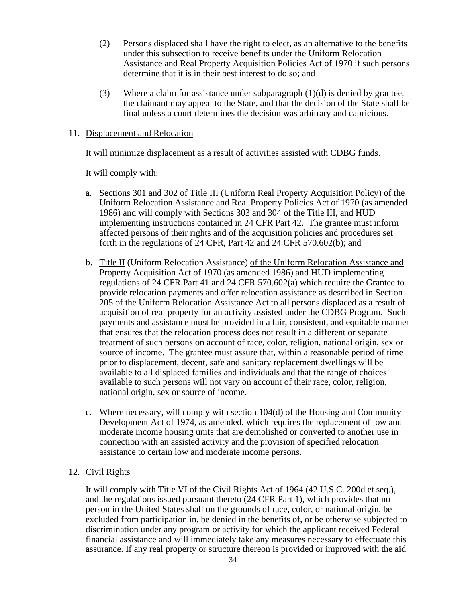- (2) Persons displaced shall have the right to elect, as an alternative to the benefits under this subsection to receive benefits under the Uniform Relocation Assistance and Real Property Acquisition Policies Act of 1970 if such persons determine that it is in their best interest to do so; and
- (3) Where a claim for assistance under subparagraph  $(1)(d)$  is denied by grantee, the claimant may appeal to the State, and that the decision of the State shall be final unless a court determines the decision was arbitrary and capricious.

#### 11. Displacement and Relocation

It will minimize displacement as a result of activities assisted with CDBG funds.

It will comply with:

- a. Sections 301 and 302 of Title III (Uniform Real Property Acquisition Policy) of the Uniform Relocation Assistance and Real Property Policies Act of 1970 (as amended 1986) and will comply with Sections 303 and 304 of the Title III, and HUD implementing instructions contained in 24 CFR Part 42. The grantee must inform affected persons of their rights and of the acquisition policies and procedures set forth in the regulations of 24 CFR, Part 42 and 24 CFR 570.602(b); and
- b. Title II (Uniform Relocation Assistance) of the Uniform Relocation Assistance and Property Acquisition Act of 1970 (as amended 1986) and HUD implementing regulations of 24 CFR Part 41 and 24 CFR 570.602(a) which require the Grantee to provide relocation payments and offer relocation assistance as described in Section 205 of the Uniform Relocation Assistance Act to all persons displaced as a result of acquisition of real property for an activity assisted under the CDBG Program. Such payments and assistance must be provided in a fair, consistent, and equitable manner that ensures that the relocation process does not result in a different or separate treatment of such persons on account of race, color, religion, national origin, sex or source of income. The grantee must assure that, within a reasonable period of time prior to displacement, decent, safe and sanitary replacement dwellings will be available to all displaced families and individuals and that the range of choices available to such persons will not vary on account of their race, color, religion, national origin, sex or source of income.
- c. Where necessary, will comply with section 104(d) of the Housing and Community Development Act of 1974, as amended, which requires the replacement of low and moderate income housing units that are demolished or converted to another use in connection with an assisted activity and the provision of specified relocation assistance to certain low and moderate income persons.

## 12. Civil Rights

It will comply with Title VI of the Civil Rights Act of 1964 (42 U.S.C. 200d et seq.), and the regulations issued pursuant thereto (24 CFR Part 1), which provides that no person in the United States shall on the grounds of race, color, or national origin, be excluded from participation in, be denied in the benefits of, or be otherwise subjected to discrimination under any program or activity for which the applicant received Federal financial assistance and will immediately take any measures necessary to effectuate this assurance. If any real property or structure thereon is provided or improved with the aid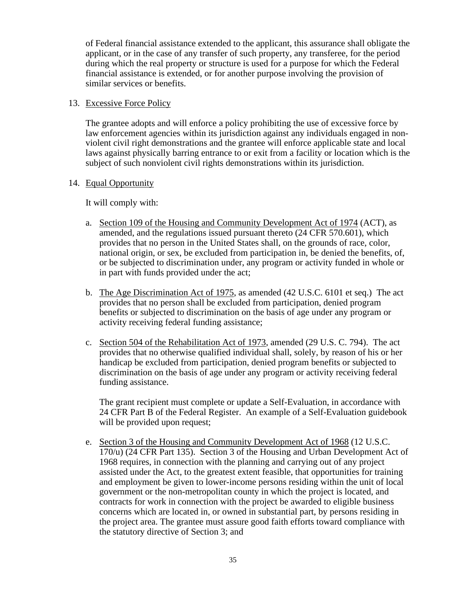of Federal financial assistance extended to the applicant, this assurance shall obligate the applicant, or in the case of any transfer of such property, any transferee, for the period during which the real property or structure is used for a purpose for which the Federal financial assistance is extended, or for another purpose involving the provision of similar services or benefits.

## 13. Excessive Force Policy

The grantee adopts and will enforce a policy prohibiting the use of excessive force by law enforcement agencies within its jurisdiction against any individuals engaged in nonviolent civil right demonstrations and the grantee will enforce applicable state and local laws against physically barring entrance to or exit from a facility or location which is the subject of such nonviolent civil rights demonstrations within its jurisdiction.

#### 14. Equal Opportunity

It will comply with:

- a. Section 109 of the Housing and Community Development Act of 1974 (ACT), as amended, and the regulations issued pursuant thereto (24 CFR 570.601), which provides that no person in the United States shall, on the grounds of race, color, national origin, or sex, be excluded from participation in, be denied the benefits, of, or be subjected to discrimination under, any program or activity funded in whole or in part with funds provided under the act;
- b. The Age Discrimination Act of 1975, as amended (42 U.S.C. 6101 et seq.) The act provides that no person shall be excluded from participation, denied program benefits or subjected to discrimination on the basis of age under any program or activity receiving federal funding assistance;
- c. Section 504 of the Rehabilitation Act of 1973, amended (29 U.S. C. 794). The act provides that no otherwise qualified individual shall, solely, by reason of his or her handicap be excluded from participation, denied program benefits or subjected to discrimination on the basis of age under any program or activity receiving federal funding assistance.

The grant recipient must complete or update a Self-Evaluation, in accordance with 24 CFR Part B of the Federal Register. An example of a Self-Evaluation guidebook will be provided upon request;

e. Section 3 of the Housing and Community Development Act of 1968 (12 U.S.C. 170/u) (24 CFR Part 135). Section 3 of the Housing and Urban Development Act of 1968 requires, in connection with the planning and carrying out of any project assisted under the Act, to the greatest extent feasible, that opportunities for training and employment be given to lower-income persons residing within the unit of local government or the non-metropolitan county in which the project is located, and contracts for work in connection with the project be awarded to eligible business concerns which are located in, or owned in substantial part, by persons residing in the project area. The grantee must assure good faith efforts toward compliance with the statutory directive of Section 3; and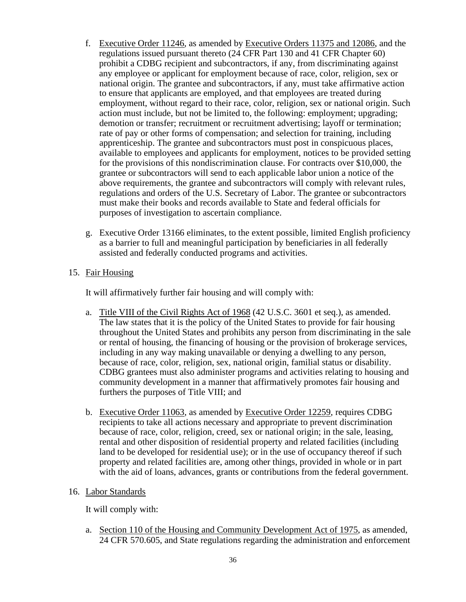- f. Executive Order 11246, as amended by Executive Orders 11375 and 12086, and the regulations issued pursuant thereto (24 CFR Part 130 and 41 CFR Chapter 60) prohibit a CDBG recipient and subcontractors, if any, from discriminating against any employee or applicant for employment because of race, color, religion, sex or national origin. The grantee and subcontractors, if any, must take affirmative action to ensure that applicants are employed, and that employees are treated during employment, without regard to their race, color, religion, sex or national origin. Such action must include, but not be limited to, the following: employment; upgrading; demotion or transfer; recruitment or recruitment advertising; layoff or termination; rate of pay or other forms of compensation; and selection for training, including apprenticeship. The grantee and subcontractors must post in conspicuous places, available to employees and applicants for employment, notices to be provided setting for the provisions of this nondiscrimination clause. For contracts over \$10,000, the grantee or subcontractors will send to each applicable labor union a notice of the above requirements, the grantee and subcontractors will comply with relevant rules, regulations and orders of the U.S. Secretary of Labor. The grantee or subcontractors must make their books and records available to State and federal officials for purposes of investigation to ascertain compliance.
- g. Executive Order 13166 eliminates, to the extent possible, limited English proficiency as a barrier to full and meaningful participation by beneficiaries in all federally assisted and federally conducted programs and activities.

# 15. Fair Housing

It will affirmatively further fair housing and will comply with:

- a. Title VIII of the Civil Rights Act of 1968 (42 U.S.C. 3601 et seq.), as amended. The law states that it is the policy of the United States to provide for fair housing throughout the United States and prohibits any person from discriminating in the sale or rental of housing, the financing of housing or the provision of brokerage services, including in any way making unavailable or denying a dwelling to any person, because of race, color, religion, sex, national origin, familial status or disability. CDBG grantees must also administer programs and activities relating to housing and community development in a manner that affirmatively promotes fair housing and furthers the purposes of Title VIII; and
- b. Executive Order 11063, as amended by Executive Order 12259, requires CDBG recipients to take all actions necessary and appropriate to prevent discrimination because of race, color, religion, creed, sex or national origin; in the sale, leasing, rental and other disposition of residential property and related facilities (including land to be developed for residential use); or in the use of occupancy thereof if such property and related facilities are, among other things, provided in whole or in part with the aid of loans, advances, grants or contributions from the federal government.

## 16. Labor Standards

It will comply with:

a. Section 110 of the Housing and Community Development Act of 1975, as amended, 24 CFR 570.605, and State regulations regarding the administration and enforcement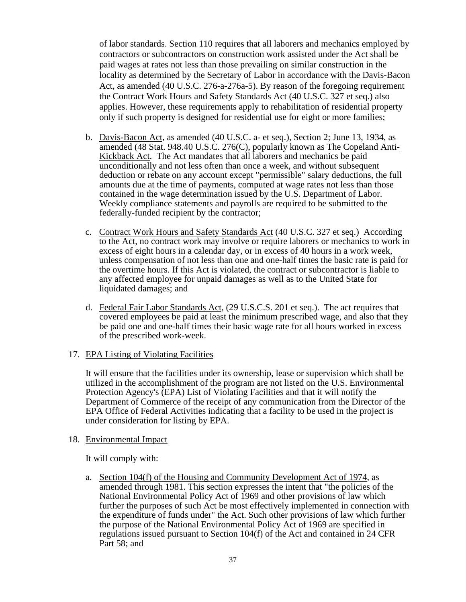of labor standards. Section 110 requires that all laborers and mechanics employed by contractors or subcontractors on construction work assisted under the Act shall be paid wages at rates not less than those prevailing on similar construction in the locality as determined by the Secretary of Labor in accordance with the Davis-Bacon Act, as amended (40 U.S.C. 276-a-276a-5). By reason of the foregoing requirement the Contract Work Hours and Safety Standards Act (40 U.S.C. 327 et seq.) also applies. However, these requirements apply to rehabilitation of residential property only if such property is designed for residential use for eight or more families;

- b. Davis-Bacon Act, as amended (40 U.S.C. a- et seq.), Section 2; June 13, 1934, as amended (48 Stat. 948.40 U.S.C. 276(C), popularly known as The Copeland Anti-Kickback Act. The Act mandates that all laborers and mechanics be paid unconditionally and not less often than once a week, and without subsequent deduction or rebate on any account except "permissible" salary deductions, the full amounts due at the time of payments, computed at wage rates not less than those contained in the wage determination issued by the U.S. Department of Labor. Weekly compliance statements and payrolls are required to be submitted to the federally-funded recipient by the contractor;
- c. Contract Work Hours and Safety Standards Act (40 U.S.C. 327 et seq.) According to the Act, no contract work may involve or require laborers or mechanics to work in excess of eight hours in a calendar day, or in excess of 40 hours in a work week, unless compensation of not less than one and one-half times the basic rate is paid for the overtime hours. If this Act is violated, the contract or subcontractor is liable to any affected employee for unpaid damages as well as to the United State for liquidated damages; and
- d. Federal Fair Labor Standards Act, (29 U.S.C.S. 201 et seq.). The act requires that covered employees be paid at least the minimum prescribed wage, and also that they be paid one and one-half times their basic wage rate for all hours worked in excess of the prescribed work-week.

### 17. EPA Listing of Violating Facilities

It will ensure that the facilities under its ownership, lease or supervision which shall be utilized in the accomplishment of the program are not listed on the U.S. Environmental Protection Agency's (EPA) List of Violating Facilities and that it will notify the Department of Commerce of the receipt of any communication from the Director of the EPA Office of Federal Activities indicating that a facility to be used in the project is under consideration for listing by EPA.

### 18. Environmental Impact

It will comply with:

a. Section 104(f) of the Housing and Community Development Act of 1974, as amended through 1981. This section expresses the intent that "the policies of the National Environmental Policy Act of 1969 and other provisions of law which further the purposes of such Act be most effectively implemented in connection with the expenditure of funds under" the Act. Such other provisions of law which further the purpose of the National Environmental Policy Act of 1969 are specified in regulations issued pursuant to Section 104(f) of the Act and contained in 24 CFR Part 58; and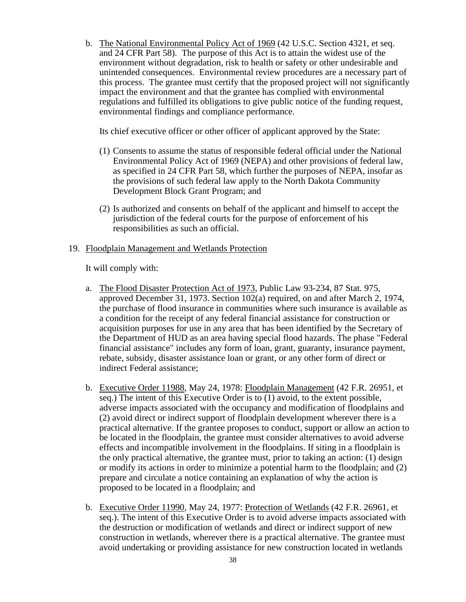b. The National Environmental Policy Act of 1969 (42 U.S.C. Section 4321, et seq. and 24 CFR Part 58). The purpose of this Act is to attain the widest use of the environment without degradation, risk to health or safety or other undesirable and unintended consequences. Environmental review procedures are a necessary part of this process. The grantee must certify that the proposed project will not significantly impact the environment and that the grantee has complied with environmental regulations and fulfilled its obligations to give public notice of the funding request, environmental findings and compliance performance.

Its chief executive officer or other officer of applicant approved by the State:

- (1) Consents to assume the status of responsible federal official under the National Environmental Policy Act of 1969 (NEPA) and other provisions of federal law, as specified in 24 CFR Part 58, which further the purposes of NEPA, insofar as the provisions of such federal law apply to the North Dakota Community Development Block Grant Program; and
- (2) Is authorized and consents on behalf of the applicant and himself to accept the jurisdiction of the federal courts for the purpose of enforcement of his responsibilities as such an official.

### 19. Floodplain Management and Wetlands Protection

It will comply with:

- a. The Flood Disaster Protection Act of 1973, Public Law 93-234, 87 Stat. 975, approved December 31, 1973. Section 102(a) required, on and after March 2, 1974, the purchase of flood insurance in communities where such insurance is available as a condition for the receipt of any federal financial assistance for construction or acquisition purposes for use in any area that has been identified by the Secretary of the Department of HUD as an area having special flood hazards. The phase "Federal financial assistance" includes any form of loan, grant, guaranty, insurance payment, rebate, subsidy, disaster assistance loan or grant, or any other form of direct or indirect Federal assistance;
- b. Executive Order 11988, May 24, 1978: Floodplain Management (42 F.R. 26951, et seq.) The intent of this Executive Order is to (1) avoid, to the extent possible, adverse impacts associated with the occupancy and modification of floodplains and (2) avoid direct or indirect support of floodplain development wherever there is a practical alternative. If the grantee proposes to conduct, support or allow an action to be located in the floodplain, the grantee must consider alternatives to avoid adverse effects and incompatible involvement in the floodplains. If siting in a floodplain is the only practical alternative, the grantee must, prior to taking an action: (1) design or modify its actions in order to minimize a potential harm to the floodplain; and (2) prepare and circulate a notice containing an explanation of why the action is proposed to be located in a floodplain; and
- b. Executive Order 11990, May 24, 1977: Protection of Wetlands (42 F.R. 26961, et seq.). The intent of this Executive Order is to avoid adverse impacts associated with the destruction or modification of wetlands and direct or indirect support of new construction in wetlands, wherever there is a practical alternative. The grantee must avoid undertaking or providing assistance for new construction located in wetlands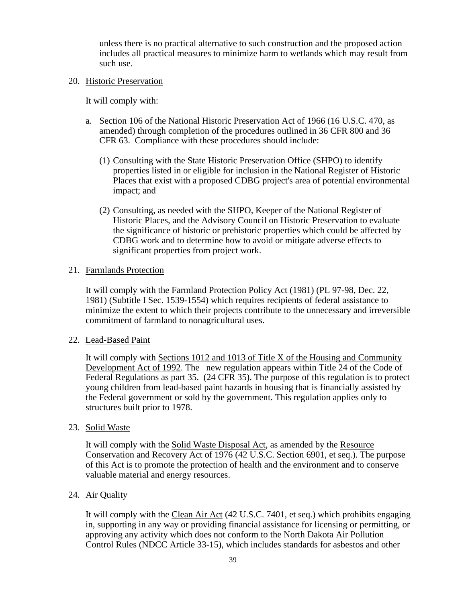unless there is no practical alternative to such construction and the proposed action includes all practical measures to minimize harm to wetlands which may result from such use.

### 20. Historic Preservation

It will comply with:

- a. Section 106 of the National Historic Preservation Act of 1966 (16 U.S.C. 470, as amended) through completion of the procedures outlined in 36 CFR 800 and 36 CFR 63. Compliance with these procedures should include:
	- (1) Consulting with the State Historic Preservation Office (SHPO) to identify properties listed in or eligible for inclusion in the National Register of Historic Places that exist with a proposed CDBG project's area of potential environmental impact; and
	- (2) Consulting, as needed with the SHPO, Keeper of the National Register of Historic Places, and the Advisory Council on Historic Preservation to evaluate the significance of historic or prehistoric properties which could be affected by CDBG work and to determine how to avoid or mitigate adverse effects to significant properties from project work.

### 21. Farmlands Protection

It will comply with the Farmland Protection Policy Act (1981) (PL 97-98, Dec. 22, 1981) (Subtitle I Sec. 1539-1554) which requires recipients of federal assistance to minimize the extent to which their projects contribute to the unnecessary and irreversible commitment of farmland to nonagricultural uses.

### 22. Lead-Based Paint

It will comply with Sections 1012 and 1013 of Title X of the Housing and Community Development Act of 1992. The new regulation appears within Title 24 of the Code of Federal Regulations as part 35. (24 CFR 35). The purpose of this regulation is to protect young children from lead-based paint hazards in housing that is financially assisted by the Federal government or sold by the government. This regulation applies only to structures built prior to 1978.

### 23. Solid Waste

It will comply with the Solid Waste Disposal Act, as amended by the Resource Conservation and Recovery Act of 1976 (42 U.S.C. Section 6901, et seq.). The purpose of this Act is to promote the protection of health and the environment and to conserve valuable material and energy resources.

### 24. Air Quality

It will comply with the Clean Air Act (42 U.S.C. 7401, et seq.) which prohibits engaging in, supporting in any way or providing financial assistance for licensing or permitting, or approving any activity which does not conform to the North Dakota Air Pollution Control Rules (NDCC Article 33-15), which includes standards for asbestos and other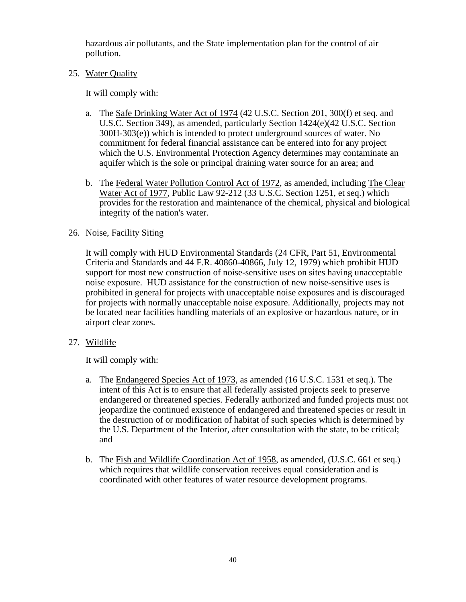hazardous air pollutants, and the State implementation plan for the control of air pollution.

### 25. Water Quality

It will comply with:

- a. The Safe Drinking Water Act of 1974 (42 U.S.C. Section 201, 300(f) et seq. and U.S.C. Section 349), as amended, particularly Section 1424(e)(42 U.S.C. Section 300H-303(e)) which is intended to protect underground sources of water. No commitment for federal financial assistance can be entered into for any project which the U.S. Environmental Protection Agency determines may contaminate an aquifer which is the sole or principal draining water source for an area; and
- b. The Federal Water Pollution Control Act of 1972, as amended, including The Clear Water Act of 1977, Public Law 92-212 (33 U.S.C. Section 1251, et seq.) which provides for the restoration and maintenance of the chemical, physical and biological integrity of the nation's water.

### 26. Noise, Facility Siting

It will comply with HUD Environmental Standards (24 CFR, Part 51, Environmental Criteria and Standards and 44 F.R. 40860-40866, July 12, 1979) which prohibit HUD support for most new construction of noise-sensitive uses on sites having unacceptable noise exposure. HUD assistance for the construction of new noise-sensitive uses is prohibited in general for projects with unacceptable noise exposures and is discouraged for projects with normally unacceptable noise exposure. Additionally, projects may not be located near facilities handling materials of an explosive or hazardous nature, or in airport clear zones.

27. Wildlife

It will comply with:

- a. The Endangered Species Act of 1973, as amended (16 U.S.C. 1531 et seq.). The intent of this Act is to ensure that all federally assisted projects seek to preserve endangered or threatened species. Federally authorized and funded projects must not jeopardize the continued existence of endangered and threatened species or result in the destruction of or modification of habitat of such species which is determined by the U.S. Department of the Interior, after consultation with the state, to be critical; and
- b. The Fish and Wildlife Coordination Act of 1958, as amended, (U.S.C. 661 et seq.) which requires that wildlife conservation receives equal consideration and is coordinated with other features of water resource development programs.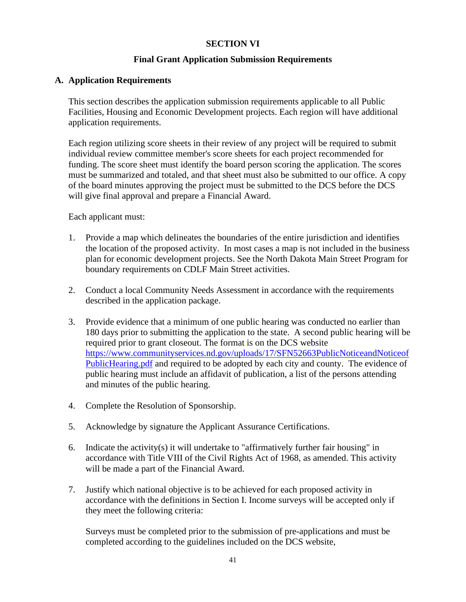### **SECTION VI**

### **Final Grant Application Submission Requirements**

### **A. Application Requirements**

This section describes the application submission requirements applicable to all Public Facilities, Housing and Economic Development projects. Each region will have additional application requirements.

Each region utilizing score sheets in their review of any project will be required to submit individual review committee member's score sheets for each project recommended for funding. The score sheet must identify the board person scoring the application. The scores must be summarized and totaled, and that sheet must also be submitted to our office. A copy of the board minutes approving the project must be submitted to the DCS before the DCS will give final approval and prepare a Financial Award.

Each applicant must:

- 1. Provide a map which delineates the boundaries of the entire jurisdiction and identifies the location of the proposed activity. In most cases a map is not included in the business plan for economic development projects. See the North Dakota Main Street Program for boundary requirements on CDLF Main Street activities.
- 2. Conduct a local Community Needs Assessment in accordance with the requirements described in the application package.
- 3. Provide evidence that a minimum of one public hearing was conducted no earlier than 180 days prior to submitting the application to the state. A second public hearing will be required prior to grant closeout. The format is on the DCS website [https://www.communityservices.nd.gov/uploads/17/SFN52663PublicNoticeandNoticeof](https://www.communityservices.nd.gov/uploads/17/SFN52663PublicNoticeandNoticeofPublicHearing.pdf) [PublicHearing.pdf](https://www.communityservices.nd.gov/uploads/17/SFN52663PublicNoticeandNoticeofPublicHearing.pdf) and required to be adopted by each city and county. The evidence of public hearing must include an affidavit of publication, a list of the persons attending and minutes of the public hearing.
- 4. Complete the Resolution of Sponsorship.
- 5. Acknowledge by signature the Applicant Assurance Certifications.
- 6. Indicate the activity(s) it will undertake to "affirmatively further fair housing" in accordance with Title VIII of the Civil Rights Act of 1968, as amended. This activity will be made a part of the Financial Award.
- 7. Justify which national objective is to be achieved for each proposed activity in accordance with the definitions in Section I. Income surveys will be accepted only if they meet the following criteria:

Surveys must be completed prior to the submission of pre-applications and must be completed according to the guidelines included on the DCS website,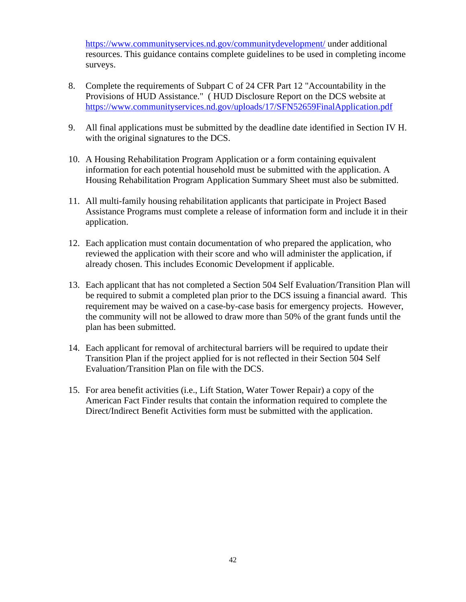<https://www.communityservices.nd.gov/communitydevelopment/> under additional resources. This guidance contains complete guidelines to be used in completing income surveys.

- 8. Complete the requirements of Subpart C of 24 CFR Part 12 "Accountability in the Provisions of HUD Assistance." ( HUD Disclosure Report on the DCS website at <https://www.communityservices.nd.gov/uploads/17/SFN52659FinalApplication.pdf>
- 9. All final applications must be submitted by the deadline date identified in Section IV H. with the original signatures to the DCS.
- 10. A Housing Rehabilitation Program Application or a form containing equivalent information for each potential household must be submitted with the application. A Housing Rehabilitation Program Application Summary Sheet must also be submitted.
- 11. All multi-family housing rehabilitation applicants that participate in Project Based Assistance Programs must complete a release of information form and include it in their application.
- 12. Each application must contain documentation of who prepared the application, who reviewed the application with their score and who will administer the application, if already chosen. This includes Economic Development if applicable.
- 13. Each applicant that has not completed a Section 504 Self Evaluation/Transition Plan will be required to submit a completed plan prior to the DCS issuing a financial award. This requirement may be waived on a case-by-case basis for emergency projects. However, the community will not be allowed to draw more than 50% of the grant funds until the plan has been submitted.
- 14. Each applicant for removal of architectural barriers will be required to update their Transition Plan if the project applied for is not reflected in their Section 504 Self Evaluation/Transition Plan on file with the DCS.
- 15. For area benefit activities (i.e., Lift Station, Water Tower Repair) a copy of the American Fact Finder results that contain the information required to complete the Direct/Indirect Benefit Activities form must be submitted with the application.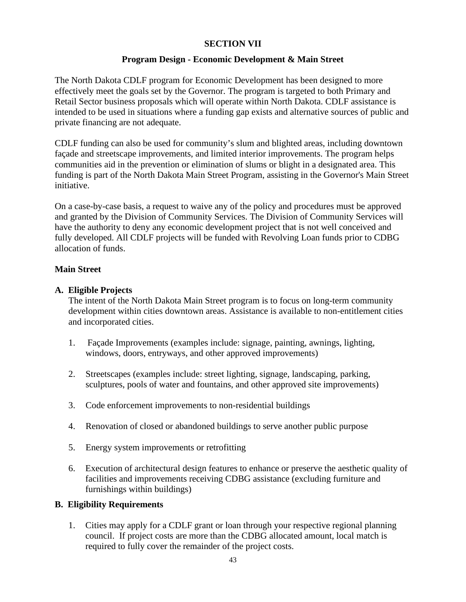### **SECTION VII**

### **Program Design - Economic Development & Main Street**

The North Dakota CDLF program for Economic Development has been designed to more effectively meet the goals set by the Governor. The program is targeted to both Primary and Retail Sector business proposals which will operate within North Dakota. CDLF assistance is intended to be used in situations where a funding gap exists and alternative sources of public and private financing are not adequate.

CDLF funding can also be used for community's slum and blighted areas, including downtown façade and streetscape improvements, and limited interior improvements. The program helps communities aid in the prevention or elimination of slums or blight in a designated area. This funding is part of the North Dakota Main Street Program, assisting in the Governor's Main Street initiative.

On a case-by-case basis, a request to waive any of the policy and procedures must be approved and granted by the Division of Community Services. The Division of Community Services will have the authority to deny any economic development project that is not well conceived and fully developed. All CDLF projects will be funded with Revolving Loan funds prior to CDBG allocation of funds.

### **Main Street**

### **A. Eligible Projects**

The intent of the North Dakota Main Street program is to focus on long-term community development within cities downtown areas. Assistance is available to non-entitlement cities and incorporated cities.

- 1. Façade Improvements (examples include: signage, painting, awnings, lighting, windows, doors, entryways, and other approved improvements)
- 2. Streetscapes (examples include: street lighting, signage, landscaping, parking, sculptures, pools of water and fountains, and other approved site improvements)
- 3. Code enforcement improvements to non-residential buildings
- 4. Renovation of closed or abandoned buildings to serve another public purpose
- 5. Energy system improvements or retrofitting
- 6. Execution of architectural design features to enhance or preserve the aesthetic quality of facilities and improvements receiving CDBG assistance (excluding furniture and furnishings within buildings)

# **B. Eligibility Requirements**

1. Cities may apply for a CDLF grant or loan through your respective regional planning council. If project costs are more than the CDBG allocated amount, local match is required to fully cover the remainder of the project costs.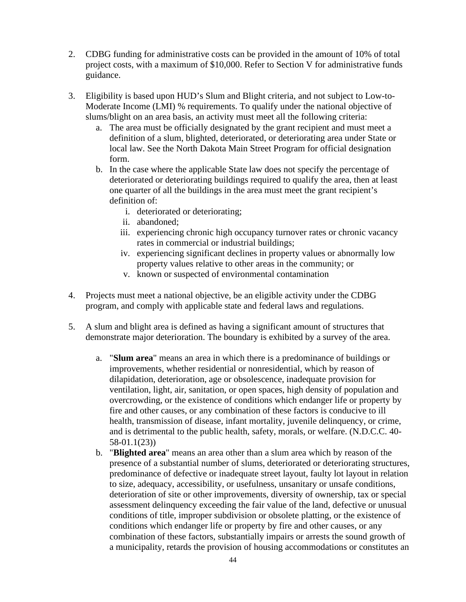- 2. CDBG funding for administrative costs can be provided in the amount of 10% of total project costs, with a maximum of \$10,000. Refer to Section V for administrative funds guidance.
- 3. Eligibility is based upon HUD's Slum and Blight criteria, and not subject to Low-to-Moderate Income (LMI) % requirements. To qualify under the national objective of slums/blight on an area basis, an activity must meet all the following criteria:
	- a. The area must be officially designated by the grant recipient and must meet a definition of a slum, blighted, deteriorated, or deteriorating area under State or local law. See the North Dakota Main Street Program for official designation form.
	- b. In the case where the applicable State law does not specify the percentage of deteriorated or deteriorating buildings required to qualify the area, then at least one quarter of all the buildings in the area must meet the grant recipient's definition of:
		- i. deteriorated or deteriorating;
		- ii. abandoned;
		- iii. experiencing chronic high occupancy turnover rates or chronic vacancy rates in commercial or industrial buildings;
		- iv. experiencing significant declines in property values or abnormally low property values relative to other areas in the community; or
		- v. known or suspected of environmental contamination
- 4. Projects must meet a national objective, be an eligible activity under the CDBG program, and comply with applicable state and federal laws and regulations.
- 5. A slum and blight area is defined as having a significant amount of structures that demonstrate major deterioration. The boundary is exhibited by a survey of the area.
	- a. "**Slum area**" means an area in which there is a predominance of buildings or improvements, whether residential or nonresidential, which by reason of dilapidation, deterioration, age or obsolescence, inadequate provision for ventilation, light, air, sanitation, or open spaces, high density of population and overcrowding, or the existence of conditions which endanger life or property by fire and other causes, or any combination of these factors is conducive to ill health, transmission of disease, infant mortality, juvenile delinquency, or crime, and is detrimental to the public health, safety, morals, or welfare. (N.D.C.C. 40- 58-01.1(23))
	- b. "**Blighted area**" means an area other than a slum area which by reason of the presence of a substantial number of slums, deteriorated or deteriorating structures, predominance of defective or inadequate street layout, faulty lot layout in relation to size, adequacy, accessibility, or usefulness, unsanitary or unsafe conditions, deterioration of site or other improvements, diversity of ownership, tax or special assessment delinquency exceeding the fair value of the land, defective or unusual conditions of title, improper subdivision or obsolete platting, or the existence of conditions which endanger life or property by fire and other causes, or any combination of these factors, substantially impairs or arrests the sound growth of a municipality, retards the provision of housing accommodations or constitutes an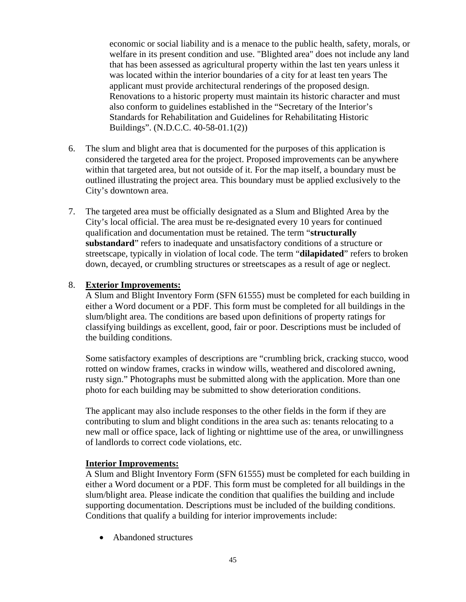economic or social liability and is a menace to the public health, safety, morals, or welfare in its present condition and use. "Blighted area" does not include any land that has been assessed as agricultural property within the last ten years unless it was located within the interior boundaries of a city for at least ten years The applicant must provide architectural renderings of the proposed design. Renovations to a historic property must maintain its historic character and must also conform to guidelines established in the "Secretary of the Interior's Standards for Rehabilitation and Guidelines for Rehabilitating Historic Buildings". (N.D.C.C. 40-58-01.1(2))

- 6. The slum and blight area that is documented for the purposes of this application is considered the targeted area for the project. Proposed improvements can be anywhere within that targeted area, but not outside of it. For the map itself, a boundary must be outlined illustrating the project area. This boundary must be applied exclusively to the City's downtown area.
- 7. The targeted area must be officially designated as a Slum and Blighted Area by the City's local official. The area must be re-designated every 10 years for continued qualification and documentation must be retained. The term "**structurally substandard**" refers to inadequate and unsatisfactory conditions of a structure or streetscape, typically in violation of local code. The term "**dilapidated**" refers to broken down, decayed, or crumbling structures or streetscapes as a result of age or neglect.

### 8. **Exterior Improvements:**

A Slum and Blight Inventory Form (SFN 61555) must be completed for each building in either a Word document or a PDF. This form must be completed for all buildings in the slum/blight area. The conditions are based upon definitions of property ratings for classifying buildings as excellent, good, fair or poor. Descriptions must be included of the building conditions.

Some satisfactory examples of descriptions are "crumbling brick, cracking stucco, wood rotted on window frames, cracks in window wills, weathered and discolored awning, rusty sign." Photographs must be submitted along with the application. More than one photo for each building may be submitted to show deterioration conditions.

The applicant may also include responses to the other fields in the form if they are contributing to slum and blight conditions in the area such as: tenants relocating to a new mall or office space, lack of lighting or nighttime use of the area, or unwillingness of landlords to correct code violations, etc.

### **Interior Improvements:**

A Slum and Blight Inventory Form (SFN 61555) must be completed for each building in either a Word document or a PDF. This form must be completed for all buildings in the slum/blight area. Please indicate the condition that qualifies the building and include supporting documentation. Descriptions must be included of the building conditions. Conditions that qualify a building for interior improvements include:

• Abandoned structures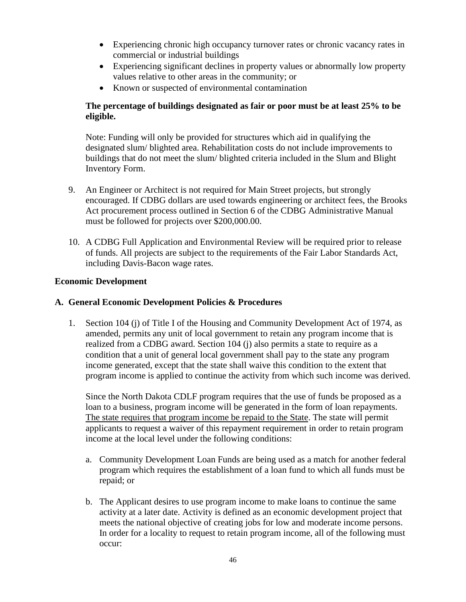- Experiencing chronic high occupancy turnover rates or chronic vacancy rates in commercial or industrial buildings
- Experiencing significant declines in property values or abnormally low property values relative to other areas in the community; or
- Known or suspected of environmental contamination

# **The percentage of buildings designated as fair or poor must be at least 25% to be eligible.**

Note: Funding will only be provided for structures which aid in qualifying the designated slum/ blighted area. Rehabilitation costs do not include improvements to buildings that do not meet the slum/ blighted criteria included in the Slum and Blight Inventory Form.

- 9. An Engineer or Architect is not required for Main Street projects, but strongly encouraged. If CDBG dollars are used towards engineering or architect fees, the Brooks Act procurement process outlined in Section 6 of the CDBG Administrative Manual must be followed for projects over \$200,000.00.
- 10. A CDBG Full Application and Environmental Review will be required prior to release of funds. All projects are subject to the requirements of the Fair Labor Standards Act, including Davis-Bacon wage rates.

# **Economic Development**

# **A. General Economic Development Policies & Procedures**

1. Section 104 (j) of Title I of the Housing and Community Development Act of 1974, as amended, permits any unit of local government to retain any program income that is realized from a CDBG award. Section 104 (j) also permits a state to require as a condition that a unit of general local government shall pay to the state any program income generated, except that the state shall waive this condition to the extent that program income is applied to continue the activity from which such income was derived.

Since the North Dakota CDLF program requires that the use of funds be proposed as a loan to a business, program income will be generated in the form of loan repayments. The state requires that program income be repaid to the State. The state will permit applicants to request a waiver of this repayment requirement in order to retain program income at the local level under the following conditions:

- a. Community Development Loan Funds are being used as a match for another federal program which requires the establishment of a loan fund to which all funds must be repaid; or
- b. The Applicant desires to use program income to make loans to continue the same activity at a later date. Activity is defined as an economic development project that meets the national objective of creating jobs for low and moderate income persons. In order for a locality to request to retain program income, all of the following must occur: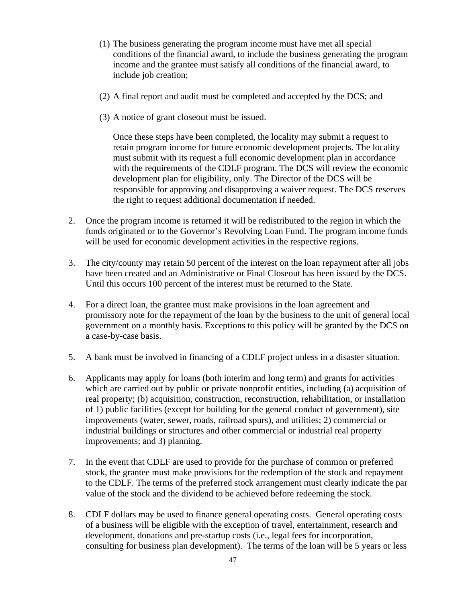- (1) The business generating the program income must have met all special conditions of the financial award, to include the business generating the program income and the grantee must satisfy all conditions of the financial award, to include job creation;
- (2) A final report and audit must be completed and accepted by the DCS; and
- (3) A notice of grant closeout must be issued.

Once these steps have been completed, the locality may submit a request to retain program income for future economic development projects. The locality must submit with its request a full economic development plan in accordance with the requirements of the CDLF program. The DCS will review the economic development plan for eligibility, only. The Director of the DCS will be responsible for approving and disapproving a waiver request. The DCS reserves the right to request additional documentation if needed.

- 2. Once the program income is returned it will be redistributed to the region in which the funds originated or to the Governor's Revolving Loan Fund. The program income funds will be used for economic development activities in the respective regions.
- 3. The city/county may retain 50 percent of the interest on the loan repayment after all jobs have been created and an Administrative or Final Closeout has been issued by the DCS. Until this occurs 100 percent of the interest must be returned to the State.
- 4. For a direct loan, the grantee must make provisions in the loan agreement and promissory note for the repayment of the loan by the business to the unit of general local government on a monthly basis. Exceptions to this policy will be granted by the DCS on a case-by-case basis.
- 5. A bank must be involved in financing of a CDLF project unless in a disaster situation.
- 6. Applicants may apply for loans (both interim and long term) and grants for activities which are carried out by public or private nonprofit entities, including (a) acquisition of real property; (b) acquisition, construction, reconstruction, rehabilitation, or installation of 1) public facilities (except for building for the general conduct of government), site improvements (water, sewer, roads, railroad spurs), and utilities; 2) commercial or industrial buildings or structures and other commercial or industrial real property improvements; and 3) planning.
- 7. In the event that CDLF are used to provide for the purchase of common or preferred stock, the grantee must make provisions for the redemption of the stock and repayment to the CDLF. The terms of the preferred stock arrangement must clearly indicate the par value of the stock and the dividend to be achieved before redeeming the stock.
- 8. CDLF dollars may be used to finance general operating costs. General operating costs of a business will be eligible with the exception of travel, entertainment, research and development, donations and pre-startup costs (i.e., legal fees for incorporation, consulting for business plan development). The terms of the loan will be 5 years or less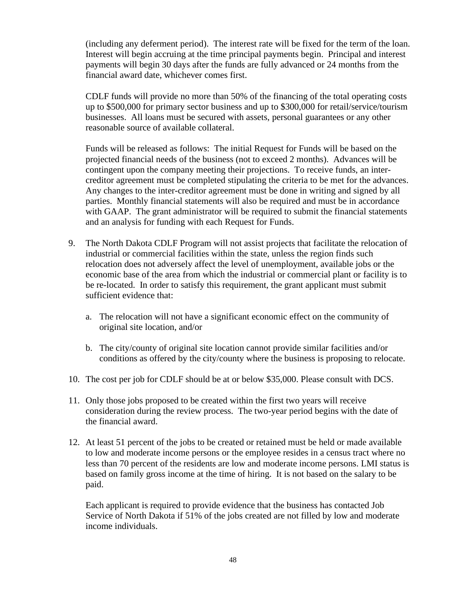(including any deferment period). The interest rate will be fixed for the term of the loan. Interest will begin accruing at the time principal payments begin. Principal and interest payments will begin 30 days after the funds are fully advanced or 24 months from the financial award date, whichever comes first.

CDLF funds will provide no more than 50% of the financing of the total operating costs up to \$500,000 for primary sector business and up to \$300,000 for retail/service/tourism businesses. All loans must be secured with assets, personal guarantees or any other reasonable source of available collateral.

Funds will be released as follows: The initial Request for Funds will be based on the projected financial needs of the business (not to exceed 2 months). Advances will be contingent upon the company meeting their projections. To receive funds, an intercreditor agreement must be completed stipulating the criteria to be met for the advances. Any changes to the inter-creditor agreement must be done in writing and signed by all parties. Monthly financial statements will also be required and must be in accordance with GAAP. The grant administrator will be required to submit the financial statements and an analysis for funding with each Request for Funds.

- 9. The North Dakota CDLF Program will not assist projects that facilitate the relocation of industrial or commercial facilities within the state, unless the region finds such relocation does not adversely affect the level of unemployment, available jobs or the economic base of the area from which the industrial or commercial plant or facility is to be re-located. In order to satisfy this requirement, the grant applicant must submit sufficient evidence that:
	- a. The relocation will not have a significant economic effect on the community of original site location, and/or
	- b. The city/county of original site location cannot provide similar facilities and/or conditions as offered by the city/county where the business is proposing to relocate.
- 10. The cost per job for CDLF should be at or below \$35,000. Please consult with DCS.
- 11. Only those jobs proposed to be created within the first two years will receive consideration during the review process. The two-year period begins with the date of the financial award.
- 12. At least 51 percent of the jobs to be created or retained must be held or made available to low and moderate income persons or the employee resides in a census tract where no less than 70 percent of the residents are low and moderate income persons. LMI status is based on family gross income at the time of hiring. It is not based on the salary to be paid.

Each applicant is required to provide evidence that the business has contacted Job Service of North Dakota if 51% of the jobs created are not filled by low and moderate income individuals.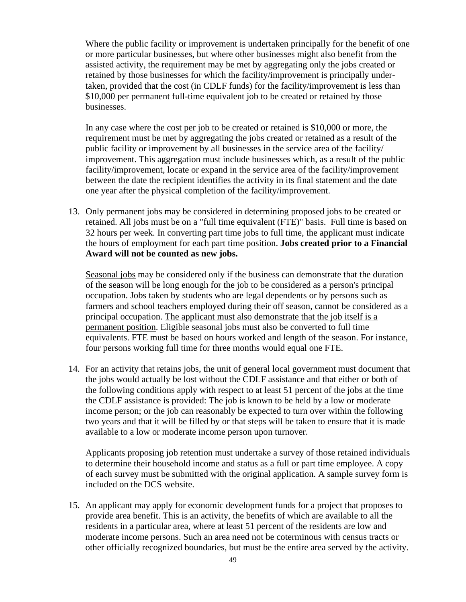Where the public facility or improvement is undertaken principally for the benefit of one or more particular businesses, but where other businesses might also benefit from the assisted activity, the requirement may be met by aggregating only the jobs created or retained by those businesses for which the facility/improvement is principally undertaken, provided that the cost (in CDLF funds) for the facility/improvement is less than \$10,000 per permanent full-time equivalent job to be created or retained by those businesses.

In any case where the cost per job to be created or retained is \$10,000 or more, the requirement must be met by aggregating the jobs created or retained as a result of the public facility or improvement by all businesses in the service area of the facility/ improvement. This aggregation must include businesses which, as a result of the public facility/improvement, locate or expand in the service area of the facility/improvement between the date the recipient identifies the activity in its final statement and the date one year after the physical completion of the facility/improvement.

13. Only permanent jobs may be considered in determining proposed jobs to be created or retained. All jobs must be on a "full time equivalent (FTE)" basis. Full time is based on 32 hours per week. In converting part time jobs to full time, the applicant must indicate the hours of employment for each part time position. **Jobs created prior to a Financial Award will not be counted as new jobs.**

Seasonal jobs may be considered only if the business can demonstrate that the duration of the season will be long enough for the job to be considered as a person's principal occupation. Jobs taken by students who are legal dependents or by persons such as farmers and school teachers employed during their off season, cannot be considered as a principal occupation. The applicant must also demonstrate that the job itself is a permanent position. Eligible seasonal jobs must also be converted to full time equivalents. FTE must be based on hours worked and length of the season. For instance, four persons working full time for three months would equal one FTE.

14. For an activity that retains jobs, the unit of general local government must document that the jobs would actually be lost without the CDLF assistance and that either or both of the following conditions apply with respect to at least 51 percent of the jobs at the time the CDLF assistance is provided: The job is known to be held by a low or moderate income person; or the job can reasonably be expected to turn over within the following two years and that it will be filled by or that steps will be taken to ensure that it is made available to a low or moderate income person upon turnover.

Applicants proposing job retention must undertake a survey of those retained individuals to determine their household income and status as a full or part time employee. A copy of each survey must be submitted with the original application. A sample survey form is included on the DCS website.

15. An applicant may apply for economic development funds for a project that proposes to provide area benefit. This is an activity, the benefits of which are available to all the residents in a particular area, where at least 51 percent of the residents are low and moderate income persons. Such an area need not be coterminous with census tracts or other officially recognized boundaries, but must be the entire area served by the activity.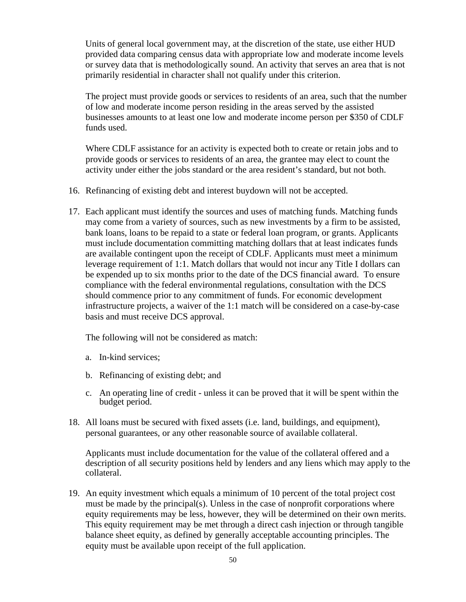Units of general local government may, at the discretion of the state, use either HUD provided data comparing census data with appropriate low and moderate income levels or survey data that is methodologically sound. An activity that serves an area that is not primarily residential in character shall not qualify under this criterion.

The project must provide goods or services to residents of an area, such that the number of low and moderate income person residing in the areas served by the assisted businesses amounts to at least one low and moderate income person per \$350 of CDLF funds used.

Where CDLF assistance for an activity is expected both to create or retain jobs and to provide goods or services to residents of an area, the grantee may elect to count the activity under either the jobs standard or the area resident's standard, but not both.

- 16. Refinancing of existing debt and interest buydown will not be accepted.
- 17. Each applicant must identify the sources and uses of matching funds. Matching funds may come from a variety of sources, such as new investments by a firm to be assisted, bank loans, loans to be repaid to a state or federal loan program, or grants. Applicants must include documentation committing matching dollars that at least indicates funds are available contingent upon the receipt of CDLF. Applicants must meet a minimum leverage requirement of 1:1. Match dollars that would not incur any Title I dollars can be expended up to six months prior to the date of the DCS financial award. To ensure compliance with the federal environmental regulations, consultation with the DCS should commence prior to any commitment of funds. For economic development infrastructure projects, a waiver of the 1:1 match will be considered on a case-by-case basis and must receive DCS approval.

The following will not be considered as match:

- a. In-kind services;
- b. Refinancing of existing debt; and
- c. An operating line of credit unless it can be proved that it will be spent within the budget period.
- 18. All loans must be secured with fixed assets (i.e. land, buildings, and equipment), personal guarantees, or any other reasonable source of available collateral.

Applicants must include documentation for the value of the collateral offered and a description of all security positions held by lenders and any liens which may apply to the collateral.

19. An equity investment which equals a minimum of 10 percent of the total project cost must be made by the principal(s). Unless in the case of nonprofit corporations where equity requirements may be less, however, they will be determined on their own merits. This equity requirement may be met through a direct cash injection or through tangible balance sheet equity, as defined by generally acceptable accounting principles. The equity must be available upon receipt of the full application.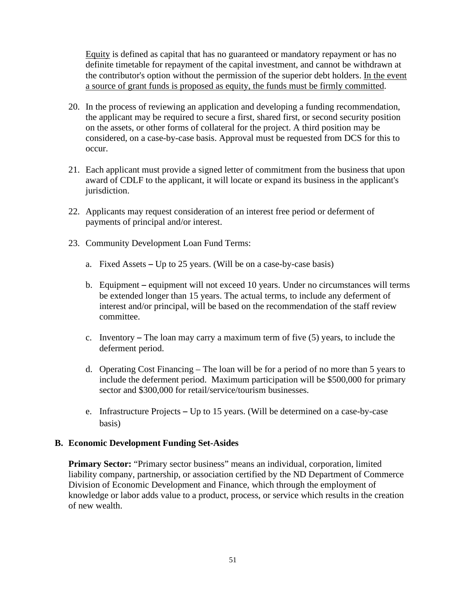Equity is defined as capital that has no guaranteed or mandatory repayment or has no definite timetable for repayment of the capital investment, and cannot be withdrawn at the contributor's option without the permission of the superior debt holders. In the event a source of grant funds is proposed as equity, the funds must be firmly committed.

- 20. In the process of reviewing an application and developing a funding recommendation, the applicant may be required to secure a first, shared first, or second security position on the assets, or other forms of collateral for the project. A third position may be considered, on a case-by-case basis. Approval must be requested from DCS for this to occur.
- 21. Each applicant must provide a signed letter of commitment from the business that upon award of CDLF to the applicant, it will locate or expand its business in the applicant's jurisdiction.
- 22. Applicants may request consideration of an interest free period or deferment of payments of principal and/or interest.
- 23. Community Development Loan Fund Terms:
	- a. Fixed Assets  $-$  Up to 25 years. (Will be on a case-by-case basis)
	- b. Equipment equipment will not exceed 10 years. Under no circumstances will terms be extended longer than 15 years. The actual terms, to include any deferment of interest and/or principal, will be based on the recommendation of the staff review committee.
	- c. Inventory  $-$  The loan may carry a maximum term of five (5) years, to include the deferment period.
	- d. Operating Cost Financing The loan will be for a period of no more than 5 years to include the deferment period. Maximum participation will be \$500,000 for primary sector and \$300,000 for retail/service/tourism businesses.
	- e. Infrastructure Projects  $-$  Up to 15 years. (Will be determined on a case-by-case basis)

### **B. Economic Development Funding Set-Asides**

**Primary Sector:** "Primary sector business" means an individual, corporation, limited liability company, partnership, or association certified by the ND Department of Commerce Division of Economic Development and Finance, which through the employment of knowledge or labor adds value to a product, process, or service which results in the creation of new wealth.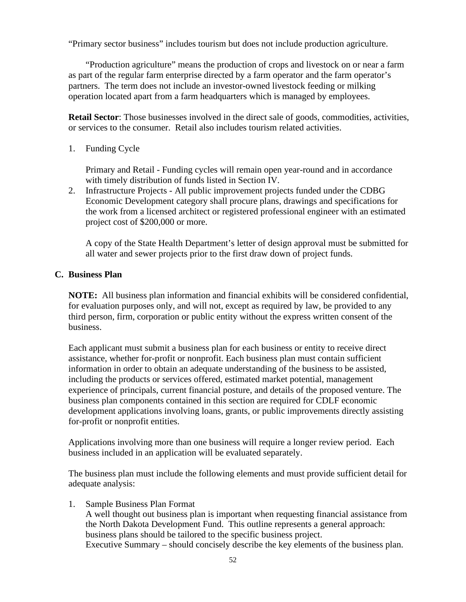"Primary sector business" includes tourism but does not include production agriculture.

"Production agriculture" means the production of crops and livestock on or near a farm as part of the regular farm enterprise directed by a farm operator and the farm operator's partners. The term does not include an investor-owned livestock feeding or milking operation located apart from a farm headquarters which is managed by employees.

**Retail Sector**: Those businesses involved in the direct sale of goods, commodities, activities, or services to the consumer. Retail also includes tourism related activities.

1. Funding Cycle

Primary and Retail - Funding cycles will remain open year-round and in accordance with timely distribution of funds listed in Section IV.

2. Infrastructure Projects - All public improvement projects funded under the CDBG Economic Development category shall procure plans, drawings and specifications for the work from a licensed architect or registered professional engineer with an estimated project cost of \$200,000 or more.

A copy of the State Health Department's letter of design approval must be submitted for all water and sewer projects prior to the first draw down of project funds.

### **C. Business Plan**

**NOTE:** All business plan information and financial exhibits will be considered confidential, for evaluation purposes only, and will not, except as required by law, be provided to any third person, firm, corporation or public entity without the express written consent of the business.

Each applicant must submit a business plan for each business or entity to receive direct assistance, whether for-profit or nonprofit. Each business plan must contain sufficient information in order to obtain an adequate understanding of the business to be assisted, including the products or services offered, estimated market potential, management experience of principals, current financial posture, and details of the proposed venture. The business plan components contained in this section are required for CDLF economic development applications involving loans, grants, or public improvements directly assisting for-profit or nonprofit entities.

Applications involving more than one business will require a longer review period. Each business included in an application will be evaluated separately.

The business plan must include the following elements and must provide sufficient detail for adequate analysis:

1. Sample Business Plan Format

A well thought out business plan is important when requesting financial assistance from the North Dakota Development Fund. This outline represents a general approach: business plans should be tailored to the specific business project. Executive Summary – should concisely describe the key elements of the business plan.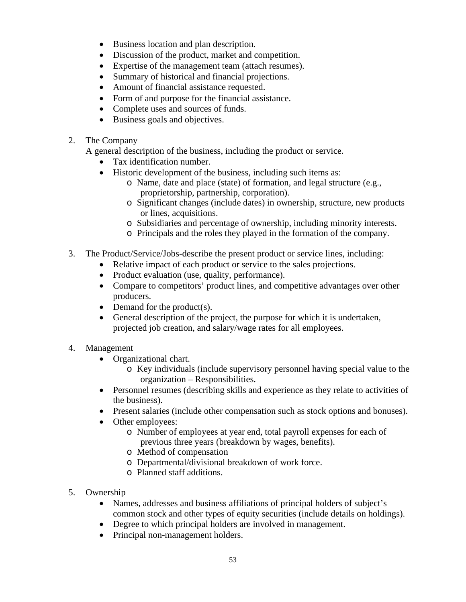- Business location and plan description.
- Discussion of the product, market and competition.
- Expertise of the management team (attach resumes).
- Summary of historical and financial projections.
- Amount of financial assistance requested.
- Form of and purpose for the financial assistance.
- Complete uses and sources of funds.
- Business goals and objectives.
- 2. The Company

A general description of the business, including the product or service.

- Tax identification number.
- Historic development of the business, including such items as:
	- o Name, date and place (state) of formation, and legal structure (e.g., proprietorship, partnership, corporation).
	- o Significant changes (include dates) in ownership, structure, new products or lines, acquisitions.
	- o Subsidiaries and percentage of ownership, including minority interests.
	- o Principals and the roles they played in the formation of the company.
- 3. The Product/Service/Jobs-describe the present product or service lines, including:
	- Relative impact of each product or service to the sales projections.
	- Product evaluation (use, quality, performance).
	- Compare to competitors' product lines, and competitive advantages over other producers.
	- Demand for the product(s).
	- General description of the project, the purpose for which it is undertaken, projected job creation, and salary/wage rates for all employees.
- 4. Management
	- Organizational chart.
		- o Key individuals (include supervisory personnel having special value to the organization – Responsibilities.
	- Personnel resumes (describing skills and experience as they relate to activities of the business).
	- Present salaries (include other compensation such as stock options and bonuses).
	- Other employees:
		- o Number of employees at year end, total payroll expenses for each of previous three years (breakdown by wages, benefits).
		- o Method of compensation
		- o Departmental/divisional breakdown of work force.
		- o Planned staff additions.
- 5. Ownership
	- Names, addresses and business affiliations of principal holders of subject's common stock and other types of equity securities (include details on holdings).
	- Degree to which principal holders are involved in management.
	- Principal non-management holders.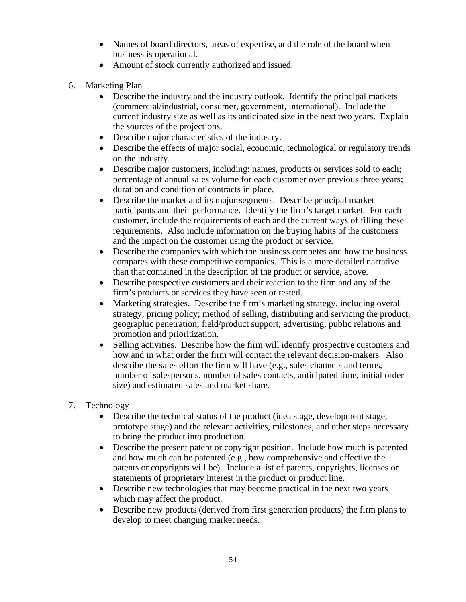- Names of board directors, areas of expertise, and the role of the board when business is operational.
- Amount of stock currently authorized and issued.
- 6. Marketing Plan
	- Describe the industry and the industry outlook. Identify the principal markets (commercial/industrial, consumer, government, international). Include the current industry size as well as its anticipated size in the next two years. Explain the sources of the projections.
	- Describe major characteristics of the industry.
	- Describe the effects of major social, economic, technological or regulatory trends on the industry.
	- Describe major customers, including: names, products or services sold to each; percentage of annual sales volume for each customer over previous three years; duration and condition of contracts in place.
	- Describe the market and its major segments. Describe principal market participants and their performance. Identify the firm's target market. For each customer, include the requirements of each and the current ways of filling these requirements. Also include information on the buying habits of the customers and the impact on the customer using the product or service.
	- Describe the companies with which the business competes and how the business compares with these competitive companies. This is a more detailed narrative than that contained in the description of the product or service, above.
	- Describe prospective customers and their reaction to the firm and any of the firm's products or services they have seen or tested.
	- Marketing strategies. Describe the firm's marketing strategy, including overall strategy; pricing policy; method of selling, distributing and servicing the product; geographic penetration; field/product support; advertising; public relations and promotion and prioritization.
	- Selling activities. Describe how the firm will identify prospective customers and how and in what order the firm will contact the relevant decision-makers. Also describe the sales effort the firm will have (e.g., sales channels and terms, number of salespersons, number of sales contacts, anticipated time, initial order size) and estimated sales and market share.
- 7. Technology
	- Describe the technical status of the product (idea stage, development stage, prototype stage) and the relevant activities, milestones, and other steps necessary to bring the product into production.
	- Describe the present patent or copyright position. Include how much is patented and how much can be patented (e.g., how comprehensive and effective the patents or copyrights will be). Include a list of patents, copyrights, licenses or statements of proprietary interest in the product or product line.
	- Describe new technologies that may become practical in the next two years which may affect the product.
	- Describe new products (derived from first generation products) the firm plans to develop to meet changing market needs.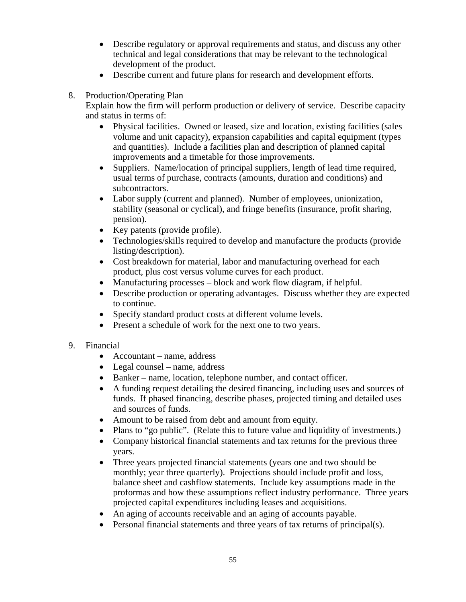- Describe regulatory or approval requirements and status, and discuss any other technical and legal considerations that may be relevant to the technological development of the product.
- Describe current and future plans for research and development efforts.
- 8. Production/Operating Plan

Explain how the firm will perform production or delivery of service. Describe capacity and status in terms of:

- Physical facilities. Owned or leased, size and location, existing facilities (sales volume and unit capacity), expansion capabilities and capital equipment (types and quantities). Include a facilities plan and description of planned capital improvements and a timetable for those improvements.
- Suppliers. Name/location of principal suppliers, length of lead time required, usual terms of purchase, contracts (amounts, duration and conditions) and subcontractors.
- Labor supply (current and planned). Number of employees, unionization, stability (seasonal or cyclical), and fringe benefits (insurance, profit sharing, pension).
- Key patents (provide profile).
- Technologies/skills required to develop and manufacture the products (provide listing/description).
- Cost breakdown for material, labor and manufacturing overhead for each product, plus cost versus volume curves for each product.
- Manufacturing processes block and work flow diagram, if helpful.
- Describe production or operating advantages. Discuss whether they are expected to continue.
- Specify standard product costs at different volume levels.
- Present a schedule of work for the next one to two years.
- 9. Financial
	- Accountant name, address
	- Legal counsel name, address
	- Banker name, location, telephone number, and contact officer.
	- A funding request detailing the desired financing, including uses and sources of funds. If phased financing, describe phases, projected timing and detailed uses and sources of funds.
	- Amount to be raised from debt and amount from equity.
	- Plans to "go public". (Relate this to future value and liquidity of investments.)
	- Company historical financial statements and tax returns for the previous three years.
	- Three years projected financial statements (years one and two should be monthly; year three quarterly). Projections should include profit and loss, balance sheet and cashflow statements. Include key assumptions made in the proformas and how these assumptions reflect industry performance. Three years projected capital expenditures including leases and acquisitions.
	- An aging of accounts receivable and an aging of accounts payable.
	- Personal financial statements and three years of tax returns of principal(s).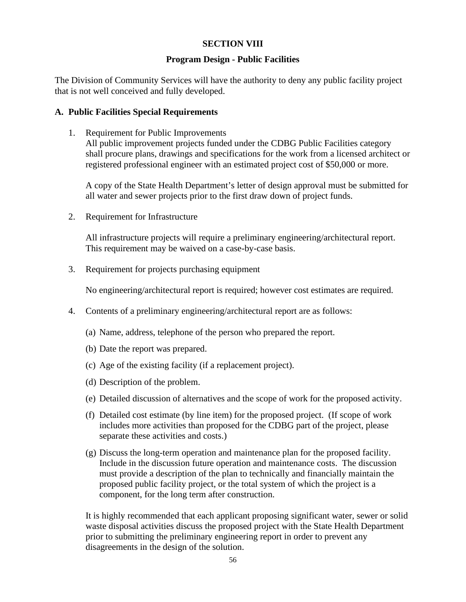### **SECTION VIII**

### **Program Design - Public Facilities**

The Division of Community Services will have the authority to deny any public facility project that is not well conceived and fully developed.

### **A. Public Facilities Special Requirements**

1. Requirement for Public Improvements All public improvement projects funded under the CDBG Public Facilities category shall procure plans, drawings and specifications for the work from a licensed architect or registered professional engineer with an estimated project cost of \$50,000 or more.

A copy of the State Health Department's letter of design approval must be submitted for all water and sewer projects prior to the first draw down of project funds.

2. Requirement for Infrastructure

All infrastructure projects will require a preliminary engineering/architectural report. This requirement may be waived on a case-by-case basis.

3. Requirement for projects purchasing equipment

No engineering/architectural report is required; however cost estimates are required.

- 4. Contents of a preliminary engineering/architectural report are as follows:
	- (a) Name, address, telephone of the person who prepared the report.
	- (b) Date the report was prepared.
	- (c) Age of the existing facility (if a replacement project).
	- (d) Description of the problem.
	- (e) Detailed discussion of alternatives and the scope of work for the proposed activity.
	- (f) Detailed cost estimate (by line item) for the proposed project. (If scope of work includes more activities than proposed for the CDBG part of the project, please separate these activities and costs.)
	- (g) Discuss the long-term operation and maintenance plan for the proposed facility. Include in the discussion future operation and maintenance costs. The discussion must provide a description of the plan to technically and financially maintain the proposed public facility project, or the total system of which the project is a component, for the long term after construction.

It is highly recommended that each applicant proposing significant water, sewer or solid waste disposal activities discuss the proposed project with the State Health Department prior to submitting the preliminary engineering report in order to prevent any disagreements in the design of the solution.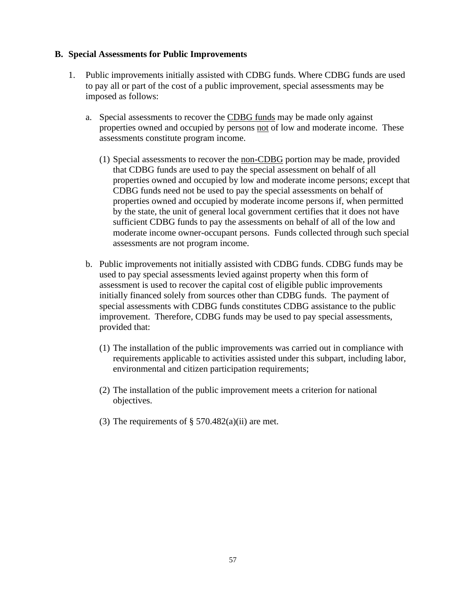### **B. Special Assessments for Public Improvements**

- 1. Public improvements initially assisted with CDBG funds. Where CDBG funds are used to pay all or part of the cost of a public improvement, special assessments may be imposed as follows:
	- a. Special assessments to recover the CDBG funds may be made only against properties owned and occupied by persons not of low and moderate income. These assessments constitute program income.
		- (1) Special assessments to recover the non-CDBG portion may be made, provided that CDBG funds are used to pay the special assessment on behalf of all properties owned and occupied by low and moderate income persons; except that CDBG funds need not be used to pay the special assessments on behalf of properties owned and occupied by moderate income persons if, when permitted by the state, the unit of general local government certifies that it does not have sufficient CDBG funds to pay the assessments on behalf of all of the low and moderate income owner-occupant persons. Funds collected through such special assessments are not program income.
	- b. Public improvements not initially assisted with CDBG funds. CDBG funds may be used to pay special assessments levied against property when this form of assessment is used to recover the capital cost of eligible public improvements initially financed solely from sources other than CDBG funds. The payment of special assessments with CDBG funds constitutes CDBG assistance to the public improvement. Therefore, CDBG funds may be used to pay special assessments, provided that:
		- (1) The installation of the public improvements was carried out in compliance with requirements applicable to activities assisted under this subpart, including labor, environmental and citizen participation requirements;
		- (2) The installation of the public improvement meets a criterion for national objectives.
		- (3) The requirements of  $\S$  570.482(a)(ii) are met.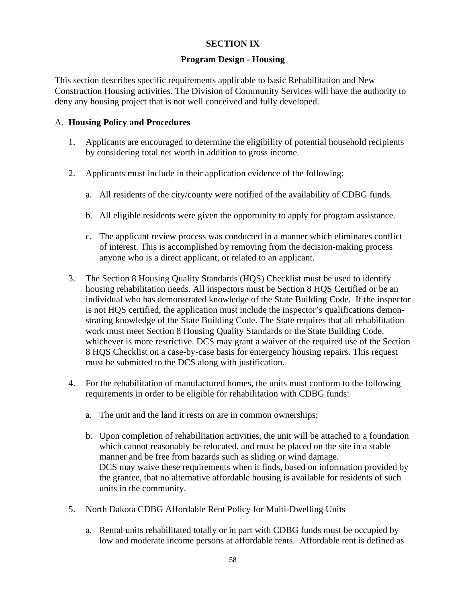# **SECTION IX**

### **Program Design - Housing**

This section describes specific requirements applicable to basic Rehabilitation and New Construction Housing activities. The Division of Community Services will have the authority to deny any housing project that is not well conceived and fully developed.

### A. **Housing Policy and Procedures**

- 1. Applicants are encouraged to determine the eligibility of potential household recipients by considering total net worth in addition to gross income.
- 2. Applicants must include in their application evidence of the following:
	- a. All residents of the city/county were notified of the availability of CDBG funds.
	- b. All eligible residents were given the opportunity to apply for program assistance.
	- c. The applicant review process was conducted in a manner which eliminates conflict of interest. This is accomplished by removing from the decision-making process anyone who is a direct applicant, or related to an applicant.
- 3. The Section 8 Housing Quality Standards (HQS) Checklist must be used to identify housing rehabilitation needs. All inspectors must be Section 8 HQS Certified or be an individual who has demonstrated knowledge of the State Building Code. If the inspector is not HQS certified, the application must include the inspector's qualifications demonstrating knowledge of the State Building Code. The State requires that all rehabilitation work must meet Section 8 Housing Quality Standards or the State Building Code, whichever is more restrictive. DCS may grant a waiver of the required use of the Section 8 HQS Checklist on a case-by-case basis for emergency housing repairs. This request must be submitted to the DCS along with justification.
- 4. For the rehabilitation of manufactured homes, the units must conform to the following requirements in order to be eligible for rehabilitation with CDBG funds:
	- a. The unit and the land it rests on are in common ownerships;
	- b. Upon completion of rehabilitation activities, the unit will be attached to a foundation which cannot reasonably be relocated, and must be placed on the site in a stable manner and be free from hazards such as sliding or wind damage. DCS may waive these requirements when it finds, based on information provided by the grantee, that no alternative affordable housing is available for residents of such units in the community.
- 5. North Dakota CDBG Affordable Rent Policy for Multi-Dwelling Units
	- a. Rental units rehabilitated totally or in part with CDBG funds must be occupied by low and moderate income persons at affordable rents. Affordable rent is defined as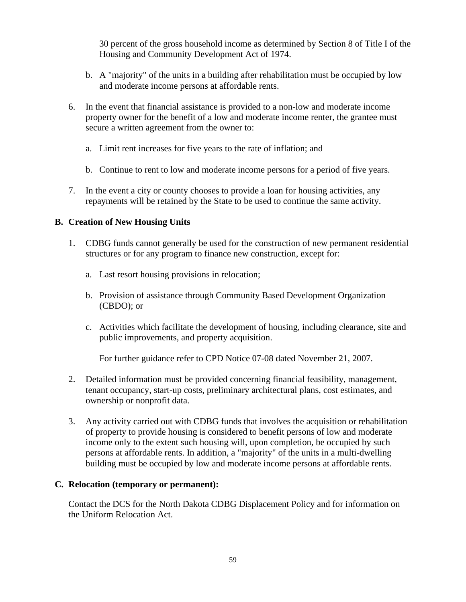30 percent of the gross household income as determined by Section 8 of Title I of the Housing and Community Development Act of 1974.

- b. A "majority" of the units in a building after rehabilitation must be occupied by low and moderate income persons at affordable rents.
- 6. In the event that financial assistance is provided to a non-low and moderate income property owner for the benefit of a low and moderate income renter, the grantee must secure a written agreement from the owner to:
	- a. Limit rent increases for five years to the rate of inflation; and
	- b. Continue to rent to low and moderate income persons for a period of five years.
- 7. In the event a city or county chooses to provide a loan for housing activities, any repayments will be retained by the State to be used to continue the same activity.

# **B. Creation of New Housing Units**

- 1. CDBG funds cannot generally be used for the construction of new permanent residential structures or for any program to finance new construction, except for:
	- a. Last resort housing provisions in relocation;
	- b. Provision of assistance through Community Based Development Organization (CBDO); or
	- c. Activities which facilitate the development of housing, including clearance, site and public improvements, and property acquisition.

For further guidance refer to CPD Notice 07-08 dated November 21, 2007.

- 2. Detailed information must be provided concerning financial feasibility, management, tenant occupancy, start-up costs, preliminary architectural plans, cost estimates, and ownership or nonprofit data.
- 3. Any activity carried out with CDBG funds that involves the acquisition or rehabilitation of property to provide housing is considered to benefit persons of low and moderate income only to the extent such housing will, upon completion, be occupied by such persons at affordable rents. In addition, a "majority" of the units in a multi-dwelling building must be occupied by low and moderate income persons at affordable rents.

### **C. Relocation (temporary or permanent):**

Contact the DCS for the North Dakota CDBG Displacement Policy and for information on the Uniform Relocation Act.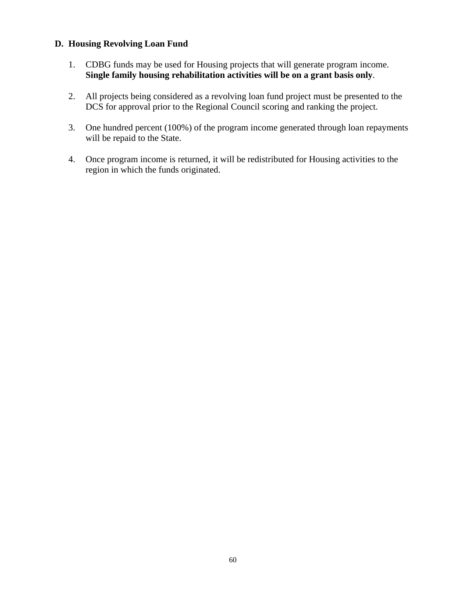# **D. Housing Revolving Loan Fund**

- 1. CDBG funds may be used for Housing projects that will generate program income. **Single family housing rehabilitation activities will be on a grant basis only**.
- 2. All projects being considered as a revolving loan fund project must be presented to the DCS for approval prior to the Regional Council scoring and ranking the project.
- 3. One hundred percent (100%) of the program income generated through loan repayments will be repaid to the State.
- 4. Once program income is returned, it will be redistributed for Housing activities to the region in which the funds originated.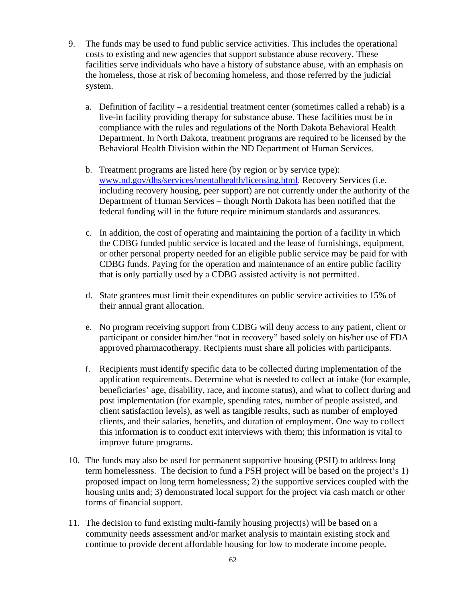- 9. The funds may be used to fund public service activities. This includes the operational costs to existing and new agencies that support substance abuse recovery. These facilities serve individuals who have a history of substance abuse, with an emphasis on the homeless, those at risk of becoming homeless, and those referred by the judicial system.
	- a. Definition of facility a residential treatment center (sometimes called a rehab) is a live-in facility providing therapy for substance abuse. These facilities must be in compliance with the rules and regulations of the North Dakota Behavioral Health Department. In North Dakota, treatment programs are required to be licensed by the Behavioral Health Division within the ND Department of Human Services.
	- b. Treatment programs are listed here (by region or by service type): [www.nd.gov/dhs/services/mentalhealth/licensing.html.](http://www.nd.gov/dhs/services/mentalhealth/licensing.html) Recovery Services (i.e. including recovery housing, peer support) are not currently under the authority of the Department of Human Services – though North Dakota has been notified that the federal funding will in the future require minimum standards and assurances.
	- c. In addition, the cost of operating and maintaining the portion of a facility in which the CDBG funded public service is located and the lease of furnishings, equipment, or other personal property needed for an eligible public service may be paid for with CDBG funds. Paying for the operation and maintenance of an entire public facility that is only partially used by a CDBG assisted activity is not permitted.
	- d. State grantees must limit their expenditures on public service activities to 15% of their annual grant allocation.
	- e. No program receiving support from CDBG will deny access to any patient, client or participant or consider him/her "not in recovery" based solely on his/her use of FDA approved pharmacotherapy. Recipients must share all policies with participants.
	- f. Recipients must identify specific data to be collected during implementation of the application requirements. Determine what is needed to collect at intake (for example, beneficiaries' age, disability, race, and income status), and what to collect during and post implementation (for example, spending rates, number of people assisted, and client satisfaction levels), as well as tangible results, such as number of employed clients, and their salaries, benefits, and duration of employment. One way to collect this information is to conduct exit interviews with them; this information is vital to improve future programs.
- 10. The funds may also be used for permanent supportive housing (PSH) to address long term homelessness. The decision to fund a PSH project will be based on the project's 1) proposed impact on long term homelessness; 2) the supportive services coupled with the housing units and; 3) demonstrated local support for the project via cash match or other forms of financial support.
- 11. The decision to fund existing multi-family housing project(s) will be based on a community needs assessment and/or market analysis to maintain existing stock and continue to provide decent affordable housing for low to moderate income people.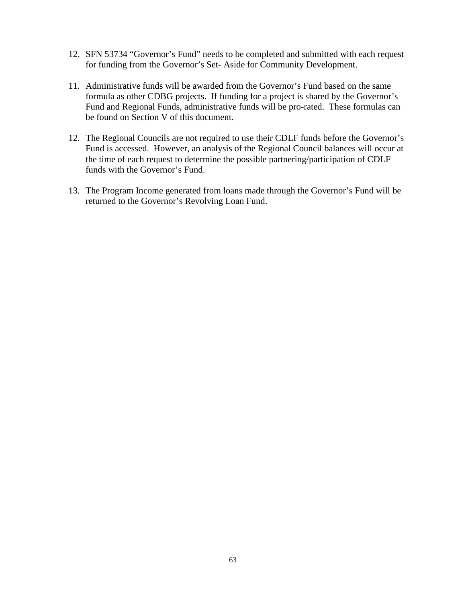- 12. SFN 53734 "Governor's Fund" needs to be completed and submitted with each request for funding from the Governor's Set- Aside for Community Development.
- 11. Administrative funds will be awarded from the Governor's Fund based on the same formula as other CDBG projects. If funding for a project is shared by the Governor's Fund and Regional Funds, administrative funds will be pro-rated. These formulas can be found on Section V of this document.
- 12. The Regional Councils are not required to use their CDLF funds before the Governor's Fund is accessed. However, an analysis of the Regional Council balances will occur at the time of each request to determine the possible partnering/participation of CDLF funds with the Governor's Fund.
- 13. The Program Income generated from loans made through the Governor's Fund will be returned to the Governor's Revolving Loan Fund.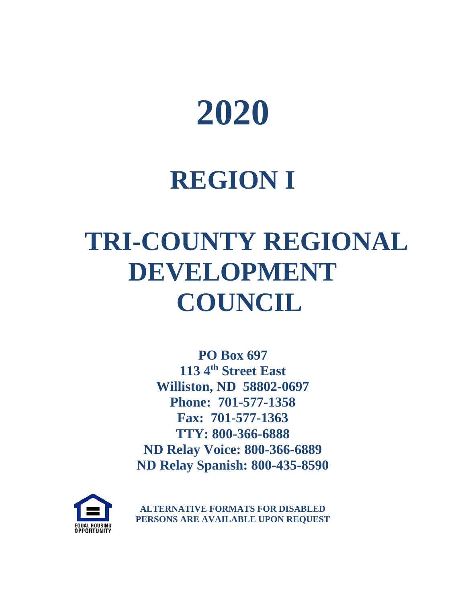

# **REGION I**

# **TRI-COUNTY REGIONAL DEVELOPMENT COUNCIL**

**PO Box 697 113 4th Street East Williston, ND 58802-0697 Phone: 701-577-1358 Fax: 701-577-1363 TTY: 800-366-6888 ND Relay Voice: 800-366-6889 ND Relay Spanish: 800-435-8590**



**ALTERNATIVE FORMATS FOR DISABLED PERSONS ARE AVAILABLE UPON REQUEST**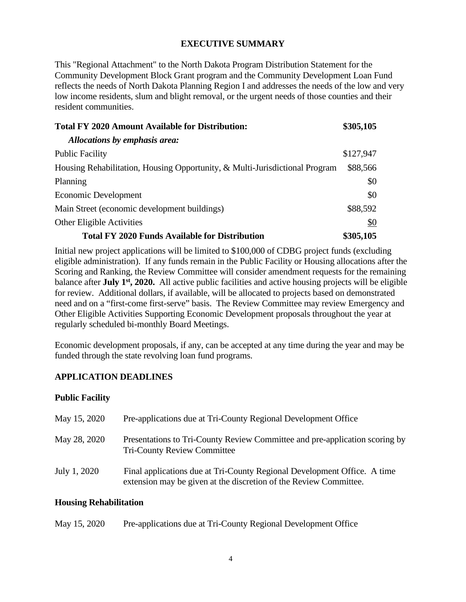### **EXECUTIVE SUMMARY**

This "Regional Attachment" to the North Dakota Program Distribution Statement for the Community Development Block Grant program and the Community Development Loan Fund reflects the needs of North Dakota Planning Region I and addresses the needs of the low and very low income residents, slum and blight removal, or the urgent needs of those counties and their resident communities.

| <b>Total FY 2020 Amount Available for Distribution:</b>                     | \$305,105 |
|-----------------------------------------------------------------------------|-----------|
| Allocations by emphasis area:                                               |           |
| <b>Public Facility</b>                                                      | \$127,947 |
| Housing Rehabilitation, Housing Opportunity, & Multi-Jurisdictional Program | \$88,566  |
| Planning                                                                    | \$0       |
| Economic Development                                                        | \$0       |
| Main Street (economic development buildings)                                | \$88,592  |
| Other Eligible Activities                                                   | \$0       |
| <b>Total FY 2020 Funds Available for Distribution</b>                       | \$305,105 |

Initial new project applications will be limited to \$100,000 of CDBG project funds (excluding eligible administration). If any funds remain in the Public Facility or Housing allocations after the Scoring and Ranking, the Review Committee will consider amendment requests for the remaining balance after **July 1st, 2020.** All active public facilities and active housing projects will be eligible for review. Additional dollars, if available, will be allocated to projects based on demonstrated need and on a "first-come first-serve" basis. The Review Committee may review Emergency and Other Eligible Activities Supporting Economic Development proposals throughout the year at regularly scheduled bi-monthly Board Meetings.

Economic development proposals, if any, can be accepted at any time during the year and may be funded through the state revolving loan fund programs.

# **APPLICATION DEADLINES**

### **Public Facility**

| May 15, 2020 | Pre-applications due at Tri-County Regional Development Office                                                                                |
|--------------|-----------------------------------------------------------------------------------------------------------------------------------------------|
| May 28, 2020 | Presentations to Tri-County Review Committee and pre-application scoring by<br><b>Tri-County Review Committee</b>                             |
| July 1, 2020 | Final applications due at Tri-County Regional Development Office. A time<br>extension may be given at the discretion of the Review Committee. |

### **Housing Rehabilitation**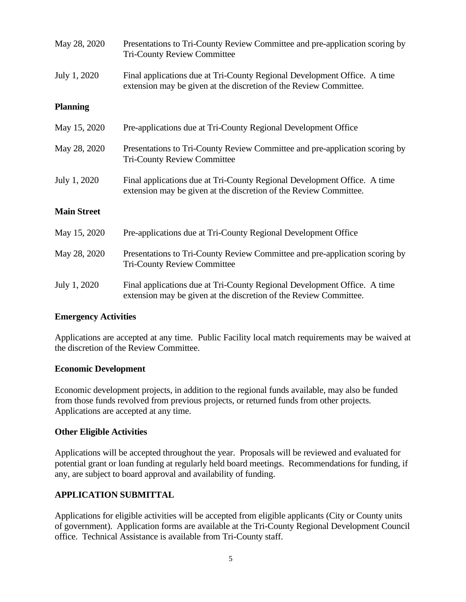| May 28, 2020       | Presentations to Tri-County Review Committee and pre-application scoring by<br><b>Tri-County Review Committee</b>                             |
|--------------------|-----------------------------------------------------------------------------------------------------------------------------------------------|
| July 1, 2020       | Final applications due at Tri-County Regional Development Office. A time<br>extension may be given at the discretion of the Review Committee. |
| <b>Planning</b>    |                                                                                                                                               |
| May 15, 2020       | Pre-applications due at Tri-County Regional Development Office                                                                                |
| May 28, 2020       | Presentations to Tri-County Review Committee and pre-application scoring by<br><b>Tri-County Review Committee</b>                             |
| July 1, 2020       | Final applications due at Tri-County Regional Development Office. A time<br>extension may be given at the discretion of the Review Committee. |
| <b>Main Street</b> |                                                                                                                                               |
| May 15, 2020       | Pre-applications due at Tri-County Regional Development Office                                                                                |
| May 28, 2020       | Presentations to Tri-County Review Committee and pre-application scoring by<br><b>Tri-County Review Committee</b>                             |
| July 1, 2020       | Final applications due at Tri-County Regional Development Office. A time<br>extension may be given at the discretion of the Review Committee. |

### **Emergency Activities**

Applications are accepted at any time. Public Facility local match requirements may be waived at the discretion of the Review Committee.

### **Economic Development**

Economic development projects, in addition to the regional funds available, may also be funded from those funds revolved from previous projects, or returned funds from other projects. Applications are accepted at any time.

### **Other Eligible Activities**

Applications will be accepted throughout the year. Proposals will be reviewed and evaluated for potential grant or loan funding at regularly held board meetings. Recommendations for funding, if any, are subject to board approval and availability of funding.

### **APPLICATION SUBMITTAL**

Applications for eligible activities will be accepted from eligible applicants (City or County units of government). Application forms are available at the Tri-County Regional Development Council office. Technical Assistance is available from Tri-County staff.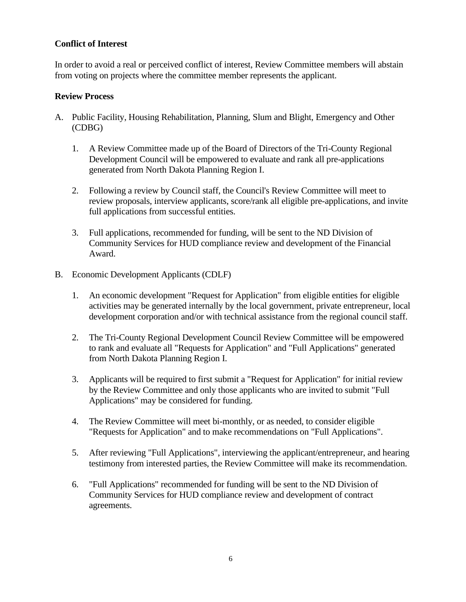# **Conflict of Interest**

In order to avoid a real or perceived conflict of interest, Review Committee members will abstain from voting on projects where the committee member represents the applicant.

### **Review Process**

- A. Public Facility, Housing Rehabilitation, Planning, Slum and Blight, Emergency and Other (CDBG)
	- 1. A Review Committee made up of the Board of Directors of the Tri-County Regional Development Council will be empowered to evaluate and rank all pre-applications generated from North Dakota Planning Region I.
	- 2. Following a review by Council staff, the Council's Review Committee will meet to review proposals, interview applicants, score/rank all eligible pre-applications, and invite full applications from successful entities.
	- 3. Full applications, recommended for funding, will be sent to the ND Division of Community Services for HUD compliance review and development of the Financial Award.
- B. Economic Development Applicants (CDLF)
	- 1. An economic development "Request for Application" from eligible entities for eligible activities may be generated internally by the local government, private entrepreneur, local development corporation and/or with technical assistance from the regional council staff.
	- 2. The Tri-County Regional Development Council Review Committee will be empowered to rank and evaluate all "Requests for Application" and "Full Applications" generated from North Dakota Planning Region I.
	- 3. Applicants will be required to first submit a "Request for Application" for initial review by the Review Committee and only those applicants who are invited to submit "Full Applications" may be considered for funding.
	- 4. The Review Committee will meet bi-monthly, or as needed, to consider eligible "Requests for Application" and to make recommendations on "Full Applications".
	- 5. After reviewing "Full Applications", interviewing the applicant/entrepreneur, and hearing testimony from interested parties, the Review Committee will make its recommendation.
	- 6. "Full Applications" recommended for funding will be sent to the ND Division of Community Services for HUD compliance review and development of contract agreements.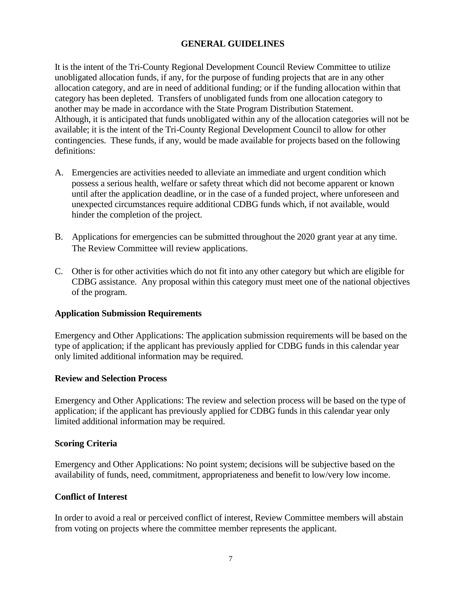# **GENERAL GUIDELINES**

It is the intent of the Tri-County Regional Development Council Review Committee to utilize unobligated allocation funds, if any, for the purpose of funding projects that are in any other allocation category, and are in need of additional funding; or if the funding allocation within that category has been depleted. Transfers of unobligated funds from one allocation category to another may be made in accordance with the State Program Distribution Statement. Although, it is anticipated that funds unobligated within any of the allocation categories will not be available; it is the intent of the Tri-County Regional Development Council to allow for other contingencies. These funds, if any, would be made available for projects based on the following definitions:

- A. Emergencies are activities needed to alleviate an immediate and urgent condition which possess a serious health, welfare or safety threat which did not become apparent or known until after the application deadline, or in the case of a funded project, where unforeseen and unexpected circumstances require additional CDBG funds which, if not available, would hinder the completion of the project.
- B. Applications for emergencies can be submitted throughout the 2020 grant year at any time. The Review Committee will review applications.
- C. Other is for other activities which do not fit into any other category but which are eligible for CDBG assistance. Any proposal within this category must meet one of the national objectives of the program.

### **Application Submission Requirements**

Emergency and Other Applications: The application submission requirements will be based on the type of application; if the applicant has previously applied for CDBG funds in this calendar year only limited additional information may be required.

### **Review and Selection Process**

Emergency and Other Applications: The review and selection process will be based on the type of application; if the applicant has previously applied for CDBG funds in this calendar year only limited additional information may be required.

### **Scoring Criteria**

Emergency and Other Applications: No point system; decisions will be subjective based on the availability of funds, need, commitment, appropriateness and benefit to low/very low income.

### **Conflict of Interest**

In order to avoid a real or perceived conflict of interest, Review Committee members will abstain from voting on projects where the committee member represents the applicant.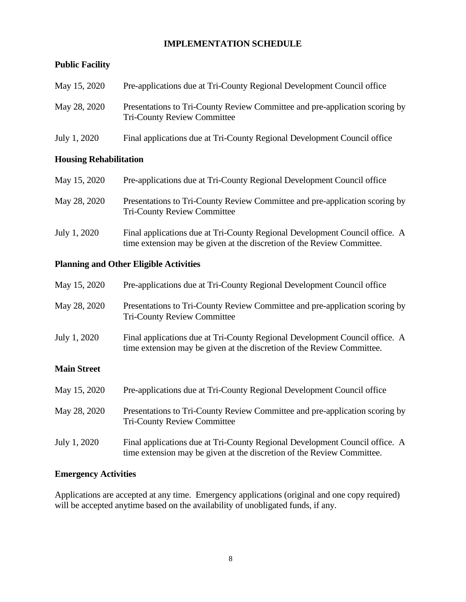# **IMPLEMENTATION SCHEDULE**

# **Public Facility**

| May 15, 2020 | Pre-applications due at Tri-County Regional Development Council office                                            |
|--------------|-------------------------------------------------------------------------------------------------------------------|
| May 28, 2020 | Presentations to Tri-County Review Committee and pre-application scoring by<br><b>Tri-County Review Committee</b> |
| July 1, 2020 | Final applications due at Tri-County Regional Development Council office                                          |

### **Housing Rehabilitation**

| May 15, 2020 | Pre-applications due at Tri-County Regional Development Council office                                                                                |
|--------------|-------------------------------------------------------------------------------------------------------------------------------------------------------|
| May 28, 2020 | Presentations to Tri-County Review Committee and pre-application scoring by<br><b>Tri-County Review Committee</b>                                     |
| July 1, 2020 | Final applications due at Tri-County Regional Development Council office. A<br>time extension may be given at the discretion of the Review Committee. |

# **Planning and Other Eligible Activities**

| May 15, 2020       | Pre-applications due at Tri-County Regional Development Council office                                                                                |
|--------------------|-------------------------------------------------------------------------------------------------------------------------------------------------------|
| May 28, 2020       | Presentations to Tri-County Review Committee and pre-application scoring by<br><b>Tri-County Review Committee</b>                                     |
| July 1, 2020       | Final applications due at Tri-County Regional Development Council office. A<br>time extension may be given at the discretion of the Review Committee. |
| <b>Main Street</b> |                                                                                                                                                       |
| May 15, 2020       | Pre-applications due at Tri-County Regional Development Council office                                                                                |
| May 28, 2020       | Presentations to Tri-County Review Committee and pre-application scoring by<br><b>Tri-County Review Committee</b>                                     |
| July 1, 2020       | Final applications due at Tri-County Regional Development Council office. A<br>time extension may be given at the discretion of the Review Committee. |

# **Emergency Activities**

Applications are accepted at any time. Emergency applications (original and one copy required) will be accepted anytime based on the availability of unobligated funds, if any.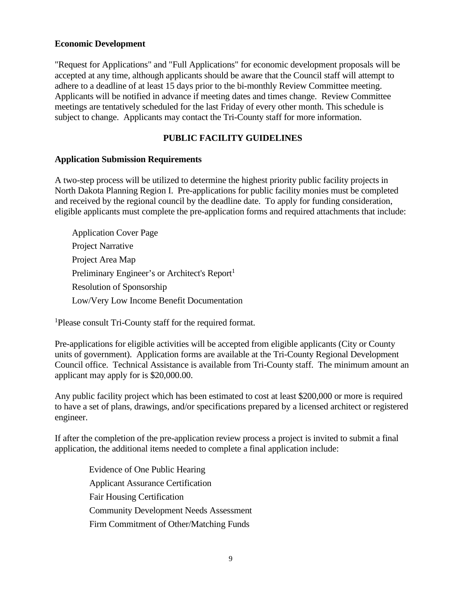### **Economic Development**

"Request for Applications" and "Full Applications" for economic development proposals will be accepted at any time, although applicants should be aware that the Council staff will attempt to adhere to a deadline of at least 15 days prior to the bi-monthly Review Committee meeting. Applicants will be notified in advance if meeting dates and times change. Review Committee meetings are tentatively scheduled for the last Friday of every other month. This schedule is subject to change. Applicants may contact the Tri-County staff for more information.

## **PUBLIC FACILITY GUIDELINES**

### **Application Submission Requirements**

A two-step process will be utilized to determine the highest priority public facility projects in North Dakota Planning Region I. Pre-applications for public facility monies must be completed and received by the regional council by the deadline date. To apply for funding consideration, eligible applicants must complete the pre-application forms and required attachments that include:

| <b>Application Cover Page</b>                             |
|-----------------------------------------------------------|
| <b>Project Narrative</b>                                  |
| Project Area Map                                          |
| Preliminary Engineer's or Architect's Report <sup>1</sup> |
| <b>Resolution of Sponsorship</b>                          |
| Low/Very Low Income Benefit Documentation                 |

<sup>1</sup>Please consult Tri-County staff for the required format.

Pre-applications for eligible activities will be accepted from eligible applicants (City or County units of government). Application forms are available at the Tri-County Regional Development Council office. Technical Assistance is available from Tri-County staff. The minimum amount an applicant may apply for is \$20,000.00.

Any public facility project which has been estimated to cost at least \$200,000 or more is required to have a set of plans, drawings, and/or specifications prepared by a licensed architect or registered engineer.

If after the completion of the pre-application review process a project is invited to submit a final application, the additional items needed to complete a final application include:

Evidence of One Public Hearing Applicant Assurance Certification Fair Housing Certification Community Development Needs Assessment Firm Commitment of Other/Matching Funds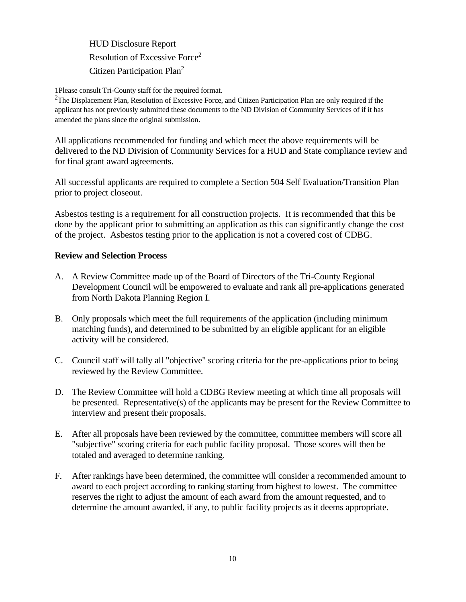HUD Disclosure Report Resolution of Excessive Force2 Citizen Participation Plan<sup>2</sup>

1Please consult Tri-County staff for the required format.

 $2$ The Displacement Plan, Resolution of Excessive Force, and Citizen Participation Plan are only required if the applicant has not previously submitted these documents to the ND Division of Community Services of if it has amended the plans since the original submission.

All applications recommended for funding and which meet the above requirements will be delivered to the ND Division of Community Services for a HUD and State compliance review and for final grant award agreements.

All successful applicants are required to complete a Section 504 Self Evaluation/Transition Plan prior to project closeout.

Asbestos testing is a requirement for all construction projects. It is recommended that this be done by the applicant prior to submitting an application as this can significantly change the cost of the project. Asbestos testing prior to the application is not a covered cost of CDBG.

### **Review and Selection Process**

- A. A Review Committee made up of the Board of Directors of the Tri-County Regional Development Council will be empowered to evaluate and rank all pre-applications generated from North Dakota Planning Region I.
- B. Only proposals which meet the full requirements of the application (including minimum matching funds), and determined to be submitted by an eligible applicant for an eligible activity will be considered.
- C. Council staff will tally all "objective" scoring criteria for the pre-applications prior to being reviewed by the Review Committee.
- D. The Review Committee will hold a CDBG Review meeting at which time all proposals will be presented. Representative(s) of the applicants may be present for the Review Committee to interview and present their proposals.
- E. After all proposals have been reviewed by the committee, committee members will score all "subjective" scoring criteria for each public facility proposal. Those scores will then be totaled and averaged to determine ranking.
- F. After rankings have been determined, the committee will consider a recommended amount to award to each project according to ranking starting from highest to lowest. The committee reserves the right to adjust the amount of each award from the amount requested, and to determine the amount awarded, if any, to public facility projects as it deems appropriate.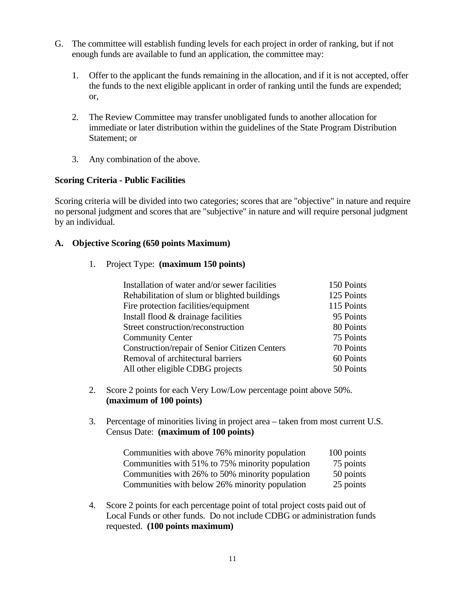- G. The committee will establish funding levels for each project in order of ranking, but if not enough funds are available to fund an application, the committee may:
	- 1. Offer to the applicant the funds remaining in the allocation, and if it is not accepted, offer the funds to the next eligible applicant in order of ranking until the funds are expended; or,
	- 2. The Review Committee may transfer unobligated funds to another allocation for immediate or later distribution within the guidelines of the State Program Distribution Statement; or
	- 3. Any combination of the above.

# **Scoring Criteria - Public Facilities**

Scoring criteria will be divided into two categories; scores that are "objective" in nature and require no personal judgment and scores that are "subjective" in nature and will require personal judgment by an individual.

### **A. Objective Scoring (650 points Maximum)**

### 1. Project Type: **(maximum 150 points)**

| Installation of water and/or sewer facilities | 150 Points |
|-----------------------------------------------|------------|
| Rehabilitation of slum or blighted buildings  | 125 Points |
| Fire protection facilities/equipment          | 115 Points |
| Install flood & drainage facilities           | 95 Points  |
| Street construction/reconstruction            | 80 Points  |
| <b>Community Center</b>                       | 75 Points  |
| Construction/repair of Senior Citizen Centers | 70 Points  |
| Removal of architectural barriers             | 60 Points  |
| All other eligible CDBG projects              | 50 Points  |

- 2. Score 2 points for each Very Low/Low percentage point above 50%. **(maximum of 100 points)**
- 3. Percentage of minorities living in project area taken from most current U.S. Census Date: **(maximum of 100 points)**

| Communities with above 76% minority population  | 100 points |
|-------------------------------------------------|------------|
| Communities with 51% to 75% minority population | 75 points  |
| Communities with 26% to 50% minority population | 50 points  |
| Communities with below 26% minority population  | 25 points  |

4. Score 2 points for each percentage point of total project costs paid out of Local Funds or other funds. Do not include CDBG or administration funds requested. **(100 points maximum)**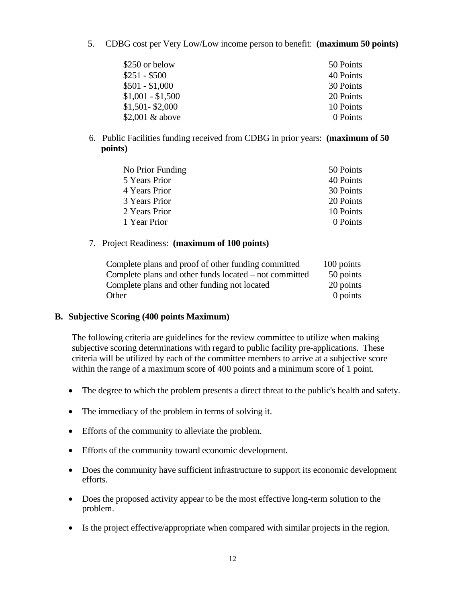5. CDBG cost per Very Low/Low income person to benefit: **(maximum 50 points)**

| \$250 or below    | 50 Points |
|-------------------|-----------|
| $$251 - $500$     | 40 Points |
| $$501 - $1,000$   | 30 Points |
| $$1,001 - $1,500$ | 20 Points |
| $$1,501 - $2,000$ | 10 Points |
| \$2,001 & above   | 0 Points  |

6. Public Facilities funding received from CDBG in prior years: **(maximum of 50 points)**

| No Prior Funding | 50 Points |
|------------------|-----------|
| 5 Years Prior    | 40 Points |
| 4 Years Prior    | 30 Points |
| 3 Years Prior    | 20 Points |
| 2 Years Prior    | 10 Points |
| 1 Year Prior     | 0 Points  |
|                  |           |

7. Project Readiness: **(maximum of 100 points)**

| Complete plans and proof of other funding committed    | 100 points |
|--------------------------------------------------------|------------|
| Complete plans and other funds located – not committed | 50 points  |
| Complete plans and other funding not located           | 20 points  |
| Other                                                  | 0 points   |

#### **B. Subjective Scoring (400 points Maximum)**

The following criteria are guidelines for the review committee to utilize when making subjective scoring determinations with regard to public facility pre-applications. These criteria will be utilized by each of the committee members to arrive at a subjective score within the range of a maximum score of 400 points and a minimum score of 1 point.

- The degree to which the problem presents a direct threat to the public's health and safety.
- The immediacy of the problem in terms of solving it.
- Efforts of the community to alleviate the problem.
- Efforts of the community toward economic development.
- Does the community have sufficient infrastructure to support its economic development efforts.
- Does the proposed activity appear to be the most effective long-term solution to the problem.
- Is the project effective/appropriate when compared with similar projects in the region.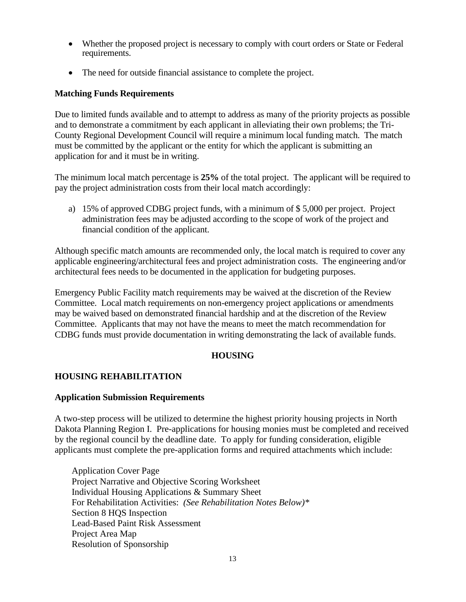- Whether the proposed project is necessary to comply with court orders or State or Federal requirements.
- The need for outside financial assistance to complete the project.

#### **Matching Funds Requirements**

Due to limited funds available and to attempt to address as many of the priority projects as possible and to demonstrate a commitment by each applicant in alleviating their own problems; the Tri-County Regional Development Council will require a minimum local funding match. The match must be committed by the applicant or the entity for which the applicant is submitting an application for and it must be in writing.

The minimum local match percentage is **25%** of the total project. The applicant will be required to pay the project administration costs from their local match accordingly:

a) 15% of approved CDBG project funds, with a minimum of \$ 5,000 per project. Project administration fees may be adjusted according to the scope of work of the project and financial condition of the applicant.

Although specific match amounts are recommended only, the local match is required to cover any applicable engineering/architectural fees and project administration costs. The engineering and/or architectural fees needs to be documented in the application for budgeting purposes.

Emergency Public Facility match requirements may be waived at the discretion of the Review Committee. Local match requirements on non-emergency project applications or amendments may be waived based on demonstrated financial hardship and at the discretion of the Review Committee. Applicants that may not have the means to meet the match recommendation for CDBG funds must provide documentation in writing demonstrating the lack of available funds.

#### **HOUSING**

#### **HOUSING REHABILITATION**

#### **Application Submission Requirements**

A two-step process will be utilized to determine the highest priority housing projects in North Dakota Planning Region I. Pre-applications for housing monies must be completed and received by the regional council by the deadline date. To apply for funding consideration, eligible applicants must complete the pre-application forms and required attachments which include:

Application Cover Page Project Narrative and Objective Scoring Worksheet Individual Housing Applications & Summary Sheet For Rehabilitation Activities: *(See Rehabilitation Notes Below)\** Section 8 HQS Inspection Lead-Based Paint Risk Assessment Project Area Map Resolution of Sponsorship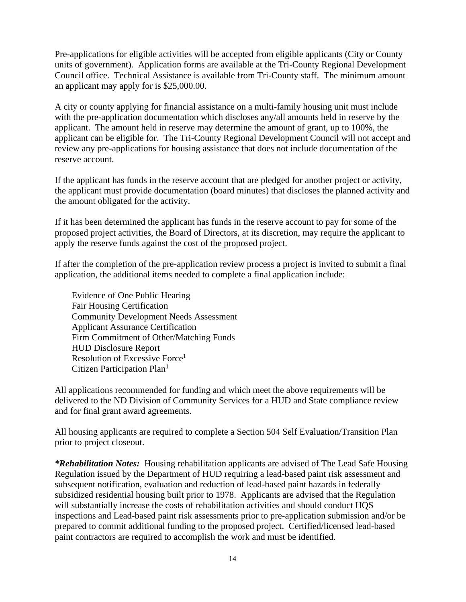Pre-applications for eligible activities will be accepted from eligible applicants (City or County units of government). Application forms are available at the Tri-County Regional Development Council office. Technical Assistance is available from Tri-County staff. The minimum amount an applicant may apply for is \$25,000.00.

A city or county applying for financial assistance on a multi-family housing unit must include with the pre-application documentation which discloses any/all amounts held in reserve by the applicant. The amount held in reserve may determine the amount of grant, up to 100%, the applicant can be eligible for. The Tri-County Regional Development Council will not accept and review any pre-applications for housing assistance that does not include documentation of the reserve account.

If the applicant has funds in the reserve account that are pledged for another project or activity, the applicant must provide documentation (board minutes) that discloses the planned activity and the amount obligated for the activity.

If it has been determined the applicant has funds in the reserve account to pay for some of the proposed project activities, the Board of Directors, at its discretion, may require the applicant to apply the reserve funds against the cost of the proposed project.

If after the completion of the pre-application review process a project is invited to submit a final application, the additional items needed to complete a final application include:

Evidence of One Public Hearing Fair Housing Certification Community Development Needs Assessment Applicant Assurance Certification Firm Commitment of Other/Matching Funds HUD Disclosure Report Resolution of Excessive Force<sup>1</sup> Citizen Participation Plan<sup>1</sup>

All applications recommended for funding and which meet the above requirements will be delivered to the ND Division of Community Services for a HUD and State compliance review and for final grant award agreements.

All housing applicants are required to complete a Section 504 Self Evaluation/Transition Plan prior to project closeout.

*\*Rehabilitation Notes:* Housing rehabilitation applicants are advised of The Lead Safe Housing Regulation issued by the Department of HUD requiring a lead-based paint risk assessment and subsequent notification, evaluation and reduction of lead-based paint hazards in federally subsidized residential housing built prior to 1978. Applicants are advised that the Regulation will substantially increase the costs of rehabilitation activities and should conduct HQS inspections and Lead-based paint risk assessments prior to pre-application submission and/or be prepared to commit additional funding to the proposed project. Certified/licensed lead-based paint contractors are required to accomplish the work and must be identified.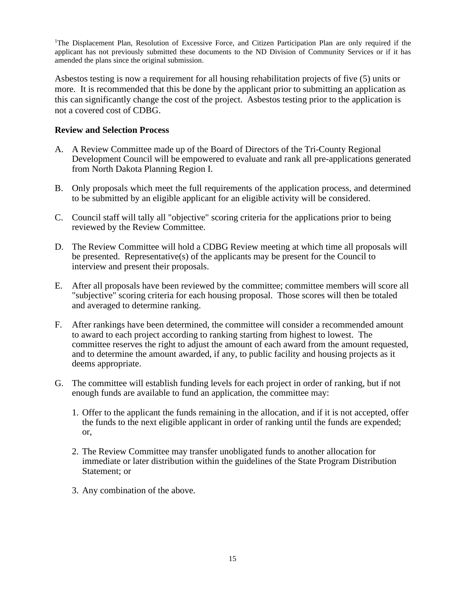<sup>1</sup>The Displacement Plan, Resolution of Excessive Force, and Citizen Participation Plan are only required if the applicant has not previously submitted these documents to the ND Division of Community Services or if it has amended the plans since the original submission.

Asbestos testing is now a requirement for all housing rehabilitation projects of five (5) units or more. It is recommended that this be done by the applicant prior to submitting an application as this can significantly change the cost of the project. Asbestos testing prior to the application is not a covered cost of CDBG.

#### **Review and Selection Process**

- A. A Review Committee made up of the Board of Directors of the Tri-County Regional Development Council will be empowered to evaluate and rank all pre-applications generated from North Dakota Planning Region I.
- B. Only proposals which meet the full requirements of the application process, and determined to be submitted by an eligible applicant for an eligible activity will be considered.
- C. Council staff will tally all "objective" scoring criteria for the applications prior to being reviewed by the Review Committee.
- D. The Review Committee will hold a CDBG Review meeting at which time all proposals will be presented. Representative(s) of the applicants may be present for the Council to interview and present their proposals.
- E. After all proposals have been reviewed by the committee; committee members will score all "subjective" scoring criteria for each housing proposal. Those scores will then be totaled and averaged to determine ranking.
- F. After rankings have been determined, the committee will consider a recommended amount to award to each project according to ranking starting from highest to lowest. The committee reserves the right to adjust the amount of each award from the amount requested, and to determine the amount awarded, if any, to public facility and housing projects as it deems appropriate.
- G. The committee will establish funding levels for each project in order of ranking, but if not enough funds are available to fund an application, the committee may:
	- 1. Offer to the applicant the funds remaining in the allocation, and if it is not accepted, offer the funds to the next eligible applicant in order of ranking until the funds are expended; or,
	- 2. The Review Committee may transfer unobligated funds to another allocation for immediate or later distribution within the guidelines of the State Program Distribution Statement; or
	- 3. Any combination of the above.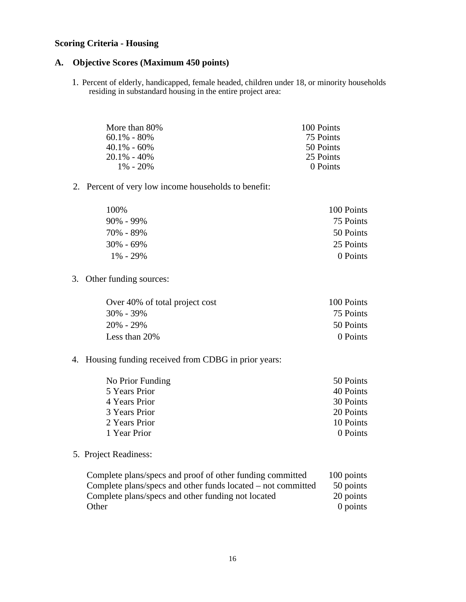#### **Scoring Criteria - Housing**

#### **A. Objective Scores (Maximum 450 points)**

1. Percent of elderly, handicapped, female headed, children under 18, or minority households residing in substandard housing in the entire project area:

| More than 80%   | 100 Points |
|-----------------|------------|
| $60.1\% - 80\%$ | 75 Points  |
| $40.1\% - 60\%$ | 50 Points  |
| $20.1\% - 40\%$ | 25 Points  |
| $1\% - 20\%$    | 0 Points   |

2. Percent of very low income households to benefit:

| 100%          | 100 Points |
|---------------|------------|
| $90\% - 99\%$ | 75 Points  |
| 70% - 89%     | 50 Points  |
| $30\% - 69\%$ | 25 Points  |
| $1\% - 29\%$  | 0 Points   |

3. Other funding sources:

| Over 40% of total project cost | 100 Points |
|--------------------------------|------------|
| $30\% - 39\%$                  | 75 Points  |
| $20\% - 29\%$                  | 50 Points  |
| Less than 20%                  | 0 Points   |

#### 4. Housing funding received from CDBG in prior years:

| No Prior Funding | 50 Points |
|------------------|-----------|
| 5 Years Prior    | 40 Points |
| 4 Years Prior    | 30 Points |
| 3 Years Prior    | 20 Points |
| 2 Years Prior    | 10 Points |
| 1 Year Prior     | 0 Points  |
|                  |           |

#### 5. Project Readiness:

| Complete plans/specs and proof of other funding committed    | 100 points |
|--------------------------------------------------------------|------------|
| Complete plans/specs and other funds located – not committed | 50 points  |
| Complete plans/specs and other funding not located           | 20 points  |
| Other                                                        | $0$ points |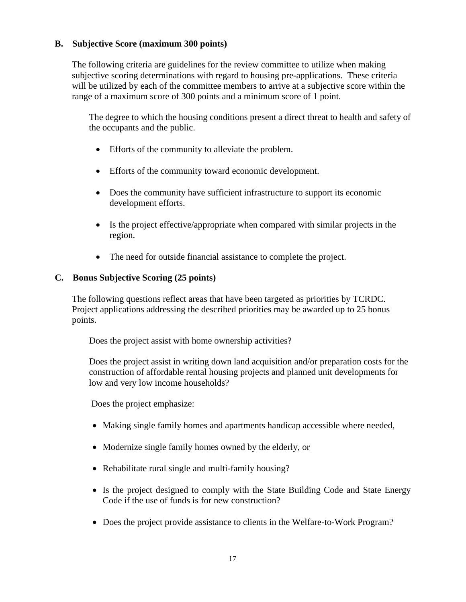#### **B. Subjective Score (maximum 300 points)**

The following criteria are guidelines for the review committee to utilize when making subjective scoring determinations with regard to housing pre-applications. These criteria will be utilized by each of the committee members to arrive at a subjective score within the range of a maximum score of 300 points and a minimum score of 1 point.

The degree to which the housing conditions present a direct threat to health and safety of the occupants and the public.

- Efforts of the community to alleviate the problem.
- Efforts of the community toward economic development.
- Does the community have sufficient infrastructure to support its economic development efforts.
- Is the project effective/appropriate when compared with similar projects in the region.
- The need for outside financial assistance to complete the project.

#### **C. Bonus Subjective Scoring (25 points)**

The following questions reflect areas that have been targeted as priorities by TCRDC. Project applications addressing the described priorities may be awarded up to 25 bonus points.

Does the project assist with home ownership activities?

Does the project assist in writing down land acquisition and/or preparation costs for the construction of affordable rental housing projects and planned unit developments for low and very low income households?

Does the project emphasize:

- Making single family homes and apartments handicap accessible where needed,
- Modernize single family homes owned by the elderly, or
- Rehabilitate rural single and multi-family housing?
- Is the project designed to comply with the State Building Code and State Energy Code if the use of funds is for new construction?
- Does the project provide assistance to clients in the Welfare-to-Work Program?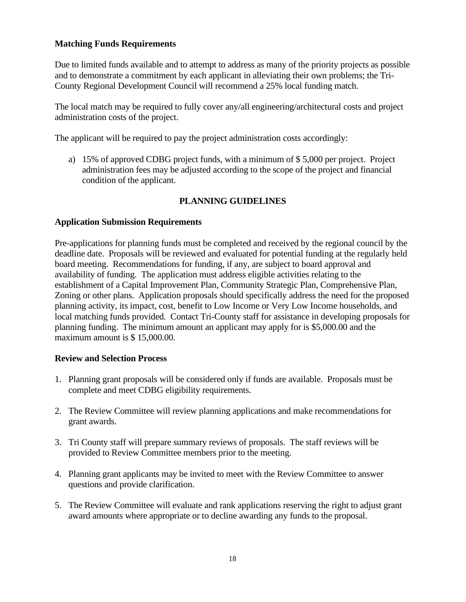#### **Matching Funds Requirements**

Due to limited funds available and to attempt to address as many of the priority projects as possible and to demonstrate a commitment by each applicant in alleviating their own problems; the Tri-County Regional Development Council will recommend a 25% local funding match.

The local match may be required to fully cover any/all engineering/architectural costs and project administration costs of the project.

The applicant will be required to pay the project administration costs accordingly:

a) 15% of approved CDBG project funds, with a minimum of \$ 5,000 per project. Project administration fees may be adjusted according to the scope of the project and financial condition of the applicant.

#### **PLANNING GUIDELINES**

#### **Application Submission Requirements**

Pre-applications for planning funds must be completed and received by the regional council by the deadline date. Proposals will be reviewed and evaluated for potential funding at the regularly held board meeting. Recommendations for funding, if any, are subject to board approval and availability of funding. The application must address eligible activities relating to the establishment of a Capital Improvement Plan, Community Strategic Plan, Comprehensive Plan, Zoning or other plans. Application proposals should specifically address the need for the proposed planning activity, its impact, cost, benefit to Low Income or Very Low Income households, and local matching funds provided. Contact Tri-County staff for assistance in developing proposals for planning funding. The minimum amount an applicant may apply for is \$5,000.00 and the maximum amount is \$15,000.00.

#### **Review and Selection Process**

- 1. Planning grant proposals will be considered only if funds are available. Proposals must be complete and meet CDBG eligibility requirements.
- 2. The Review Committee will review planning applications and make recommendations for grant awards.
- 3. Tri County staff will prepare summary reviews of proposals. The staff reviews will be provided to Review Committee members prior to the meeting.
- 4. Planning grant applicants may be invited to meet with the Review Committee to answer questions and provide clarification.
- 5. The Review Committee will evaluate and rank applications reserving the right to adjust grant award amounts where appropriate or to decline awarding any funds to the proposal.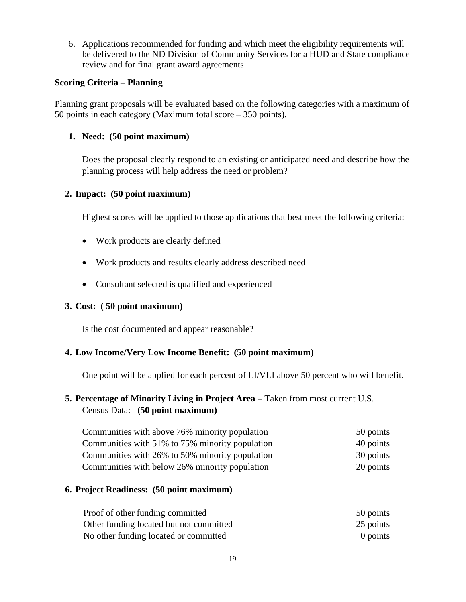6. Applications recommended for funding and which meet the eligibility requirements will be delivered to the ND Division of Community Services for a HUD and State compliance review and for final grant award agreements.

#### **Scoring Criteria – Planning**

Planning grant proposals will be evaluated based on the following categories with a maximum of 50 points in each category (Maximum total score – 350 points).

#### **1. Need: (50 point maximum)**

Does the proposal clearly respond to an existing or anticipated need and describe how the planning process will help address the need or problem?

#### **2. Impact: (50 point maximum)**

Highest scores will be applied to those applications that best meet the following criteria:

- Work products are clearly defined
- Work products and results clearly address described need
- Consultant selected is qualified and experienced

#### **3. Cost: ( 50 point maximum)**

Is the cost documented and appear reasonable?

#### **4. Low Income/Very Low Income Benefit: (50 point maximum)**

One point will be applied for each percent of LI/VLI above 50 percent who will benefit.

#### **5. Percentage of Minority Living in Project Area –** Taken from most current U.S. Census Data: **(50 point maximum)**

| Communities with above 76% minority population  | 50 points |
|-------------------------------------------------|-----------|
| Communities with 51% to 75% minority population | 40 points |
| Communities with 26% to 50% minority population | 30 points |
| Communities with below 26% minority population  | 20 points |

#### **6. Project Readiness: (50 point maximum)**

| Proof of other funding committed        | 50 points |  |
|-----------------------------------------|-----------|--|
| Other funding located but not committed | 25 points |  |
| No other funding located or committed   | 0 points  |  |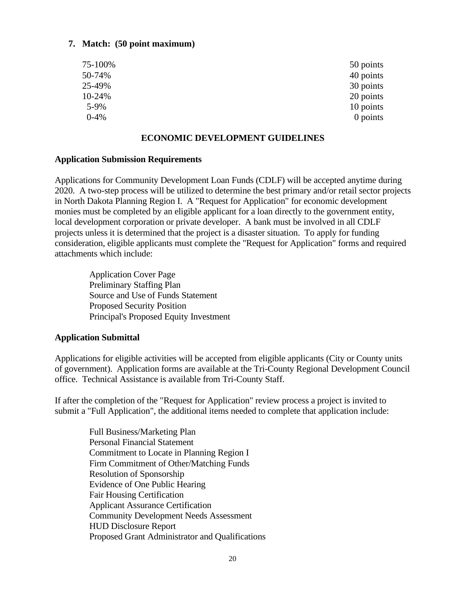#### **7. Match: (50 point maximum)**

| 50 points |
|-----------|
| 40 points |
| 30 points |
| 20 points |
| 10 points |
| 0 points  |
|           |

#### **ECONOMIC DEVELOPMENT GUIDELINES**

#### **Application Submission Requirements**

Applications for Community Development Loan Funds (CDLF) will be accepted anytime during 2020. A two-step process will be utilized to determine the best primary and/or retail sector projects in North Dakota Planning Region I. A "Request for Application" for economic development monies must be completed by an eligible applicant for a loan directly to the government entity, local development corporation or private developer. A bank must be involved in all CDLF projects unless it is determined that the project is a disaster situation. To apply for funding consideration, eligible applicants must complete the "Request for Application" forms and required attachments which include:

Application Cover Page Preliminary Staffing Plan Source and Use of Funds Statement Proposed Security Position Principal's Proposed Equity Investment

#### **Application Submittal**

Applications for eligible activities will be accepted from eligible applicants (City or County units of government). Application forms are available at the Tri-County Regional Development Council office. Technical Assistance is available from Tri-County Staff.

If after the completion of the "Request for Application" review process a project is invited to submit a "Full Application", the additional items needed to complete that application include:

> Full Business/Marketing Plan Personal Financial Statement Commitment to Locate in Planning Region I Firm Commitment of Other/Matching Funds Resolution of Sponsorship Evidence of One Public Hearing Fair Housing Certification Applicant Assurance Certification Community Development Needs Assessment HUD Disclosure Report Proposed Grant Administrator and Qualifications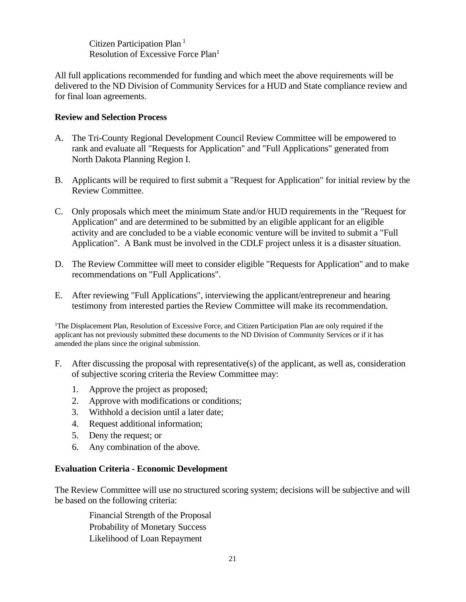Citizen Participation Plan<sup>1</sup> Resolution of Excessive Force Plan<sup>1</sup>

All full applications recommended for funding and which meet the above requirements will be delivered to the ND Division of Community Services for a HUD and State compliance review and for final loan agreements.

#### **Review and Selection Process**

- A. The Tri-County Regional Development Council Review Committee will be empowered to rank and evaluate all "Requests for Application" and "Full Applications" generated from North Dakota Planning Region I.
- B. Applicants will be required to first submit a "Request for Application" for initial review by the Review Committee.
- C. Only proposals which meet the minimum State and/or HUD requirements in the "Request for Application" and are determined to be submitted by an eligible applicant for an eligible activity and are concluded to be a viable economic venture will be invited to submit a "Full Application". A Bank must be involved in the CDLF project unless it is a disaster situation.
- D. The Review Committee will meet to consider eligible "Requests for Application" and to make recommendations on "Full Applications".
- E. After reviewing "Full Applications", interviewing the applicant/entrepreneur and hearing testimony from interested parties the Review Committee will make its recommendation.

<sup>1</sup>The Displacement Plan, Resolution of Excessive Force, and Citizen Participation Plan are only required if the applicant has not previously submitted these documents to the ND Division of Community Services or if it has amended the plans since the original submission.

- F. After discussing the proposal with representative(s) of the applicant, as well as, consideration of subjective scoring criteria the Review Committee may:
	- 1. Approve the project as proposed;
	- 2. Approve with modifications or conditions;
	- 3. Withhold a decision until a later date;
	- 4. Request additional information;
	- 5. Deny the request; or
	- 6. Any combination of the above.

#### **Evaluation Criteria - Economic Development**

The Review Committee will use no structured scoring system; decisions will be subjective and will be based on the following criteria:

Financial Strength of the Proposal Probability of Monetary Success Likelihood of Loan Repayment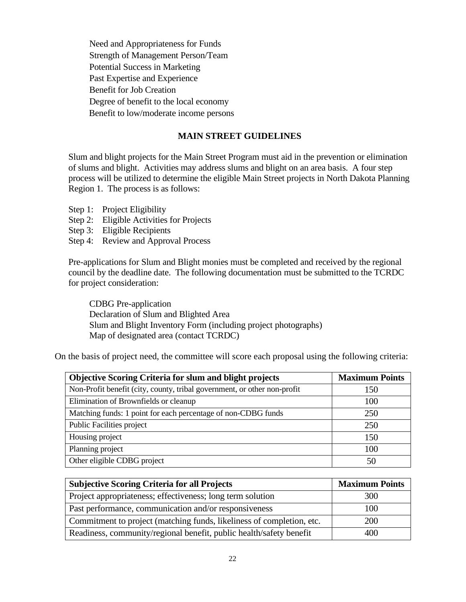Need and Appropriateness for Funds Strength of Management Person/Team Potential Success in Marketing Past Expertise and Experience Benefit for Job Creation Degree of benefit to the local economy Benefit to low/moderate income persons

#### **MAIN STREET GUIDELINES**

Slum and blight projects for the Main Street Program must aid in the prevention or elimination of slums and blight. Activities may address slums and blight on an area basis. A four step process will be utilized to determine the eligible Main Street projects in North Dakota Planning Region 1. The process is as follows:

- Step 1: Project Eligibility
- Step 2: Eligible Activities for Projects
- Step 3: Eligible Recipients
- Step 4: Review and Approval Process

Pre-applications for Slum and Blight monies must be completed and received by the regional council by the deadline date. The following documentation must be submitted to the TCRDC for project consideration:

CDBG Pre-application Declaration of Slum and Blighted Area Slum and Blight Inventory Form (including project photographs) Map of designated area (contact TCRDC)

On the basis of project need, the committee will score each proposal using the following criteria:

| <b>Objective Scoring Criteria for slum and blight projects</b>           | <b>Maximum Points</b> |
|--------------------------------------------------------------------------|-----------------------|
| Non-Profit benefit (city, county, tribal government, or other non-profit | 150                   |
| Elimination of Brownfields or cleanup                                    | 100                   |
| Matching funds: 1 point for each percentage of non-CDBG funds            | 250                   |
| <b>Public Facilities project</b>                                         | 250                   |
| Housing project                                                          | 150                   |
| Planning project                                                         | 100                   |
| Other eligible CDBG project                                              | 50                    |

| <b>Subjective Scoring Criteria for all Projects</b>                   | <b>Maximum Points</b> |
|-----------------------------------------------------------------------|-----------------------|
| Project appropriateness; effectiveness; long term solution            | 300                   |
| Past performance, communication and/or responsiveness                 | 100                   |
| Commitment to project (matching funds, likeliness of completion, etc. | 200                   |
| Readiness, community/regional benefit, public health/safety benefit   | 400                   |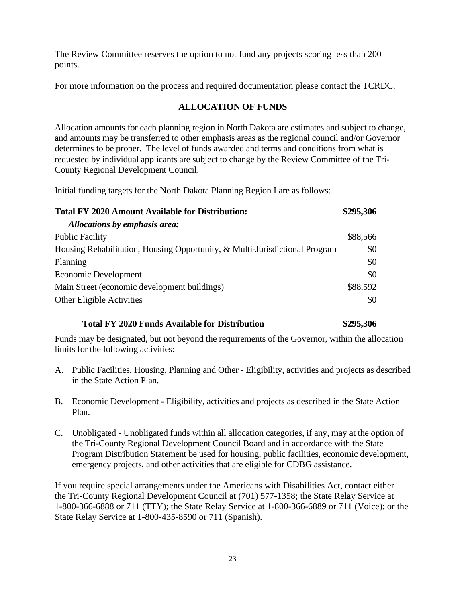The Review Committee reserves the option to not fund any projects scoring less than 200 points.

For more information on the process and required documentation please contact the TCRDC.

#### **ALLOCATION OF FUNDS**

Allocation amounts for each planning region in North Dakota are estimates and subject to change, and amounts may be transferred to other emphasis areas as the regional council and/or Governor determines to be proper. The level of funds awarded and terms and conditions from what is requested by individual applicants are subject to change by the Review Committee of the Tri-County Regional Development Council.

Initial funding targets for the North Dakota Planning Region I are as follows:

| <b>Total FY 2020 Amount Available for Distribution:</b>                     | \$295,306 |
|-----------------------------------------------------------------------------|-----------|
| Allocations by emphasis area:                                               |           |
| <b>Public Facility</b>                                                      | \$88,566  |
| Housing Rehabilitation, Housing Opportunity, & Multi-Jurisdictional Program | \$0       |
| Planning                                                                    | \$0       |
| Economic Development                                                        | \$0       |
| Main Street (economic development buildings)                                | \$88,592  |
| Other Eligible Activities                                                   | \$0       |

#### **Total FY 2020 Funds Available for Distribution \$295,306**

Funds may be designated, but not beyond the requirements of the Governor, within the allocation limits for the following activities:

- A. Public Facilities, Housing, Planning and Other Eligibility, activities and projects as described in the State Action Plan.
- B. Economic Development Eligibility, activities and projects as described in the State Action Plan.
- C. Unobligated Unobligated funds within all allocation categories, if any, may at the option of the Tri-County Regional Development Council Board and in accordance with the State Program Distribution Statement be used for housing, public facilities, economic development, emergency projects, and other activities that are eligible for CDBG assistance.

If you require special arrangements under the Americans with Disabilities Act, contact either the Tri-County Regional Development Council at (701) 577-1358; the State Relay Service at 1-800-366-6888 or 711 (TTY); the State Relay Service at 1-800-366-6889 or 711 (Voice); or the State Relay Service at 1-800-435-8590 or 711 (Spanish).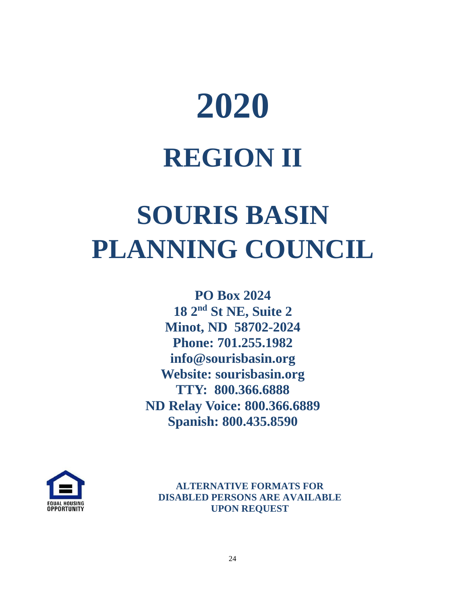# **2020 REGION II**

## **SOURIS BASIN PLANNING COUNCIL**

**PO Box 2024 18 2nd St NE, Suite 2 Minot, ND 58702-2024 Phone: 701.255.1982 info@sourisbasin.org Website: sourisbasin.org TTY: 800.366.6888 ND Relay Voice: 800.366.6889 Spanish: 800.435.8590**



**ALTERNATIVE FORMATS FOR DISABLED PERSONS ARE AVAILABLE UPON REQUEST**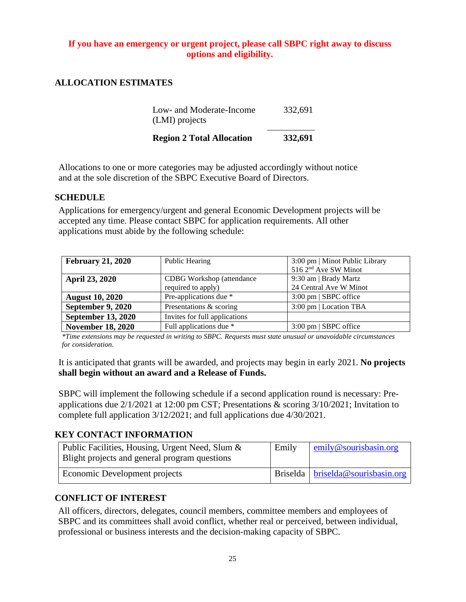#### **If you have an emergency or urgent project, please call SBPC right away to discuss options and eligibility.**

#### **ALLOCATION ESTIMATES**

| <b>Region 2 Total Allocation</b> | 332,691 |
|----------------------------------|---------|
| (LMI) projects                   |         |
| Low- and Moderate-Income         | 332,691 |

Allocations to one or more categories may be adjusted accordingly without notice and at the sole discretion of the SBPC Executive Board of Directors.

#### **SCHEDULE**

Applications for emergency/urgent and general Economic Development projects will be accepted any time. Please contact SBPC for application requirements. All other applications must abide by the following schedule:

| <b>February 21, 2020</b>  | Public Hearing                   | 3:00 pm   Minot Public Library   |
|---------------------------|----------------------------------|----------------------------------|
|                           |                                  | 516 2 <sup>nd</sup> Ave SW Minot |
| <b>April 23, 2020</b>     | <b>CDBG</b> Workshop (attendance | 9:30 am   Brady Martz            |
|                           | required to apply)               | 24 Central Ave W Minot           |
| <b>August 10, 2020</b>    | Pre-applications due *           | $3:00 \text{ pm}$   SBPC office  |
| September 9, 2020         | Presentations & scoring          | 3:00 pm   Location TBA           |
| <b>September 13, 2020</b> | Invites for full applications    |                                  |
| <b>November 18, 2020</b>  | Full applications due *          | $3:00 \text{ pm}$   SBPC office  |

*\*Time extensions may be requested in writing to SBPC. Requests must state unusual or unavoidable circumstances for consideration.*

It is anticipated that grants will be awarded, and projects may begin in early 2021. **No projects shall begin without an award and a Release of Funds.**

SBPC will implement the following schedule if a second application round is necessary: Preapplications due 2/1/2021 at 12:00 pm CST; Presentations & scoring 3/10/2021; Invitation to complete full application 3/12/2021; and full applications due 4/30/2021.

#### **KEY CONTACT INFORMATION**

| Public Facilities, Housing, Urgent Need, Slum &<br>Blight projects and general program questions | Emily | emily@sourisbasin.org                      |
|--------------------------------------------------------------------------------------------------|-------|--------------------------------------------|
| Economic Development projects                                                                    |       | Briselda   <u>briselda@sourisbasin.org</u> |

#### **CONFLICT OF INTEREST**

All officers, directors, delegates, council members, committee members and employees of SBPC and its committees shall avoid conflict, whether real or perceived, between individual, professional or business interests and the decision-making capacity of SBPC.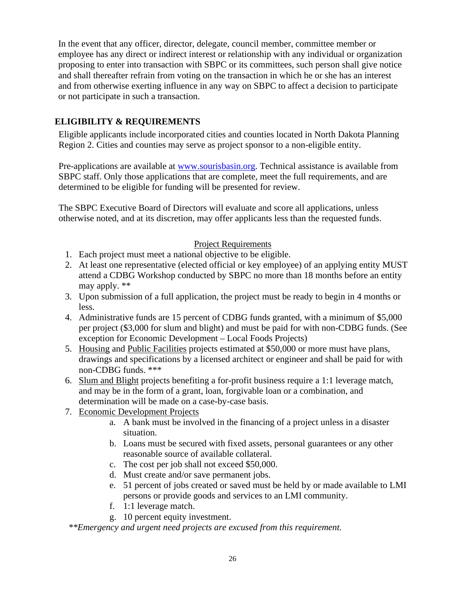In the event that any officer, director, delegate, council member, committee member or employee has any direct or indirect interest or relationship with any individual or organization proposing to enter into transaction with SBPC or its committees, such person shall give notice and shall thereafter refrain from voting on the transaction in which he or she has an interest and from otherwise exerting influence in any way on SBPC to affect a decision to participate or not participate in such a transaction.

### **ELIGIBILITY & REQUIREMENTS**

Eligible applicants include incorporated cities and counties located in North Dakota Planning Region 2. Cities and counties may serve as project sponsor to a non-eligible entity.

Pre-applications are available at [www.sourisbasin.org.](http://www.sourisbasin.org/) Technical assistance is available from SBPC staff. Only those applications that are complete, meet the full requirements, and are determined to be eligible for funding will be presented for review.

The SBPC Executive Board of Directors will evaluate and score all applications, unless otherwise noted, and at its discretion, may offer applicants less than the requested funds.

#### Project Requirements

- 1. Each project must meet a national objective to be eligible.
- 2. At least one representative (elected official or key employee) of an applying entity MUST attend a CDBG Workshop conducted by SBPC no more than 18 months before an entity may apply. \*\*
- 3. Upon submission of a full application, the project must be ready to begin in 4 months or less.
- 4. Administrative funds are 15 percent of CDBG funds granted, with a minimum of \$5,000 per project (\$3,000 for slum and blight) and must be paid for with non-CDBG funds. (See exception for Economic Development – Local Foods Projects)
- 5. Housing and Public Facilities projects estimated at \$50,000 or more must have plans, drawings and specifications by a licensed architect or engineer and shall be paid for with non-CDBG funds. \*\*\*
- 6. Slum and Blight projects benefiting a for-profit business require a 1:1 leverage match, and may be in the form of a grant, loan, forgivable loan or a combination, and determination will be made on a case-by-case basis.
- 7. Economic Development Projects
	- a. A bank must be involved in the financing of a project unless in a disaster situation.
	- b. Loans must be secured with fixed assets, personal guarantees or any other reasonable source of available collateral.
	- c. The cost per job shall not exceed \$50,000.
	- d. Must create and/or save permanent jobs.
	- e. 51 percent of jobs created or saved must be held by or made available to LMI persons or provide goods and services to an LMI community.
	- f. 1:1 leverage match.
	- g. 10 percent equity investment.

*\*\*Emergency and urgent need projects are excused from this requirement.*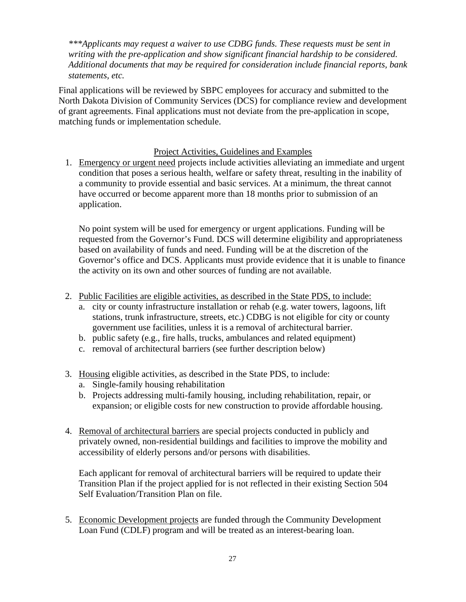*\*\*\*Applicants may request a waiver to use CDBG funds. These requests must be sent in writing with the pre-application and show significant financial hardship to be considered. Additional documents that may be required for consideration include financial reports, bank statements, etc.*

Final applications will be reviewed by SBPC employees for accuracy and submitted to the North Dakota Division of Community Services (DCS) for compliance review and development of grant agreements. Final applications must not deviate from the pre-application in scope, matching funds or implementation schedule.

#### Project Activities, Guidelines and Examples

1. Emergency or urgent need projects include activities alleviating an immediate and urgent condition that poses a serious health, welfare or safety threat, resulting in the inability of a community to provide essential and basic services. At a minimum, the threat cannot have occurred or become apparent more than 18 months prior to submission of an application.

No point system will be used for emergency or urgent applications. Funding will be requested from the Governor's Fund. DCS will determine eligibility and appropriateness based on availability of funds and need. Funding will be at the discretion of the Governor's office and DCS. Applicants must provide evidence that it is unable to finance the activity on its own and other sources of funding are not available.

- 2. Public Facilities are eligible activities, as described in the State PDS, to include:
	- a. city or county infrastructure installation or rehab (e.g. water towers, lagoons, lift stations, trunk infrastructure, streets, etc.) CDBG is not eligible for city or county government use facilities, unless it is a removal of architectural barrier.
	- b. public safety (e.g., fire halls, trucks, ambulances and related equipment)
	- c. removal of architectural barriers (see further description below)
- 3. Housing eligible activities, as described in the State PDS, to include:
	- a. Single-family housing rehabilitation
	- b. Projects addressing multi-family housing, including rehabilitation, repair, or expansion; or eligible costs for new construction to provide affordable housing.
- 4. Removal of architectural barriers are special projects conducted in publicly and privately owned, non-residential buildings and facilities to improve the mobility and accessibility of elderly persons and/or persons with disabilities.

Each applicant for removal of architectural barriers will be required to update their Transition Plan if the project applied for is not reflected in their existing Section 504 Self Evaluation/Transition Plan on file.

5. Economic Development projects are funded through the Community Development Loan Fund (CDLF) program and will be treated as an interest-bearing loan.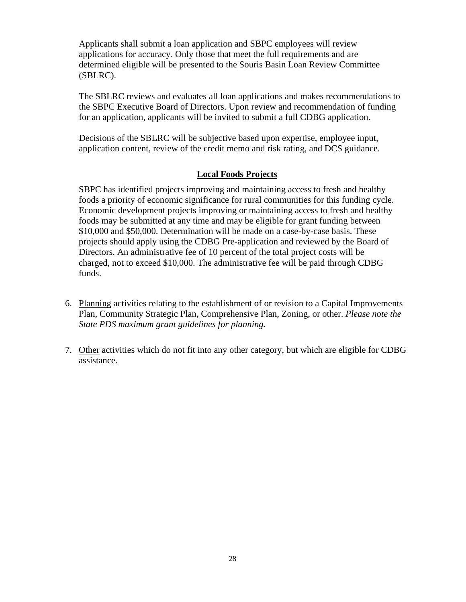Applicants shall submit a loan application and SBPC employees will review applications for accuracy. Only those that meet the full requirements and are determined eligible will be presented to the Souris Basin Loan Review Committee (SBLRC).

The SBLRC reviews and evaluates all loan applications and makes recommendations to the SBPC Executive Board of Directors. Upon review and recommendation of funding for an application, applicants will be invited to submit a full CDBG application.

Decisions of the SBLRC will be subjective based upon expertise, employee input, application content, review of the credit memo and risk rating, and DCS guidance.

#### **Local Foods Projects**

SBPC has identified projects improving and maintaining access to fresh and healthy foods a priority of economic significance for rural communities for this funding cycle. Economic development projects improving or maintaining access to fresh and healthy foods may be submitted at any time and may be eligible for grant funding between \$10,000 and \$50,000. Determination will be made on a case-by-case basis. These projects should apply using the CDBG Pre-application and reviewed by the Board of Directors. An administrative fee of 10 percent of the total project costs will be charged, not to exceed \$10,000. The administrative fee will be paid through CDBG funds.

- 6. Planning activities relating to the establishment of or revision to a Capital Improvements Plan, Community Strategic Plan, Comprehensive Plan, Zoning, or other. *Please note the State PDS maximum grant guidelines for planning.*
- 7. Other activities which do not fit into any other category, but which are eligible for CDBG assistance.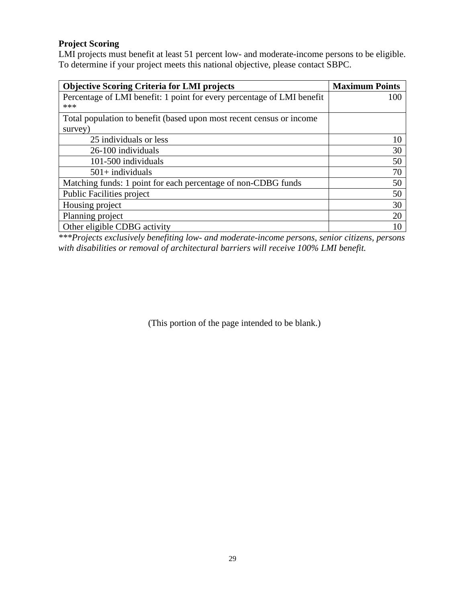### **Project Scoring**

LMI projects must benefit at least 51 percent low- and moderate-income persons to be eligible. To determine if your project meets this national objective, please contact SBPC.

| <b>Objective Scoring Criteria for LMI projects</b>                     | <b>Maximum Points</b> |
|------------------------------------------------------------------------|-----------------------|
| Percentage of LMI benefit: 1 point for every percentage of LMI benefit | 100                   |
| ***                                                                    |                       |
| Total population to benefit (based upon most recent census or income   |                       |
| survey)                                                                |                       |
| 25 individuals or less                                                 | 10                    |
| 26-100 individuals                                                     | 30                    |
| 101-500 individuals                                                    | 50                    |
| $501+$ individuals                                                     | 70                    |
| Matching funds: 1 point for each percentage of non-CDBG funds          | 50                    |
| <b>Public Facilities project</b>                                       | 50                    |
| Housing project                                                        | 30                    |
| Planning project                                                       | 20                    |
| Other eligible CDBG activity                                           |                       |

*\*\*\*Projects exclusively benefiting low- and moderate-income persons, senior citizens, persons with disabilities or removal of architectural barriers will receive 100% LMI benefit.*

(This portion of the page intended to be blank.)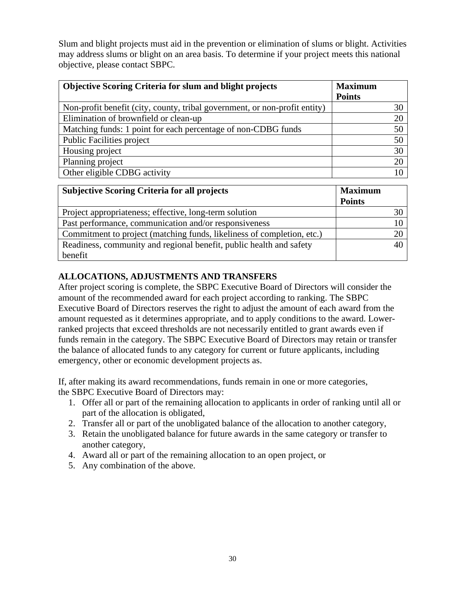Slum and blight projects must aid in the prevention or elimination of slums or blight. Activities may address slums or blight on an area basis. To determine if your project meets this national objective, please contact SBPC.

| <b>Objective Scoring Criteria for slum and blight projects</b>             | <b>Maximum</b><br><b>Points</b> |
|----------------------------------------------------------------------------|---------------------------------|
| Non-profit benefit (city, county, tribal government, or non-profit entity) | 30                              |
| Elimination of brownfield or clean-up                                      | 20                              |
| Matching funds: 1 point for each percentage of non-CDBG funds              | 50                              |
| <b>Public Facilities project</b>                                           | 50                              |
| Housing project                                                            | 30                              |
| Planning project                                                           | 20                              |
| Other eligible CDBG activity                                               | 10                              |

| <b>Subjective Scoring Criteria for all projects</b>                    | <b>Maximum</b> |
|------------------------------------------------------------------------|----------------|
|                                                                        | <b>Points</b>  |
| Project appropriateness; effective, long-term solution                 |                |
| Past performance, communication and/or responsiveness                  |                |
| Commitment to project (matching funds, likeliness of completion, etc.) |                |
| Readiness, community and regional benefit, public health and safety    |                |
| benefit                                                                |                |

### **ALLOCATIONS, ADJUSTMENTS AND TRANSFERS**

After project scoring is complete, the SBPC Executive Board of Directors will consider the amount of the recommended award for each project according to ranking. The SBPC Executive Board of Directors reserves the right to adjust the amount of each award from the amount requested as it determines appropriate, and to apply conditions to the award. Lowerranked projects that exceed thresholds are not necessarily entitled to grant awards even if funds remain in the category. The SBPC Executive Board of Directors may retain or transfer the balance of allocated funds to any category for current or future applicants, including emergency, other or economic development projects as.

If, after making its award recommendations, funds remain in one or more categories, the SBPC Executive Board of Directors may:

- 1. Offer all or part of the remaining allocation to applicants in order of ranking until all or part of the allocation is obligated,
- 2. Transfer all or part of the unobligated balance of the allocation to another category,
- 3. Retain the unobligated balance for future awards in the same category or transfer to another category,
- 4. Award all or part of the remaining allocation to an open project, or
- 5. Any combination of the above.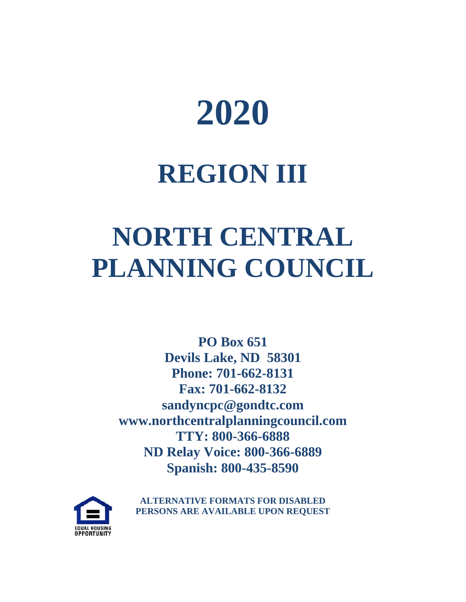

## **REGION III**

## **NORTH CENTRAL PLANNING COUNCIL**

**PO Box 651 Devils Lake, ND 58301 Phone: 701-662-8131 Fax: 701-662-8132 sandyncpc@gondtc.com www.northcentralplanningcouncil.com TTY: 800-366-6888 ND Relay Voice: 800-366-6889 Spanish: 800-435-8590**



**ALTERNATIVE FORMATS FOR DISABLED PERSONS ARE AVAILABLE UPON REQUEST**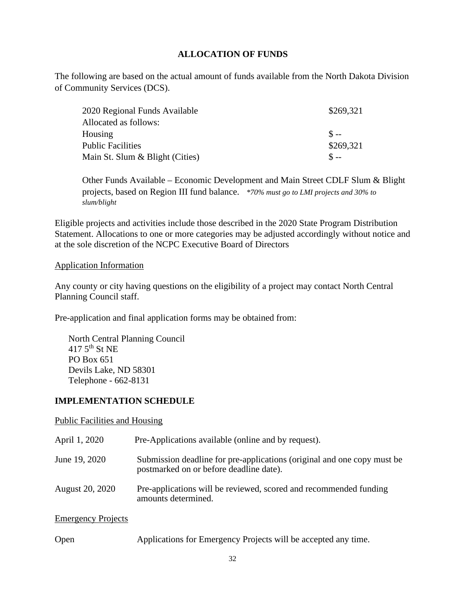#### **ALLOCATION OF FUNDS**

The following are based on the actual amount of funds available from the North Dakota Division of Community Services (DCS).

| 2020 Regional Funds Available   | \$269,321 |
|---------------------------------|-----------|
| Allocated as follows:           |           |
| Housing                         | $S =$     |
| <b>Public Facilities</b>        | \$269,321 |
| Main St. Slum & Blight (Cities) | $S =$     |

Other Funds Available – Economic Development and Main Street CDLF Slum & Blight projects, based on Region III fund balance. *\*70% must go to LMI projects and 30% to slum/blight*

Eligible projects and activities include those described in the 2020 State Program Distribution Statement. Allocations to one or more categories may be adjusted accordingly without notice and at the sole discretion of the NCPC Executive Board of Directors

#### Application Information

Any county or city having questions on the eligibility of a project may contact North Central Planning Council staff.

Pre-application and final application forms may be obtained from:

North Central Planning Council  $417.5$ <sup>th</sup> St NE PO Box 651 Devils Lake, ND 58301 Telephone - 662-8131

#### **IMPLEMENTATION SCHEDULE**

Public Facilities and Housing

| April 1, 2020             | Pre-Applications available (online and by request).                                                                |
|---------------------------|--------------------------------------------------------------------------------------------------------------------|
| June 19, 2020             | Submission deadline for pre-applications (original and one copy must be<br>postmarked on or before deadline date). |
| August 20, 2020           | Pre-applications will be reviewed, scored and recommended funding<br>amounts determined.                           |
| <b>Emergency Projects</b> |                                                                                                                    |

Open Applications for Emergency Projects will be accepted any time.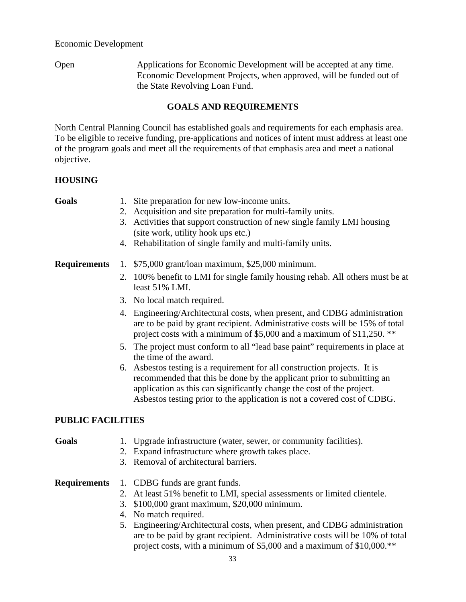#### Economic Development

Open Applications for Economic Development will be accepted at any time. Economic Development Projects, when approved, will be funded out of the State Revolving Loan Fund.

#### **GOALS AND REQUIREMENTS**

North Central Planning Council has established goals and requirements for each emphasis area. To be eligible to receive funding, pre-applications and notices of intent must address at least one of the program goals and meet all the requirements of that emphasis area and meet a national objective.

#### **HOUSING**

| oя |  |
|----|--|
|    |  |

- 1. Site preparation for new low-income units.
- 2. Acquisition and site preparation for multi-family units.
- 3. Activities that support construction of new single family LMI housing (site work, utility hook ups etc.)
- 4. Rehabilitation of single family and multi-family units.

#### **Requirements** 1. \$75,000 grant/loan maximum, \$25,000 minimum.

- 2. 100% benefit to LMI for single family housing rehab. All others must be at least 51% LMI.
- 3. No local match required.
- 4. Engineering/Architectural costs, when present, and CDBG administration are to be paid by grant recipient. Administrative costs will be 15% of total project costs with a minimum of \$5,000 and a maximum of \$11,250. \*\*
- 5. The project must conform to all "lead base paint" requirements in place at the time of the award.
- 6. Asbestos testing is a requirement for all construction projects. It is recommended that this be done by the applicant prior to submitting an application as this can significantly change the cost of the project. Asbestos testing prior to the application is not a covered cost of CDBG.

#### **PUBLIC FACILITIES**

- **Goals** 1. Upgrade infrastructure (water, sewer, or community facilities).
	- 2. Expand infrastructure where growth takes place.
	- 3. Removal of architectural barriers.

#### **Requirements** 1. CDBG funds are grant funds.

- 2. At least 51% benefit to LMI, special assessments or limited clientele.
- 3. \$100,000 grant maximum, \$20,000 minimum.
- 4. No match required.
- 5. Engineering/Architectural costs, when present, and CDBG administration are to be paid by grant recipient. Administrative costs will be 10% of total project costs, with a minimum of \$5,000 and a maximum of \$10,000.\*\*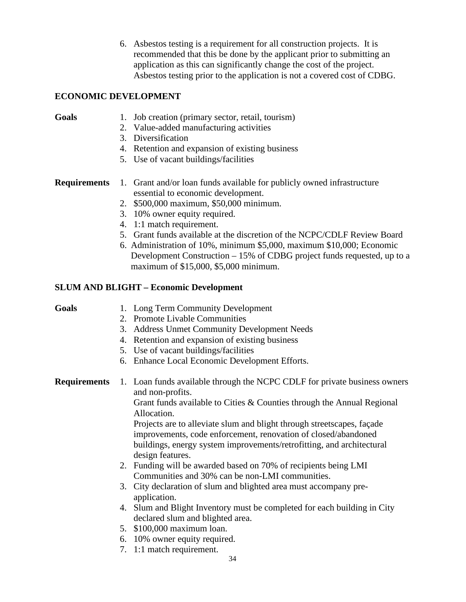6. Asbestos testing is a requirement for all construction projects. It is recommended that this be done by the applicant prior to submitting an application as this can significantly change the cost of the project. Asbestos testing prior to the application is not a covered cost of CDBG.

#### **ECONOMIC DEVELOPMENT**

- Goals 1. Job creation (primary sector, retail, tourism)
	- 2. Value-added manufacturing activities
	- 3. Diversification
	- 4. Retention and expansion of existing business
	- 5. Use of vacant buildings/facilities

#### **Requirements** 1. Grant and/or loan funds available for publicly owned infrastructure essential to economic development.

- 2. \$500,000 maximum, \$50,000 minimum.
- 3. 10% owner equity required.
- 4. 1:1 match requirement.
- 5. Grant funds available at the discretion of the NCPC/CDLF Review Board
- 6. Administration of 10%, minimum \$5,000, maximum \$10,000; Economic Development Construction – 15% of CDBG project funds requested, up to a maximum of \$15,000, \$5,000 minimum.

#### **SLUM AND BLIGHT – Economic Development**

- **Goals** 1. Long Term Community Development
	- 2. Promote Livable Communities
	- 3. Address Unmet Community Development Needs
	- 4. Retention and expansion of existing business
	- 5. Use of vacant buildings/facilities
	- 6. Enhance Local Economic Development Efforts.

**Requirements** 1. Loan funds available through the NCPC CDLF for private business owners and non-profits.

> Grant funds available to Cities & Counties through the Annual Regional Allocation.

Projects are to alleviate slum and blight through streetscapes, façade improvements, code enforcement, renovation of closed/abandoned buildings, energy system improvements/retrofitting, and architectural design features.

- 2. Funding will be awarded based on 70% of recipients being LMI Communities and 30% can be non-LMI communities.
- 3. City declaration of slum and blighted area must accompany preapplication.
- 4. Slum and Blight Inventory must be completed for each building in City declared slum and blighted area.
- 5. \$100,000 maximum loan.
- 6. 10% owner equity required.
- 7. 1:1 match requirement.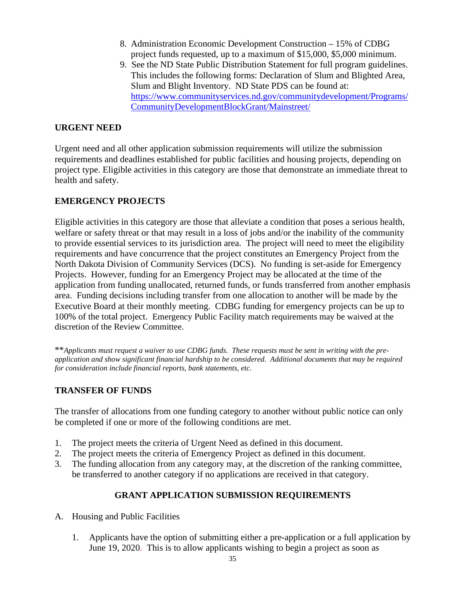- 8. Administration Economic Development Construction 15% of CDBG project funds requested, up to a maximum of \$15,000, \$5,000 minimum.
- 9. See the ND State Public Distribution Statement for full program guidelines. This includes the following forms: Declaration of Slum and Blighted Area, Slum and Blight Inventory. ND State PDS can be found at: [https://www.communityservices.nd.gov/communitydevelopment/Programs/](https://www.communityservices.nd.gov/communitydevelopment/Programs/CommunityDevelopmentBlockGrant/Mainstreet/) [CommunityDevelopmentBlockGrant/Mainstreet/](https://www.communityservices.nd.gov/communitydevelopment/Programs/CommunityDevelopmentBlockGrant/Mainstreet/)

#### **URGENT NEED**

Urgent need and all other application submission requirements will utilize the submission requirements and deadlines established for public facilities and housing projects, depending on project type. Eligible activities in this category are those that demonstrate an immediate threat to health and safety.

#### **EMERGENCY PROJECTS**

Eligible activities in this category are those that alleviate a condition that poses a serious health, welfare or safety threat or that may result in a loss of jobs and/or the inability of the community to provide essential services to its jurisdiction area. The project will need to meet the eligibility requirements and have concurrence that the project constitutes an Emergency Project from the North Dakota Division of Community Services (DCS). No funding is set-aside for Emergency Projects. However, funding for an Emergency Project may be allocated at the time of the application from funding unallocated, returned funds, or funds transferred from another emphasis area. Funding decisions including transfer from one allocation to another will be made by the Executive Board at their monthly meeting. CDBG funding for emergency projects can be up to 100% of the total project. Emergency Public Facility match requirements may be waived at the discretion of the Review Committee.

\*\**Applicants must request a waiver to use CDBG funds. These requests must be sent in writing with the preapplication and show significant financial hardship to be considered. Additional documents that may be required for consideration include financial reports, bank statements, etc.* 

#### **TRANSFER OF FUNDS**

The transfer of allocations from one funding category to another without public notice can only be completed if one or more of the following conditions are met.

- 1. The project meets the criteria of Urgent Need as defined in this document.
- 2. The project meets the criteria of Emergency Project as defined in this document.
- 3. The funding allocation from any category may, at the discretion of the ranking committee, be transferred to another category if no applications are received in that category.

### **GRANT APPLICATION SUBMISSION REQUIREMENTS**

- A. Housing and Public Facilities
	- 1. Applicants have the option of submitting either a pre-application or a full application by June 19, 2020. This is to allow applicants wishing to begin a project as soon as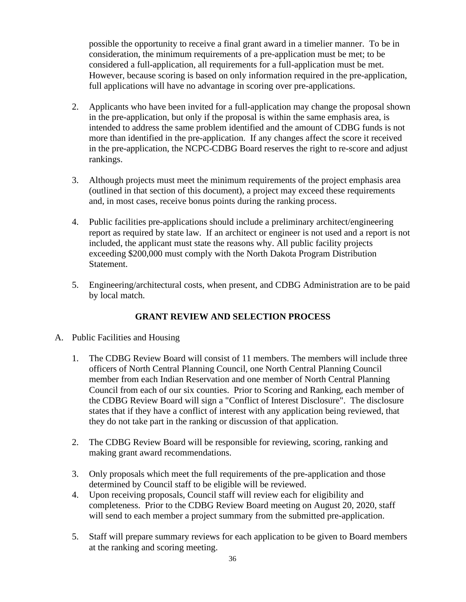possible the opportunity to receive a final grant award in a timelier manner. To be in consideration, the minimum requirements of a pre-application must be met; to be considered a full-application, all requirements for a full-application must be met. However, because scoring is based on only information required in the pre-application, full applications will have no advantage in scoring over pre-applications.

- 2. Applicants who have been invited for a full-application may change the proposal shown in the pre-application, but only if the proposal is within the same emphasis area, is intended to address the same problem identified and the amount of CDBG funds is not more than identified in the pre-application. If any changes affect the score it received in the pre-application, the NCPC-CDBG Board reserves the right to re-score and adjust rankings.
- 3. Although projects must meet the minimum requirements of the project emphasis area (outlined in that section of this document), a project may exceed these requirements and, in most cases, receive bonus points during the ranking process.
- 4. Public facilities pre-applications should include a preliminary architect/engineering report as required by state law. If an architect or engineer is not used and a report is not included, the applicant must state the reasons why. All public facility projects exceeding \$200,000 must comply with the North Dakota Program Distribution Statement.
- 5. Engineering/architectural costs, when present, and CDBG Administration are to be paid by local match.

### **GRANT REVIEW AND SELECTION PROCESS**

- A. Public Facilities and Housing
	- 1. The CDBG Review Board will consist of 11 members. The members will include three officers of North Central Planning Council, one North Central Planning Council member from each Indian Reservation and one member of North Central Planning Council from each of our six counties. Prior to Scoring and Ranking, each member of the CDBG Review Board will sign a "Conflict of Interest Disclosure". The disclosure states that if they have a conflict of interest with any application being reviewed, that they do not take part in the ranking or discussion of that application.
	- 2. The CDBG Review Board will be responsible for reviewing, scoring, ranking and making grant award recommendations.
	- 3. Only proposals which meet the full requirements of the pre-application and those determined by Council staff to be eligible will be reviewed.
	- 4. Upon receiving proposals, Council staff will review each for eligibility and completeness. Prior to the CDBG Review Board meeting on August 20, 2020, staff will send to each member a project summary from the submitted pre-application.
	- 5. Staff will prepare summary reviews for each application to be given to Board members at the ranking and scoring meeting.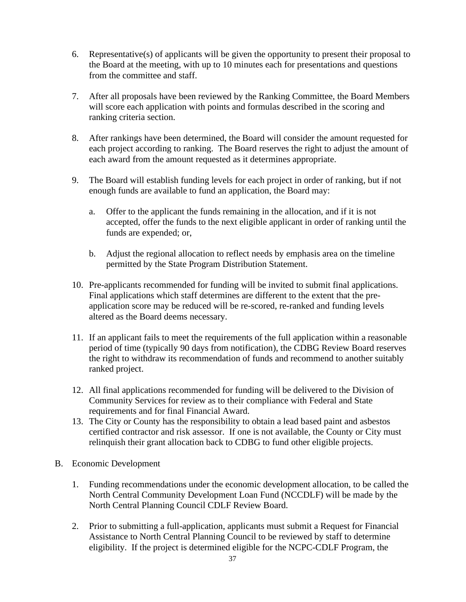- 6. Representative(s) of applicants will be given the opportunity to present their proposal to the Board at the meeting, with up to 10 minutes each for presentations and questions from the committee and staff.
- 7. After all proposals have been reviewed by the Ranking Committee, the Board Members will score each application with points and formulas described in the scoring and ranking criteria section.
- 8. After rankings have been determined, the Board will consider the amount requested for each project according to ranking. The Board reserves the right to adjust the amount of each award from the amount requested as it determines appropriate.
- 9. The Board will establish funding levels for each project in order of ranking, but if not enough funds are available to fund an application, the Board may:
	- a. Offer to the applicant the funds remaining in the allocation, and if it is not accepted, offer the funds to the next eligible applicant in order of ranking until the funds are expended; or,
	- b. Adjust the regional allocation to reflect needs by emphasis area on the timeline permitted by the State Program Distribution Statement.
- 10. Pre-applicants recommended for funding will be invited to submit final applications. Final applications which staff determines are different to the extent that the preapplication score may be reduced will be re-scored, re-ranked and funding levels altered as the Board deems necessary.
- 11. If an applicant fails to meet the requirements of the full application within a reasonable period of time (typically 90 days from notification), the CDBG Review Board reserves the right to withdraw its recommendation of funds and recommend to another suitably ranked project.
- 12. All final applications recommended for funding will be delivered to the Division of Community Services for review as to their compliance with Federal and State requirements and for final Financial Award.
- 13. The City or County has the responsibility to obtain a lead based paint and asbestos certified contractor and risk assessor. If one is not available, the County or City must relinquish their grant allocation back to CDBG to fund other eligible projects.
- B. Economic Development
	- 1. Funding recommendations under the economic development allocation, to be called the North Central Community Development Loan Fund (NCCDLF) will be made by the North Central Planning Council CDLF Review Board.
	- 2. Prior to submitting a full-application, applicants must submit a Request for Financial Assistance to North Central Planning Council to be reviewed by staff to determine eligibility. If the project is determined eligible for the NCPC-CDLF Program, the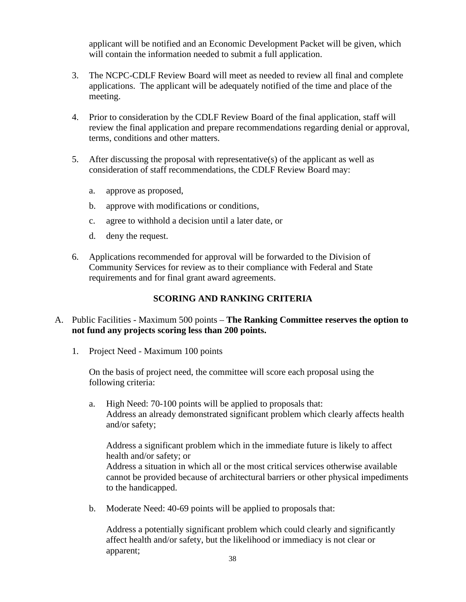applicant will be notified and an Economic Development Packet will be given, which will contain the information needed to submit a full application.

- 3. The NCPC-CDLF Review Board will meet as needed to review all final and complete applications. The applicant will be adequately notified of the time and place of the meeting.
- 4. Prior to consideration by the CDLF Review Board of the final application, staff will review the final application and prepare recommendations regarding denial or approval, terms, conditions and other matters.
- 5. After discussing the proposal with representative(s) of the applicant as well as consideration of staff recommendations, the CDLF Review Board may:
	- a. approve as proposed,
	- b. approve with modifications or conditions,
	- c. agree to withhold a decision until a later date, or
	- d. deny the request.
- 6. Applications recommended for approval will be forwarded to the Division of Community Services for review as to their compliance with Federal and State requirements and for final grant award agreements.

#### **SCORING AND RANKING CRITERIA**

#### A. Public Facilities - Maximum 500 points – **The Ranking Committee reserves the option to not fund any projects scoring less than 200 points.**

1. Project Need - Maximum 100 points

On the basis of project need, the committee will score each proposal using the following criteria:

a. High Need: 70-100 points will be applied to proposals that: Address an already demonstrated significant problem which clearly affects health and/or safety;

Address a significant problem which in the immediate future is likely to affect health and/or safety; or

Address a situation in which all or the most critical services otherwise available cannot be provided because of architectural barriers or other physical impediments to the handicapped.

b. Moderate Need: 40-69 points will be applied to proposals that:

Address a potentially significant problem which could clearly and significantly affect health and/or safety, but the likelihood or immediacy is not clear or apparent;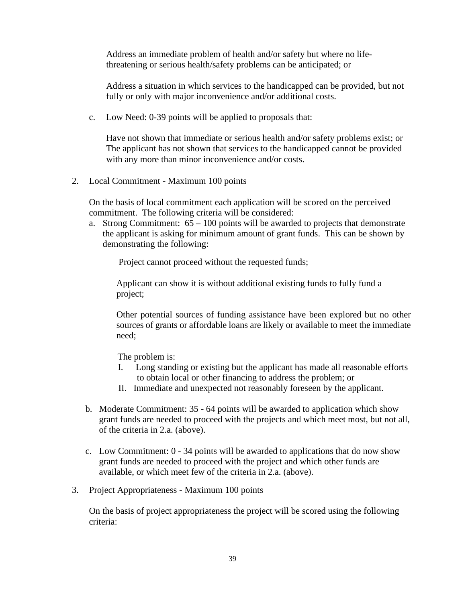Address an immediate problem of health and/or safety but where no lifethreatening or serious health/safety problems can be anticipated; or

Address a situation in which services to the handicapped can be provided, but not fully or only with major inconvenience and/or additional costs.

c. Low Need: 0-39 points will be applied to proposals that:

Have not shown that immediate or serious health and/or safety problems exist; or The applicant has not shown that services to the handicapped cannot be provided with any more than minor inconvenience and/or costs.

2. Local Commitment - Maximum 100 points

On the basis of local commitment each application will be scored on the perceived commitment. The following criteria will be considered:

a. Strong Commitment:  $65 - 100$  points will be awarded to projects that demonstrate the applicant is asking for minimum amount of grant funds. This can be shown by demonstrating the following:

Project cannot proceed without the requested funds;

Applicant can show it is without additional existing funds to fully fund a project;

Other potential sources of funding assistance have been explored but no other sources of grants or affordable loans are likely or available to meet the immediate need;

The problem is:

- I. Long standing or existing but the applicant has made all reasonable efforts to obtain local or other financing to address the problem; or
- II. Immediate and unexpected not reasonably foreseen by the applicant.
- b. Moderate Commitment: 35 64 points will be awarded to application which show grant funds are needed to proceed with the projects and which meet most, but not all, of the criteria in 2.a. (above).
- c. Low Commitment: 0 34 points will be awarded to applications that do now show grant funds are needed to proceed with the project and which other funds are available, or which meet few of the criteria in 2.a. (above).
- 3. Project Appropriateness Maximum 100 points

On the basis of project appropriateness the project will be scored using the following criteria: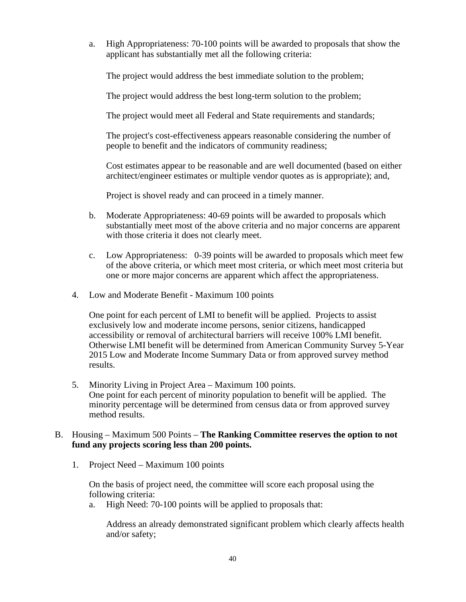a. High Appropriateness: 70-100 points will be awarded to proposals that show the applicant has substantially met all the following criteria:

The project would address the best immediate solution to the problem;

The project would address the best long-term solution to the problem;

The project would meet all Federal and State requirements and standards;

The project's cost-effectiveness appears reasonable considering the number of people to benefit and the indicators of community readiness;

Cost estimates appear to be reasonable and are well documented (based on either architect/engineer estimates or multiple vendor quotes as is appropriate); and,

Project is shovel ready and can proceed in a timely manner.

- b. Moderate Appropriateness: 40-69 points will be awarded to proposals which substantially meet most of the above criteria and no major concerns are apparent with those criteria it does not clearly meet.
- c. Low Appropriateness: 0-39 points will be awarded to proposals which meet few of the above criteria, or which meet most criteria, or which meet most criteria but one or more major concerns are apparent which affect the appropriateness.
- 4. Low and Moderate Benefit Maximum 100 points

One point for each percent of LMI to benefit will be applied. Projects to assist exclusively low and moderate income persons, senior citizens, handicapped accessibility or removal of architectural barriers will receive 100% LMI benefit. Otherwise LMI benefit will be determined from American Community Survey 5-Year 2015 Low and Moderate Income Summary Data or from approved survey method results.

5. Minority Living in Project Area – Maximum 100 points. One point for each percent of minority population to benefit will be applied. The minority percentage will be determined from census data or from approved survey method results.

#### B. Housing – Maximum 500 Points – **The Ranking Committee reserves the option to not fund any projects scoring less than 200 points.**

1. Project Need – Maximum 100 points

On the basis of project need, the committee will score each proposal using the following criteria:

a. High Need: 70-100 points will be applied to proposals that:

Address an already demonstrated significant problem which clearly affects health and/or safety;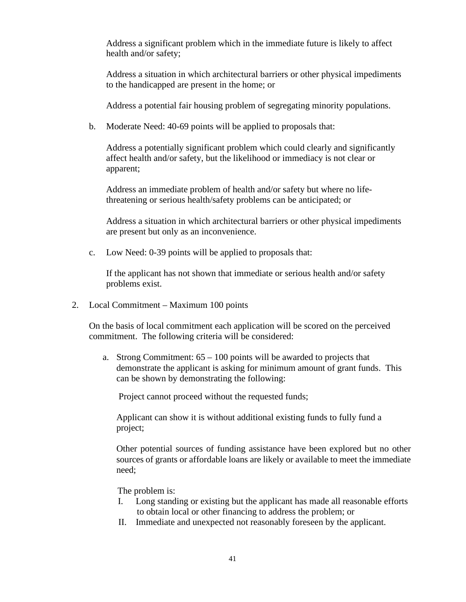Address a significant problem which in the immediate future is likely to affect health and/or safety;

Address a situation in which architectural barriers or other physical impediments to the handicapped are present in the home; or

Address a potential fair housing problem of segregating minority populations.

b. Moderate Need: 40-69 points will be applied to proposals that:

Address a potentially significant problem which could clearly and significantly affect health and/or safety, but the likelihood or immediacy is not clear or apparent;

Address an immediate problem of health and/or safety but where no lifethreatening or serious health/safety problems can be anticipated; or

Address a situation in which architectural barriers or other physical impediments are present but only as an inconvenience.

c. Low Need: 0-39 points will be applied to proposals that:

If the applicant has not shown that immediate or serious health and/or safety problems exist.

2. Local Commitment – Maximum 100 points

On the basis of local commitment each application will be scored on the perceived commitment. The following criteria will be considered:

a. Strong Commitment:  $65 - 100$  points will be awarded to projects that demonstrate the applicant is asking for minimum amount of grant funds. This can be shown by demonstrating the following:

Project cannot proceed without the requested funds;

Applicant can show it is without additional existing funds to fully fund a project;

Other potential sources of funding assistance have been explored but no other sources of grants or affordable loans are likely or available to meet the immediate need;

The problem is:

- I. Long standing or existing but the applicant has made all reasonable efforts to obtain local or other financing to address the problem; or
- II. Immediate and unexpected not reasonably foreseen by the applicant.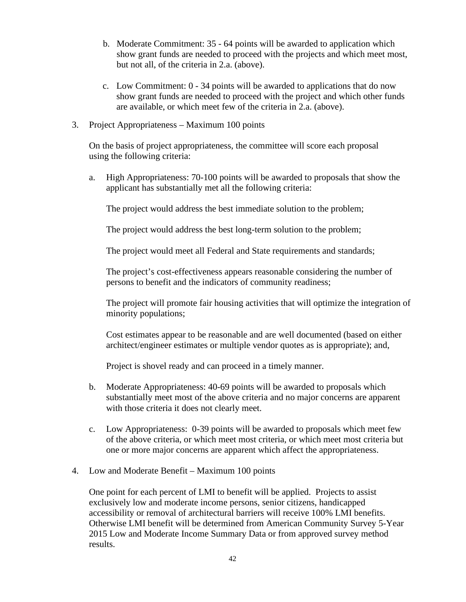- b. Moderate Commitment: 35 64 points will be awarded to application which show grant funds are needed to proceed with the projects and which meet most, but not all, of the criteria in 2.a. (above).
- c. Low Commitment: 0 34 points will be awarded to applications that do now show grant funds are needed to proceed with the project and which other funds are available, or which meet few of the criteria in 2.a. (above).
- 3. Project Appropriateness Maximum 100 points

On the basis of project appropriateness, the committee will score each proposal using the following criteria:

a. High Appropriateness: 70-100 points will be awarded to proposals that show the applicant has substantially met all the following criteria:

The project would address the best immediate solution to the problem;

The project would address the best long-term solution to the problem;

The project would meet all Federal and State requirements and standards;

The project's cost-effectiveness appears reasonable considering the number of persons to benefit and the indicators of community readiness;

The project will promote fair housing activities that will optimize the integration of minority populations;

Cost estimates appear to be reasonable and are well documented (based on either architect/engineer estimates or multiple vendor quotes as is appropriate); and,

Project is shovel ready and can proceed in a timely manner.

- b. Moderate Appropriateness: 40-69 points will be awarded to proposals which substantially meet most of the above criteria and no major concerns are apparent with those criteria it does not clearly meet.
- c. Low Appropriateness: 0-39 points will be awarded to proposals which meet few of the above criteria, or which meet most criteria, or which meet most criteria but one or more major concerns are apparent which affect the appropriateness.
- 4. Low and Moderate Benefit Maximum 100 points

One point for each percent of LMI to benefit will be applied. Projects to assist exclusively low and moderate income persons, senior citizens, handicapped accessibility or removal of architectural barriers will receive 100% LMI benefits. Otherwise LMI benefit will be determined from American Community Survey 5-Year 2015 Low and Moderate Income Summary Data or from approved survey method results.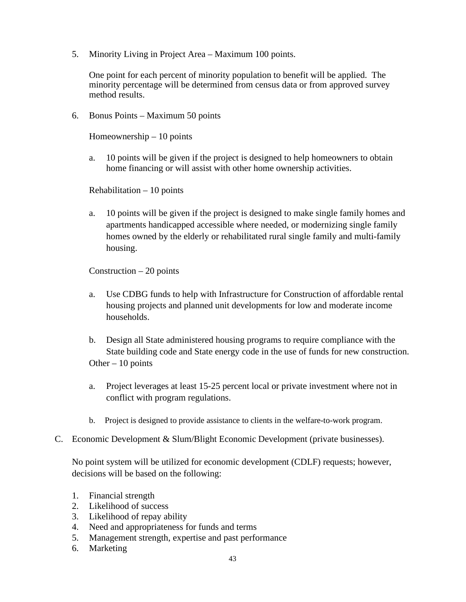5. Minority Living in Project Area – Maximum 100 points.

One point for each percent of minority population to benefit will be applied. The minority percentage will be determined from census data or from approved survey method results.

6. Bonus Points – Maximum 50 points

Homeownership – 10 points

a. 10 points will be given if the project is designed to help homeowners to obtain home financing or will assist with other home ownership activities.

Rehabilitation – 10 points

a. 10 points will be given if the project is designed to make single family homes and apartments handicapped accessible where needed, or modernizing single family homes owned by the elderly or rehabilitated rural single family and multi-family housing.

Construction  $-20$  points

- a. Use CDBG funds to help with Infrastructure for Construction of affordable rental housing projects and planned unit developments for low and moderate income households.
- b. Design all State administered housing programs to require compliance with the State building code and State energy code in the use of funds for new construction. Other  $-10$  points
- a. Project leverages at least 15-25 percent local or private investment where not in conflict with program regulations.
- b. Project is designed to provide assistance to clients in the welfare-to-work program.
- C. Economic Development & Slum/Blight Economic Development (private businesses).

No point system will be utilized for economic development (CDLF) requests; however, decisions will be based on the following:

- 1. Financial strength
- 2. Likelihood of success
- 3. Likelihood of repay ability
- 4. Need and appropriateness for funds and terms
- 5. Management strength, expertise and past performance
- 6. Marketing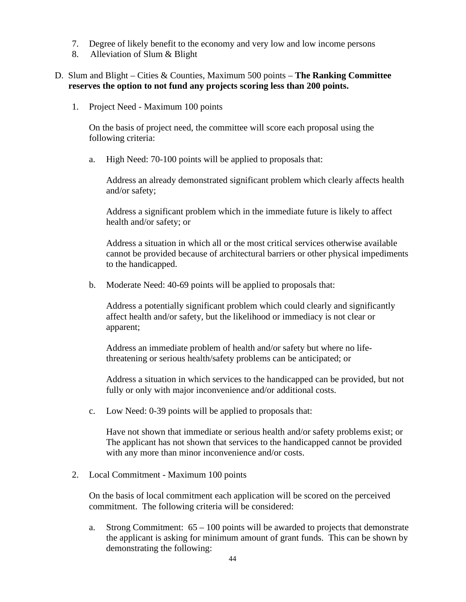- 7. Degree of likely benefit to the economy and very low and low income persons
- 8. Alleviation of Slum & Blight

#### D. Slum and Blight – Cities & Counties, Maximum 500 points – **The Ranking Committee reserves the option to not fund any projects scoring less than 200 points.**

1. Project Need - Maximum 100 points

On the basis of project need, the committee will score each proposal using the following criteria:

a. High Need: 70-100 points will be applied to proposals that:

Address an already demonstrated significant problem which clearly affects health and/or safety;

Address a significant problem which in the immediate future is likely to affect health and/or safety; or

Address a situation in which all or the most critical services otherwise available cannot be provided because of architectural barriers or other physical impediments to the handicapped.

b. Moderate Need: 40-69 points will be applied to proposals that:

Address a potentially significant problem which could clearly and significantly affect health and/or safety, but the likelihood or immediacy is not clear or apparent;

Address an immediate problem of health and/or safety but where no lifethreatening or serious health/safety problems can be anticipated; or

Address a situation in which services to the handicapped can be provided, but not fully or only with major inconvenience and/or additional costs.

c. Low Need: 0-39 points will be applied to proposals that:

Have not shown that immediate or serious health and/or safety problems exist; or The applicant has not shown that services to the handicapped cannot be provided with any more than minor inconvenience and/or costs.

2. Local Commitment - Maximum 100 points

On the basis of local commitment each application will be scored on the perceived commitment. The following criteria will be considered:

a. Strong Commitment:  $65 - 100$  points will be awarded to projects that demonstrate the applicant is asking for minimum amount of grant funds. This can be shown by demonstrating the following: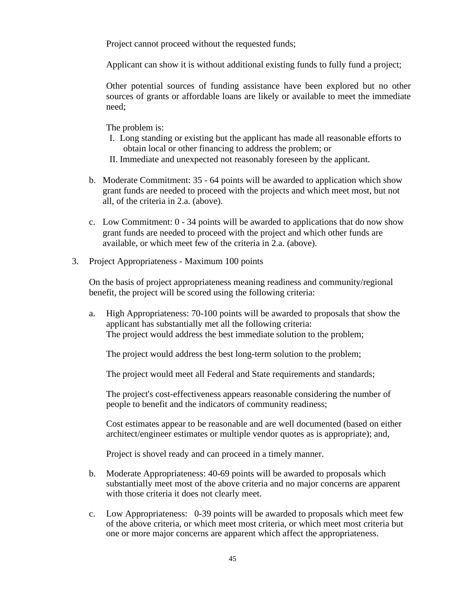Project cannot proceed without the requested funds;

Applicant can show it is without additional existing funds to fully fund a project;

Other potential sources of funding assistance have been explored but no other sources of grants or affordable loans are likely or available to meet the immediate need;

The problem is:

- I. Long standing or existing but the applicant has made all reasonable efforts to obtain local or other financing to address the problem; or
- II. Immediate and unexpected not reasonably foreseen by the applicant.
- b. Moderate Commitment: 35 64 points will be awarded to application which show grant funds are needed to proceed with the projects and which meet most, but not all, of the criteria in 2.a. (above).
- c. Low Commitment: 0 34 points will be awarded to applications that do now show grant funds are needed to proceed with the project and which other funds are available, or which meet few of the criteria in 2.a. (above).
- 3. Project Appropriateness Maximum 100 points

On the basis of project appropriateness meaning readiness and community/regional benefit, the project will be scored using the following criteria:

a. High Appropriateness: 70-100 points will be awarded to proposals that show the applicant has substantially met all the following criteria: The project would address the best immediate solution to the problem;

The project would address the best long-term solution to the problem;

The project would meet all Federal and State requirements and standards;

The project's cost-effectiveness appears reasonable considering the number of people to benefit and the indicators of community readiness;

Cost estimates appear to be reasonable and are well documented (based on either architect/engineer estimates or multiple vendor quotes as is appropriate); and,

Project is shovel ready and can proceed in a timely manner.

- b. Moderate Appropriateness: 40-69 points will be awarded to proposals which substantially meet most of the above criteria and no major concerns are apparent with those criteria it does not clearly meet.
- c. Low Appropriateness: 0-39 points will be awarded to proposals which meet few of the above criteria, or which meet most criteria, or which meet most criteria but one or more major concerns are apparent which affect the appropriateness.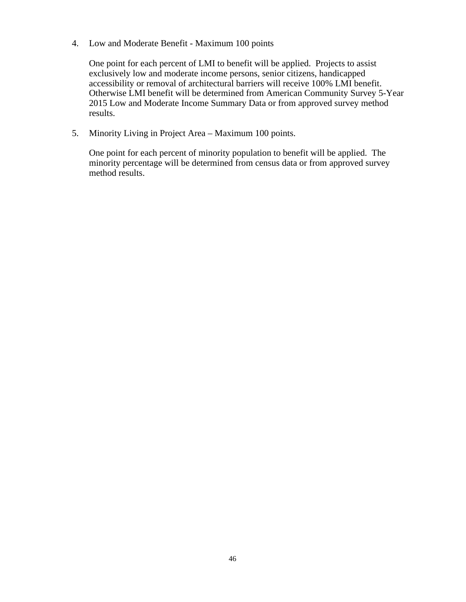4. Low and Moderate Benefit - Maximum 100 points

One point for each percent of LMI to benefit will be applied. Projects to assist exclusively low and moderate income persons, senior citizens, handicapped accessibility or removal of architectural barriers will receive 100% LMI benefit. Otherwise LMI benefit will be determined from American Community Survey 5-Year 2015 Low and Moderate Income Summary Data or from approved survey method results.

5. Minority Living in Project Area – Maximum 100 points.

One point for each percent of minority population to benefit will be applied. The minority percentage will be determined from census data or from approved survey method results.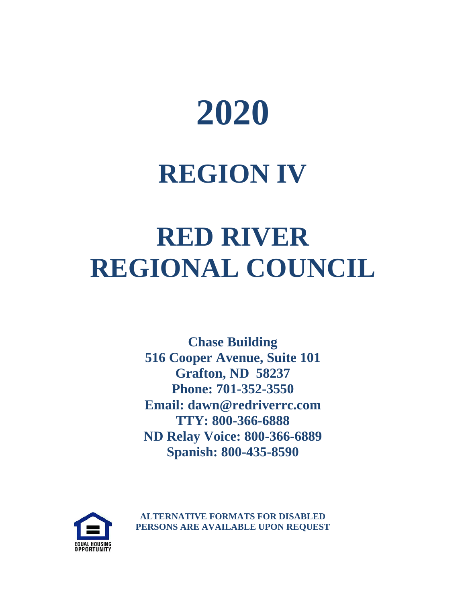

## **REGION IV**

## **RED RIVER REGIONAL COUNCIL**

**Chase Building 516 Cooper Avenue, Suite 101 Grafton, ND 58237 Phone: 701-352-3550 Email: dawn@redriverrc.com TTY: 800-366-6888 ND Relay Voice: 800-366-6889 Spanish: 800-435-8590**



**ALTERNATIVE FORMATS FOR DISABLED PERSONS ARE AVAILABLE UPON REQUEST**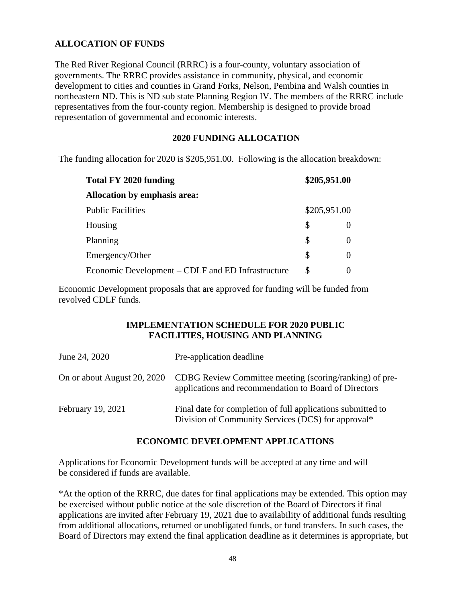# **ALLOCATION OF FUNDS**

The Red River Regional Council (RRRC) is a four-county, voluntary association of governments. The RRRC provides assistance in community, physical, and economic development to cities and counties in Grand Forks, Nelson, Pembina and Walsh counties in northeastern ND. This is ND sub state Planning Region IV. The members of the RRRC include representatives from the four-county region. Membership is designed to provide broad representation of governmental and economic interests.

#### **2020 FUNDING ALLOCATION**

The funding allocation for 2020 is \$205,951.00. Following is the allocation breakdown:

| Total FY 2020 funding                             | \$205,951.00 |
|---------------------------------------------------|--------------|
| Allocation by emphasis area:                      |              |
| <b>Public Facilities</b>                          | \$205,951.00 |
| Housing                                           | \$           |
| Planning                                          | \$           |
| Emergency/Other                                   | \$           |
| Economic Development – CDLF and ED Infrastructure | \$           |

Economic Development proposals that are approved for funding will be funded from revolved CDLF funds.

#### **IMPLEMENTATION SCHEDULE FOR 2020 PUBLIC FACILITIES, HOUSING AND PLANNING**

| June 24, 2020               | Pre-application deadline                                                                                          |
|-----------------------------|-------------------------------------------------------------------------------------------------------------------|
| On or about August 20, 2020 | CDBG Review Committee meeting (scoring/ranking) of pre-<br>applications and recommendation to Board of Directors  |
| February 19, 2021           | Final date for completion of full applications submitted to<br>Division of Community Services (DCS) for approval* |

#### **ECONOMIC DEVELOPMENT APPLICATIONS**

Applications for Economic Development funds will be accepted at any time and will be considered if funds are available.

\*At the option of the RRRC, due dates for final applications may be extended. This option may be exercised without public notice at the sole discretion of the Board of Directors if final applications are invited after February 19, 2021 due to availability of additional funds resulting from additional allocations, returned or unobligated funds, or fund transfers. In such cases, the Board of Directors may extend the final application deadline as it determines is appropriate, but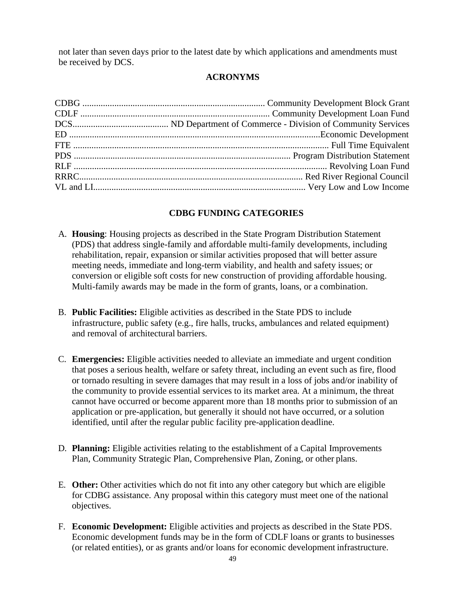not later than seven days prior to the latest date by which applications and amendments must be received by DCS.

# **ACRONYMS**

# **CDBG FUNDING CATEGORIES**

- A. **Housing**: Housing projects as described in the State Program Distribution Statement (PDS) that address single-family and affordable multi-family developments, including rehabilitation, repair, expansion or similar activities proposed that will better assure meeting needs, immediate and long-term viability, and health and safety issues; or conversion or eligible soft costs for new construction of providing affordable housing. Multi-family awards may be made in the form of grants, loans, or a combination.
- B. **Public Facilities:** Eligible activities as described in the State PDS to include infrastructure, public safety (e.g., fire halls, trucks, ambulances and related equipment) and removal of architectural barriers.
- C. **Emergencies:** Eligible activities needed to alleviate an immediate and urgent condition that poses a serious health, welfare or safety threat, including an event such as fire, flood or tornado resulting in severe damages that may result in a loss of jobs and/or inability of the community to provide essential services to its market area. At a minimum, the threat cannot have occurred or become apparent more than 18 months prior to submission of an application or pre-application, but generally it should not have occurred, or a solution identified, until after the regular public facility pre-application deadline.
- D. **Planning:** Eligible activities relating to the establishment of a Capital Improvements Plan, Community Strategic Plan, Comprehensive Plan, Zoning, or other plans.
- E. **Other:** Other activities which do not fit into any other category but which are eligible for CDBG assistance. Any proposal within this category must meet one of the national objectives.
- F. **Economic Development:** Eligible activities and projects as described in the State PDS. Economic development funds may be in the form of CDLF loans or grants to businesses (or related entities), or as grants and/or loans for economic development infrastructure.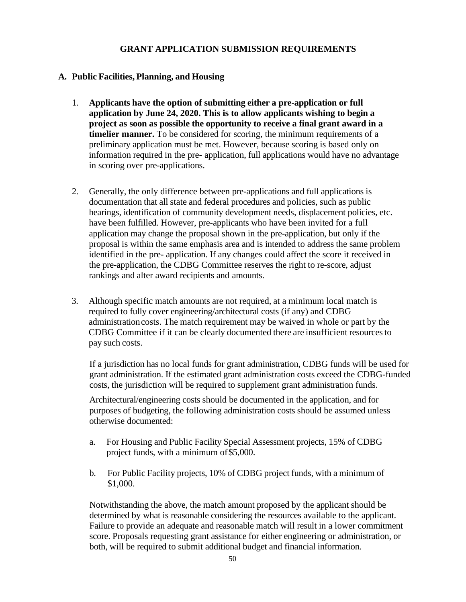#### **GRANT APPLICATION SUBMISSION REQUIREMENTS**

#### **A. Public Facilities, Planning, and Housing**

- 1. **Applicants have the option of submitting either a pre-application or full application by June 24, 2020. This is to allow applicants wishing to begin a project as soon as possible the opportunity to receive a final grant award in a timelier manner.** To be considered for scoring, the minimum requirements of a preliminary application must be met. However, because scoring is based only on information required in the pre- application, full applications would have no advantage in scoring over pre-applications.
- 2. Generally, the only difference between pre-applications and full applications is documentation that all state and federal procedures and policies, such as public hearings, identification of community development needs, displacement policies, etc. have been fulfilled. However, pre-applicants who have been invited for a full application may change the proposal shown in the pre-application, but only if the proposal is within the same emphasis area and is intended to address the same problem identified in the pre- application. If any changes could affect the score it received in the pre-application, the CDBG Committee reserves the right to re-score, adjust rankings and alter award recipients and amounts.
- 3. Although specific match amounts are not required, at a minimum local match is required to fully cover engineering/architectural costs (if any) and CDBG administrationcosts. The match requirement may be waived in whole or part by the CDBG Committee if it can be clearly documented there are insufficient resourcesto pay such costs.

If a jurisdiction has no local funds for grant administration, CDBG funds will be used for grant administration. If the estimated grant administration costs exceed the CDBG-funded costs, the jurisdiction will be required to supplement grant administration funds.

Architectural/engineering costs should be documented in the application, and for purposes of budgeting, the following administration costs should be assumed unless otherwise documented:

- a. For Housing and Public Facility Special Assessment projects, 15% of CDBG project funds, with a minimum of\$5,000.
- b. For Public Facility projects, 10% of CDBG project funds, with a minimum of \$1,000.

Notwithstanding the above, the match amount proposed by the applicant should be determined by what is reasonable considering the resources available to the applicant. Failure to provide an adequate and reasonable match will result in a lower commitment score. Proposals requesting grant assistance for either engineering or administration, or both, will be required to submit additional budget and financial information.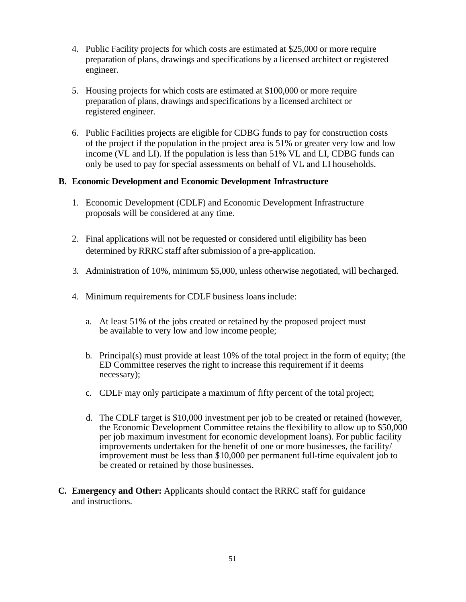- 4. Public Facility projects for which costs are estimated at \$25,000 or more require preparation of plans, drawings and specifications by a licensed architect or registered engineer.
- 5. Housing projects for which costs are estimated at \$100,000 or more require preparation of plans, drawings and specifications by a licensed architect or registered engineer.
- 6. Public Facilities projects are eligible for CDBG funds to pay for construction costs of the project if the population in the project area is 51% or greater very low and low income (VL and LI). If the population is less than 51% VL and LI, CDBG funds can only be used to pay for special assessments on behalf of VL and LI households.

#### **B. Economic Development and Economic Development Infrastructure**

- 1. Economic Development (CDLF) and Economic Development Infrastructure proposals will be considered at any time.
- 2. Final applications will not be requested or considered until eligibility has been determined by RRRC staff after submission of a pre-application.
- 3. Administration of 10%, minimum \$5,000, unless otherwise negotiated, will becharged.
- 4. Minimum requirements for CDLF business loans include:
	- a. At least 51% of the jobs created or retained by the proposed project must be available to very low and low income people;
	- b. Principal(s) must provide at least 10% of the total project in the form of equity; (the ED Committee reserves the right to increase this requirement if it deems necessary);
	- c. CDLF may only participate a maximum of fifty percent of the total project;
	- d. The CDLF target is \$10,000 investment per job to be created or retained (however, the Economic Development Committee retains the flexibility to allow up to \$50,000 per job maximum investment for economic development loans). For public facility improvements undertaken for the benefit of one or more businesses, the facility/ improvement must be less than \$10,000 per permanent full-time equivalent job to be created or retained by those businesses.
- **C. Emergency and Other:** Applicants should contact the RRRC staff for guidance and instructions.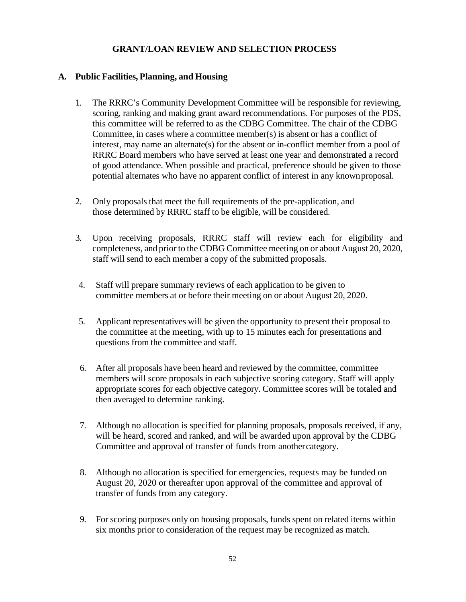# **GRANT/LOAN REVIEW AND SELECTION PROCESS**

#### **A. Public Facilities, Planning, and Housing**

- 1. The RRRC's Community Development Committee will be responsible for reviewing, scoring, ranking and making grant award recommendations. For purposes of the PDS, this committee will be referred to as the CDBG Committee. The chair of the CDBG Committee, in cases where a committee member(s) is absent or has a conflict of interest, may name an alternate(s) for the absent or in-conflict member from a pool of RRRC Board members who have served at least one year and demonstrated a record of good attendance. When possible and practical, preference should be given to those potential alternates who have no apparent conflict of interest in any knownproposal.
- 2. Only proposals that meet the full requirements of the pre-application, and those determined by RRRC staff to be eligible, will be considered.
- 3. Upon receiving proposals, RRRC staff will review each for eligibility and completeness, and prior to the CDBG Committee meeting on or about August 20, 2020, staff will send to each member a copy of the submitted proposals.
- 4. Staff will prepare summary reviews of each application to be given to committee members at or before their meeting on or about August 20, 2020.
- 5. Applicant representatives will be given the opportunity to present their proposal to the committee at the meeting, with up to 15 minutes each for presentations and questions from the committee and staff.
- 6. After all proposals have been heard and reviewed by the committee, committee members will score proposals in each subjective scoring category. Staff will apply appropriate scores for each objective category. Committee scores will be totaled and then averaged to determine ranking.
- 7. Although no allocation is specified for planning proposals, proposals received, if any, will be heard, scored and ranked, and will be awarded upon approval by the CDBG Committee and approval of transfer of funds from anothercategory.
- 8. Although no allocation is specified for emergencies, requests may be funded on August 20, 2020 or thereafter upon approval of the committee and approval of transfer of funds from any category.
- 9. For scoring purposes only on housing proposals, funds spent on related items within six months prior to consideration of the request may be recognized as match.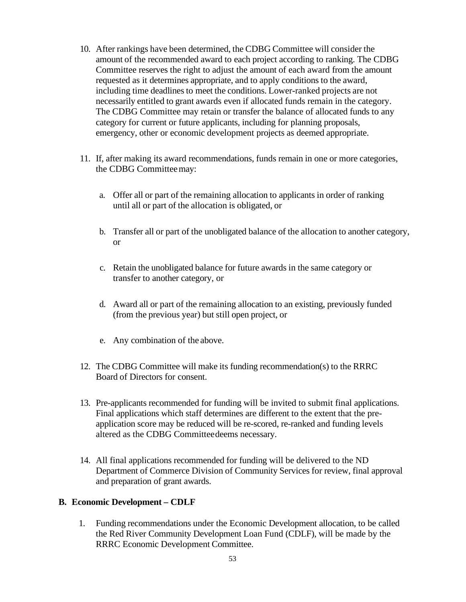- 10. After rankings have been determined, the CDBG Committee will consider the amount of the recommended award to each project according to ranking. The CDBG Committee reserves the right to adjust the amount of each award from the amount requested as it determines appropriate, and to apply conditions to the award, including time deadlines to meet the conditions. Lower-ranked projects are not necessarily entitled to grant awards even if allocated funds remain in the category. The CDBG Committee may retain or transfer the balance of allocated funds to any category for current or future applicants, including for planning proposals, emergency, other or economic development projects as deemed appropriate.
- 11. If, after making its award recommendations, funds remain in one or more categories, the CDBG Committeemay:
	- a. Offer all or part of the remaining allocation to applicants in order of ranking until all or part of the allocation is obligated, or
	- b. Transfer all or part of the unobligated balance of the allocation to another category, or
	- c. Retain the unobligated balance for future awards in the same category or transfer to another category, or
	- d. Award all or part of the remaining allocation to an existing, previously funded (from the previous year) but still open project, or
	- e. Any combination of the above.
- 12. The CDBG Committee will make its funding recommendation(s) to the RRRC Board of Directors for consent.
- 13. Pre-applicants recommended for funding will be invited to submit final applications. Final applications which staff determines are different to the extent that the preapplication score may be reduced will be re-scored, re-ranked and funding levels altered as the CDBG Committeedeems necessary.
- 14. All final applications recommended for funding will be delivered to the ND Department of Commerce Division of Community Services for review, final approval and preparation of grant awards.

#### **B. Economic Development – CDLF**

1. Funding recommendations under the Economic Development allocation, to be called the Red River Community Development Loan Fund (CDLF), will be made by the RRRC Economic Development Committee.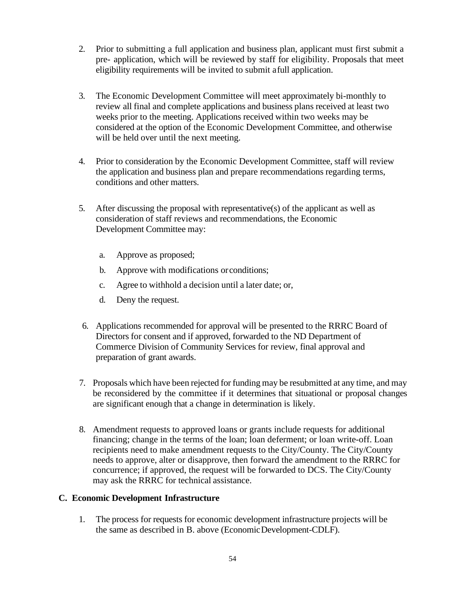- 2. Prior to submitting a full application and business plan, applicant must first submit a pre- application, which will be reviewed by staff for eligibility. Proposals that meet eligibility requirements will be invited to submit afull application.
- 3. The Economic Development Committee will meet approximately bi-monthly to review all final and complete applications and business plans received at least two weeks prior to the meeting. Applications received within two weeks may be considered at the option of the Economic Development Committee, and otherwise will be held over until the next meeting.
- 4. Prior to consideration by the Economic Development Committee, staff will review the application and business plan and prepare recommendations regarding terms, conditions and other matters.
- 5. After discussing the proposal with representative(s) of the applicant as well as consideration of staff reviews and recommendations, the Economic Development Committee may:
	- a. Approve as proposed;
	- b. Approve with modifications orconditions;
	- c. Agree to withhold a decision until a later date; or,
	- d. Deny the request.
- 6. Applications recommended for approval will be presented to the RRRC Board of Directors for consent and if approved, forwarded to the ND Department of Commerce Division of Community Services for review, final approval and preparation of grant awards.
- 7. Proposals which have been rejected for funding may be resubmitted at any time, and may be reconsidered by the committee if it determines that situational or proposal changes are significant enough that a change in determination is likely.
- 8. Amendment requests to approved loans or grants include requests for additional financing; change in the terms of the loan; loan deferment; or loan write-off. Loan recipients need to make amendment requests to the City/County. The City/County needs to approve, alter or disapprove, then forward the amendment to the RRRC for concurrence; if approved, the request will be forwarded to DCS. The City/County may ask the RRRC for technical assistance.

#### **C. Economic Development Infrastructure**

1. The process for requests for economic development infrastructure projects will be the same as described in B. above (EconomicDevelopment-CDLF).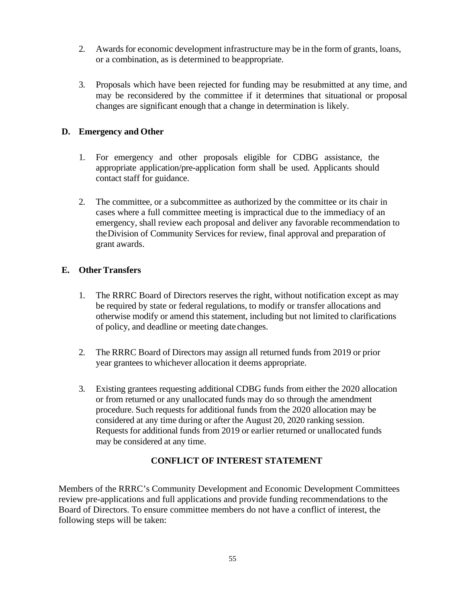- 2. Awards for economic development infrastructure may be in the form of grants, loans, or a combination, as is determined to beappropriate.
- 3. Proposals which have been rejected for funding may be resubmitted at any time, and may be reconsidered by the committee if it determines that situational or proposal changes are significant enough that a change in determination is likely.

# **D. Emergency and Other**

- 1. For emergency and other proposals eligible for CDBG assistance, the appropriate application/pre-application form shall be used. Applicants should contact staff for guidance.
- 2. The committee, or a subcommittee as authorized by the committee or its chair in cases where a full committee meeting is impractical due to the immediacy of an emergency, shall review each proposal and deliver any favorable recommendation to theDivision of Community Services for review, final approval and preparation of grant awards.

# **E. OtherTransfers**

- 1. The RRRC Board of Directors reserves the right, without notification except as may be required by state or federal regulations, to modify or transfer allocations and otherwise modify or amend this statement, including but not limited to clarifications of policy, and deadline or meeting date changes.
- 2. The RRRC Board of Directors may assign all returned funds from 2019 or prior year grantees to whichever allocation it deems appropriate.
- 3. Existing grantees requesting additional CDBG funds from either the 2020 allocation or from returned or any unallocated funds may do so through the amendment procedure. Such requests for additional funds from the 2020 allocation may be considered at any time during or after the August 20, 2020 ranking session. Requests for additional funds from 2019 or earlier returned or unallocated funds may be considered at any time.

# **CONFLICT OF INTEREST STATEMENT**

Members of the RRRC's Community Development and Economic Development Committees review pre-applications and full applications and provide funding recommendations to the Board of Directors. To ensure committee members do not have a conflict of interest, the following steps will be taken: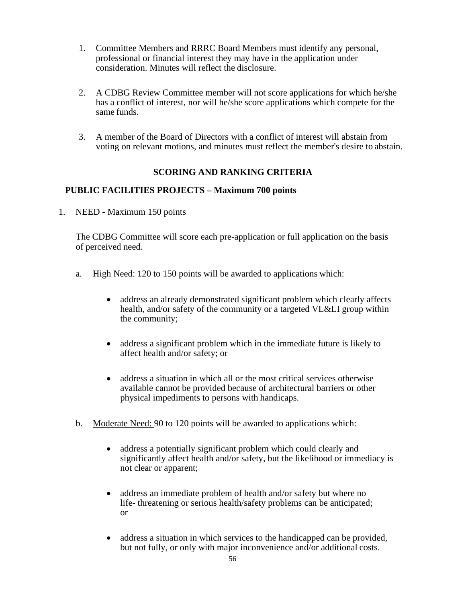- 1. Committee Members and RRRC Board Members must identify any personal, professional or financial interest they may have in the application under consideration. Minutes will reflect the disclosure.
- 2. A CDBG Review Committee member will not score applications for which he/she has a conflict of interest, nor will he/she score applications which compete for the same funds.
- 3. A member of the Board of Directors with a conflict of interest will abstain from voting on relevant motions, and minutes must reflect the member's desire to abstain.

#### **SCORING AND RANKING CRITERIA**

#### **PUBLIC FACILITIES PROJECTS – Maximum 700 points**

1. NEED - Maximum 150 points

The CDBG Committee will score each pre-application or full application on the basis of perceived need.

- a. High Need: 120 to 150 points will be awarded to applications which:
	- address an already demonstrated significant problem which clearly affects health, and/or safety of the community or a targeted VL&LI group within the community;
	- address a significant problem which in the immediate future is likely to affect health and/or safety; or
	- address a situation in which all or the most critical services otherwise available cannot be provided because of architectural barriers or other physical impediments to persons with handicaps.
- b. Moderate Need: 90 to 120 points will be awarded to applications which:
	- address a potentially significant problem which could clearly and significantly affect health and/or safety, but the likelihood or immediacy is not clear or apparent;
	- address an immediate problem of health and/or safety but where no life- threatening or serious health/safety problems can be anticipated; or
	- address a situation in which services to the handicapped can be provided, but not fully, or only with major inconvenience and/or additional costs.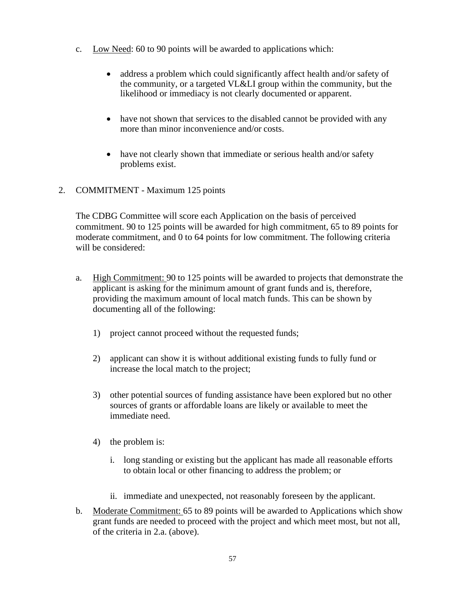- c. Low Need: 60 to 90 points will be awarded to applications which:
	- address a problem which could significantly affect health and/or safety of the community, or a targeted VL&LI group within the community, but the likelihood or immediacy is not clearly documented or apparent.
	- have not shown that services to the disabled cannot be provided with any more than minor inconvenience and/or costs.
	- have not clearly shown that immediate or serious health and/or safety problems exist.
- 2. COMMITMENT Maximum 125 points

The CDBG Committee will score each Application on the basis of perceived commitment. 90 to 125 points will be awarded for high commitment, 65 to 89 points for moderate commitment, and 0 to 64 points for low commitment. The following criteria will be considered:

- a. High Commitment: 90 to 125 points will be awarded to projects that demonstrate the applicant is asking for the minimum amount of grant funds and is, therefore, providing the maximum amount of local match funds. This can be shown by documenting all of the following:
	- 1) project cannot proceed without the requested funds;
	- 2) applicant can show it is without additional existing funds to fully fund or increase the local match to the project;
	- 3) other potential sources of funding assistance have been explored but no other sources of grants or affordable loans are likely or available to meet the immediate need.
	- 4) the problem is:
		- i. long standing or existing but the applicant has made all reasonable efforts to obtain local or other financing to address the problem; or
		- ii. immediate and unexpected, not reasonably foreseen by the applicant.
- b. Moderate Commitment: 65 to 89 points will be awarded to Applications which show grant funds are needed to proceed with the project and which meet most, but not all, of the criteria in 2.a. (above).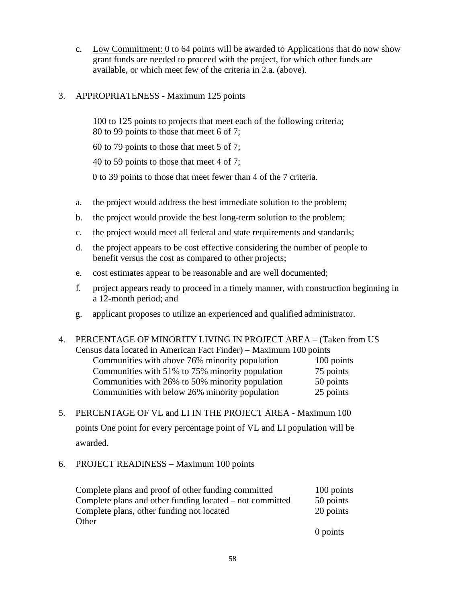- c. Low Commitment: 0 to 64 points will be awarded to Applications that do now show grant funds are needed to proceed with the project, for which other funds are available, or which meet few of the criteria in 2.a. (above).
- 3. APPROPRIATENESS Maximum 125 points

100 to 125 points to projects that meet each of the following criteria; 80 to 99 points to those that meet 6 of 7;

60 to 79 points to those that meet 5 of 7;

40 to 59 points to those that meet 4 of 7;

0 to 39 points to those that meet fewer than 4 of the 7 criteria.

- a. the project would address the best immediate solution to the problem;
- b. the project would provide the best long-term solution to the problem;
- c. the project would meet all federal and state requirements and standards;
- d. the project appears to be cost effective considering the number of people to benefit versus the cost as compared to other projects;
- e. cost estimates appear to be reasonable and are well documented;
- f. project appears ready to proceed in a timely manner, with construction beginning in a 12-month period; and
- g. applicant proposes to utilize an experienced and qualified administrator.

# 4. PERCENTAGE OF MINORITY LIVING IN PROJECT AREA – (Taken from US Census data located in American Fact Finder) – Maximum 100 points

| Communities with above 76% minority population  | 100 points |
|-------------------------------------------------|------------|
| Communities with 51% to 75% minority population | 75 points  |
| Communities with 26% to 50% minority population | 50 points  |
| Communities with below 26% minority population  | 25 points  |

- 5. PERCENTAGE OF VL and LI IN THE PROJECT AREA Maximum 100 points One point for every percentage point of VL and LI population will be awarded.
- 6. PROJECT READINESS Maximum 100 points

| Complete plans and proof of other funding committed      | 100 points |
|----------------------------------------------------------|------------|
| Complete plans and other funding located – not committed | 50 points  |
| Complete plans, other funding not located                | 20 points  |
| Other                                                    |            |
|                                                          | 0 points   |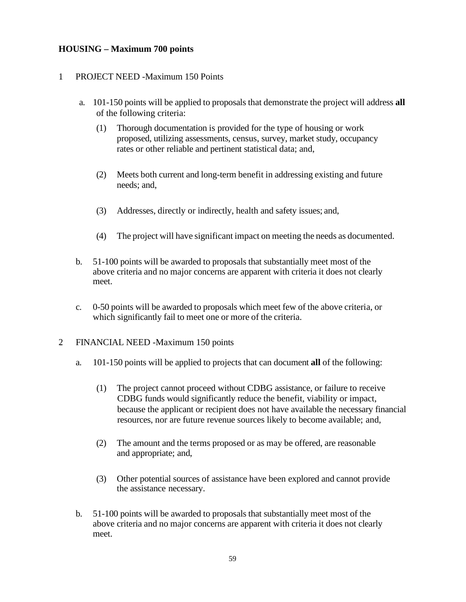# **HOUSING – Maximum 700 points**

#### 1. PROJECT NEED -Maximum 150 Points

- a. 101-150 points will be applied to proposals that demonstrate the project will address **all** of the following criteria:
	- (1) Thorough documentation is provided for the type of housing or work proposed, utilizing assessments, census, survey, market study, occupancy rates or other reliable and pertinent statistical data; and,
	- (2) Meets both current and long-term benefit in addressing existing and future needs; and,
	- (3) Addresses, directly or indirectly, health and safety issues; and,
	- (4) The project will have significant impact on meeting the needs as documented.
- b. 51-100 points will be awarded to proposals that substantially meet most of the above criteria and no major concerns are apparent with criteria it does not clearly meet.
- c. 0-50 points will be awarded to proposals which meet few of the above criteria, or which significantly fail to meet one or more of the criteria.
- 2. FINANCIAL NEED -Maximum 150 points
	- a. 101-150 points will be applied to projects that can document **all** of the following:
		- (1) The project cannot proceed without CDBG assistance, or failure to receive CDBG funds would significantly reduce the benefit, viability or impact, because the applicant or recipient does not have available the necessary financial resources, nor are future revenue sources likely to become available; and,
		- (2) The amount and the terms proposed or as may be offered, are reasonable and appropriate; and,
		- (3) Other potential sources of assistance have been explored and cannot provide the assistance necessary.
	- b. 51-100 points will be awarded to proposals that substantially meet most of the above criteria and no major concerns are apparent with criteria it does not clearly meet.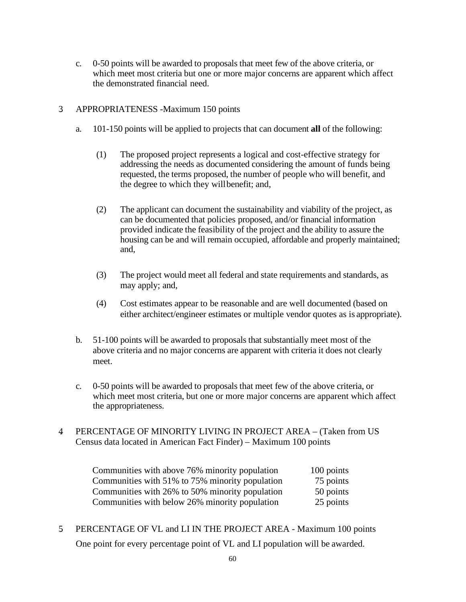c. 0-50 points will be awarded to proposals that meet few of the above criteria, or which meet most criteria but one or more major concerns are apparent which affect the demonstrated financial need.

#### 3. APPROPRIATENESS -Maximum 150 points

- a. 101-150 points will be applied to projects that can document **all** of the following:
	- (1) The proposed project represents a logical and cost-effective strategy for addressing the needs as documented considering the amount of funds being requested, the terms proposed, the number of people who will benefit, and the degree to which they willbenefit; and,
	- (2) The applicant can document the sustainability and viability of the project, as can be documented that policies proposed, and/or financial information provided indicate the feasibility of the project and the ability to assure the housing can be and will remain occupied, affordable and properly maintained; and,
	- (3) The project would meet all federal and state requirements and standards, as may apply; and,
	- (4) Cost estimates appear to be reasonable and are well documented (based on either architect/engineer estimates or multiple vendor quotes as is appropriate).
- b. 51-100 points will be awarded to proposals that substantially meet most of the above criteria and no major concerns are apparent with criteria it does not clearly meet.
- c. 0-50 points will be awarded to proposals that meet few of the above criteria, or which meet most criteria, but one or more major concerns are apparent which affect the appropriateness.
- 4. PERCENTAGE OF MINORITY LIVING IN PROJECT AREA (Taken from US Census data located in American Fact Finder) – Maximum 100 points

| Communities with above 76% minority population  | 100 points |
|-------------------------------------------------|------------|
| Communities with 51% to 75% minority population | 75 points  |
| Communities with 26% to 50% minority population | 50 points  |
| Communities with below 26% minority population  | 25 points  |

5. PERCENTAGE OF VL and LI IN THE PROJECT AREA - Maximum 100 points One point for every percentage point of VL and LI population will be awarded.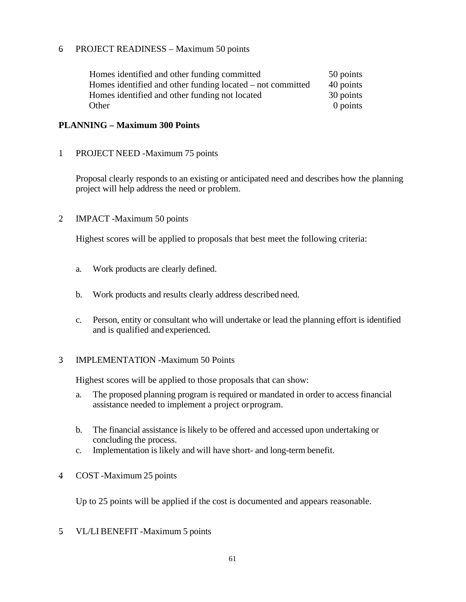#### 6. PROJECT READINESS – Maximum 50 points

| Homes identified and other funding committed               | 50 points  |
|------------------------------------------------------------|------------|
| Homes identified and other funding located – not committed | 40 points  |
| Homes identified and other funding not located             | 30 points  |
| Other                                                      | $0$ points |

#### **PLANNING – Maximum 300 Points**

1. PROJECT NEED -Maximum 75 points

Proposal clearly responds to an existing or anticipated need and describes how the planning project will help address the need or problem.

2. IMPACT -Maximum 50 points

Highest scores will be applied to proposals that best meet the following criteria:

- a. Work products are clearly defined.
- b. Work products and results clearly address described need.
- c. Person, entity or consultant who will undertake or lead the planning effort is identified and is qualified and experienced.

#### 3. IMPLEMENTATION -Maximum 50 Points

Highest scores will be applied to those proposals that can show:

- a. The proposed planning program is required or mandated in order to access financial assistance needed to implement a project orprogram.
- b. The financial assistance is likely to be offered and accessed upon undertaking or concluding the process.
- c. Implementation is likely and will have short- and long-term benefit.
- 4. COST -Maximum 25 points

Up to 25 points will be applied if the cost is documented and appears reasonable.

5. VL/LI BENEFIT -Maximum 5 points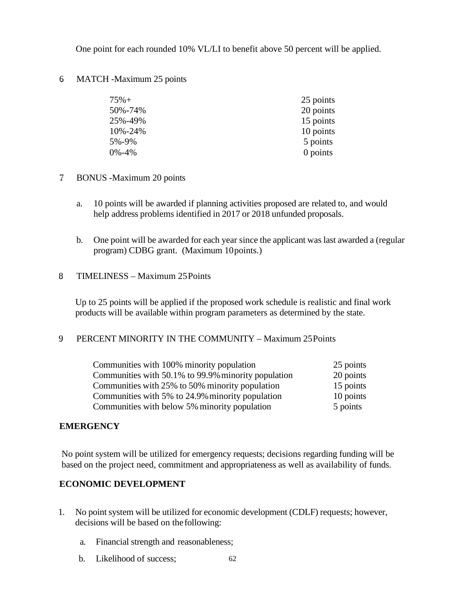One point for each rounded 10% VL/LI to benefit above 50 percent will be applied.

#### 6. MATCH -Maximum 25 points

| $75% +$     | 25 points |
|-------------|-----------|
| 50%-74%     | 20 points |
| 25%-49%     | 15 points |
| 10%-24%     | 10 points |
| 5%-9%       | 5 points  |
| $0\% - 4\%$ | 0 points  |

- 7. BONUS -Maximum 20 points
	- a. 10 points will be awarded if planning activities proposed are related to, and would help address problems identified in 2017 or 2018 unfunded proposals.
	- b. One point will be awarded for each year since the applicant was last awarded a (regular program) CDBG grant. (Maximum 10points.)
- 8. TIMELINESS Maximum 25Points

Up to 25 points will be applied if the proposed work schedule is realistic and final work products will be available within program parameters as determined by the state.

# 9. PERCENT MINORITY IN THE COMMUNITY – Maximum 25Points

| Communities with 100% minority population           | 25 points |
|-----------------------------------------------------|-----------|
| Communities with 50.1% to 99.9% minority population | 20 points |
| Communities with 25% to 50% minority population     | 15 points |
| Communities with 5% to 24.9% minority population    | 10 points |
| Communities with below 5% minority population       | 5 points  |

# **EMERGENCY**

No point system will be utilized for emergency requests; decisions regarding funding will be based on the project need, commitment and appropriateness as well as availability of funds.

# **ECONOMIC DEVELOPMENT**

- 1. No point system will be utilized for economic development (CDLF) requests; however, decisions will be based on thefollowing:
	- a. Financial strength and reasonableness;
	- 62 b. Likelihood of success;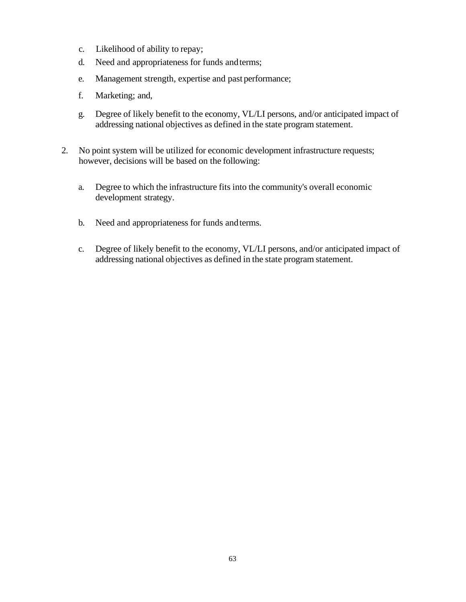- c. Likelihood of ability to repay;
- d. Need and appropriateness for funds andterms;
- e. Management strength, expertise and past performance;
- f. Marketing; and,
- g. Degree of likely benefit to the economy, VL/LI persons, and/or anticipated impact of addressing national objectives as defined in the state program statement.
- 2. No point system will be utilized for economic development infrastructure requests; however, decisions will be based on the following:
	- a. Degree to which the infrastructure fits into the community's overall economic development strategy.
	- b. Need and appropriateness for funds andterms.
	- c. Degree of likely benefit to the economy, VL/LI persons, and/or anticipated impact of addressing national objectives as defined in the state program statement.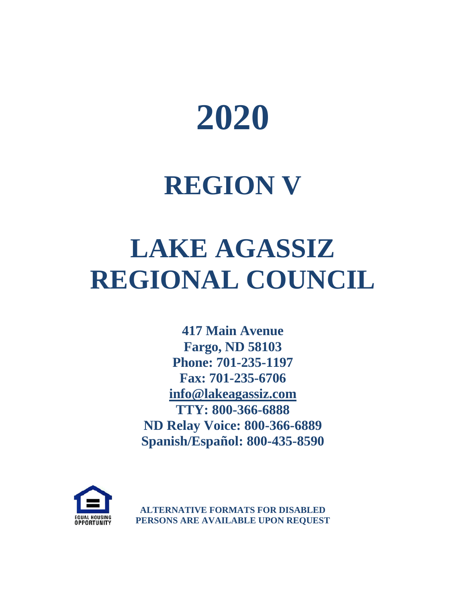

# **REGION V**

# **LAKE AGASSIZ REGIONAL COUNCIL**

**417 Main Avenue Fargo, ND 58103 Phone: 701-235-1197 Fax: 701-235-6706 [info@lakeagassiz.com](mailto:info@lakeagassiz.com) TTY: 800-366-6888 ND Relay Voice: 800-366-6889 Spanish/Español: 800-435-8590**



**ALTERNATIVE FORMATS FOR DISABLED PERSONS ARE AVAILABLE UPON REQUEST**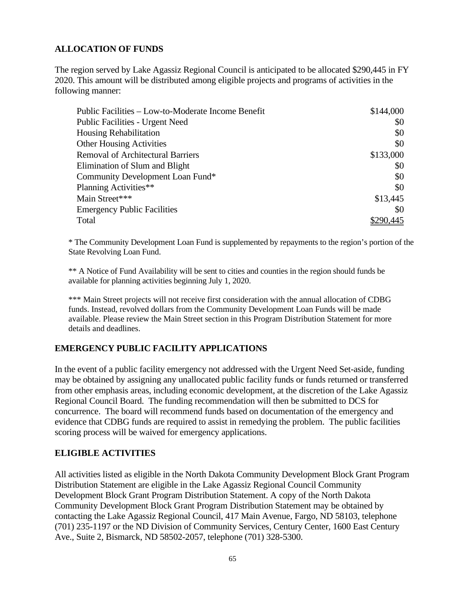# **ALLOCATION OF FUNDS**

The region served by Lake Agassiz Regional Council is anticipated to be allocated \$290,445 in FY 2020. This amount will be distributed among eligible projects and programs of activities in the following manner:

| Public Facilities – Low-to-Moderate Income Benefit | \$144,000 |
|----------------------------------------------------|-----------|
| Public Facilities - Urgent Need                    | \$0       |
| <b>Housing Rehabilitation</b>                      | \$0       |
| <b>Other Housing Activities</b>                    | \$0       |
| <b>Removal of Architectural Barriers</b>           | \$133,000 |
| Elimination of Slum and Blight                     | \$0       |
| Community Development Loan Fund*                   | \$0       |
| Planning Activities**                              | \$0       |
| Main Street***                                     | \$13,445  |
| <b>Emergency Public Facilities</b>                 | \$0       |
| Total                                              |           |

\* The Community Development Loan Fund is supplemented by repayments to the region's portion of the State Revolving Loan Fund.

\*\* A Notice of Fund Availability will be sent to cities and counties in the region should funds be available for planning activities beginning July 1, 2020.

\*\*\* Main Street projects will not receive first consideration with the annual allocation of CDBG funds. Instead, revolved dollars from the Community Development Loan Funds will be made available. Please review the Main Street section in this Program Distribution Statement for more details and deadlines.

#### **EMERGENCY PUBLIC FACILITY APPLICATIONS**

In the event of a public facility emergency not addressed with the Urgent Need Set-aside, funding may be obtained by assigning any unallocated public facility funds or funds returned or transferred from other emphasis areas, including economic development, at the discretion of the Lake Agassiz Regional Council Board. The funding recommendation will then be submitted to DCS for concurrence. The board will recommend funds based on documentation of the emergency and evidence that CDBG funds are required to assist in remedying the problem. The public facilities scoring process will be waived for emergency applications.

#### **ELIGIBLE ACTIVITIES**

All activities listed as eligible in the North Dakota Community Development Block Grant Program Distribution Statement are eligible in the Lake Agassiz Regional Council Community Development Block Grant Program Distribution Statement. A copy of the North Dakota Community Development Block Grant Program Distribution Statement may be obtained by contacting the Lake Agassiz Regional Council, 417 Main Avenue, Fargo, ND 58103, telephone (701) 235-1197 or the ND Division of Community Services, Century Center, 1600 East Century Ave., Suite 2, Bismarck, ND 58502-2057, telephone (701) 328-5300.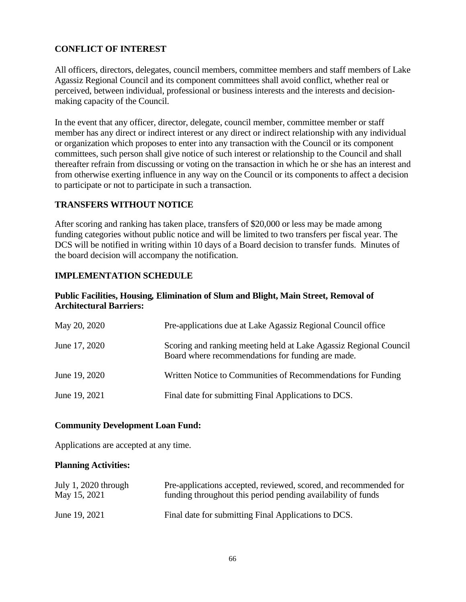# **CONFLICT OF INTEREST**

All officers, directors, delegates, council members, committee members and staff members of Lake Agassiz Regional Council and its component committees shall avoid conflict, whether real or perceived, between individual, professional or business interests and the interests and decisionmaking capacity of the Council.

In the event that any officer, director, delegate, council member, committee member or staff member has any direct or indirect interest or any direct or indirect relationship with any individual or organization which proposes to enter into any transaction with the Council or its component committees, such person shall give notice of such interest or relationship to the Council and shall thereafter refrain from discussing or voting on the transaction in which he or she has an interest and from otherwise exerting influence in any way on the Council or its components to affect a decision to participate or not to participate in such a transaction.

#### **TRANSFERS WITHOUT NOTICE**

After scoring and ranking has taken place, transfers of \$20,000 or less may be made among funding categories without public notice and will be limited to two transfers per fiscal year. The DCS will be notified in writing within 10 days of a Board decision to transfer funds. Minutes of the board decision will accompany the notification.

# **IMPLEMENTATION SCHEDULE**

#### **Public Facilities, Housing***,* **Elimination of Slum and Blight, Main Street, Removal of Architectural Barriers:**

| May 20, 2020  | Pre-applications due at Lake Agassiz Regional Council office                                                           |
|---------------|------------------------------------------------------------------------------------------------------------------------|
| June 17, 2020 | Scoring and ranking meeting held at Lake Agassiz Regional Council<br>Board where recommendations for funding are made. |
| June 19, 2020 | Written Notice to Communities of Recommendations for Funding                                                           |
| June 19, 2021 | Final date for submitting Final Applications to DCS.                                                                   |

#### **Community Development Loan Fund:**

Applications are accepted at any time.

#### **Planning Activities:**

| July 1, 2020 through | Pre-applications accepted, reviewed, scored, and recommended for |
|----------------------|------------------------------------------------------------------|
| May 15, 2021         | funding throughout this period pending availability of funds     |
| June 19, 2021        | Final date for submitting Final Applications to DCS.             |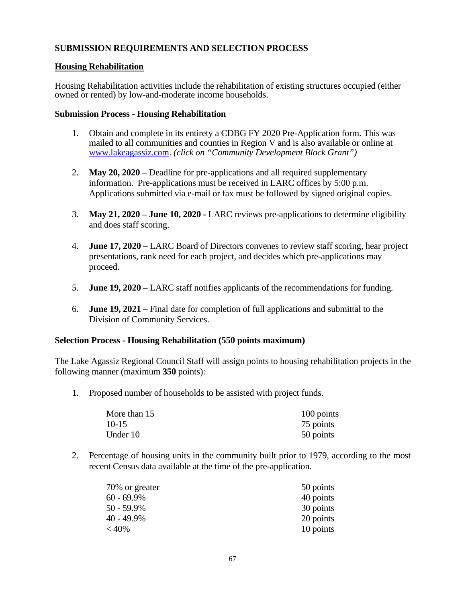# **SUBMISSION REQUIREMENTS AND SELECTION PROCESS**

#### **Housing Rehabilitation**

Housing Rehabilitation activities include the rehabilitation of existing structures occupied (either owned or rented) by low-and-moderate income households.

#### **Submission Process - Housing Rehabilitation**

- 1. Obtain and complete in its entirety a CDBG FY 2020 Pre-Application form. This was mailed to all communities and counties in Region V and is also available or online at [www.lakeagassiz.com.](http://www.lakeagassiz.com/) *(click on "Community Development Block Grant")*
- 2. **May 20, 2020** Deadline for pre-applications and all required supplementary information. Pre-applications must be received in LARC offices by 5:00 p.m. Applications submitted via e-mail or fax must be followed by signed original copies.
- 3. **May 21, 2020 – June 10, 2020 -** LARC reviews pre-applications to determine eligibility and does staff scoring.
- 4. **June 17, 2020** LARC Board of Directors convenes to review staff scoring, hear project presentations, rank need for each project, and decides which pre-applications may proceed.
- 5. **June 19, 2020** LARC staff notifies applicants of the recommendations for funding.
- 6. **June 19, 2021**  Final date for completion of full applications and submittal to the Division of Community Services.

#### **Selection Process - Housing Rehabilitation (550 points maximum)**

The Lake Agassiz Regional Council Staff will assign points to housing rehabilitation projects in the following manner (maximum **350** points):

1. Proposed number of households to be assisted with project funds.

| More than 15 | 100 points |
|--------------|------------|
| $10-15$      | 75 points  |
| Under 10     | 50 points  |

2. Percentage of housing units in the community built prior to 1979, according to the most recent Census data available at the time of the pre-application.

| 70% or greater | 50 points |
|----------------|-----------|
| $60 - 69.9\%$  | 40 points |
| 50 - 59.9%     | 30 points |
| 40 - 49.9%     | 20 points |
| $<$ 40%        | 10 points |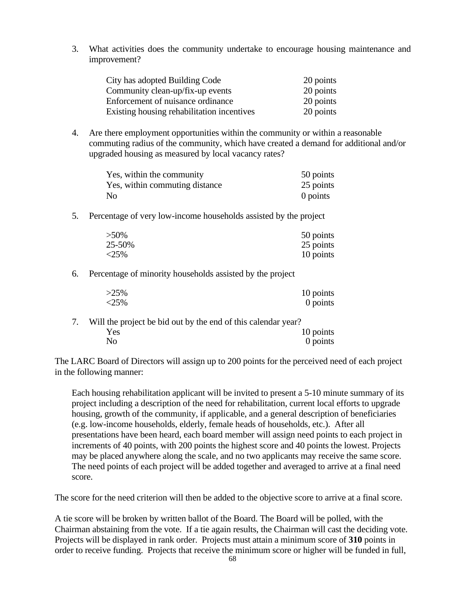3. What activities does the community undertake to encourage housing maintenance and improvement?

| City has adopted Building Code             | 20 points |
|--------------------------------------------|-----------|
| Community clean-up/fix-up events           | 20 points |
| Enforcement of nuisance ordinance          | 20 points |
| Existing housing rehabilitation incentives | 20 points |

4. Are there employment opportunities within the community or within a reasonable commuting radius of the community, which have created a demand for additional and/or upgraded housing as measured by local vacancy rates?

| Yes, within the community      | 50 points |
|--------------------------------|-----------|
| Yes, within commuting distance | 25 points |
| No                             | 0 points  |

5. Percentage of very low-income households assisted by the project

| $>50\%$ | 50 points |
|---------|-----------|
| 25-50%  | 25 points |
| $<$ 25% | 10 points |

6. Percentage of minority households assisted by the project

| $>25\%$ | 10 points |
|---------|-----------|
| <25%    | 0 points  |

7. Will the project be bid out by the end of this calendar year? Yes 10 points No 0 points

The LARC Board of Directors will assign up to 200 points for the perceived need of each project in the following manner:

Each housing rehabilitation applicant will be invited to present a 5-10 minute summary of its project including a description of the need for rehabilitation, current local efforts to upgrade housing, growth of the community, if applicable, and a general description of beneficiaries (e.g. low-income households, elderly, female heads of households, etc.). After all presentations have been heard, each board member will assign need points to each project in increments of 40 points, with 200 points the highest score and 40 points the lowest. Projects may be placed anywhere along the scale, and no two applicants may receive the same score. The need points of each project will be added together and averaged to arrive at a final need score.

The score for the need criterion will then be added to the objective score to arrive at a final score.

A tie score will be broken by written ballot of the Board. The Board will be polled, with the Chairman abstaining from the vote. If a tie again results, the Chairman will cast the deciding vote. Projects will be displayed in rank order. Projects must attain a minimum score of **310** points in order to receive funding. Projects that receive the minimum score or higher will be funded in full,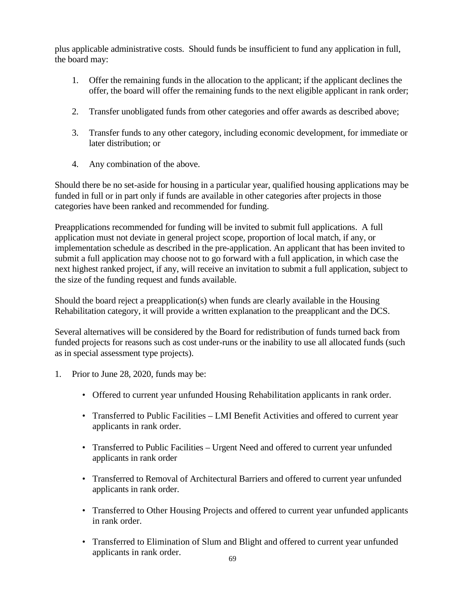plus applicable administrative costs. Should funds be insufficient to fund any application in full, the board may:

- 1. Offer the remaining funds in the allocation to the applicant; if the applicant declines the offer, the board will offer the remaining funds to the next eligible applicant in rank order;
- 2. Transfer unobligated funds from other categories and offer awards as described above;
- 3. Transfer funds to any other category, including economic development, for immediate or later distribution; or
- 4. Any combination of the above.

Should there be no set-aside for housing in a particular year, qualified housing applications may be funded in full or in part only if funds are available in other categories after projects in those categories have been ranked and recommended for funding.

Preapplications recommended for funding will be invited to submit full applications. A full application must not deviate in general project scope, proportion of local match, if any, or implementation schedule as described in the pre-application. An applicant that has been invited to submit a full application may choose not to go forward with a full application, in which case the next highest ranked project, if any, will receive an invitation to submit a full application, subject to the size of the funding request and funds available.

Should the board reject a preapplication(s) when funds are clearly available in the Housing Rehabilitation category, it will provide a written explanation to the preapplicant and the DCS.

Several alternatives will be considered by the Board for redistribution of funds turned back from funded projects for reasons such as cost under-runs or the inability to use all allocated funds (such as in special assessment type projects).

- 1. Prior to June 28, 2020, funds may be:
	- Offered to current year unfunded Housing Rehabilitation applicants in rank order.
	- Transferred to Public Facilities LMI Benefit Activities and offered to current year applicants in rank order.
	- Transferred to Public Facilities Urgent Need and offered to current year unfunded applicants in rank order
	- Transferred to Removal of Architectural Barriers and offered to current year unfunded applicants in rank order.
	- Transferred to Other Housing Projects and offered to current year unfunded applicants in rank order.
	- Transferred to Elimination of Slum and Blight and offered to current year unfunded applicants in rank order.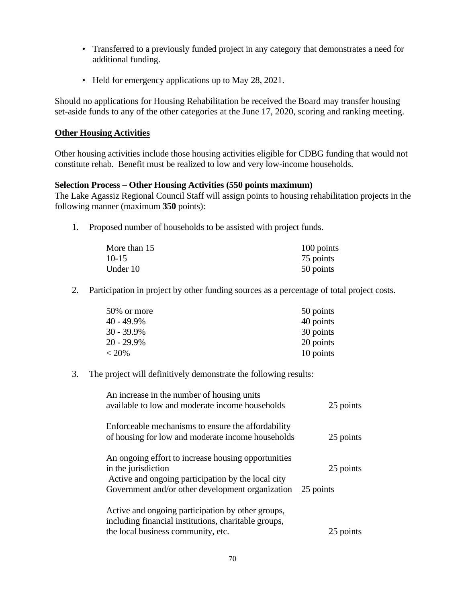- Transferred to a previously funded project in any category that demonstrates a need for additional funding.
- Held for emergency applications up to May 28, 2021.

Should no applications for Housing Rehabilitation be received the Board may transfer housing set-aside funds to any of the other categories at the June 17, 2020, scoring and ranking meeting.

#### **Other Housing Activities**

Other housing activities include those housing activities eligible for CDBG funding that would not constitute rehab. Benefit must be realized to low and very low-income households.

#### **Selection Process – Other Housing Activities (550 points maximum)**

The Lake Agassiz Regional Council Staff will assign points to housing rehabilitation projects in the following manner (maximum **350** points):

1. Proposed number of households to be assisted with project funds.

| More than 15 | 100 points |
|--------------|------------|
| $10-15$      | 75 points  |
| Under 10     | 50 points  |

2. Participation in project by other funding sources as a percentage of total project costs.

| 50% or more | 50 points |
|-------------|-----------|
| 40 - 49.9%  | 40 points |
| 30 - 39.9%  | 30 points |
| 20 - 29.9%  | 20 points |
| $< 20\%$    | 10 points |

3. The project will definitively demonstrate the following results:

| An increase in the number of housing units<br>available to low and moderate income households                                                                                        | 25 points              |
|--------------------------------------------------------------------------------------------------------------------------------------------------------------------------------------|------------------------|
| Enforceable mechanisms to ensure the affordability<br>of housing for low and moderate income households                                                                              | 25 points              |
| An ongoing effort to increase housing opportunities<br>in the jurisdiction<br>Active and ongoing participation by the local city<br>Government and/or other development organization | 25 points<br>25 points |
| Active and ongoing participation by other groups,<br>including financial institutions, charitable groups,<br>the local business community, etc.                                      | 25 points              |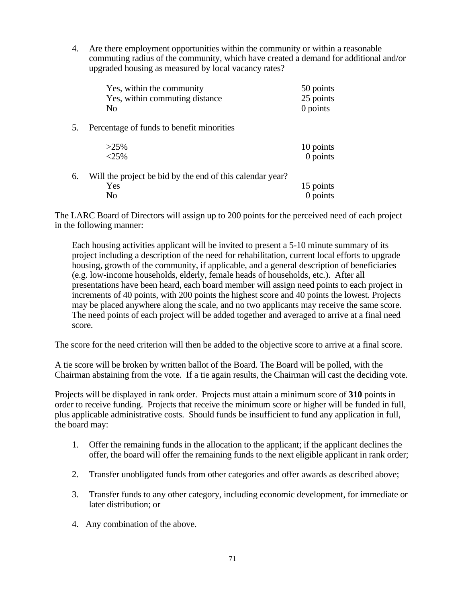4. Are there employment opportunities within the community or within a reasonable commuting radius of the community, which have created a demand for additional and/or upgraded housing as measured by local vacancy rates?

|    | Yes, within the community<br>Yes, within commuting distance<br>No | 50 points<br>25 points<br>$0$ points |
|----|-------------------------------------------------------------------|--------------------------------------|
| 5. | Percentage of funds to benefit minorities                         |                                      |
|    | $>25\%$<br>$< 25\%$                                               | 10 points<br>$0$ points              |
| 6. | Will the project be bid by the end of this calendar year?<br>Yes  | 15 points                            |

The LARC Board of Directors will assign up to 200 points for the perceived need of each project in the following manner:

No 0 points

Each housing activities applicant will be invited to present a 5-10 minute summary of its project including a description of the need for rehabilitation, current local efforts to upgrade housing, growth of the community, if applicable, and a general description of beneficiaries (e.g. low-income households, elderly, female heads of households, etc.). After all presentations have been heard, each board member will assign need points to each project in increments of 40 points, with 200 points the highest score and 40 points the lowest. Projects may be placed anywhere along the scale, and no two applicants may receive the same score. The need points of each project will be added together and averaged to arrive at a final need score.

The score for the need criterion will then be added to the objective score to arrive at a final score.

A tie score will be broken by written ballot of the Board. The Board will be polled, with the Chairman abstaining from the vote. If a tie again results, the Chairman will cast the deciding vote.

Projects will be displayed in rank order. Projects must attain a minimum score of **310** points in order to receive funding. Projects that receive the minimum score or higher will be funded in full, plus applicable administrative costs. Should funds be insufficient to fund any application in full, the board may:

- 1. Offer the remaining funds in the allocation to the applicant; if the applicant declines the offer, the board will offer the remaining funds to the next eligible applicant in rank order;
- 2. Transfer unobligated funds from other categories and offer awards as described above;
- 3. Transfer funds to any other category, including economic development, for immediate or later distribution; or
- 4. Any combination of the above.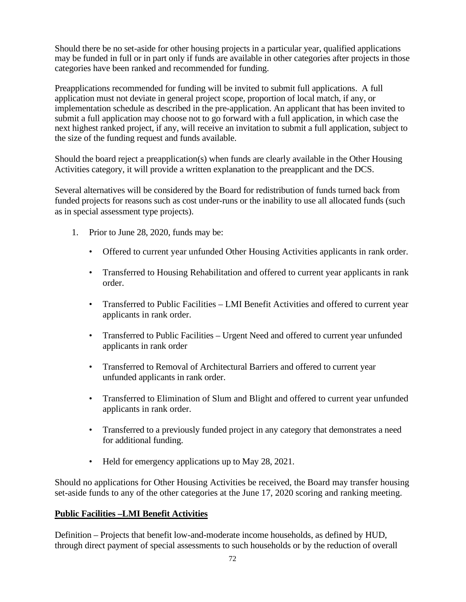Should there be no set-aside for other housing projects in a particular year, qualified applications may be funded in full or in part only if funds are available in other categories after projects in those categories have been ranked and recommended for funding.

Preapplications recommended for funding will be invited to submit full applications. A full application must not deviate in general project scope, proportion of local match, if any, or implementation schedule as described in the pre-application. An applicant that has been invited to submit a full application may choose not to go forward with a full application, in which case the next highest ranked project, if any, will receive an invitation to submit a full application, subject to the size of the funding request and funds available.

Should the board reject a preapplication(s) when funds are clearly available in the Other Housing Activities category, it will provide a written explanation to the preapplicant and the DCS.

Several alternatives will be considered by the Board for redistribution of funds turned back from funded projects for reasons such as cost under-runs or the inability to use all allocated funds (such as in special assessment type projects).

- 1. Prior to June 28, 2020, funds may be:
	- Offered to current year unfunded Other Housing Activities applicants in rank order.
	- Transferred to Housing Rehabilitation and offered to current year applicants in rank order.
	- Transferred to Public Facilities LMI Benefit Activities and offered to current year applicants in rank order.
	- Transferred to Public Facilities Urgent Need and offered to current year unfunded applicants in rank order
	- Transferred to Removal of Architectural Barriers and offered to current year unfunded applicants in rank order.
	- Transferred to Elimination of Slum and Blight and offered to current year unfunded applicants in rank order.
	- Transferred to a previously funded project in any category that demonstrates a need for additional funding.
	- Held for emergency applications up to May 28, 2021.

Should no applications for Other Housing Activities be received, the Board may transfer housing set-aside funds to any of the other categories at the June 17, 2020 scoring and ranking meeting.

# **Public Facilities –LMI Benefit Activities**

Definition – Projects that benefit low-and-moderate income households, as defined by HUD, through direct payment of special assessments to such households or by the reduction of overall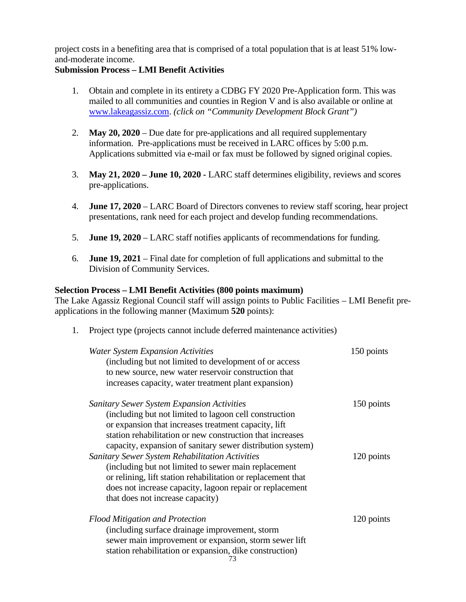project costs in a benefiting area that is comprised of a total population that is at least 51% lowand-moderate income.

#### **Submission Process – LMI Benefit Activities**

- 1. Obtain and complete in its entirety a CDBG FY 2020 Pre-Application form. This was mailed to all communities and counties in Region V and is also available or online at [www.lakeagassiz.com.](http://www.lakeagassiz.com/) *(click on "Community Development Block Grant")*
- 2. **May 20, 2020**  Due date for pre-applications and all required supplementary information. Pre-applications must be received in LARC offices by 5:00 p.m. Applications submitted via e-mail or fax must be followed by signed original copies.
- 3. **May 21, 2020 – June 10, 2020 -** LARC staff determines eligibility, reviews and scores pre-applications.
- 4. **June 17, 2020** LARC Board of Directors convenes to review staff scoring, hear project presentations, rank need for each project and develop funding recommendations.
- 5. **June 19, 2020** LARC staff notifies applicants of recommendations for funding.
- 6. **June 19, 2021** Final date for completion of full applications and submittal to the Division of Community Services.

#### **Selection Process – LMI Benefit Activities (800 points maximum)**

The Lake Agassiz Regional Council staff will assign points to Public Facilities – LMI Benefit preapplications in the following manner (Maximum **520** points):

1. Project type (projects cannot include deferred maintenance activities)

| <b>Water System Expansion Activities</b><br>(including but not limited to development of or access<br>to new source, new water reservoir construction that<br>increases capacity, water treatment plant expansion) | 150 points |
|--------------------------------------------------------------------------------------------------------------------------------------------------------------------------------------------------------------------|------------|
| <b>Sanitary Sewer System Expansion Activities</b>                                                                                                                                                                  | 150 points |
| (including but not limited to lagoon cell construction                                                                                                                                                             |            |
| or expansion that increases treatment capacity, lift<br>station rehabilitation or new construction that increases                                                                                                  |            |
| capacity, expansion of sanitary sewer distribution system)                                                                                                                                                         |            |
| <b>Sanitary Sewer System Rehabilitation Activities</b>                                                                                                                                                             | 120 points |
| (including but not limited to sewer main replacement)                                                                                                                                                              |            |
| or relining, lift station rehabilitation or replacement that                                                                                                                                                       |            |
| does not increase capacity, lagoon repair or replacement                                                                                                                                                           |            |
| that does not increase capacity)                                                                                                                                                                                   |            |
| <b>Flood Mitigation and Protection</b>                                                                                                                                                                             | 120 points |
| (including surface drainage improvement, storm                                                                                                                                                                     |            |
| sewer main improvement or expansion, storm sewer lift                                                                                                                                                              |            |
| station rehabilitation or expansion, dike construction)                                                                                                                                                            |            |
| 73                                                                                                                                                                                                                 |            |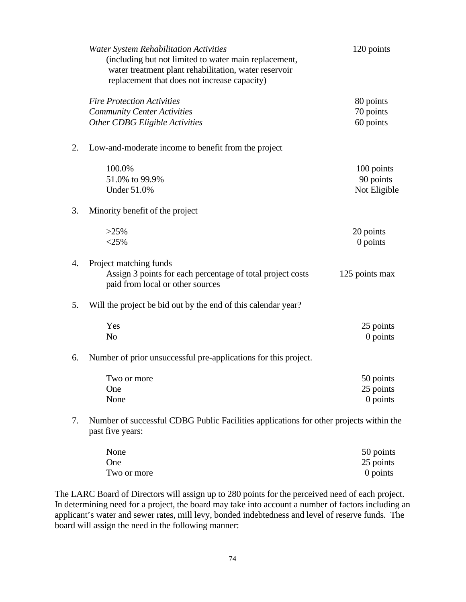|    | <b>Water System Rehabilitation Activities</b><br>(including but not limited to water main replacement,<br>water treatment plant rehabilitation, water reservoir<br>replacement that does not increase capacity) | 120 points                              |
|----|-----------------------------------------------------------------------------------------------------------------------------------------------------------------------------------------------------------------|-----------------------------------------|
|    | <b>Fire Protection Activities</b><br><b>Community Center Activities</b><br>Other CDBG Eligible Activities                                                                                                       | 80 points<br>70 points<br>60 points     |
| 2. | Low-and-moderate income to benefit from the project                                                                                                                                                             |                                         |
|    | 100.0%<br>51.0% to 99.9%<br><b>Under 51.0%</b>                                                                                                                                                                  | 100 points<br>90 points<br>Not Eligible |
| 3. | Minority benefit of the project                                                                                                                                                                                 |                                         |
|    | $>25\%$<br>$<$ 25%                                                                                                                                                                                              | 20 points<br>0 points                   |
| 4. | Project matching funds<br>Assign 3 points for each percentage of total project costs<br>paid from local or other sources                                                                                        | 125 points max                          |
| 5. | Will the project be bid out by the end of this calendar year?                                                                                                                                                   |                                         |
|    | Yes<br>N <sub>o</sub>                                                                                                                                                                                           | 25 points<br>0 points                   |
| 6. | Number of prior unsuccessful pre-applications for this project.                                                                                                                                                 |                                         |
|    | Two or more<br>One<br>None                                                                                                                                                                                      | 50 points<br>25 points<br>0 points      |
| 7. | Number of successful CDBG Public Facilities applications for other projects within the<br>past five years:                                                                                                      |                                         |
|    |                                                                                                                                                                                                                 |                                         |

| None        | 50 points  |
|-------------|------------|
| One         | 25 points  |
| Two or more | $0$ points |

The LARC Board of Directors will assign up to 280 points for the perceived need of each project. In determining need for a project, the board may take into account a number of factors including an applicant's water and sewer rates, mill levy, bonded indebtedness and level of reserve funds. The board will assign the need in the following manner: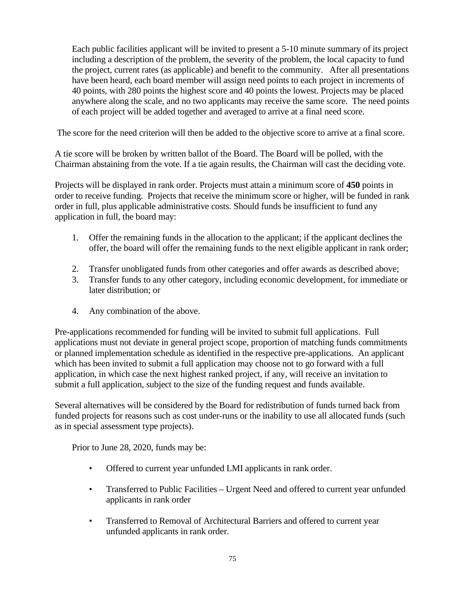Each public facilities applicant will be invited to present a 5-10 minute summary of its project including a description of the problem, the severity of the problem, the local capacity to fund the project, current rates (as applicable) and benefit to the community. After all presentations have been heard, each board member will assign need points to each project in increments of 40 points, with 280 points the highest score and 40 points the lowest. Projects may be placed anywhere along the scale, and no two applicants may receive the same score. The need points of each project will be added together and averaged to arrive at a final need score.

The score for the need criterion will then be added to the objective score to arrive at a final score.

A tie score will be broken by written ballot of the Board. The Board will be polled, with the Chairman abstaining from the vote. If a tie again results, the Chairman will cast the deciding vote.

Projects will be displayed in rank order. Projects must attain a minimum score of **450** points in order to receive funding. Projects that receive the minimum score or higher, will be funded in rank order in full, plus applicable administrative costs. Should funds be insufficient to fund any application in full, the board may:

- 1. Offer the remaining funds in the allocation to the applicant; if the applicant declines the offer, the board will offer the remaining funds to the next eligible applicant in rank order;
- 2. Transfer unobligated funds from other categories and offer awards as described above;
- 3. Transfer funds to any other category, including economic development, for immediate or later distribution; or
- 4. Any combination of the above.

Pre-applications recommended for funding will be invited to submit full applications. Full applications must not deviate in general project scope, proportion of matching funds commitments or planned implementation schedule as identified in the respective pre-applications. An applicant which has been invited to submit a full application may choose not to go forward with a full application, in which case the next highest ranked project, if any, will receive an invitation to submit a full application, subject to the size of the funding request and funds available.

Several alternatives will be considered by the Board for redistribution of funds turned back from funded projects for reasons such as cost under-runs or the inability to use all allocated funds (such as in special assessment type projects).

Prior to June 28, 2020, funds may be:

- Offered to current year unfunded LMI applicants in rank order.
- Transferred to Public Facilities Urgent Need and offered to current year unfunded applicants in rank order
- Transferred to Removal of Architectural Barriers and offered to current year unfunded applicants in rank order.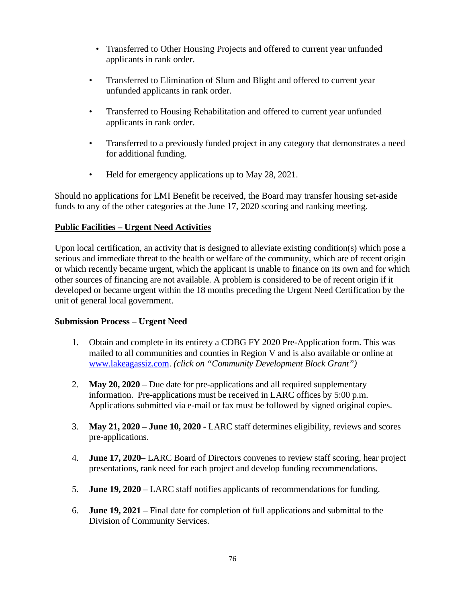- Transferred to Other Housing Projects and offered to current year unfunded applicants in rank order.
- Transferred to Elimination of Slum and Blight and offered to current year unfunded applicants in rank order.
- Transferred to Housing Rehabilitation and offered to current year unfunded applicants in rank order.
- Transferred to a previously funded project in any category that demonstrates a need for additional funding.
- Held for emergency applications up to May 28, 2021.

Should no applications for LMI Benefit be received, the Board may transfer housing set-aside funds to any of the other categories at the June 17, 2020 scoring and ranking meeting.

# **Public Facilities – Urgent Need Activities**

Upon local certification, an activity that is designed to alleviate existing condition(s) which pose a serious and immediate threat to the health or welfare of the community, which are of recent origin or which recently became urgent, which the applicant is unable to finance on its own and for which other sources of financing are not available. A problem is considered to be of recent origin if it developed or became urgent within the 18 months preceding the Urgent Need Certification by the unit of general local government.

# **Submission Process – Urgent Need**

- 1. Obtain and complete in its entirety a CDBG FY 2020 Pre-Application form. This was mailed to all communities and counties in Region V and is also available or online at [www.lakeagassiz.com.](http://www.lakeagassiz.com/) *(click on "Community Development Block Grant")*
- 2. **May 20, 2020** Due date for pre-applications and all required supplementary information. Pre-applications must be received in LARC offices by 5:00 p.m. Applications submitted via e-mail or fax must be followed by signed original copies.
- 3. **May 21, 2020 – June 10, 2020 -** LARC staff determines eligibility, reviews and scores pre-applications.
- 4. **June 17, 2020** LARC Board of Directors convenes to review staff scoring, hear project presentations, rank need for each project and develop funding recommendations.
- 5. **June 19, 2020** LARC staff notifies applicants of recommendations for funding.
- 6. **June 19, 2021** Final date for completion of full applications and submittal to the Division of Community Services.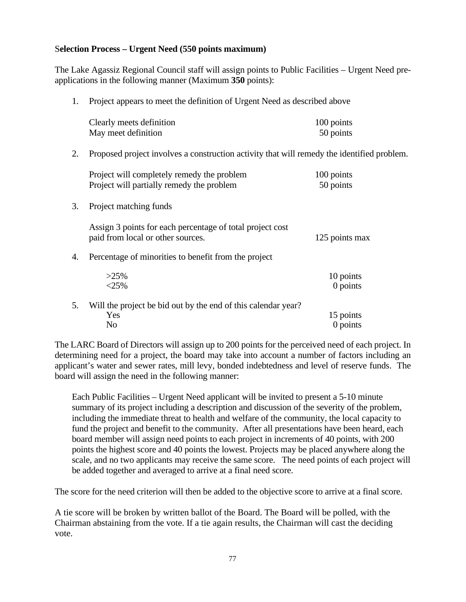#### S**election Process – Urgent Need (550 points maximum)**

The Lake Agassiz Regional Council staff will assign points to Public Facilities – Urgent Need preapplications in the following manner (Maximum **350** points):

1. Project appears to meet the definition of Urgent Need as described above

| Clearly meets definition | 100 points |
|--------------------------|------------|
| May meet definition      | 50 points  |

2. Proposed project involves a construction activity that will remedy the identified problem.

| Project will completely remedy the problem | 100 points |
|--------------------------------------------|------------|
| Project will partially remedy the problem  | 50 points  |

3. Project matching funds

Assign 3 points for each percentage of total project cost paid from local or other sources. 125 points max

4. Percentage of minorities to benefit from the project

| $>25\%$<br>$<25\%$                                            | 10 points<br>$0$ points |
|---------------------------------------------------------------|-------------------------|
| Will the project be bid out by the end of this calendar year? |                         |
| Yes                                                           | 15 points               |
| Nο                                                            | 0 points                |

The LARC Board of Directors will assign up to 200 points for the perceived need of each project. In determining need for a project, the board may take into account a number of factors including an applicant's water and sewer rates, mill levy, bonded indebtedness and level of reserve funds. The board will assign the need in the following manner:

Each Public Facilities – Urgent Need applicant will be invited to present a 5-10 minute summary of its project including a description and discussion of the severity of the problem, including the immediate threat to health and welfare of the community, the local capacity to fund the project and benefit to the community. After all presentations have been heard, each board member will assign need points to each project in increments of 40 points, with 200 points the highest score and 40 points the lowest. Projects may be placed anywhere along the scale, and no two applicants may receive the same score. The need points of each project will be added together and averaged to arrive at a final need score.

The score for the need criterion will then be added to the objective score to arrive at a final score.

A tie score will be broken by written ballot of the Board. The Board will be polled, with the Chairman abstaining from the vote. If a tie again results, the Chairman will cast the deciding vote.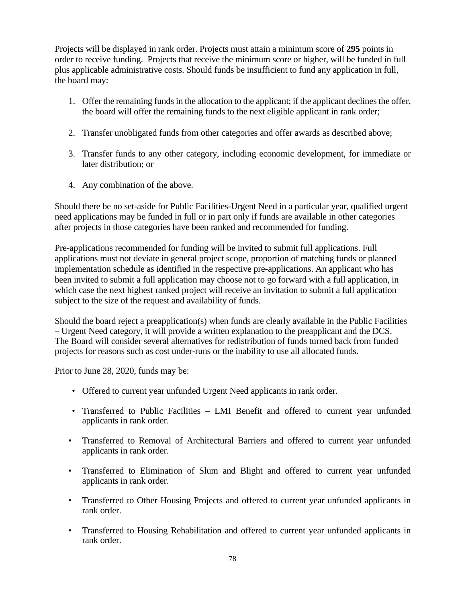Projects will be displayed in rank order. Projects must attain a minimum score of **295** points in order to receive funding. Projects that receive the minimum score or higher, will be funded in full plus applicable administrative costs. Should funds be insufficient to fund any application in full, the board may:

- 1. Offer the remaining funds in the allocation to the applicant; if the applicant declines the offer, the board will offer the remaining funds to the next eligible applicant in rank order;
- 2. Transfer unobligated funds from other categories and offer awards as described above;
- 3. Transfer funds to any other category, including economic development, for immediate or later distribution; or
- 4. Any combination of the above.

Should there be no set-aside for Public Facilities-Urgent Need in a particular year, qualified urgent need applications may be funded in full or in part only if funds are available in other categories after projects in those categories have been ranked and recommended for funding.

Pre-applications recommended for funding will be invited to submit full applications. Full applications must not deviate in general project scope, proportion of matching funds or planned implementation schedule as identified in the respective pre-applications. An applicant who has been invited to submit a full application may choose not to go forward with a full application, in which case the next highest ranked project will receive an invitation to submit a full application subject to the size of the request and availability of funds.

Should the board reject a preapplication(s) when funds are clearly available in the Public Facilities – Urgent Need category, it will provide a written explanation to the preapplicant and the DCS. The Board will consider several alternatives for redistribution of funds turned back from funded projects for reasons such as cost under-runs or the inability to use all allocated funds.

Prior to June 28, 2020, funds may be:

- Offered to current year unfunded Urgent Need applicants in rank order.
- Transferred to Public Facilities LMI Benefit and offered to current year unfunded applicants in rank order.
- Transferred to Removal of Architectural Barriers and offered to current year unfunded applicants in rank order.
- Transferred to Elimination of Slum and Blight and offered to current year unfunded applicants in rank order.
- Transferred to Other Housing Projects and offered to current year unfunded applicants in rank order.
- Transferred to Housing Rehabilitation and offered to current year unfunded applicants in rank order.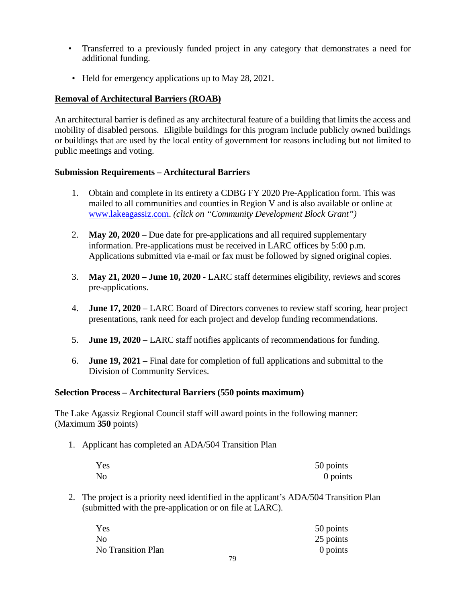- Transferred to a previously funded project in any category that demonstrates a need for additional funding.
- Held for emergency applications up to May 28, 2021.

# **Removal of Architectural Barriers (ROAB)**

An architectural barrier is defined as any architectural feature of a building that limits the access and mobility of disabled persons. Eligible buildings for this program include publicly owned buildings or buildings that are used by the local entity of government for reasons including but not limited to public meetings and voting.

# **Submission Requirements – Architectural Barriers**

- 1. Obtain and complete in its entirety a CDBG FY 2020 Pre-Application form. This was mailed to all communities and counties in Region V and is also available or online at [www.lakeagassiz.com.](http://www.lakeagassiz.com/) *(click on "Community Development Block Grant")*
- 2. **May 20, 2020** Due date for pre-applications and all required supplementary information. Pre-applications must be received in LARC offices by 5:00 p.m. Applications submitted via e-mail or fax must be followed by signed original copies.
- 3. **May 21, 2020 – June 10, 2020 -** LARC staff determines eligibility, reviews and scores pre-applications.
- 4. **June 17, 2020** LARC Board of Directors convenes to review staff scoring, hear project presentations, rank need for each project and develop funding recommendations.
- 5. **June 19, 2020** LARC staff notifies applicants of recommendations for funding.
- 6. **June 19, 2021 –** Final date for completion of full applications and submittal to the Division of Community Services.

# **Selection Process – Architectural Barriers (550 points maximum)**

The Lake Agassiz Regional Council staff will award points in the following manner: (Maximum **350** points)

1. Applicant has completed an ADA/504 Transition Plan

| Yes            | 50 points |
|----------------|-----------|
| N <sub>o</sub> | 0 points  |

2. The project is a priority need identified in the applicant's ADA/504 Transition Plan (submitted with the pre-application or on file at LARC).

| Yes                       | 50 points |
|---------------------------|-----------|
| No                        | 25 points |
| <b>No Transition Plan</b> | 0 points  |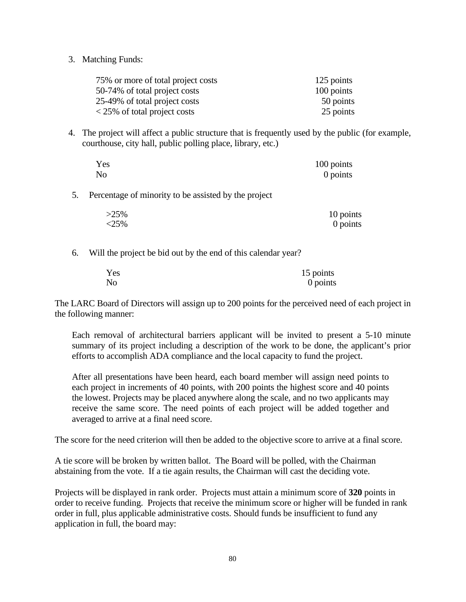3. Matching Funds:

| 75% or more of total project costs            | 125 points |
|-----------------------------------------------|------------|
| 50-74% of total project costs                 | 100 points |
| 25-49% of total project costs                 | 50 points  |
| $\langle 25\% \rangle$ of total project costs | 25 points  |

4. The project will affect a public structure that is frequently used by the public (for example, courthouse, city hall, public polling place, library, etc.)

| Yes            | 100 points |
|----------------|------------|
| N <sub>o</sub> | 0 points   |

5. Percentage of minority to be assisted by the project

| $>25\%$ | 10 points |
|---------|-----------|
| <25%    | 0 points  |

6. Will the project be bid out by the end of this calendar year?

| Yes | 15 points |
|-----|-----------|
| No  | 0 points  |

The LARC Board of Directors will assign up to 200 points for the perceived need of each project in the following manner:

Each removal of architectural barriers applicant will be invited to present a 5-10 minute summary of its project including a description of the work to be done, the applicant's prior efforts to accomplish ADA compliance and the local capacity to fund the project.

After all presentations have been heard, each board member will assign need points to each project in increments of 40 points, with 200 points the highest score and 40 points the lowest. Projects may be placed anywhere along the scale, and no two applicants may receive the same score. The need points of each project will be added together and averaged to arrive at a final need score.

The score for the need criterion will then be added to the objective score to arrive at a final score.

A tie score will be broken by written ballot. The Board will be polled, with the Chairman abstaining from the vote. If a tie again results, the Chairman will cast the deciding vote.

Projects will be displayed in rank order. Projects must attain a minimum score of **320** points in order to receive funding. Projects that receive the minimum score or higher will be funded in rank order in full, plus applicable administrative costs. Should funds be insufficient to fund any application in full, the board may: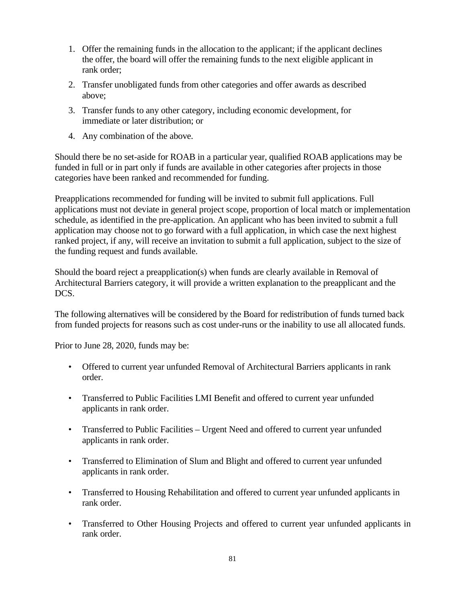- 1. Offer the remaining funds in the allocation to the applicant; if the applicant declines the offer, the board will offer the remaining funds to the next eligible applicant in rank order;
- 2. Transfer unobligated funds from other categories and offer awards as described above;
- 3. Transfer funds to any other category, including economic development, for immediate or later distribution; or
- 4. Any combination of the above.

Should there be no set-aside for ROAB in a particular year, qualified ROAB applications may be funded in full or in part only if funds are available in other categories after projects in those categories have been ranked and recommended for funding.

Preapplications recommended for funding will be invited to submit full applications. Full applications must not deviate in general project scope, proportion of local match or implementation schedule, as identified in the pre-application. An applicant who has been invited to submit a full application may choose not to go forward with a full application, in which case the next highest ranked project, if any, will receive an invitation to submit a full application, subject to the size of the funding request and funds available.

Should the board reject a preapplication(s) when funds are clearly available in Removal of Architectural Barriers category, it will provide a written explanation to the preapplicant and the DCS.

The following alternatives will be considered by the Board for redistribution of funds turned back from funded projects for reasons such as cost under-runs or the inability to use all allocated funds.

Prior to June 28, 2020, funds may be:

- Offered to current year unfunded Removal of Architectural Barriers applicants in rank order.
- Transferred to Public Facilities LMI Benefit and offered to current year unfunded applicants in rank order.
- Transferred to Public Facilities Urgent Need and offered to current year unfunded applicants in rank order.
- Transferred to Elimination of Slum and Blight and offered to current year unfunded applicants in rank order.
- Transferred to Housing Rehabilitation and offered to current year unfunded applicants in rank order.
- Transferred to Other Housing Projects and offered to current year unfunded applicants in rank order.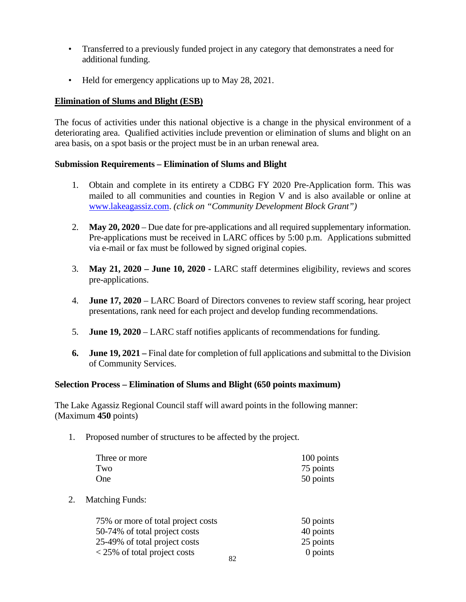- Transferred to a previously funded project in any category that demonstrates a need for additional funding.
- Held for emergency applications up to May 28, 2021.

# **Elimination of Slums and Blight (ESB)**

The focus of activities under this national objective is a change in the physical environment of a deteriorating area. Qualified activities include prevention or elimination of slums and blight on an area basis, on a spot basis or the project must be in an urban renewal area.

#### **Submission Requirements – Elimination of Slums and Blight**

- 1. Obtain and complete in its entirety a CDBG FY 2020 Pre-Application form. This was mailed to all communities and counties in Region V and is also available or online at [www.lakeagassiz.com.](http://www.lakeagassiz.com/) *(click on "Community Development Block Grant")*
- 2. **May 20, 2020** Due date for pre-applications and all required supplementary information. Pre-applications must be received in LARC offices by 5:00 p.m. Applications submitted via e-mail or fax must be followed by signed original copies.
- 3. **May 21, 2020 – June 10, 2020 -** LARC staff determines eligibility, reviews and scores pre-applications.
- 4. **June 17, 2020** LARC Board of Directors convenes to review staff scoring, hear project presentations, rank need for each project and develop funding recommendations.
- 5. **June 19, 2020** LARC staff notifies applicants of recommendations for funding.
- **6. June 19, 2021 –** Final date for completion of full applications and submittal to the Division of Community Services.

# **Selection Process – Elimination of Slums and Blight (650 points maximum)**

The Lake Agassiz Regional Council staff will award points in the following manner: (Maximum **450** points)

1. Proposed number of structures to be affected by the project.

| Three or more | 100 points |
|---------------|------------|
| Two           | 75 points  |
| One           | 50 points  |

2. Matching Funds:

| 75% or more of total project costs            |    | 50 points |
|-----------------------------------------------|----|-----------|
| 50-74% of total project costs                 |    | 40 points |
| 25-49% of total project costs                 |    | 25 points |
| $\langle 25\% \rangle$ of total project costs | 82 | 0 points  |
|                                               |    |           |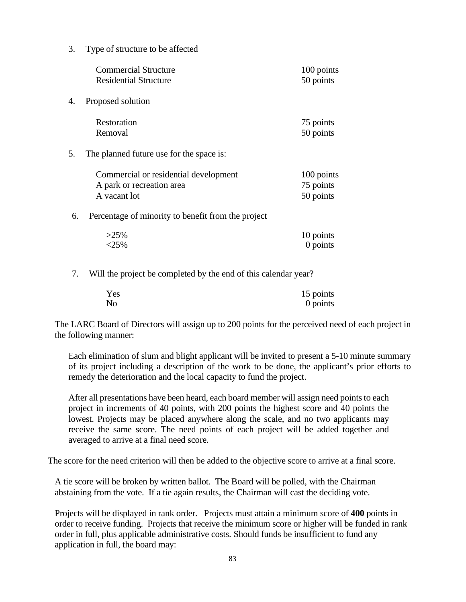3. Type of structure to be affected

|    | <b>Commercial Structure</b><br><b>Residential Structure</b>                        | 100 points<br>50 points              |
|----|------------------------------------------------------------------------------------|--------------------------------------|
| 4. | Proposed solution                                                                  |                                      |
|    | Restoration<br>Removal                                                             | 75 points<br>50 points               |
| 5. | The planned future use for the space is:                                           |                                      |
|    | Commercial or residential development<br>A park or recreation area<br>A vacant lot | 100 points<br>75 points<br>50 points |
| 6. | Percentage of minority to benefit from the project                                 |                                      |
|    | $>25\%$<br>$<$ 25%                                                                 | 10 points<br>0 points                |
| 7. | Will the project be completed by the end of this calendar year?                    |                                      |

| Yes            | 15 points |
|----------------|-----------|
| N <sub>0</sub> | 0 points  |

The LARC Board of Directors will assign up to 200 points for the perceived need of each project in the following manner:

Each elimination of slum and blight applicant will be invited to present a 5-10 minute summary of its project including a description of the work to be done, the applicant's prior efforts to remedy the deterioration and the local capacity to fund the project.

After all presentations have been heard, each board member will assign need points to each project in increments of 40 points, with 200 points the highest score and 40 points the lowest. Projects may be placed anywhere along the scale, and no two applicants may receive the same score. The need points of each project will be added together and averaged to arrive at a final need score.

The score for the need criterion will then be added to the objective score to arrive at a final score.

A tie score will be broken by written ballot. The Board will be polled, with the Chairman abstaining from the vote. If a tie again results, the Chairman will cast the deciding vote.

Projects will be displayed in rank order. Projects must attain a minimum score of **400** points in order to receive funding. Projects that receive the minimum score or higher will be funded in rank order in full, plus applicable administrative costs. Should funds be insufficient to fund any application in full, the board may: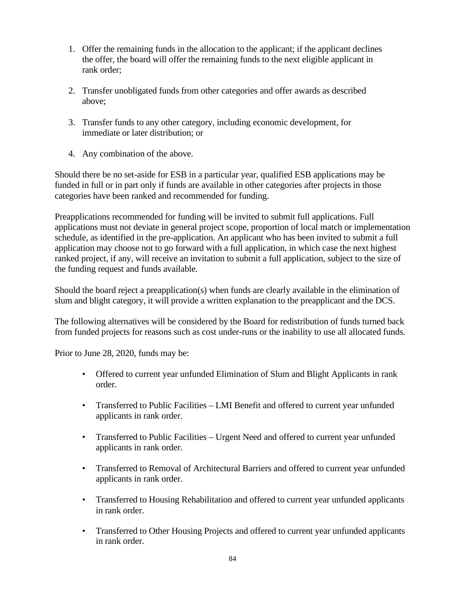- 1. Offer the remaining funds in the allocation to the applicant; if the applicant declines the offer, the board will offer the remaining funds to the next eligible applicant in rank order;
- 2. Transfer unobligated funds from other categories and offer awards as described above;
- 3. Transfer funds to any other category, including economic development, for immediate or later distribution; or
- 4. Any combination of the above.

Should there be no set-aside for ESB in a particular year, qualified ESB applications may be funded in full or in part only if funds are available in other categories after projects in those categories have been ranked and recommended for funding.

Preapplications recommended for funding will be invited to submit full applications. Full applications must not deviate in general project scope, proportion of local match or implementation schedule, as identified in the pre-application. An applicant who has been invited to submit a full application may choose not to go forward with a full application, in which case the next highest ranked project, if any, will receive an invitation to submit a full application, subject to the size of the funding request and funds available.

Should the board reject a preapplication(s) when funds are clearly available in the elimination of slum and blight category, it will provide a written explanation to the preapplicant and the DCS.

The following alternatives will be considered by the Board for redistribution of funds turned back from funded projects for reasons such as cost under-runs or the inability to use all allocated funds.

Prior to June 28, 2020, funds may be:

- Offered to current year unfunded Elimination of Slum and Blight Applicants in rank order.
- Transferred to Public Facilities LMI Benefit and offered to current year unfunded applicants in rank order.
- Transferred to Public Facilities Urgent Need and offered to current year unfunded applicants in rank order.
- Transferred to Removal of Architectural Barriers and offered to current year unfunded applicants in rank order.
- Transferred to Housing Rehabilitation and offered to current year unfunded applicants in rank order.
- Transferred to Other Housing Projects and offered to current year unfunded applicants in rank order.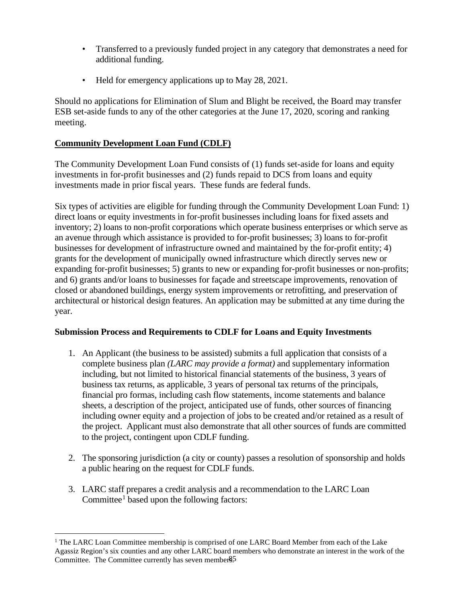- Transferred to a previously funded project in any category that demonstrates a need for additional funding.
- Held for emergency applications up to May 28, 2021.

Should no applications for Elimination of Slum and Blight be received, the Board may transfer ESB set-aside funds to any of the other categories at the June 17, 2020, scoring and ranking meeting.

## **Community Development Loan Fund (CDLF)**

The Community Development Loan Fund consists of (1) funds set-aside for loans and equity investments in for-profit businesses and (2) funds repaid to DCS from loans and equity investments made in prior fiscal years. These funds are federal funds.

Six types of activities are eligible for funding through the Community Development Loan Fund: 1) direct loans or equity investments in for-profit businesses including loans for fixed assets and inventory; 2) loans to non-profit corporations which operate business enterprises or which serve as an avenue through which assistance is provided to for-profit businesses; 3) loans to for-profit businesses for development of infrastructure owned and maintained by the for-profit entity; 4) grants for the development of municipally owned infrastructure which directly serves new or expanding for-profit businesses; 5) grants to new or expanding for-profit businesses or non-profits; and 6) grants and/or loans to businesses for façade and streetscape improvements, renovation of closed or abandoned buildings, energy system improvements or retrofitting, and preservation of architectural or historical design features. An application may be submitted at any time during the year.

## **Submission Process and Requirements to CDLF for Loans and Equity Investments**

- 1. An Applicant (the business to be assisted) submits a full application that consists of a complete business plan *(LARC may provide a format)* and supplementary information including, but not limited to historical financial statements of the business, 3 years of business tax returns, as applicable, 3 years of personal tax returns of the principals, financial pro formas, including cash flow statements, income statements and balance sheets, a description of the project, anticipated use of funds, other sources of financing including owner equity and a projection of jobs to be created and/or retained as a result of the project. Applicant must also demonstrate that all other sources of funds are committed to the project, contingent upon CDLF funding.
- 2. The sponsoring jurisdiction (a city or county) passes a resolution of sponsorship and holds a public hearing on the request for CDLF funds.
- 3. LARC staff prepares a credit analysis and a recommendation to the LARC Loan Committee<sup>[1](#page-145-0)</sup> based upon the following factors:

<span id="page-145-0"></span>Committee. The Committee currently has seven member§5 <sup>1</sup> The LARC Loan Committee membership is comprised of one LARC Board Member from each of the Lake Agassiz Region's six counties and any other LARC board members who demonstrate an interest in the work of the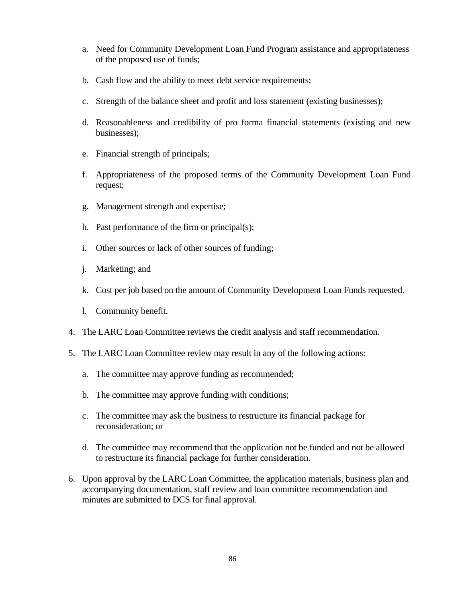- a. Need for Community Development Loan Fund Program assistance and appropriateness of the proposed use of funds;
- b. Cash flow and the ability to meet debt service requirements;
- c. Strength of the balance sheet and profit and loss statement (existing businesses);
- d. Reasonableness and credibility of pro forma financial statements (existing and new businesses);
- e. Financial strength of principals;
- f. Appropriateness of the proposed terms of the Community Development Loan Fund request;
- g. Management strength and expertise;
- h. Past performance of the firm or principal(s);
- i. Other sources or lack of other sources of funding;
- j. Marketing; and
- k. Cost per job based on the amount of Community Development Loan Funds requested.
- l. Community benefit.
- 4. The LARC Loan Committee reviews the credit analysis and staff recommendation.
- 5. The LARC Loan Committee review may result in any of the following actions:
	- a. The committee may approve funding as recommended;
	- b. The committee may approve funding with conditions;
	- c. The committee may ask the business to restructure its financial package for reconsideration; or
	- d. The committee may recommend that the application not be funded and not be allowed to restructure its financial package for further consideration.
- 6. Upon approval by the LARC Loan Committee, the application materials, business plan and accompanying documentation, staff review and loan committee recommendation and minutes are submitted to DCS for final approval.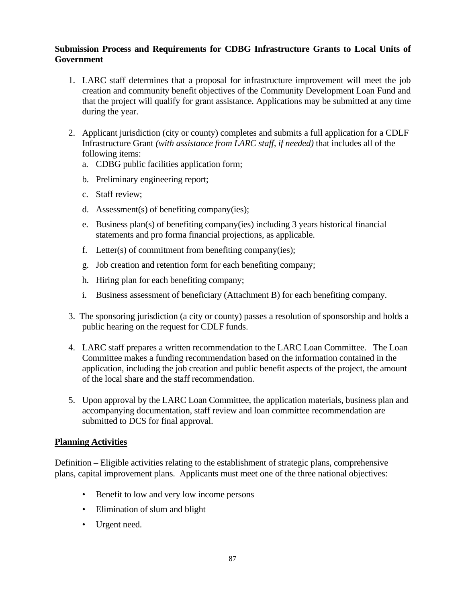## **Submission Process and Requirements for CDBG Infrastructure Grants to Local Units of Government**

- 1. LARC staff determines that a proposal for infrastructure improvement will meet the job creation and community benefit objectives of the Community Development Loan Fund and that the project will qualify for grant assistance. Applications may be submitted at any time during the year.
- 2. Applicant jurisdiction (city or county) completes and submits a full application for a CDLF Infrastructure Grant *(with assistance from LARC staff, if needed)* that includes all of the following items:
	- a. CDBG public facilities application form;
	- b. Preliminary engineering report;
	- c. Staff review;
	- d. Assessment(s) of benefiting company(ies);
	- e. Business plan(s) of benefiting company(ies) including 3 years historical financial statements and pro forma financial projections, as applicable.
	- f. Letter(s) of commitment from benefiting company(ies);
	- g. Job creation and retention form for each benefiting company;
	- h. Hiring plan for each benefiting company;
	- i. Business assessment of beneficiary (Attachment B) for each benefiting company.
- 3. The sponsoring jurisdiction (a city or county) passes a resolution of sponsorship and holds a public hearing on the request for CDLF funds.
- 4. LARC staff prepares a written recommendation to the LARC Loan Committee. The Loan Committee makes a funding recommendation based on the information contained in the application, including the job creation and public benefit aspects of the project, the amount of the local share and the staff recommendation.
- 5. Upon approval by the LARC Loan Committee, the application materials, business plan and accompanying documentation, staff review and loan committee recommendation are submitted to DCS for final approval.

## **Planning Activities**

Definition **–** Eligible activities relating to the establishment of strategic plans, comprehensive plans, capital improvement plans. Applicants must meet one of the three national objectives:

- Benefit to low and very low income persons
- Elimination of slum and blight
- Urgent need.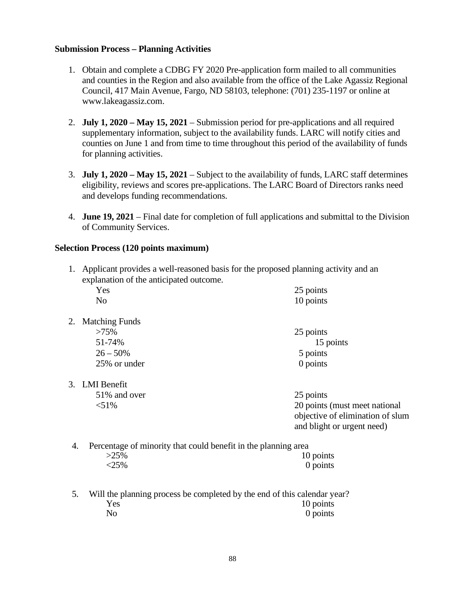#### **Submission Process – Planning Activities**

- 1. Obtain and complete a CDBG FY 2020 Pre-application form mailed to all communities and counties in the Region and also available from the office of the Lake Agassiz Regional Council, 417 Main Avenue, Fargo, ND 58103, telephone: (701) 235-1197 or online at www.lakeagassiz.com.
- 2. **July 1, 2020 – May 15, 2021** Submission period for pre-applications and all required supplementary information, subject to the availability funds. LARC will notify cities and counties on June 1 and from time to time throughout this period of the availability of funds for planning activities.
- 3. **July 1, 2020 – May 15, 2021** Subject to the availability of funds, LARC staff determines eligibility, reviews and scores pre-applications. The LARC Board of Directors ranks need and develops funding recommendations.
- 4. **June 19, 2021**  Final date for completion of full applications and submittal to the Division of Community Services.

#### **Selection Process (120 points maximum)**

1. Applicant provides a well-reasoned basis for the proposed planning activity and an explanation of the anticipated outcome.

| Yes                                                                                                                                                                                                                                | 25 points                        |
|------------------------------------------------------------------------------------------------------------------------------------------------------------------------------------------------------------------------------------|----------------------------------|
| N <sub>o</sub>                                                                                                                                                                                                                     | 10 points                        |
| <b>Matching Funds</b><br>2.                                                                                                                                                                                                        |                                  |
| $>75\%$                                                                                                                                                                                                                            | 25 points                        |
| 51-74%                                                                                                                                                                                                                             | 15 points                        |
| $26 - 50\%$                                                                                                                                                                                                                        | 5 points                         |
| 25% or under                                                                                                                                                                                                                       | $0$ points                       |
| 3. LMI Benefit                                                                                                                                                                                                                     |                                  |
| 51\% and over                                                                                                                                                                                                                      | 25 points                        |
| $< 51\%$                                                                                                                                                                                                                           | 20 points (must meet national    |
|                                                                                                                                                                                                                                    | objective of elimination of slum |
|                                                                                                                                                                                                                                    | and blight or urgent need)       |
| $\mathcal{A}$ in the contract of the contract of the contract of the contract of the contract of the contract of the contract of the contract of the contract of the contract of the contract of the contract of the contract of t |                                  |

4. Percentage of minority that could benefit in the planning area  $>25\%$  10 points<br> $<25\%$  0 points  $0$  points

5. Will the planning process be completed by the end of this calendar year? Yes 10 points No 0 points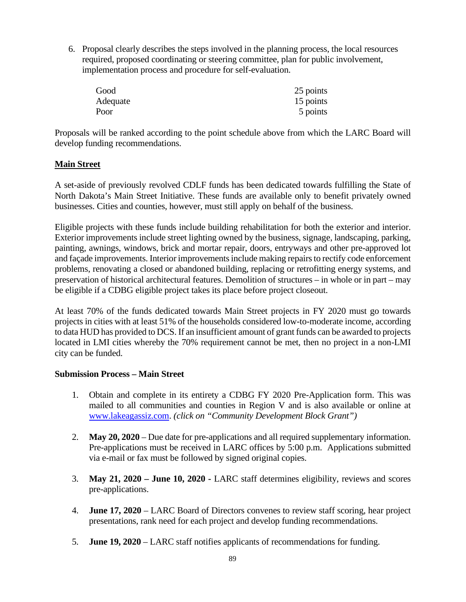6. Proposal clearly describes the steps involved in the planning process, the local resources required, proposed coordinating or steering committee, plan for public involvement, implementation process and procedure for self-evaluation.

| Good     | 25 points |
|----------|-----------|
| Adequate | 15 points |
| Poor     | 5 points  |

Proposals will be ranked according to the point schedule above from which the LARC Board will develop funding recommendations.

## **Main Street**

A set-aside of previously revolved CDLF funds has been dedicated towards fulfilling the State of North Dakota's Main Street Initiative. These funds are available only to benefit privately owned businesses. Cities and counties, however, must still apply on behalf of the business.

Eligible projects with these funds include building rehabilitation for both the exterior and interior. Exterior improvements include street lighting owned by the business, signage, landscaping, parking, painting, awnings, windows, brick and mortar repair, doors, entryways and other pre-approved lot and façade improvements. Interior improvements include making repairs to rectify code enforcement problems, renovating a closed or abandoned building, replacing or retrofitting energy systems, and preservation of historical architectural features. Demolition of structures – in whole or in part – may be eligible if a CDBG eligible project takes its place before project closeout.

At least 70% of the funds dedicated towards Main Street projects in FY 2020 must go towards projects in cities with at least 51% of the households considered low-to-moderate income, according to data HUD has provided to DCS. If an insufficient amount of grant funds can be awarded to projects located in LMI cities whereby the 70% requirement cannot be met, then no project in a non-LMI city can be funded.

#### **Submission Process – Main Street**

- 1. Obtain and complete in its entirety a CDBG FY 2020 Pre-Application form. This was mailed to all communities and counties in Region V and is also available or online at [www.lakeagassiz.com.](http://www.lakeagassiz.com/) *(click on "Community Development Block Grant")*
- 2. **May 20, 2020** Due date for pre-applications and all required supplementary information. Pre-applications must be received in LARC offices by 5:00 p.m. Applications submitted via e-mail or fax must be followed by signed original copies.
- 3. **May 21, 2020 – June 10, 2020 -** LARC staff determines eligibility, reviews and scores pre-applications.
- 4. **June 17, 2020** LARC Board of Directors convenes to review staff scoring, hear project presentations, rank need for each project and develop funding recommendations.
- 5. **June 19, 2020** LARC staff notifies applicants of recommendations for funding.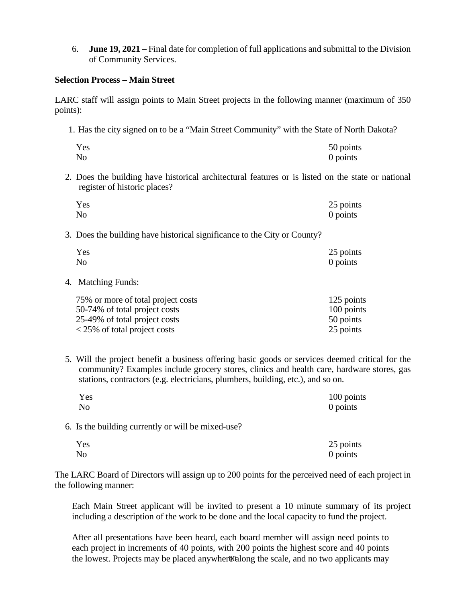6. **June 19, 2021 –** Final date for completion of full applications and submittal to the Division of Community Services.

#### **Selection Process – Main Street**

LARC staff will assign points to Main Street projects in the following manner (maximum of 350 points):

1. Has the city signed on to be a "Main Street Community" with the State of North Dakota?

| Yes | 50 points |
|-----|-----------|
| No  | 0 points  |

2. Does the building have historical architectural features or is listed on the state or national register of historic places?

| Yes            | 25 points |
|----------------|-----------|
| N <sub>o</sub> | 0 points  |

3. Does the building have historical significance to the City or County?

| Yes | 25 points |
|-----|-----------|
| No  | 0 points  |

4. Matching Funds:

| 75% or more of total project costs | 125 points |
|------------------------------------|------------|
| 50-74% of total project costs      | 100 points |
| 25-49% of total project costs      | 50 points  |
| <25\% of total project costs       | 25 points  |

5. Will the project benefit a business offering basic goods or services deemed critical for the community? Examples include grocery stores, clinics and health care, hardware stores, gas stations, contractors (e.g. electricians, plumbers, building, etc.), and so on.

| Yes                                                | 100 points |
|----------------------------------------------------|------------|
| No                                                 | 0 points   |
| 6. Is the building currently or will be mixed-use? |            |
| Yes                                                | 25 points  |
| No                                                 | $0$ points |

The LARC Board of Directors will assign up to 200 points for the perceived need of each project in the following manner:

Each Main Street applicant will be invited to present a 10 minute summary of its project including a description of the work to be done and the local capacity to fund the project.

the lowest. Projects may be placed anywher@along the scale, and no two applicants may After all presentations have been heard, each board member will assign need points to each project in increments of 40 points, with 200 points the highest score and 40 points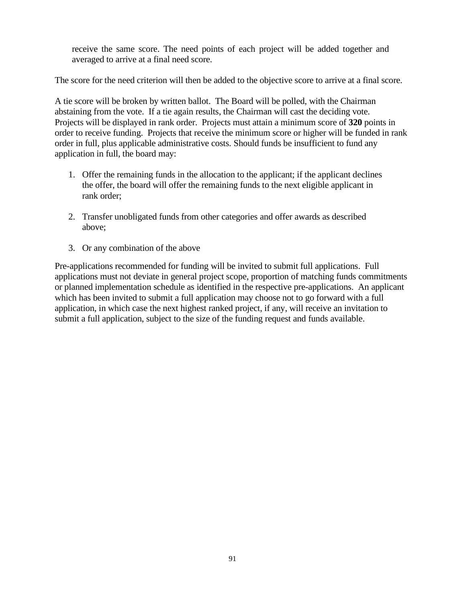receive the same score. The need points of each project will be added together and averaged to arrive at a final need score.

The score for the need criterion will then be added to the objective score to arrive at a final score.

A tie score will be broken by written ballot. The Board will be polled, with the Chairman abstaining from the vote. If a tie again results, the Chairman will cast the deciding vote. Projects will be displayed in rank order. Projects must attain a minimum score of **320** points in order to receive funding. Projects that receive the minimum score or higher will be funded in rank order in full, plus applicable administrative costs. Should funds be insufficient to fund any application in full, the board may:

- 1. Offer the remaining funds in the allocation to the applicant; if the applicant declines the offer, the board will offer the remaining funds to the next eligible applicant in rank order;
- 2. Transfer unobligated funds from other categories and offer awards as described above;
- 3. Or any combination of the above

Pre-applications recommended for funding will be invited to submit full applications. Full applications must not deviate in general project scope, proportion of matching funds commitments or planned implementation schedule as identified in the respective pre-applications. An applicant which has been invited to submit a full application may choose not to go forward with a full application, in which case the next highest ranked project, if any, will receive an invitation to submit a full application, subject to the size of the funding request and funds available.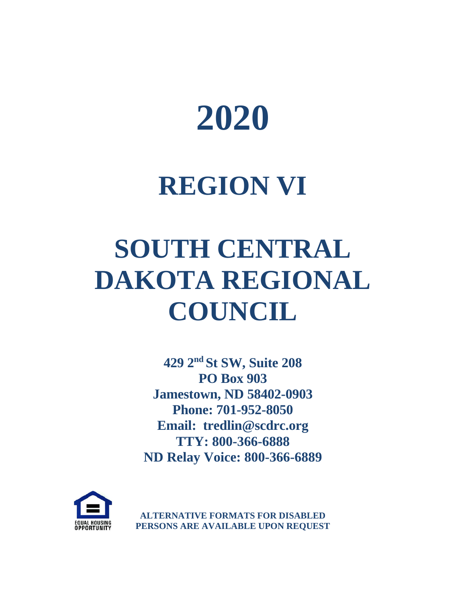

## **REGION VI**

# **SOUTH CENTRAL DAKOTA REGIONAL COUNCIL**

**429 2nd St SW, Suite 208 PO Box 903 Jamestown, ND 58402-0903 Phone: 701-952-8050 Email: tredlin@scdrc.org TTY: 800-366-6888 ND Relay Voice: 800-366-6889**



**ALTERNATIVE FORMATS FOR DISABLED PERSONS ARE AVAILABLE UPON REQUEST**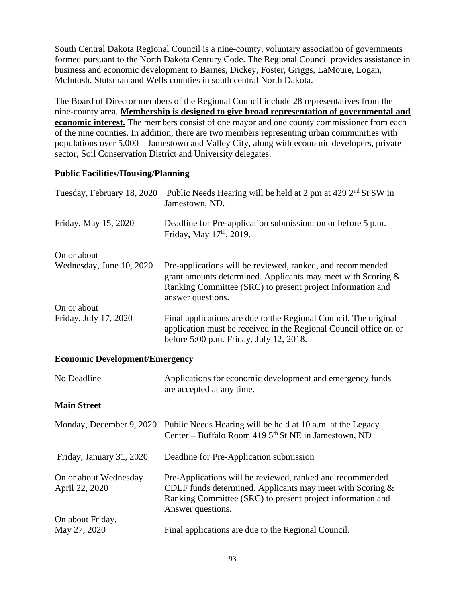South Central Dakota Regional Council is a nine-county, voluntary association of governments formed pursuant to the North Dakota Century Code. The Regional Council provides assistance in business and economic development to Barnes, Dickey, Foster, Griggs, LaMoure, Logan, McIntosh, Stutsman and Wells counties in south central North Dakota.

The Board of Director members of the Regional Council include 28 representatives from the nine-county area. **Membership is designed to give broad representation of governmental and economic interest.** The members consist of one mayor and one county commissioner from each of the nine counties. In addition, there are two members representing urban communities with populations over 5,000 – Jamestown and Valley City, along with economic developers, private sector, Soil Conservation District and University delegates.

## **Public Facilities/Housing/Planning**

| Tuesday, February 18, 2020 | Public Needs Hearing will be held at 2 pm at 429 2 <sup>nd</sup> St SW in<br>Jamestown, ND.                                                                                                                      |
|----------------------------|------------------------------------------------------------------------------------------------------------------------------------------------------------------------------------------------------------------|
| Friday, May 15, 2020       | Deadline for Pre-application submission: on or before 5 p.m.<br>Friday, May 17 <sup>th</sup> , 2019.                                                                                                             |
| On or about                |                                                                                                                                                                                                                  |
| Wednesday, June 10, 2020   | Pre-applications will be reviewed, ranked, and recommended<br>grant amounts determined. Applicants may meet with Scoring $\&$<br>Ranking Committee (SRC) to present project information and<br>answer questions. |
| On or about                |                                                                                                                                                                                                                  |
| Friday, July 17, 2020      | Final applications are due to the Regional Council. The original<br>application must be received in the Regional Council office on or<br>before 5:00 p.m. Friday, July 12, 2018.                                 |

#### **Economic Development/Emergency**

| No Deadline                             | Applications for economic development and emergency funds<br>are accepted at any time.                                                                                                                       |
|-----------------------------------------|--------------------------------------------------------------------------------------------------------------------------------------------------------------------------------------------------------------|
| <b>Main Street</b>                      |                                                                                                                                                                                                              |
| Monday, December 9, 2020                | Public Needs Hearing will be held at 10 a.m. at the Legacy<br>Center – Buffalo Room 419 5 <sup>th</sup> St NE in Jamestown, ND                                                                               |
| Friday, January 31, 2020                | Deadline for Pre-Application submission                                                                                                                                                                      |
| On or about Wednesday<br>April 22, 2020 | Pre-Applications will be reviewed, ranked and recommended<br>CDLF funds determined. Applicants may meet with Scoring $\&$<br>Ranking Committee (SRC) to present project information and<br>Answer questions. |
| On about Friday,                        |                                                                                                                                                                                                              |
| May 27, 2020                            | Final applications are due to the Regional Council.                                                                                                                                                          |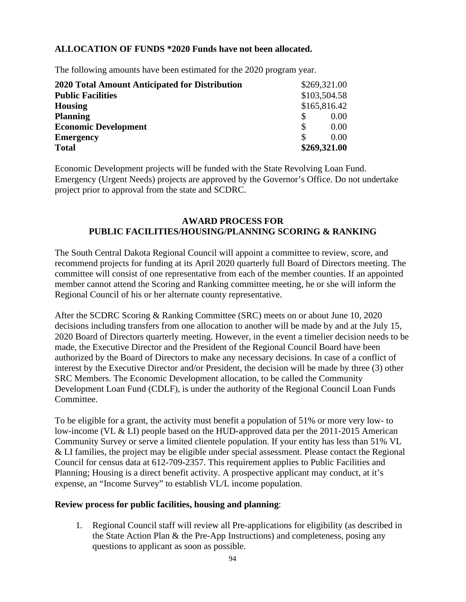## **ALLOCATION OF FUNDS \*2020 Funds have not been allocated.**

The following amounts have been estimated for the 2020 program year.

| 2020 Total Amount Anticipated for Distribution | \$269,321.00 |
|------------------------------------------------|--------------|
| <b>Public Facilities</b>                       | \$103,504.58 |
| <b>Housing</b>                                 | \$165,816.42 |
| <b>Planning</b>                                | 0.00         |
| <b>Economic Development</b>                    | 0.00         |
| <b>Emergency</b>                               | 0.00         |
| <b>Total</b>                                   | \$269,321.00 |

Economic Development projects will be funded with the State Revolving Loan Fund. Emergency (Urgent Needs) projects are approved by the Governor's Office. Do not undertake project prior to approval from the state and SCDRC.

#### **AWARD PROCESS FOR PUBLIC FACILITIES/HOUSING/PLANNING SCORING & RANKING**

The South Central Dakota Regional Council will appoint a committee to review, score, and recommend projects for funding at its April 2020 quarterly full Board of Directors meeting. The committee will consist of one representative from each of the member counties. If an appointed member cannot attend the Scoring and Ranking committee meeting, he or she will inform the Regional Council of his or her alternate county representative.

After the SCDRC Scoring & Ranking Committee (SRC) meets on or about June 10, 2020 decisions including transfers from one allocation to another will be made by and at the July 15, 2020 Board of Directors quarterly meeting. However, in the event a timelier decision needs to be made, the Executive Director and the President of the Regional Council Board have been authorized by the Board of Directors to make any necessary decisions. In case of a conflict of interest by the Executive Director and/or President, the decision will be made by three (3) other SRC Members. The Economic Development allocation, to be called the Community Development Loan Fund (CDLF), is under the authority of the Regional Council Loan Funds Committee.

To be eligible for a grant, the activity must benefit a population of 51% or more very low- to low-income (VL & LI) people based on the HUD-approved data per the 2011-2015 American Community Survey or serve a limited clientele population. If your entity has less than 51% VL & LI families, the project may be eligible under special assessment. Please contact the Regional Council for census data at 612-709-2357. This requirement applies to Public Facilities and Planning; Housing is a direct benefit activity. A prospective applicant may conduct, at it's expense, an "Income Survey" to establish VL/L income population.

#### **Review process for public facilities, housing and planning**:

1. Regional Council staff will review all Pre-applications for eligibility (as described in the State Action Plan & the Pre-App Instructions) and completeness, posing any questions to applicant as soon as possible.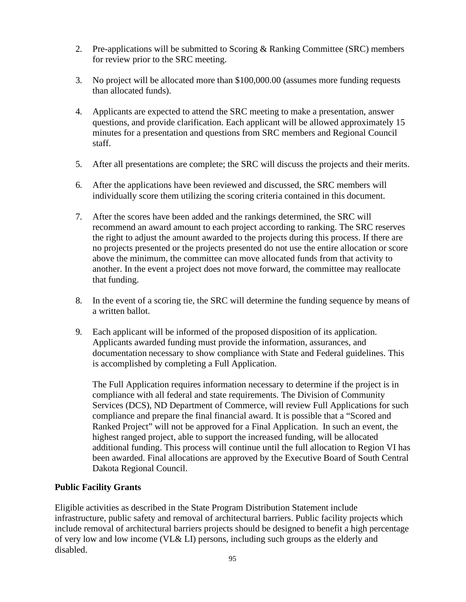- 2. Pre-applications will be submitted to Scoring & Ranking Committee (SRC) members for review prior to the SRC meeting.
- 3. No project will be allocated more than \$100,000.00 (assumes more funding requests than allocated funds).
- 4. Applicants are expected to attend the SRC meeting to make a presentation, answer questions, and provide clarification. Each applicant will be allowed approximately 15 minutes for a presentation and questions from SRC members and Regional Council staff.
- 5. After all presentations are complete; the SRC will discuss the projects and their merits.
- 6. After the applications have been reviewed and discussed, the SRC members will individually score them utilizing the scoring criteria contained in this document.
- 7. After the scores have been added and the rankings determined, the SRC will recommend an award amount to each project according to ranking. The SRC reserves the right to adjust the amount awarded to the projects during this process. If there are no projects presented or the projects presented do not use the entire allocation or score above the minimum, the committee can move allocated funds from that activity to another. In the event a project does not move forward, the committee may reallocate that funding.
- 8. In the event of a scoring tie, the SRC will determine the funding sequence by means of a written ballot.
- 9. Each applicant will be informed of the proposed disposition of its application. Applicants awarded funding must provide the information, assurances, and documentation necessary to show compliance with State and Federal guidelines. This is accomplished by completing a Full Application.

The Full Application requires information necessary to determine if the project is in compliance with all federal and state requirements. The Division of Community Services (DCS), ND Department of Commerce, will review Full Applications for such compliance and prepare the final financial award. It is possible that a "Scored and Ranked Project" will not be approved for a Final Application. In such an event, the highest ranged project, able to support the increased funding, will be allocated additional funding. This process will continue until the full allocation to Region VI has been awarded. Final allocations are approved by the Executive Board of South Central Dakota Regional Council.

## **Public Facility Grants**

Eligible activities as described in the State Program Distribution Statement include infrastructure, public safety and removal of architectural barriers. Public facility projects which include removal of architectural barriers projects should be designed to benefit a high percentage of very low and low income (VL& LI) persons, including such groups as the elderly and disabled.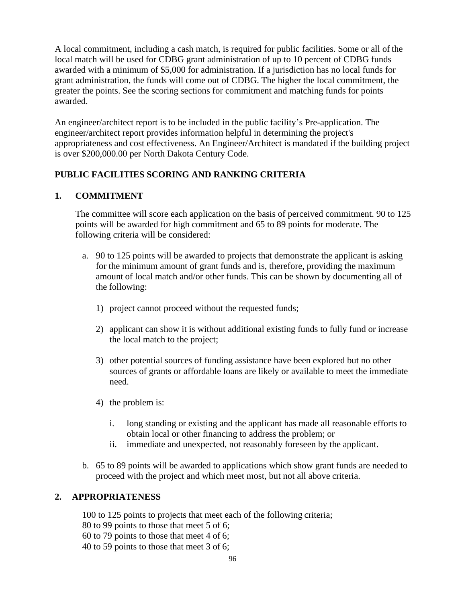A local commitment, including a cash match, is required for public facilities. Some or all of the local match will be used for CDBG grant administration of up to 10 percent of CDBG funds awarded with a minimum of \$5,000 for administration. If a jurisdiction has no local funds for grant administration, the funds will come out of CDBG. The higher the local commitment, the greater the points. See the scoring sections for commitment and matching funds for points awarded.

An engineer/architect report is to be included in the public facility's Pre-application. The engineer/architect report provides information helpful in determining the project's appropriateness and cost effectiveness. An Engineer/Architect is mandated if the building project is over \$200,000.00 per North Dakota Century Code.

## **PUBLIC FACILITIES SCORING AND RANKING CRITERIA**

## **1. COMMITMENT**

The committee will score each application on the basis of perceived commitment. 90 to 125 points will be awarded for high commitment and 65 to 89 points for moderate. The following criteria will be considered:

- a. 90 to 125 points will be awarded to projects that demonstrate the applicant is asking for the minimum amount of grant funds and is, therefore, providing the maximum amount of local match and/or other funds. This can be shown by documenting all of the following:
	- 1) project cannot proceed without the requested funds;
	- 2) applicant can show it is without additional existing funds to fully fund or increase the local match to the project;
	- 3) other potential sources of funding assistance have been explored but no other sources of grants or affordable loans are likely or available to meet the immediate need.
	- 4) the problem is:
		- i. long standing or existing and the applicant has made all reasonable efforts to obtain local or other financing to address the problem; or
		- ii. immediate and unexpected, not reasonably foreseen by the applicant.
- b. 65 to 89 points will be awarded to applications which show grant funds are needed to proceed with the project and which meet most, but not all above criteria.

## **2. APPROPRIATENESS**

100 to 125 points to projects that meet each of the following criteria;

- 80 to 99 points to those that meet 5 of 6;
- 60 to 79 points to those that meet 4 of 6;
- 40 to 59 points to those that meet 3 of 6;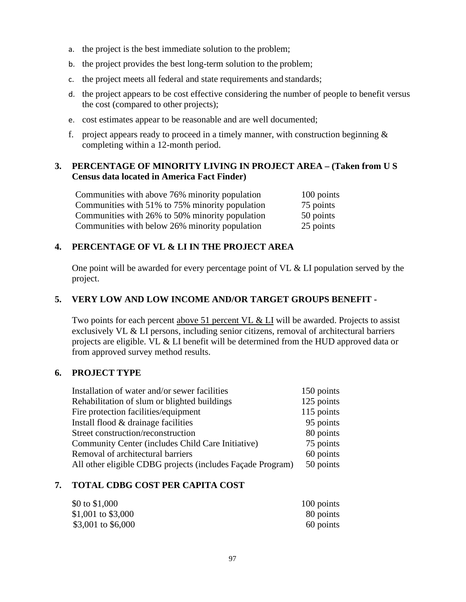- a. the project is the best immediate solution to the problem;
- b. the project provides the best long-term solution to the problem;
- c. the project meets all federal and state requirements and standards;
- d. the project appears to be cost effective considering the number of people to benefit versus the cost (compared to other projects);
- e. cost estimates appear to be reasonable and are well documented;
- f. project appears ready to proceed in a timely manner, with construction beginning  $\&$ completing within a 12-month period.

## **3. PERCENTAGE OF MINORITY LIVING IN PROJECT AREA – (Taken from U S Census data located in America Fact Finder)**

| Communities with above 76% minority population  | 100 points |
|-------------------------------------------------|------------|
| Communities with 51% to 75% minority population | 75 points  |
| Communities with 26% to 50% minority population | 50 points  |
| Communities with below 26% minority population  | 25 points  |

## **4. PERCENTAGE OF VL & LI IN THE PROJECT AREA**

One point will be awarded for every percentage point of VL & LI population served by the project.

## **5. VERY LOW AND LOW INCOME AND/OR TARGET GROUPS BENEFIT -**

Two points for each percent above 51 percent VL & LI will be awarded. Projects to assist exclusively VL & LI persons, including senior citizens, removal of architectural barriers projects are eligible. VL & LI benefit will be determined from the HUD approved data or from approved survey method results.

#### **6. PROJECT TYPE**

| Installation of water and/or sewer facilities              | 150 points |
|------------------------------------------------------------|------------|
| Rehabilitation of slum or blighted buildings               | 125 points |
| Fire protection facilities/equipment                       | 115 points |
| Install flood & drainage facilities                        | 95 points  |
| Street construction/reconstruction                         | 80 points  |
| Community Center (includes Child Care Initiative)          | 75 points  |
| Removal of architectural barriers                          | 60 points  |
| All other eligible CDBG projects (includes Façade Program) | 50 points  |
|                                                            |            |

#### **7. TOTAL CDBG COST PER CAPITA COST**

| \$0 to $$1,000$     | 100 points |
|---------------------|------------|
| \$1,001 to \$3,000  | 80 points  |
| \$3,001 to $$6,000$ | 60 points  |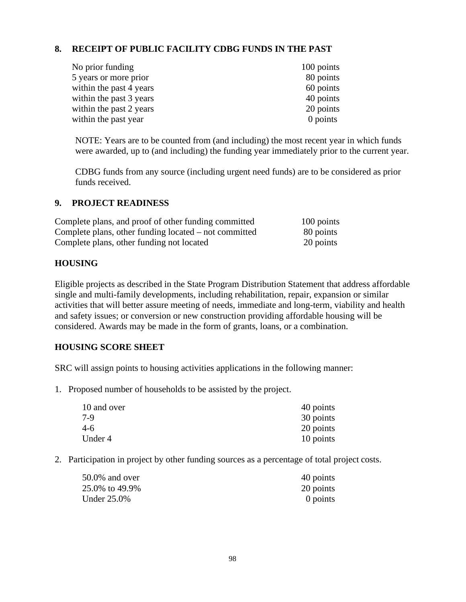## **8. RECEIPT OF PUBLIC FACILITY CDBG FUNDS IN THE PAST**

| No prior funding        | 100 points |
|-------------------------|------------|
| 5 years or more prior   | 80 points  |
| within the past 4 years | 60 points  |
| within the past 3 years | 40 points  |
| within the past 2 years | 20 points  |
| within the past year    | $0$ points |

NOTE: Years are to be counted from (and including) the most recent year in which funds were awarded, up to (and including) the funding year immediately prior to the current year.

CDBG funds from any source (including urgent need funds) are to be considered as prior funds received.

#### **9. PROJECT READINESS**

| Complete plans, and proof of other funding committed  | 100 points |
|-------------------------------------------------------|------------|
| Complete plans, other funding located – not committed | 80 points  |
| Complete plans, other funding not located             | 20 points  |

#### **HOUSING**

Eligible projects as described in the State Program Distribution Statement that address affordable single and multi-family developments, including rehabilitation, repair, expansion or similar activities that will better assure meeting of needs, immediate and long-term, viability and health and safety issues; or conversion or new construction providing affordable housing will be considered. Awards may be made in the form of grants, loans, or a combination.

#### **HOUSING SCORE SHEET**

SRC will assign points to housing activities applications in the following manner:

1. Proposed number of households to be assisted by the project.

| 10 and over | 40 points |
|-------------|-----------|
| 7-9         | 30 points |
| $4-6$       | 20 points |
| Under 4     | 10 points |

2. Participation in project by other funding sources as a percentage of total project costs.

| 50.0% and over | 40 points  |
|----------------|------------|
| 25.0% to 49.9% | 20 points  |
| Under 25.0%    | $0$ points |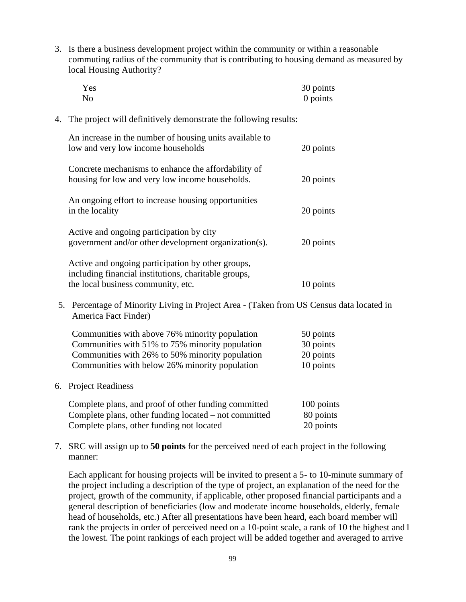3. Is there a business development project within the community or within a reasonable commuting radius of the community that is contributing to housing demand as measured by local Housing Authority?

|                                                                                                                  | Yes<br>N <sub>o</sub>                                                                                                                                                                                  | 30 points<br>0 points                            |
|------------------------------------------------------------------------------------------------------------------|--------------------------------------------------------------------------------------------------------------------------------------------------------------------------------------------------------|--------------------------------------------------|
| 4.                                                                                                               | The project will definitively demonstrate the following results:                                                                                                                                       |                                                  |
|                                                                                                                  | An increase in the number of housing units available to<br>low and very low income households                                                                                                          | 20 points                                        |
|                                                                                                                  | Concrete mechanisms to enhance the affordability of<br>housing for low and very low income households.                                                                                                 | 20 points                                        |
|                                                                                                                  | An ongoing effort to increase housing opportunities<br>in the locality                                                                                                                                 | 20 points                                        |
|                                                                                                                  | Active and ongoing participation by city<br>government and/or other development organization(s).                                                                                                       | 20 points                                        |
|                                                                                                                  | Active and ongoing participation by other groups,<br>including financial institutions, charitable groups,<br>the local business community, etc.                                                        | 10 points                                        |
| 5. Percentage of Minority Living in Project Area - (Taken from US Census data located in<br>America Fact Finder) |                                                                                                                                                                                                        |                                                  |
|                                                                                                                  | Communities with above 76% minority population<br>Communities with 51% to 75% minority population<br>Communities with 26% to 50% minority population<br>Communities with below 26% minority population | 50 points<br>30 points<br>20 points<br>10 points |
|                                                                                                                  | 6. Project Readiness                                                                                                                                                                                   |                                                  |
|                                                                                                                  | Complete plans, and proof of other funding committed<br>Complete plans, other funding located – not committed<br>Complete plans, other funding not located                                             | 100 points<br>80 points<br>20 points             |

7. SRC will assign up to **50 points** for the perceived need of each project in the following manner:

Each applicant for housing projects will be invited to present a 5- to 10-minute summary of the project including a description of the type of project, an explanation of the need for the project, growth of the community, if applicable, other proposed financial participants and a general description of beneficiaries (low and moderate income households, elderly, female head of households, etc.) After all presentations have been heard, each board member will rank the projects in order of perceived need on a 10-point scale, a rank of 10 the highest and1 the lowest. The point rankings of each project will be added together and averaged to arrive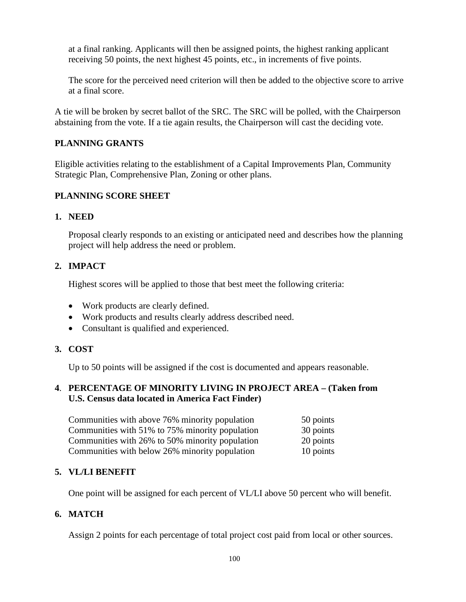at a final ranking. Applicants will then be assigned points, the highest ranking applicant receiving 50 points, the next highest 45 points, etc., in increments of five points.

The score for the perceived need criterion will then be added to the objective score to arrive at a final score.

A tie will be broken by secret ballot of the SRC. The SRC will be polled, with the Chairperson abstaining from the vote. If a tie again results, the Chairperson will cast the deciding vote.

## **PLANNING GRANTS**

Eligible activities relating to the establishment of a Capital Improvements Plan, Community Strategic Plan, Comprehensive Plan, Zoning or other plans.

## **PLANNING SCORE SHEET**

#### **1. NEED**

Proposal clearly responds to an existing or anticipated need and describes how the planning project will help address the need or problem.

## **2. IMPACT**

Highest scores will be applied to those that best meet the following criteria:

- Work products are clearly defined.
- Work products and results clearly address described need.
- Consultant is qualified and experienced.

#### **3. COST**

Up to 50 points will be assigned if the cost is documented and appears reasonable.

## **4**. **PERCENTAGE OF MINORITY LIVING IN PROJECT AREA – (Taken from U.S. Census data located in America Fact Finder)**

| Communities with above 76% minority population  | 50 points |
|-------------------------------------------------|-----------|
| Communities with 51% to 75% minority population | 30 points |
| Communities with 26% to 50% minority population | 20 points |
| Communities with below 26% minority population  | 10 points |

## **5. VL/LI BENEFIT**

One point will be assigned for each percent of VL/LI above 50 percent who will benefit.

## **6. MATCH**

Assign 2 points for each percentage of total project cost paid from local or other sources.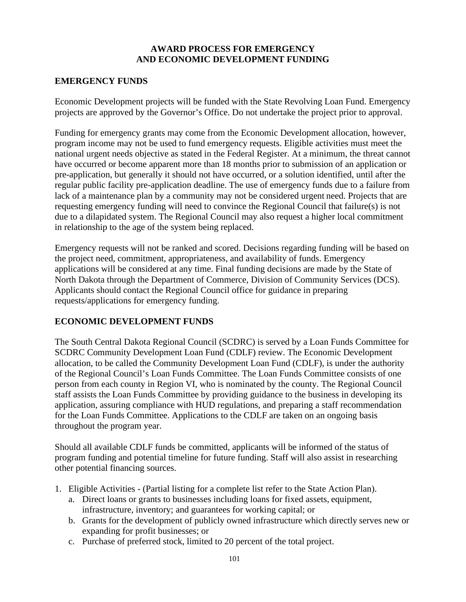## **AWARD PROCESS FOR EMERGENCY AND ECONOMIC DEVELOPMENT FUNDING**

## **EMERGENCY FUNDS**

Economic Development projects will be funded with the State Revolving Loan Fund. Emergency projects are approved by the Governor's Office. Do not undertake the project prior to approval.

Funding for emergency grants may come from the Economic Development allocation, however, program income may not be used to fund emergency requests. Eligible activities must meet the national urgent needs objective as stated in the Federal Register. At a minimum, the threat cannot have occurred or become apparent more than 18 months prior to submission of an application or pre-application, but generally it should not have occurred, or a solution identified, until after the regular public facility pre-application deadline. The use of emergency funds due to a failure from lack of a maintenance plan by a community may not be considered urgent need. Projects that are requesting emergency funding will need to convince the Regional Council that failure(s) is not due to a dilapidated system. The Regional Council may also request a higher local commitment in relationship to the age of the system being replaced.

Emergency requests will not be ranked and scored. Decisions regarding funding will be based on the project need, commitment, appropriateness, and availability of funds. Emergency applications will be considered at any time. Final funding decisions are made by the State of North Dakota through the Department of Commerce, Division of Community Services (DCS). Applicants should contact the Regional Council office for guidance in preparing requests/applications for emergency funding.

## **ECONOMIC DEVELOPMENT FUNDS**

The South Central Dakota Regional Council (SCDRC) is served by a Loan Funds Committee for SCDRC Community Development Loan Fund (CDLF) review. The Economic Development allocation, to be called the Community Development Loan Fund (CDLF), is under the authority of the Regional Council's Loan Funds Committee. The Loan Funds Committee consists of one person from each county in Region VI, who is nominated by the county. The Regional Council staff assists the Loan Funds Committee by providing guidance to the business in developing its application, assuring compliance with HUD regulations, and preparing a staff recommendation for the Loan Funds Committee. Applications to the CDLF are taken on an ongoing basis throughout the program year.

Should all available CDLF funds be committed, applicants will be informed of the status of program funding and potential timeline for future funding. Staff will also assist in researching other potential financing sources.

- 1. Eligible Activities (Partial listing for a complete list refer to the State Action Plan).
	- a. Direct loans or grants to businesses including loans for fixed assets, equipment, infrastructure, inventory; and guarantees for working capital; or
	- b. Grants for the development of publicly owned infrastructure which directly serves new or expanding for profit businesses; or
	- c. Purchase of preferred stock, limited to 20 percent of the total project.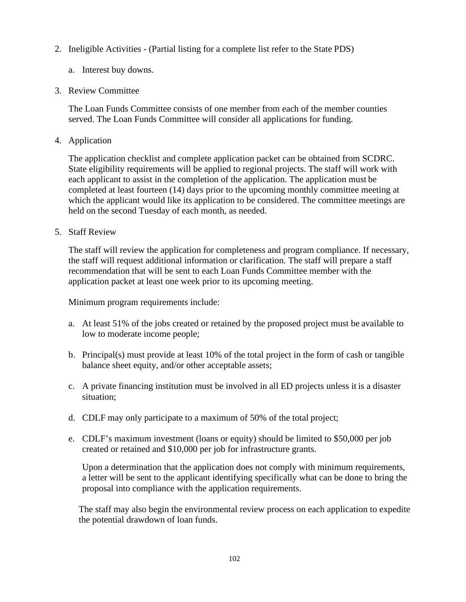- 2. Ineligible Activities (Partial listing for a complete list refer to the State PDS)
	- a. Interest buy downs.
- 3. Review Committee

The Loan Funds Committee consists of one member from each of the member counties served. The Loan Funds Committee will consider all applications for funding.

4. Application

The application checklist and complete application packet can be obtained from SCDRC. State eligibility requirements will be applied to regional projects. The staff will work with each applicant to assist in the completion of the application. The application must be completed at least fourteen (14) days prior to the upcoming monthly committee meeting at which the applicant would like its application to be considered. The committee meetings are held on the second Tuesday of each month, as needed.

5. Staff Review

The staff will review the application for completeness and program compliance. If necessary, the staff will request additional information or clarification. The staff will prepare a staff recommendation that will be sent to each Loan Funds Committee member with the application packet at least one week prior to its upcoming meeting.

Minimum program requirements include:

- a. At least 51% of the jobs created or retained by the proposed project must be available to low to moderate income people;
- b. Principal(s) must provide at least 10% of the total project in the form of cash or tangible balance sheet equity, and/or other acceptable assets;
- c. A private financing institution must be involved in all ED projects unless it is a disaster situation;
- d. CDLF may only participate to a maximum of 50% of the total project;
- e. CDLF's maximum investment (loans or equity) should be limited to \$50,000 per job created or retained and \$10,000 per job for infrastructure grants.

Upon a determination that the application does not comply with minimum requirements, a letter will be sent to the applicant identifying specifically what can be done to bring the proposal into compliance with the application requirements.

The staff may also begin the environmental review process on each application to expedite the potential drawdown of loan funds.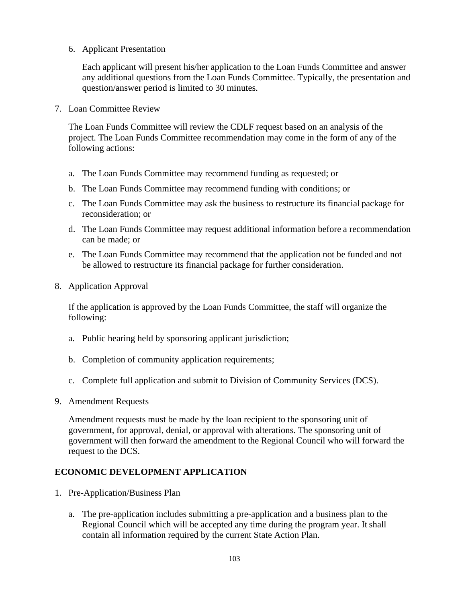6. Applicant Presentation

Each applicant will present his/her application to the Loan Funds Committee and answer any additional questions from the Loan Funds Committee. Typically, the presentation and question/answer period is limited to 30 minutes.

7. Loan Committee Review

The Loan Funds Committee will review the CDLF request based on an analysis of the project. The Loan Funds Committee recommendation may come in the form of any of the following actions:

- a. The Loan Funds Committee may recommend funding as requested; or
- b. The Loan Funds Committee may recommend funding with conditions; or
- c. The Loan Funds Committee may ask the business to restructure its financial package for reconsideration; or
- d. The Loan Funds Committee may request additional information before a recommendation can be made; or
- e. The Loan Funds Committee may recommend that the application not be funded and not be allowed to restructure its financial package for further consideration.
- 8. Application Approval

If the application is approved by the Loan Funds Committee, the staff will organize the following:

- a. Public hearing held by sponsoring applicant jurisdiction;
- b. Completion of community application requirements;
- c. Complete full application and submit to Division of Community Services (DCS).
- 9. Amendment Requests

Amendment requests must be made by the loan recipient to the sponsoring unit of government, for approval, denial, or approval with alterations. The sponsoring unit of government will then forward the amendment to the Regional Council who will forward the request to the DCS.

#### **ECONOMIC DEVELOPMENT APPLICATION**

- 1. Pre-Application/Business Plan
	- a. The pre-application includes submitting a pre-application and a business plan to the Regional Council which will be accepted any time during the program year. Itshall contain all information required by the current State Action Plan.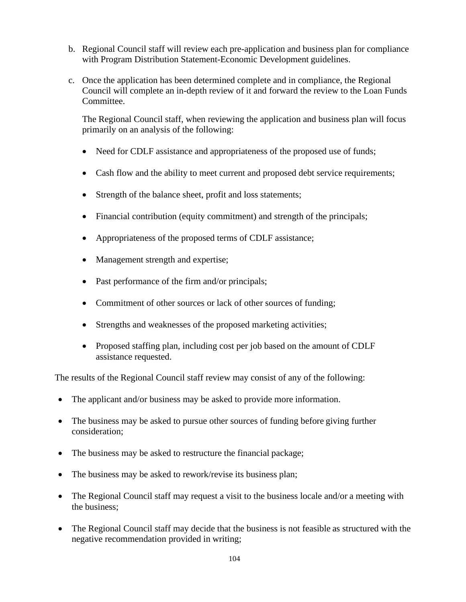- b. Regional Council staff will review each pre-application and business plan for compliance with Program Distribution Statement-Economic Development guidelines.
- c. Once the application has been determined complete and in compliance, the Regional Council will complete an in-depth review of it and forward the review to the Loan Funds Committee.

The Regional Council staff, when reviewing the application and business plan will focus primarily on an analysis of the following:

- Need for CDLF assistance and appropriateness of the proposed use of funds;
- Cash flow and the ability to meet current and proposed debt service requirements;
- Strength of the balance sheet, profit and loss statements;
- Financial contribution (equity commitment) and strength of the principals;
- Appropriateness of the proposed terms of CDLF assistance;
- Management strength and expertise;
- Past performance of the firm and/or principals;
- Commitment of other sources or lack of other sources of funding;
- Strengths and weaknesses of the proposed marketing activities;
- Proposed staffing plan, including cost per job based on the amount of CDLF assistance requested.

The results of the Regional Council staff review may consist of any of the following:

- The applicant and/or business may be asked to provide more information.
- The business may be asked to pursue other sources of funding before giving further consideration;
- The business may be asked to restructure the financial package;
- The business may be asked to rework/revise its business plan;
- The Regional Council staff may request a visit to the business locale and/or a meeting with the business;
- The Regional Council staff may decide that the business is not feasible as structured with the negative recommendation provided in writing;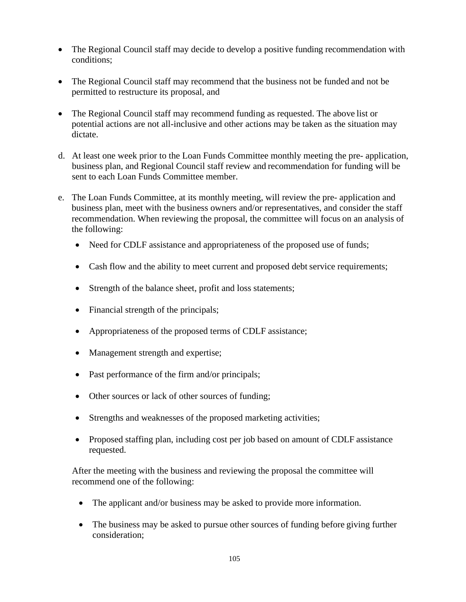- The Regional Council staff may decide to develop a positive funding recommendation with conditions;
- The Regional Council staff may recommend that the business not be funded and not be permitted to restructure its proposal, and
- The Regional Council staff may recommend funding as requested. The above list or potential actions are not all-inclusive and other actions may be taken as the situation may dictate.
- d. At least one week prior to the Loan Funds Committee monthly meeting the pre- application, business plan, and Regional Council staff review and recommendation for funding will be sent to each Loan Funds Committee member.
- e. The Loan Funds Committee, at its monthly meeting, will review the pre- application and business plan, meet with the business owners and/or representatives, and consider the staff recommendation. When reviewing the proposal, the committee will focus on an analysis of the following:
	- Need for CDLF assistance and appropriateness of the proposed use of funds;
	- Cash flow and the ability to meet current and proposed debt service requirements;
	- Strength of the balance sheet, profit and loss statements;
	- Financial strength of the principals;
	- Appropriateness of the proposed terms of CDLF assistance;
	- Management strength and expertise;
	- Past performance of the firm and/or principals;
	- Other sources or lack of other sources of funding;
	- Strengths and weaknesses of the proposed marketing activities;
	- Proposed staffing plan, including cost per job based on amount of CDLF assistance requested.

After the meeting with the business and reviewing the proposal the committee will recommend one of the following:

- The applicant and/or business may be asked to provide more information.
- The business may be asked to pursue other sources of funding before giving further consideration;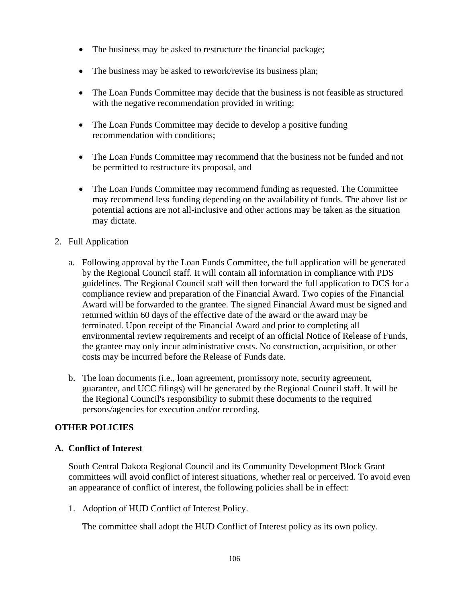- The business may be asked to restructure the financial package;
- The business may be asked to rework/revise its business plan;
- The Loan Funds Committee may decide that the business is not feasible as structured with the negative recommendation provided in writing;
- The Loan Funds Committee may decide to develop a positive funding recommendation with conditions;
- The Loan Funds Committee may recommend that the business not be funded and not be permitted to restructure its proposal, and
- The Loan Funds Committee may recommend funding as requested. The Committee may recommend less funding depending on the availability of funds. The above list or potential actions are not all-inclusive and other actions may be taken as the situation may dictate.
- 2. Full Application
	- a. Following approval by the Loan Funds Committee, the full application will be generated by the Regional Council staff. It will contain all information in compliance with PDS guidelines. The Regional Council staff will then forward the full application to DCS for a compliance review and preparation of the Financial Award. Two copies of the Financial Award will be forwarded to the grantee. The signed Financial Award must be signed and returned within 60 days of the effective date of the award or the award may be terminated. Upon receipt of the Financial Award and prior to completing all environmental review requirements and receipt of an official Notice of Release of Funds, the grantee may only incur administrative costs. No construction, acquisition, or other costs may be incurred before the Release of Funds date.
	- b. The loan documents (i.e., loan agreement, promissory note, security agreement, guarantee, and UCC filings) will be generated by the Regional Council staff. It will be the Regional Council's responsibility to submit these documents to the required persons/agencies for execution and/or recording.

## **OTHER POLICIES**

#### **A. Conflict of Interest**

South Central Dakota Regional Council and its Community Development Block Grant committees will avoid conflict of interest situations, whether real or perceived. To avoid even an appearance of conflict of interest, the following policies shall be in effect:

1. Adoption of HUD Conflict of Interest Policy.

The committee shall adopt the HUD Conflict of Interest policy as its own policy.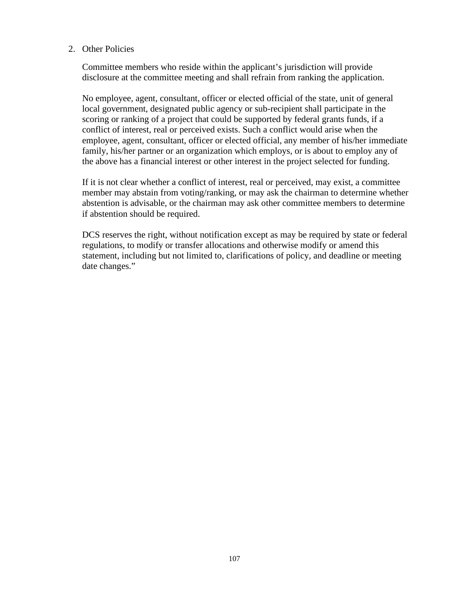#### 2. Other Policies

Committee members who reside within the applicant's jurisdiction will provide disclosure at the committee meeting and shall refrain from ranking the application.

No employee, agent, consultant, officer or elected official of the state, unit of general local government, designated public agency or sub-recipient shall participate in the scoring or ranking of a project that could be supported by federal grants funds, if a conflict of interest, real or perceived exists. Such a conflict would arise when the employee, agent, consultant, officer or elected official, any member of his/her immediate family, his/her partner or an organization which employs, or is about to employ any of the above has a financial interest or other interest in the project selected for funding.

If it is not clear whether a conflict of interest, real or perceived, may exist, a committee member may abstain from voting/ranking, or may ask the chairman to determine whether abstention is advisable, or the chairman may ask other committee members to determine if abstention should be required.

DCS reserves the right, without notification except as may be required by state or federal regulations, to modify or transfer allocations and otherwise modify or amend this statement, including but not limited to, clarifications of policy, and deadline or meeting date changes."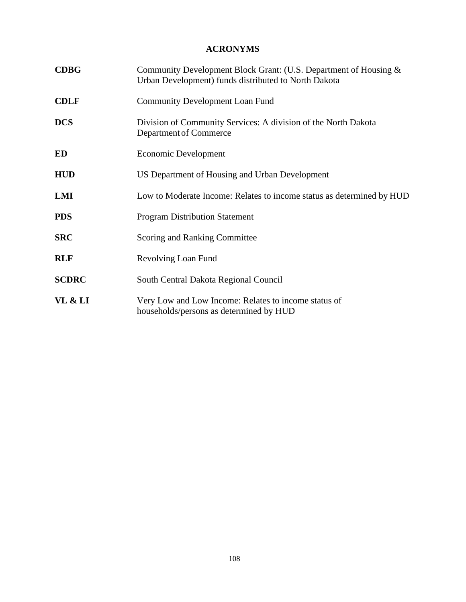## **ACRONYMS**

| <b>CDBG</b>  | Community Development Block Grant: (U.S. Department of Housing &<br>Urban Development) funds distributed to North Dakota |
|--------------|--------------------------------------------------------------------------------------------------------------------------|
| <b>CDLF</b>  | <b>Community Development Loan Fund</b>                                                                                   |
| <b>DCS</b>   | Division of Community Services: A division of the North Dakota<br>Department of Commerce                                 |
| ED           | Economic Development                                                                                                     |
| <b>HUD</b>   | US Department of Housing and Urban Development                                                                           |
| LMI          | Low to Moderate Income: Relates to income status as determined by HUD                                                    |
| <b>PDS</b>   | <b>Program Distribution Statement</b>                                                                                    |
| <b>SRC</b>   | Scoring and Ranking Committee                                                                                            |
| <b>RLF</b>   | Revolving Loan Fund                                                                                                      |
| <b>SCDRC</b> | South Central Dakota Regional Council                                                                                    |
| VL & LI      | Very Low and Low Income: Relates to income status of<br>households/persons as determined by HUD                          |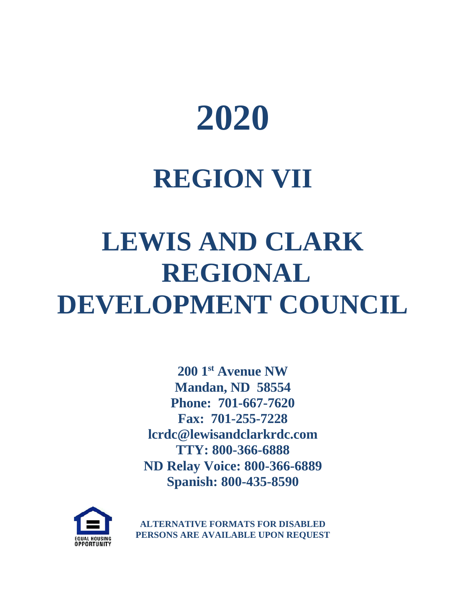

## **REGION VII**

# **LEWIS AND CLARK REGIONAL DEVELOPMENT COUNCIL**

**200 1st Avenue NW Mandan, ND 58554 Phone: 701-667-7620 Fax: 701-255-7228 lcrdc@lewisandclarkrdc.com TTY: 800-366-6888 ND Relay Voice: 800-366-6889 Spanish: 800-435-8590**



**ALTERNATIVE FORMATS FOR DISABLED PERSONS ARE AVAILABLE UPON REQUEST**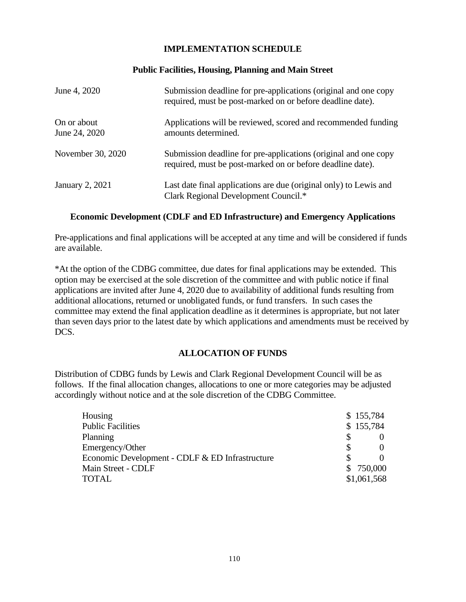## **IMPLEMENTATION SCHEDULE**

#### **Public Facilities, Housing, Planning and Main Street**

| June 4, 2020                 | Submission deadline for pre-applications (original and one copy<br>required, must be post-marked on or before deadline date). |
|------------------------------|-------------------------------------------------------------------------------------------------------------------------------|
| On or about<br>June 24, 2020 | Applications will be reviewed, scored and recommended funding<br>amounts determined.                                          |
| November 30, 2020            | Submission deadline for pre-applications (original and one copy<br>required, must be post-marked on or before deadline date). |
| <b>January 2, 2021</b>       | Last date final applications are due (original only) to Lewis and<br>Clark Regional Development Council.*                     |

#### **Economic Development (CDLF and ED Infrastructure) and Emergency Applications**

Pre-applications and final applications will be accepted at any time and will be considered if funds are available.

\*At the option of the CDBG committee, due dates for final applications may be extended. This option may be exercised at the sole discretion of the committee and with public notice if final applications are invited after June 4, 2020 due to availability of additional funds resulting from additional allocations, returned or unobligated funds, or fund transfers. In such cases the committee may extend the final application deadline as it determines is appropriate, but not later than seven days prior to the latest date by which applications and amendments must be received by DCS.

#### **ALLOCATION OF FUNDS**

Distribution of CDBG funds by Lewis and Clark Regional Development Council will be as follows. If the final allocation changes, allocations to one or more categories may be adjusted accordingly without notice and at the sole discretion of the CDBG Committee.

| Housing                                         | \$155,784   |
|-------------------------------------------------|-------------|
| <b>Public Facilities</b>                        | \$155,784   |
| Planning                                        |             |
| Emergency/Other                                 |             |
| Economic Development - CDLF & ED Infrastructure |             |
| Main Street - CDLF                              | \$750,000   |
| <b>TOTAL</b>                                    | \$1,061,568 |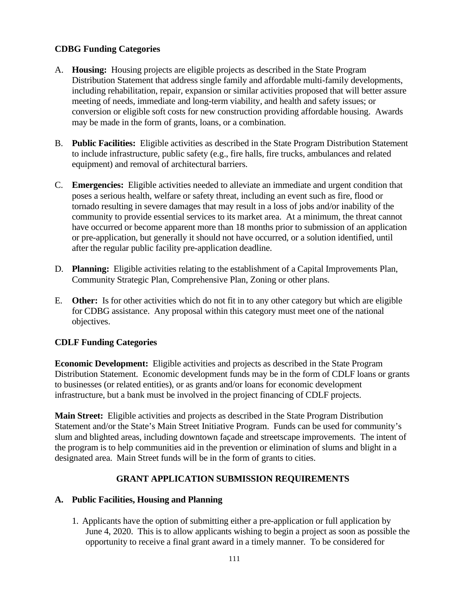## **CDBG Funding Categories**

- A. **Housing:** Housing projects are eligible projects as described in the State Program Distribution Statement that address single family and affordable multi-family developments, including rehabilitation, repair, expansion or similar activities proposed that will better assure meeting of needs, immediate and long-term viability, and health and safety issues; or conversion or eligible soft costs for new construction providing affordable housing. Awards may be made in the form of grants, loans, or a combination.
- B. **Public Facilities:** Eligible activities as described in the State Program Distribution Statement to include infrastructure, public safety (e.g., fire halls, fire trucks, ambulances and related equipment) and removal of architectural barriers.
- C. **Emergencies:** Eligible activities needed to alleviate an immediate and urgent condition that poses a serious health, welfare or safety threat, including an event such as fire, flood or tornado resulting in severe damages that may result in a loss of jobs and/or inability of the community to provide essential services to its market area. At a minimum, the threat cannot have occurred or become apparent more than 18 months prior to submission of an application or pre-application, but generally it should not have occurred, or a solution identified, until after the regular public facility pre-application deadline.
- D. **Planning:** Eligible activities relating to the establishment of a Capital Improvements Plan, Community Strategic Plan, Comprehensive Plan, Zoning or other plans.
- E. **Other:** Is for other activities which do not fit in to any other category but which are eligible for CDBG assistance. Any proposal within this category must meet one of the national objectives.

## **CDLF Funding Categories**

**Economic Development:** Eligible activities and projects as described in the State Program Distribution Statement. Economic development funds may be in the form of CDLF loans or grants to businesses (or related entities), or as grants and/or loans for economic development infrastructure, but a bank must be involved in the project financing of CDLF projects.

**Main Street:** Eligible activities and projects as described in the State Program Distribution Statement and/or the State's Main Street Initiative Program. Funds can be used for community's slum and blighted areas, including downtown façade and streetscape improvements. The intent of the program is to help communities aid in the prevention or elimination of slums and blight in a designated area. Main Street funds will be in the form of grants to cities.

## **GRANT APPLICATION SUBMISSION REQUIREMENTS**

#### **A. Public Facilities, Housing and Planning**

1. Applicants have the option of submitting either a pre-application or full application by June 4, 2020. This is to allow applicants wishing to begin a project as soon as possible the opportunity to receive a final grant award in a timely manner. To be considered for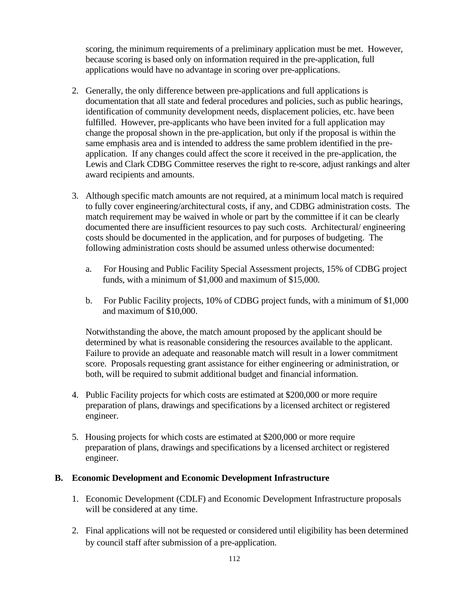scoring, the minimum requirements of a preliminary application must be met. However, because scoring is based only on information required in the pre-application, full applications would have no advantage in scoring over pre-applications.

- 2. Generally, the only difference between pre-applications and full applications is documentation that all state and federal procedures and policies, such as public hearings, identification of community development needs, displacement policies, etc. have been fulfilled. However, pre-applicants who have been invited for a full application may change the proposal shown in the pre-application, but only if the proposal is within the same emphasis area and is intended to address the same problem identified in the preapplication. If any changes could affect the score it received in the pre-application, the Lewis and Clark CDBG Committee reserves the right to re-score, adjust rankings and alter award recipients and amounts.
- 3. Although specific match amounts are not required, at a minimum local match is required to fully cover engineering/architectural costs, if any, and CDBG administration costs. The match requirement may be waived in whole or part by the committee if it can be clearly documented there are insufficient resources to pay such costs. Architectural/ engineering costs should be documented in the application, and for purposes of budgeting. The following administration costs should be assumed unless otherwise documented:
	- a. For Housing and Public Facility Special Assessment projects, 15% of CDBG project funds, with a minimum of \$1,000 and maximum of \$15,000.
	- b. For Public Facility projects, 10% of CDBG project funds, with a minimum of \$1,000 and maximum of \$10,000.

Notwithstanding the above, the match amount proposed by the applicant should be determined by what is reasonable considering the resources available to the applicant. Failure to provide an adequate and reasonable match will result in a lower commitment score. Proposals requesting grant assistance for either engineering or administration, or both, will be required to submit additional budget and financial information.

- 4. Public Facility projects for which costs are estimated at \$200,000 or more require preparation of plans, drawings and specifications by a licensed architect or registered engineer.
- 5. Housing projects for which costs are estimated at \$200,000 or more require preparation of plans, drawings and specifications by a licensed architect or registered engineer.

#### **B. Economic Development and Economic Development Infrastructure**

- 1. Economic Development (CDLF) and Economic Development Infrastructure proposals will be considered at any time.
- 2. Final applications will not be requested or considered until eligibility has been determined by council staff after submission of a pre-application.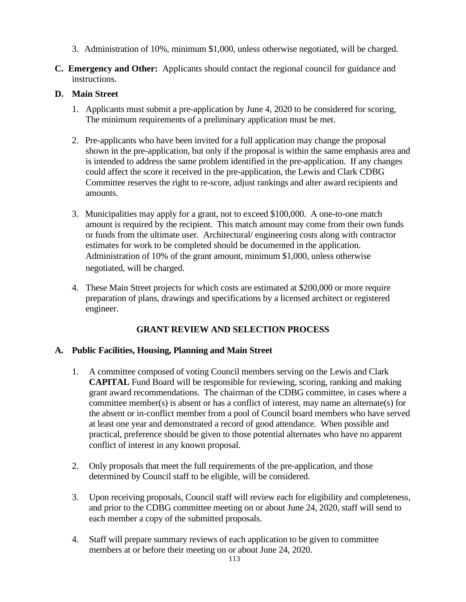- 3. Administration of 10%, minimum \$1,000, unless otherwise negotiated, will be charged.
- **C. Emergency and Other:** Applicants should contact the regional council for guidance and instructions.

## **D. Main Street**

- 1. Applicants must submit a pre-application by June 4, 2020 to be considered for scoring, The minimum requirements of a preliminary application must be met.
- 2. Pre-applicants who have been invited for a full application may change the proposal shown in the pre-application, but only if the proposal is within the same emphasis area and is intended to address the same problem identified in the pre-application. If any changes could affect the score it received in the pre-application, the Lewis and Clark CDBG Committee reserves the right to re-score, adjust rankings and alter award recipients and amounts.
- 3. Municipalities may apply for a grant, not to exceed \$100,000. A one-to-one match amount is required by the recipient. This match amount may come from their own funds or funds from the ultimate user. Architectural/ engineering costs along with contractor estimates for work to be completed should be documented in the application. Administration of 10% of the grant amount, minimum \$1,000, unless otherwise negotiated, will be charged.
- 4. These Main Street projects for which costs are estimated at \$200,000 or more require preparation of plans, drawings and specifications by a licensed architect or registered engineer.

## **GRANT REVIEW AND SELECTION PROCESS**

## **A. Public Facilities, Housing, Planning and Main Street**

- 1. A committee composed of voting Council members serving on the Lewis and Clark **CAPITAL** Fund Board will be responsible for reviewing, scoring, ranking and making grant award recommendations. The chairman of the CDBG committee, in cases where a committee member(s) is absent or has a conflict of interest, may name an alternate(s) for the absent or in-conflict member from a pool of Council board members who have served at least one year and demonstrated a record of good attendance. When possible and practical, preference should be given to those potential alternates who have no apparent conflict of interest in any known proposal.
- 2. Only proposals that meet the full requirements of the pre-application, and those determined by Council staff to be eligible, will be considered.
- 3. Upon receiving proposals, Council staff will review each for eligibility and completeness, and prior to the CDBG committee meeting on or about June 24, 2020, staff will send to each member a copy of the submitted proposals.
- 4. Staff will prepare summary reviews of each application to be given to committee members at or before their meeting on or about June 24, 2020.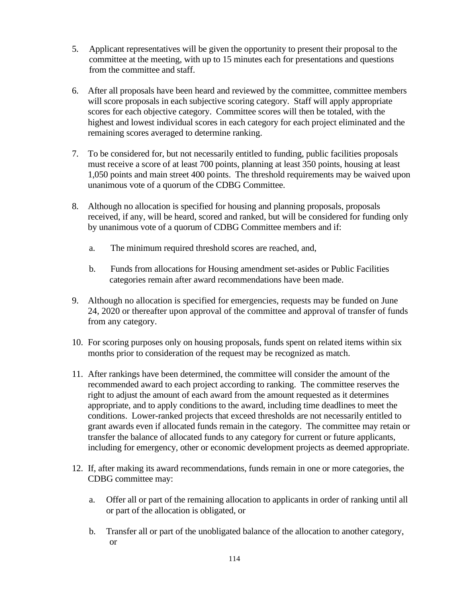- 5. Applicant representatives will be given the opportunity to present their proposal to the committee at the meeting, with up to 15 minutes each for presentations and questions from the committee and staff.
- 6. After all proposals have been heard and reviewed by the committee, committee members will score proposals in each subjective scoring category. Staff will apply appropriate scores for each objective category. Committee scores will then be totaled, with the highest and lowest individual scores in each category for each project eliminated and the remaining scores averaged to determine ranking.
- 7. To be considered for, but not necessarily entitled to funding, public facilities proposals must receive a score of at least 700 points, planning at least 350 points, housing at least 1,050 points and main street 400 points. The threshold requirements may be waived upon unanimous vote of a quorum of the CDBG Committee.
- 8. Although no allocation is specified for housing and planning proposals, proposals received, if any, will be heard, scored and ranked, but will be considered for funding only by unanimous vote of a quorum of CDBG Committee members and if:
	- a. The minimum required threshold scores are reached, and,
	- b. Funds from allocations for Housing amendment set-asides or Public Facilities categories remain after award recommendations have been made.
- 9. Although no allocation is specified for emergencies, requests may be funded on June 24, 2020 or thereafter upon approval of the committee and approval of transfer of funds from any category.
- 10. For scoring purposes only on housing proposals, funds spent on related items within six months prior to consideration of the request may be recognized as match.
- 11. After rankings have been determined, the committee will consider the amount of the recommended award to each project according to ranking. The committee reserves the right to adjust the amount of each award from the amount requested as it determines appropriate, and to apply conditions to the award, including time deadlines to meet the conditions. Lower-ranked projects that exceed thresholds are not necessarily entitled to grant awards even if allocated funds remain in the category. The committee may retain or transfer the balance of allocated funds to any category for current or future applicants, including for emergency, other or economic development projects as deemed appropriate.
- 12. If, after making its award recommendations, funds remain in one or more categories, the CDBG committee may:
	- a. Offer all or part of the remaining allocation to applicants in order of ranking until all or part of the allocation is obligated, or
	- b. Transfer all or part of the unobligated balance of the allocation to another category, or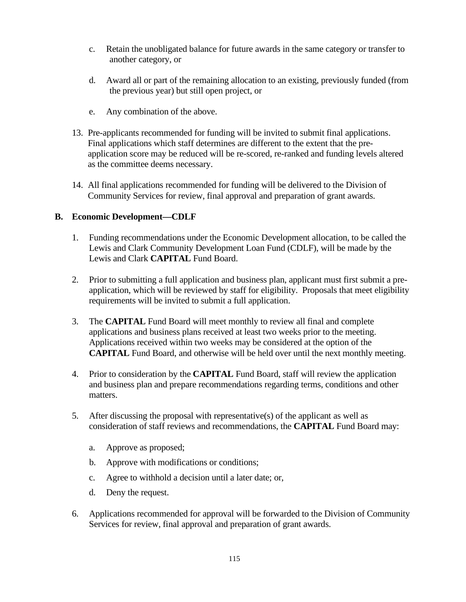- c. Retain the unobligated balance for future awards in the same category or transfer to another category, or
- d. Award all or part of the remaining allocation to an existing, previously funded (from the previous year) but still open project, or
- e. Any combination of the above.
- 13. Pre-applicants recommended for funding will be invited to submit final applications. Final applications which staff determines are different to the extent that the preapplication score may be reduced will be re-scored, re-ranked and funding levels altered as the committee deems necessary.
- 14. All final applications recommended for funding will be delivered to the Division of Community Services for review, final approval and preparation of grant awards.

#### **B. Economic Development—CDLF**

- 1. Funding recommendations under the Economic Development allocation, to be called the Lewis and Clark Community Development Loan Fund (CDLF), will be made by the Lewis and Clark **CAPITAL** Fund Board.
- 2. Prior to submitting a full application and business plan, applicant must first submit a preapplication, which will be reviewed by staff for eligibility. Proposals that meet eligibility requirements will be invited to submit a full application.
- 3. The **CAPITAL** Fund Board will meet monthly to review all final and complete applications and business plans received at least two weeks prior to the meeting. Applications received within two weeks may be considered at the option of the **CAPITAL** Fund Board, and otherwise will be held over until the next monthly meeting.
- 4. Prior to consideration by the **CAPITAL** Fund Board, staff will review the application and business plan and prepare recommendations regarding terms, conditions and other matters.
- 5. After discussing the proposal with representative(s) of the applicant as well as consideration of staff reviews and recommendations, the **CAPITAL** Fund Board may:
	- a. Approve as proposed;
	- b. Approve with modifications or conditions;
	- c. Agree to withhold a decision until a later date; or,
	- d. Deny the request.
- 6. Applications recommended for approval will be forwarded to the Division of Community Services for review, final approval and preparation of grant awards.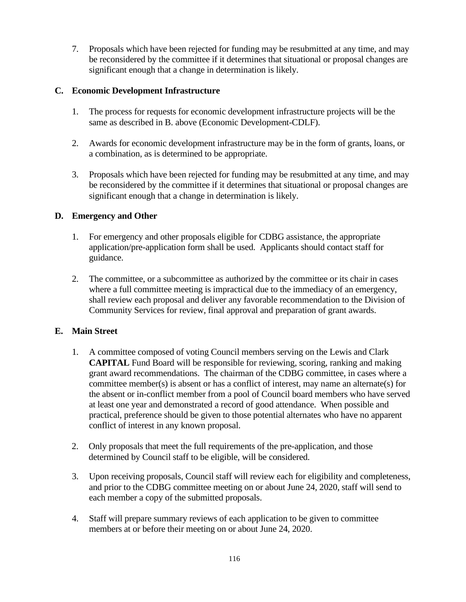7. Proposals which have been rejected for funding may be resubmitted at any time, and may be reconsidered by the committee if it determines that situational or proposal changes are significant enough that a change in determination is likely.

## **C. Economic Development Infrastructure**

- 1. The process for requests for economic development infrastructure projects will be the same as described in B. above (Economic Development-CDLF).
- 2. Awards for economic development infrastructure may be in the form of grants, loans, or a combination, as is determined to be appropriate.
- 3. Proposals which have been rejected for funding may be resubmitted at any time, and may be reconsidered by the committee if it determines that situational or proposal changes are significant enough that a change in determination is likely.

## **D. Emergency and Other**

- 1. For emergency and other proposals eligible for CDBG assistance, the appropriate application/pre-application form shall be used. Applicants should contact staff for guidance.
- 2. The committee, or a subcommittee as authorized by the committee or its chair in cases where a full committee meeting is impractical due to the immediacy of an emergency, shall review each proposal and deliver any favorable recommendation to the Division of Community Services for review, final approval and preparation of grant awards.

#### **E. Main Street**

- 1. A committee composed of voting Council members serving on the Lewis and Clark **CAPITAL** Fund Board will be responsible for reviewing, scoring, ranking and making grant award recommendations. The chairman of the CDBG committee, in cases where a committee member(s) is absent or has a conflict of interest, may name an alternate(s) for the absent or in-conflict member from a pool of Council board members who have served at least one year and demonstrated a record of good attendance. When possible and practical, preference should be given to those potential alternates who have no apparent conflict of interest in any known proposal.
- 2. Only proposals that meet the full requirements of the pre-application, and those determined by Council staff to be eligible, will be considered.
- 3. Upon receiving proposals, Council staff will review each for eligibility and completeness, and prior to the CDBG committee meeting on or about June 24, 2020, staff will send to each member a copy of the submitted proposals.
- 4. Staff will prepare summary reviews of each application to be given to committee members at or before their meeting on or about June 24, 2020.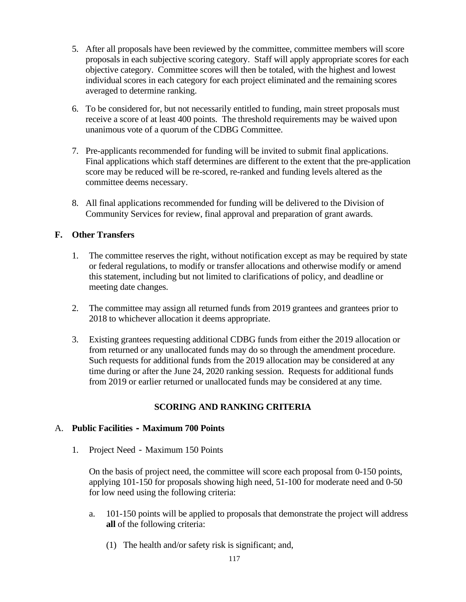- 5. After all proposals have been reviewed by the committee, committee members will score proposals in each subjective scoring category. Staff will apply appropriate scores for each objective category. Committee scores will then be totaled, with the highest and lowest individual scores in each category for each project eliminated and the remaining scores averaged to determine ranking.
- 6. To be considered for, but not necessarily entitled to funding, main street proposals must receive a score of at least 400 points. The threshold requirements may be waived upon unanimous vote of a quorum of the CDBG Committee.
- 7. Pre-applicants recommended for funding will be invited to submit final applications. Final applications which staff determines are different to the extent that the pre-application score may be reduced will be re-scored, re-ranked and funding levels altered as the committee deems necessary.
- 8. All final applications recommended for funding will be delivered to the Division of Community Services for review, final approval and preparation of grant awards.

## **F. Other Transfers**

- 1. The committee reserves the right, without notification except as may be required by state or federal regulations, to modify or transfer allocations and otherwise modify or amend this statement, including but not limited to clarifications of policy, and deadline or meeting date changes.
- 2. The committee may assign all returned funds from 2019 grantees and grantees prior to 2018 to whichever allocation it deems appropriate.
- 3. Existing grantees requesting additional CDBG funds from either the 2019 allocation or from returned or any unallocated funds may do so through the amendment procedure. Such requests for additional funds from the 2019 allocation may be considered at any time during or after the June 24, 2020 ranking session. Requests for additional funds from 2019 or earlier returned or unallocated funds may be considered at any time.

## **SCORING AND RANKING CRITERIA**

#### A. **Public Facilities - Maximum 700 Points**

1. Project Need - Maximum 150 Points

On the basis of project need, the committee will score each proposal from 0-150 points, applying 101-150 for proposals showing high need, 51-100 for moderate need and 0-50 for low need using the following criteria:

- a. 101-150 points will be applied to proposals that demonstrate the project will address **all** of the following criteria:
	- (1) The health and/or safety risk is significant; and,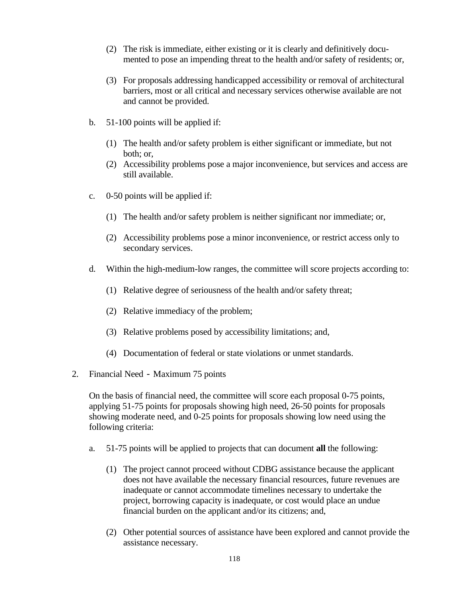- (2) The risk is immediate, either existing or it is clearly and definitively documented to pose an impending threat to the health and/or safety of residents; or,
- (3) For proposals addressing handicapped accessibility or removal of architectural barriers, most or all critical and necessary services otherwise available are not and cannot be provided.
- b. 51-100 points will be applied if:
	- (1) The health and/or safety problem is either significant or immediate, but not both; or,
	- (2) Accessibility problems pose a major inconvenience, but services and access are still available.
- c. 0-50 points will be applied if:
	- (1) The health and/or safety problem is neither significant nor immediate; or,
	- (2) Accessibility problems pose a minor inconvenience, or restrict access only to secondary services.
- d. Within the high-medium-low ranges, the committee will score projects according to:
	- (1) Relative degree of seriousness of the health and/or safety threat;
	- (2) Relative immediacy of the problem;
	- (3) Relative problems posed by accessibility limitations; and,
	- (4) Documentation of federal or state violations or unmet standards.
- 2. Financial Need Maximum 75 points

On the basis of financial need, the committee will score each proposal 0-75 points, applying 51-75 points for proposals showing high need, 26-50 points for proposals showing moderate need, and 0-25 points for proposals showing low need using the following criteria:

- a. 51-75 points will be applied to projects that can document **all** the following:
	- (1) The project cannot proceed without CDBG assistance because the applicant does not have available the necessary financial resources, future revenues are inadequate or cannot accommodate timelines necessary to undertake the project, borrowing capacity is inadequate, or cost would place an undue financial burden on the applicant and/or its citizens; and,
	- (2) Other potential sources of assistance have been explored and cannot provide the assistance necessary.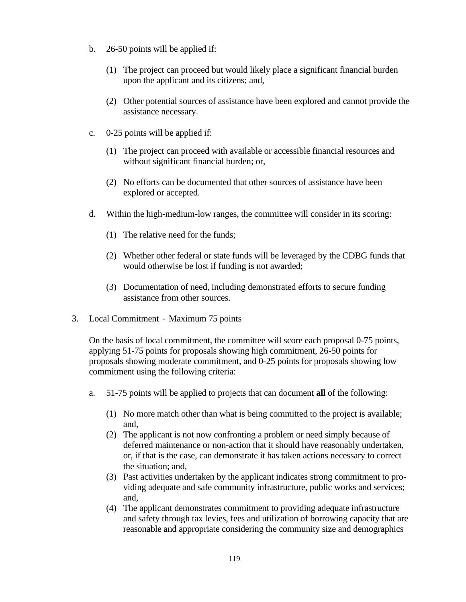- b. 26-50 points will be applied if:
	- (1) The project can proceed but would likely place a significant financial burden upon the applicant and its citizens; and,
	- (2) Other potential sources of assistance have been explored and cannot provide the assistance necessary.
- c. 0-25 points will be applied if:
	- (1) The project can proceed with available or accessible financial resources and without significant financial burden; or,
	- (2) No efforts can be documented that other sources of assistance have been explored or accepted.
- d. Within the high-medium-low ranges, the committee will consider in its scoring:
	- (1) The relative need for the funds;
	- (2) Whether other federal or state funds will be leveraged by the CDBG funds that would otherwise be lost if funding is not awarded;
	- (3) Documentation of need, including demonstrated efforts to secure funding assistance from other sources.
- 3. Local Commitment Maximum 75 points

On the basis of local commitment, the committee will score each proposal 0-75 points, applying 51-75 points for proposals showing high commitment, 26-50 points for proposals showing moderate commitment, and 0-25 points for proposals showing low commitment using the following criteria:

- a. 51-75 points will be applied to projects that can document **all** of the following:
	- (1) No more match other than what is being committed to the project is available; and,
	- (2) The applicant is not now confronting a problem or need simply because of deferred maintenance or non-action that it should have reasonably undertaken, or, if that is the case, can demonstrate it has taken actions necessary to correct the situation; and,
	- (3) Past activities undertaken by the applicant indicates strong commitment to providing adequate and safe community infrastructure, public works and services; and,
	- (4) The applicant demonstrates commitment to providing adequate infrastructure and safety through tax levies, fees and utilization of borrowing capacity that are reasonable and appropriate considering the community size and demographics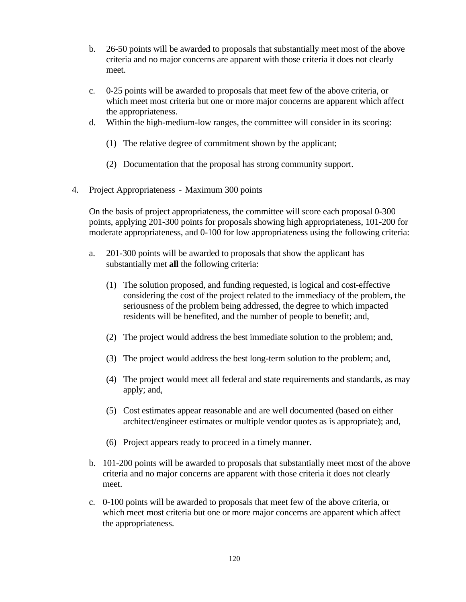- b. 26-50 points will be awarded to proposals that substantially meet most of the above criteria and no major concerns are apparent with those criteria it does not clearly meet.
- c. 0-25 points will be awarded to proposals that meet few of the above criteria, or which meet most criteria but one or more major concerns are apparent which affect the appropriateness.
- d. Within the high-medium-low ranges, the committee will consider in its scoring:
	- (1) The relative degree of commitment shown by the applicant;
	- (2) Documentation that the proposal has strong community support.
- 4. Project Appropriateness Maximum 300 points

On the basis of project appropriateness, the committee will score each proposal 0-300 points, applying 201-300 points for proposals showing high appropriateness, 101-200 for moderate appropriateness, and 0-100 for low appropriateness using the following criteria:

- a. 201-300 points will be awarded to proposals that show the applicant has substantially met **all** the following criteria:
	- (1) The solution proposed, and funding requested, is logical and cost-effective considering the cost of the project related to the immediacy of the problem, the seriousness of the problem being addressed, the degree to which impacted residents will be benefited, and the number of people to benefit; and,
	- (2) The project would address the best immediate solution to the problem; and,
	- (3) The project would address the best long-term solution to the problem; and,
	- (4) The project would meet all federal and state requirements and standards, as may apply; and,
	- (5) Cost estimates appear reasonable and are well documented (based on either architect/engineer estimates or multiple vendor quotes as is appropriate); and,
	- (6) Project appears ready to proceed in a timely manner.
- b. 101-200 points will be awarded to proposals that substantially meet most of the above criteria and no major concerns are apparent with those criteria it does not clearly meet.
- c. 0-100 points will be awarded to proposals that meet few of the above criteria, or which meet most criteria but one or more major concerns are apparent which affect the appropriateness.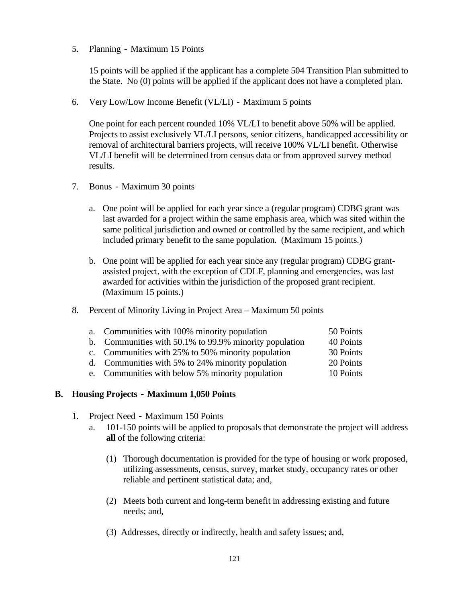5. Planning - Maximum 15 Points

15 points will be applied if the applicant has a complete 504 Transition Plan submitted to the State. No (0) points will be applied if the applicant does not have a completed plan.

6. Very Low/Low Income Benefit (VL/LI) - Maximum 5 points

One point for each percent rounded 10% VL/LI to benefit above 50% will be applied. Projects to assist exclusively VL/LI persons, senior citizens, handicapped accessibility or removal of architectural barriers projects, will receive 100% VL/LI benefit. Otherwise VL/LI benefit will be determined from census data or from approved survey method results.

- 7. Bonus Maximum 30 points
	- a. One point will be applied for each year since a (regular program) CDBG grant was last awarded for a project within the same emphasis area, which was sited within the same political jurisdiction and owned or controlled by the same recipient, and which included primary benefit to the same population. (Maximum 15 points.)
	- b. One point will be applied for each year since any (regular program) CDBG grantassisted project, with the exception of CDLF, planning and emergencies, was last awarded for activities within the jurisdiction of the proposed grant recipient. (Maximum 15 points.)
- 8. Percent of Minority Living in Project Area Maximum 50 points

| a. Communities with 100% minority population           | 50 Points |
|--------------------------------------------------------|-----------|
| b. Communities with 50.1% to 99.9% minority population | 40 Points |
| c. Communities with 25% to 50% minority population     | 30 Points |
| d. Communities with 5% to 24% minority population      | 20 Points |
| e. Communities with below 5% minority population       | 10 Points |

#### **B. Housing Projects - Maximum 1,050 Points**

- 1. Project Need Maximum 150 Points
	- a. 101-150 points will be applied to proposals that demonstrate the project will address **all** of the following criteria:
		- (1) Thorough documentation is provided for the type of housing or work proposed, utilizing assessments, census, survey, market study, occupancy rates or other reliable and pertinent statistical data; and,
		- (2) Meets both current and long-term benefit in addressing existing and future needs; and,
		- (3) Addresses, directly or indirectly, health and safety issues; and,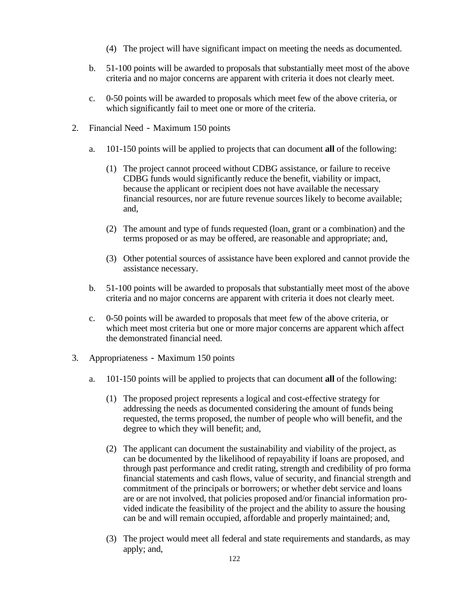- (4) The project will have significant impact on meeting the needs as documented.
- b. 51-100 points will be awarded to proposals that substantially meet most of the above criteria and no major concerns are apparent with criteria it does not clearly meet.
- c. 0-50 points will be awarded to proposals which meet few of the above criteria, or which significantly fail to meet one or more of the criteria.
- 2. Financial Need Maximum 150 points
	- a. 101-150 points will be applied to projects that can document **all** of the following:
		- (1) The project cannot proceed without CDBG assistance, or failure to receive CDBG funds would significantly reduce the benefit, viability or impact, because the applicant or recipient does not have available the necessary financial resources, nor are future revenue sources likely to become available; and,
		- (2) The amount and type of funds requested (loan, grant or a combination) and the terms proposed or as may be offered, are reasonable and appropriate; and,
		- (3) Other potential sources of assistance have been explored and cannot provide the assistance necessary.
	- b. 51-100 points will be awarded to proposals that substantially meet most of the above criteria and no major concerns are apparent with criteria it does not clearly meet.
	- c. 0-50 points will be awarded to proposals that meet few of the above criteria, or which meet most criteria but one or more major concerns are apparent which affect the demonstrated financial need.
- 3. Appropriateness Maximum 150 points
	- a. 101-150 points will be applied to projects that can document **all** of the following:
		- (1) The proposed project represents a logical and cost-effective strategy for addressing the needs as documented considering the amount of funds being requested, the terms proposed, the number of people who will benefit, and the degree to which they will benefit; and,
		- (2) The applicant can document the sustainability and viability of the project, as can be documented by the likelihood of repayability if loans are proposed, and through past performance and credit rating, strength and credibility of pro forma financial statements and cash flows, value of security, and financial strength and commitment of the principals or borrowers; or whether debt service and loans are or are not involved, that policies proposed and/or financial information provided indicate the feasibility of the project and the ability to assure the housing can be and will remain occupied, affordable and properly maintained; and,
		- (3) The project would meet all federal and state requirements and standards, as may apply; and,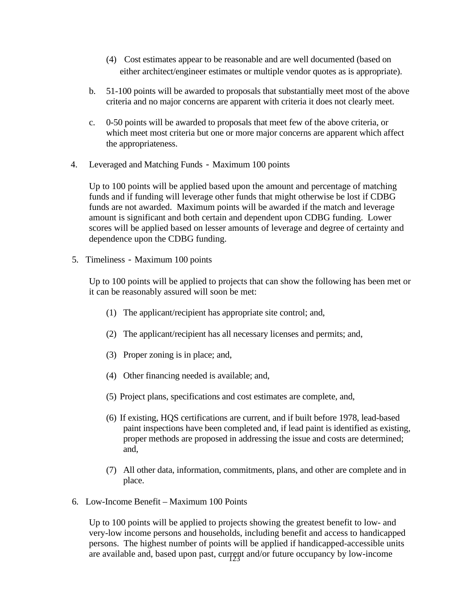- (4) Cost estimates appear to be reasonable and are well documented (based on either architect/engineer estimates or multiple vendor quotes as is appropriate).
- b. 51-100 points will be awarded to proposals that substantially meet most of the above criteria and no major concerns are apparent with criteria it does not clearly meet.
- c. 0-50 points will be awarded to proposals that meet few of the above criteria, or which meet most criteria but one or more major concerns are apparent which affect the appropriateness.
- 4. Leveraged and Matching Funds Maximum 100 points

Up to 100 points will be applied based upon the amount and percentage of matching funds and if funding will leverage other funds that might otherwise be lost if CDBG funds are not awarded. Maximum points will be awarded if the match and leverage amount is significant and both certain and dependent upon CDBG funding. Lower scores will be applied based on lesser amounts of leverage and degree of certainty and dependence upon the CDBG funding.

5. Timeliness - Maximum 100 points

Up to 100 points will be applied to projects that can show the following has been met or it can be reasonably assured will soon be met:

- (1) The applicant/recipient has appropriate site control; and,
- (2) The applicant/recipient has all necessary licenses and permits; and,
- (3) Proper zoning is in place; and,
- (4) Other financing needed is available; and,
- (5) Project plans, specifications and cost estimates are complete, and,
- (6) If existing, HQS certifications are current, and if built before 1978, lead-based paint inspections have been completed and, if lead paint is identified as existing, proper methods are proposed in addressing the issue and costs are determined; and,
- (7) All other data, information, commitments, plans, and other are complete and in place.
- 6. Low-Income Benefit Maximum 100 Points

are available and, based upon past, current and/or future occupancy by low-income Up to 100 points will be applied to projects showing the greatest benefit to low- and very-low income persons and households, including benefit and access to handicapped persons. The highest number of points will be applied if handicapped-accessible units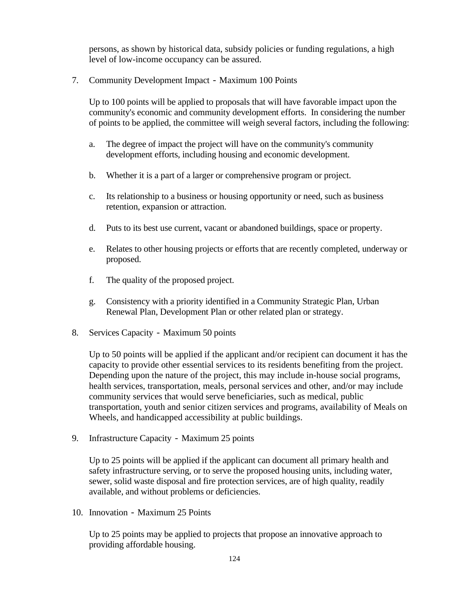persons, as shown by historical data, subsidy policies or funding regulations, a high level of low-income occupancy can be assured.

7. Community Development Impact - Maximum 100 Points

Up to 100 points will be applied to proposals that will have favorable impact upon the community's economic and community development efforts. In considering the number of points to be applied, the committee will weigh several factors, including the following:

- a. The degree of impact the project will have on the community's community development efforts, including housing and economic development.
- b. Whether it is a part of a larger or comprehensive program or project.
- c. Its relationship to a business or housing opportunity or need, such as business retention, expansion or attraction.
- d. Puts to its best use current, vacant or abandoned buildings, space or property.
- e. Relates to other housing projects or efforts that are recently completed, underway or proposed.
- f. The quality of the proposed project.
- g. Consistency with a priority identified in a Community Strategic Plan, Urban Renewal Plan, Development Plan or other related plan or strategy.
- 8. Services Capacity Maximum 50 points

Up to 50 points will be applied if the applicant and/or recipient can document it has the capacity to provide other essential services to its residents benefiting from the project. Depending upon the nature of the project, this may include in-house social programs, health services, transportation, meals, personal services and other, and/or may include community services that would serve beneficiaries, such as medical, public transportation, youth and senior citizen services and programs, availability of Meals on Wheels, and handicapped accessibility at public buildings.

9. Infrastructure Capacity - Maximum 25 points

Up to 25 points will be applied if the applicant can document all primary health and safety infrastructure serving, or to serve the proposed housing units, including water, sewer, solid waste disposal and fire protection services, are of high quality, readily available, and without problems or deficiencies.

10. Innovation - Maximum 25 Points

Up to 25 points may be applied to projects that propose an innovative approach to providing affordable housing.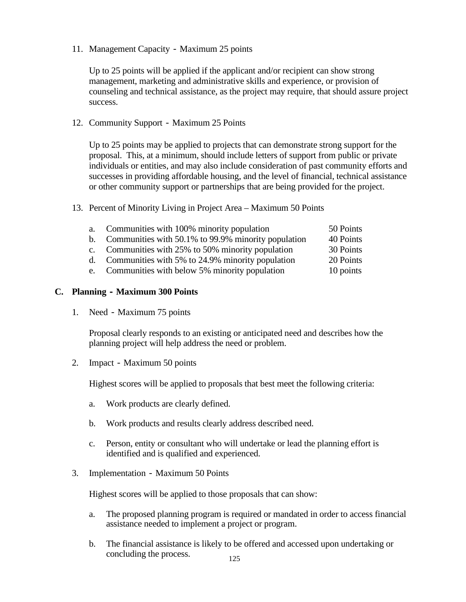11. Management Capacity - Maximum 25 points

Up to 25 points will be applied if the applicant and/or recipient can show strong management, marketing and administrative skills and experience, or provision of counseling and technical assistance, as the project may require, that should assure project success.

#### 12. Community Support - Maximum 25 Points

Up to 25 points may be applied to projects that can demonstrate strong support for the proposal. This, at a minimum, should include letters of support from public or private individuals or entities, and may also include consideration of past community efforts and successes in providing affordable housing, and the level of financial, technical assistance or other community support or partnerships that are being provided for the project.

13. Percent of Minority Living in Project Area – Maximum 50 Points

| a.          | Communities with 100% minority population           | 50 Points |
|-------------|-----------------------------------------------------|-----------|
| $h_{\cdot}$ | Communities with 50.1% to 99.9% minority population | 40 Points |
| $c_{\cdot}$ | Communities with 25% to 50% minority population     | 30 Points |
| $d_{\cdot}$ | Communities with 5% to 24.9% minority population    | 20 Points |
|             | e. Communities with below 5% minority population    | 10 points |

#### **C. Planning - Maximum 300 Points**

1. Need - Maximum 75 points

Proposal clearly responds to an existing or anticipated need and describes how the planning project will help address the need or problem.

2. Impact - Maximum 50 points

Highest scores will be applied to proposals that best meet the following criteria:

- a. Work products are clearly defined.
- b. Work products and results clearly address described need.
- c. Person, entity or consultant who will undertake or lead the planning effort is identified and is qualified and experienced.
- 3. Implementation Maximum 50 Points

Highest scores will be applied to those proposals that can show:

- a. The proposed planning program is required or mandated in order to access financial assistance needed to implement a project or program.
- b. The financial assistance is likely to be offered and accessed upon undertaking or concluding the process.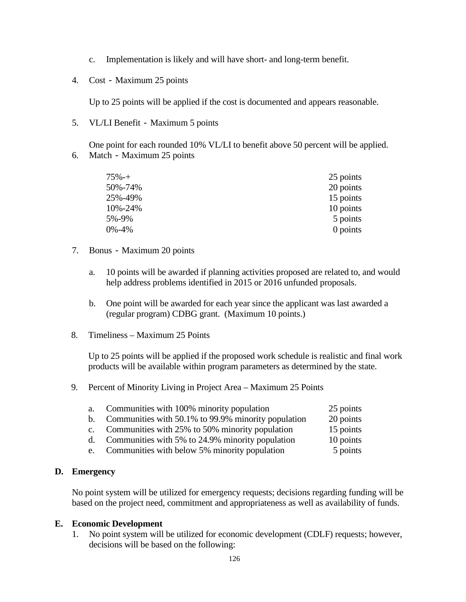- c. Implementation is likely and will have short- and long-term benefit.
- 4. Cost Maximum 25 points

Up to 25 points will be applied if the cost is documented and appears reasonable.

5. VL/LI Benefit - Maximum 5 points

One point for each rounded 10% VL/LI to benefit above 50 percent will be applied. 6. Match - Maximum 25 points

| $75% -+$ | 25 points  |
|----------|------------|
| 50%-74%  | 20 points  |
| 25%-49%  | 15 points  |
| 10%-24%  | 10 points  |
| 5%-9%    | 5 points   |
| 0%-4%    | $0$ points |

#### 7. Bonus - Maximum 20 points

- a. 10 points will be awarded if planning activities proposed are related to, and would help address problems identified in 2015 or 2016 unfunded proposals.
- b. One point will be awarded for each year since the applicant was last awarded a (regular program) CDBG grant. (Maximum 10 points.)
- 8. Timeliness Maximum 25 Points

Up to 25 points will be applied if the proposed work schedule is realistic and final work products will be available within program parameters as determined by the state.

9. Percent of Minority Living in Project Area – Maximum 25 Points

| a.          | Communities with 100% minority population           | 25 points |
|-------------|-----------------------------------------------------|-----------|
| $h_{\cdot}$ | Communities with 50.1% to 99.9% minority population | 20 points |
| $c_{\cdot}$ | Communities with 25% to 50% minority population     | 15 points |

- d. Communities with 5% to 24.9% minority population 10 points
- e. Communities with below 5% minority population 5 points

#### **D. Emergency**

No point system will be utilized for emergency requests; decisions regarding funding will be based on the project need, commitment and appropriateness as well as availability of funds.

#### **E. Economic Development**

1. No point system will be utilized for economic development (CDLF) requests; however, decisions will be based on the following: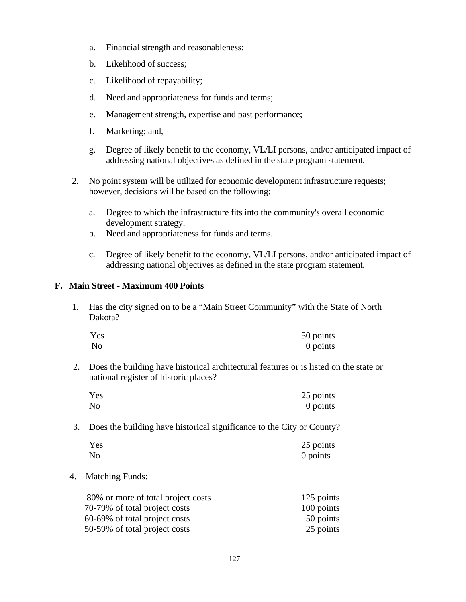- a. Financial strength and reasonableness;
- b. Likelihood of success;
- c. Likelihood of repayability;
- d. Need and appropriateness for funds and terms;
- e. Management strength, expertise and past performance;
- f. Marketing; and,
- g. Degree of likely benefit to the economy, VL/LI persons, and/or anticipated impact of addressing national objectives as defined in the state program statement.
- 2. No point system will be utilized for economic development infrastructure requests; however, decisions will be based on the following:
	- a. Degree to which the infrastructure fits into the community's overall economic development strategy.
	- b. Need and appropriateness for funds and terms.
	- c. Degree of likely benefit to the economy, VL/LI persons, and/or anticipated impact of addressing national objectives as defined in the state program statement.

# **F. Main Street - Maximum 400 Points**

1. Has the city signed on to be a "Main Street Community" with the State of North Dakota?

| Yes | 50 points |
|-----|-----------|
| No  | 0 points  |

2. Does the building have historical architectural features or is listed on the state or national register of historic places?

| Yes | 25 points |
|-----|-----------|
| No  | 0 points  |

3. Does the building have historical significance to the City or County?

| Yes | 25 points |
|-----|-----------|
| No  | 0 points  |

4. Matching Funds:

| 80% or more of total project costs | 125 points |
|------------------------------------|------------|
| 70-79% of total project costs      | 100 points |
| 60-69% of total project costs      | 50 points  |
| 50-59% of total project costs      | 25 points  |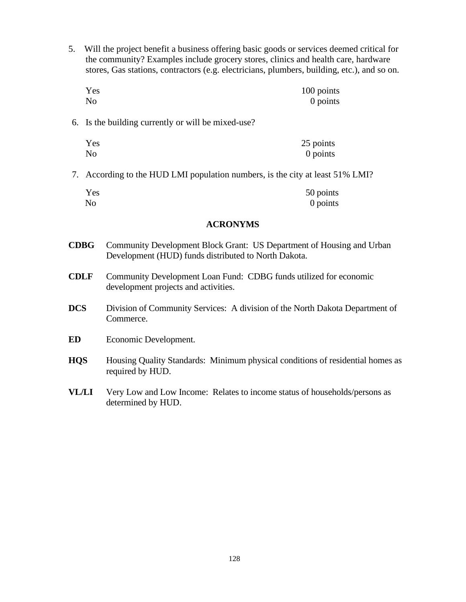5. Will the project benefit a business offering basic goods or services deemed critical for the community? Examples include grocery stores, clinics and health care, hardware stores, Gas stations, contractors (e.g. electricians, plumbers, building, etc.), and so on.

| Yes       | 100 points |
|-----------|------------|
| <b>No</b> | 0 points   |

6. Is the building currently or will be mixed-use?

| Yes | 25 points |
|-----|-----------|
| No  | 0 points  |

7. According to the HUD LMI population numbers, is the city at least 51% LMI?

| Yes | 50 points |
|-----|-----------|
| No  | 0 points  |

#### **ACRONYMS**

- **CDBG** Community Development Block Grant: US Department of Housing and Urban Development (HUD) funds distributed to North Dakota.
- **CDLF** Community Development Loan Fund:CDBG funds utilized for economic development projects and activities.
- **DCS** Division of Community Services: A division of the North Dakota Department of Commerce.
- **ED** Economic Development.
- **HQS** Housing Quality Standards: Minimum physical conditions of residential homes as required by HUD.
- **VL/LI** Very Low and Low Income: Relates to income status of households/persons as determined by HUD.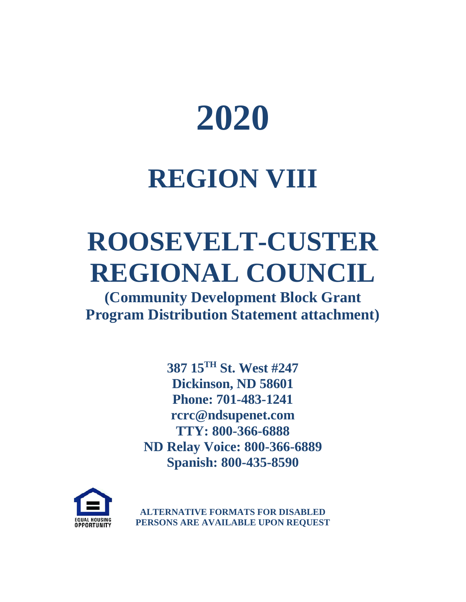

# **REGION VIII**

# **ROOSEVELT-CUSTER REGIONAL COUNCIL**

**(Community Development Block Grant Program Distribution Statement attachment)**

> **387 15TH St. West #247 Dickinson, ND 58601 Phone: 701-483-1241 rcrc@ndsupenet.com TTY: 800-366-6888 ND Relay Voice: 800-366-6889 Spanish: 800-435-8590**



**ALTERNATIVE FORMATS FOR DISABLED PERSONS ARE AVAILABLE UPON REQUEST**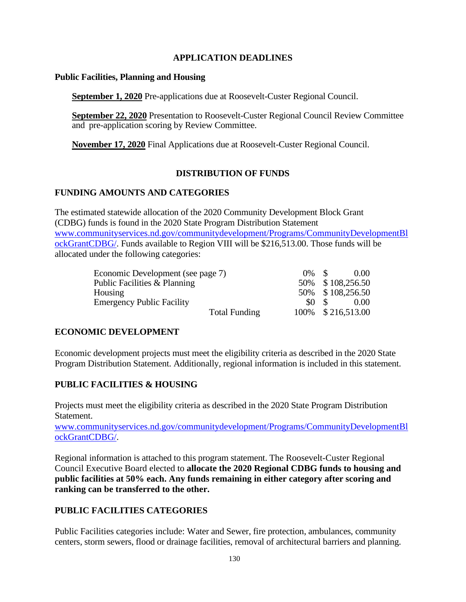#### **APPLICATION DEADLINES**

#### **Public Facilities, Planning and Housing**

**September 1, 2020** Pre-applications due at Roosevelt-Custer Regional Council.

**September 22, 2020** Presentation to Roosevelt-Custer Regional Council Review Committee and pre-application scoring by Review Committee.

**November 17, 2020** Final Applications due at Roosevelt-Custer Regional Council.

# **DISTRIBUTION OF FUNDS**

#### **FUNDING AMOUNTS AND CATEGORIES**

The estimated statewide allocation of the 2020 Community Development Block Grant (CDBG) funds is found in the 2020 State Program Distribution Statement [www.communityservices.nd.gov/communitydevelopment/Programs/CommunityDevelopmentBl](http://www.communityservices.nd.gov/communitydevelopment/Programs/CommunityDevelopmentBlockGrantCDBG/) [ockGrantCDBG/.](http://www.communityservices.nd.gov/communitydevelopment/Programs/CommunityDevelopmentBlockGrantCDBG/) Funds available to Region VIII will be \$216,513.00. Those funds will be allocated under the following categories:

| Economic Development (see page 7) |        | 0.00               |
|-----------------------------------|--------|--------------------|
| Public Facilities & Planning      |        | 50% \$108,256.50   |
| Housing                           |        | 50% \$108,256.50   |
| <b>Emergency Public Facility</b>  | $SO_S$ | 0.00               |
| <b>Total Funding</b>              |        | 100\% \$216,513.00 |

# **ECONOMIC DEVELOPMENT**

Economic development projects must meet the eligibility criteria as described in the 2020 State Program Distribution Statement. Additionally, regional information is included in this statement.

# **PUBLIC FACILITIES & HOUSING**

Projects must meet the eligibility criteria as described in the 2020 State Program Distribution Statement.

[www.communityservices.nd.gov/communitydevelopment/Programs/CommunityDevelopmentBl](http://www.communityservices.nd.gov/communitydevelopment/Programs/CommunityDevelopmentBlockGrantCDBG/) [ockGrantCDBG/.](http://www.communityservices.nd.gov/communitydevelopment/Programs/CommunityDevelopmentBlockGrantCDBG/)

Regional information is attached to this program statement. The Roosevelt-Custer Regional Council Executive Board elected to **allocate the 2020 Regional CDBG funds to housing and public facilities at 50% each. Any funds remaining in either category after scoring and ranking can be transferred to the other.** 

# **PUBLIC FACILITIES CATEGORIES**

Public Facilities categories include: Water and Sewer, fire protection, ambulances, community centers, storm sewers, flood or drainage facilities, removal of architectural barriers and planning.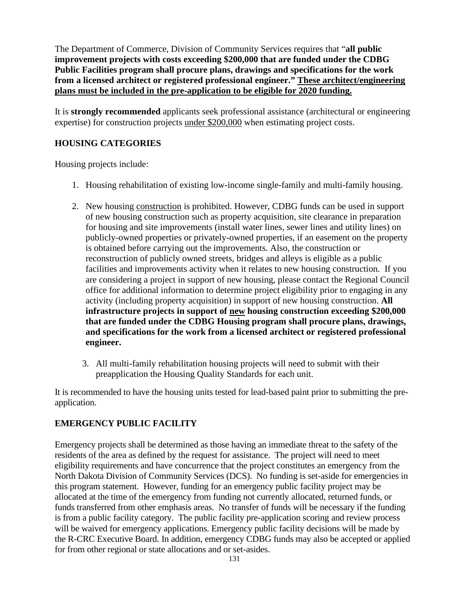The Department of Commerce, Division of Community Services requires that "**all public improvement projects with costs exceeding \$200,000 that are funded under the CDBG Public Facilities program shall procure plans, drawings and specifications for the work from a licensed architect or registered professional engineer." These architect/engineering plans must be included in the pre-application to be eligible for 2020 funding.**

It is **strongly recommended** applicants seek professional assistance (architectural or engineering expertise) for construction projects under \$200,000 when estimating project costs.

# **HOUSING CATEGORIES**

Housing projects include:

- 1. Housing rehabilitation of existing low-income single-family and multi-family housing.
- 2. New housing construction is prohibited. However, CDBG funds can be used in support of new housing construction such as property acquisition, site clearance in preparation for housing and site improvements (install water lines, sewer lines and utility lines) on publicly-owned properties or privately-owned properties, if an easement on the property is obtained before carrying out the improvements. Also, the construction or reconstruction of publicly owned streets, bridges and alleys is eligible as a public facilities and improvements activity when it relates to new housing construction. If you are considering a project in support of new housing, please contact the Regional Council office for additional information to determine project eligibility prior to engaging in any activity (including property acquisition) in support of new housing construction. **All infrastructure projects in support of new housing construction exceeding \$200,000 that are funded under the CDBG Housing program shall procure plans, drawings, and specifications for the work from a licensed architect or registered professional engineer.**
	- 3. All multi-family rehabilitation housing projects will need to submit with their preapplication the Housing Quality Standards for each unit.

It is recommended to have the housing units tested for lead-based paint prior to submitting the preapplication.

# **EMERGENCY PUBLIC FACILITY**

Emergency projects shall be determined as those having an immediate threat to the safety of the residents of the area as defined by the request for assistance. The project will need to meet eligibility requirements and have concurrence that the project constitutes an emergency from the North Dakota Division of Community Services (DCS). No funding is set-aside for emergencies in this program statement. However, funding for an emergency public facility project may be allocated at the time of the emergency from funding not currently allocated, returned funds, or funds transferred from other emphasis areas. No transfer of funds will be necessary if the funding is from a public facility category. The public facility pre-application scoring and review process will be waived for emergency applications. Emergency public facility decisions will be made by the R-CRC Executive Board. In addition, emergency CDBG funds may also be accepted or applied for from other regional or state allocations and or set-asides.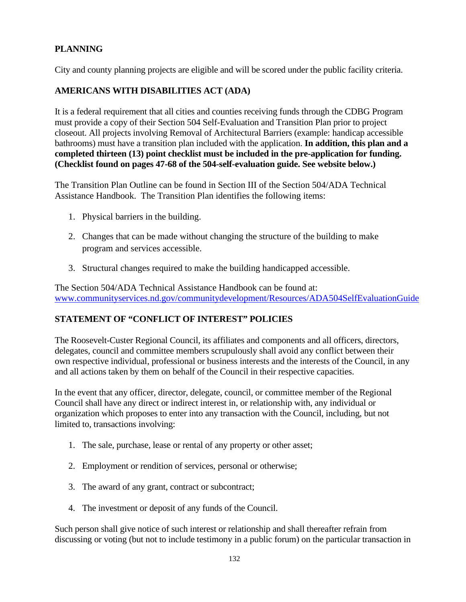# **PLANNING**

City and county planning projects are eligible and will be scored under the public facility criteria.

# **AMERICANS WITH DISABILITIES ACT (ADA)**

It is a federal requirement that all cities and counties receiving funds through the CDBG Program must provide a copy of their Section 504 Self-Evaluation and Transition Plan prior to project closeout. All projects involving Removal of Architectural Barriers (example: handicap accessible bathrooms) must have a transition plan included with the application. **In addition, this plan and a completed thirteen (13) point checklist must be included in the pre-application for funding. (Checklist found on pages 47-68 of the 504-self-evaluation guide. See website below.)**

The Transition Plan Outline can be found in Section III of the Section 504/ADA Technical Assistance Handbook. The Transition Plan identifies the following items:

- 1. Physical barriers in the building.
- 2. Changes that can be made without changing the structure of the building to make program and services accessible.
- 3. Structural changes required to make the building handicapped accessible.

The Section 504/ADA Technical Assistance Handbook can be found at: [www.communityservices.nd.gov/communitydevelopment/Resources/ADA504SelfEvaluationGuide](http://www.communityservices.nd.gov/communitydevelopment/Resources/ADA504SelfEvaluationGuide/)

# **STATEMENT OF "CONFLICT OF INTEREST" POLICIES**

The Roosevelt-Custer Regional Council, its affiliates and components and all officers, directors, delegates, council and committee members scrupulously shall avoid any conflict between their own respective individual, professional or business interests and the interests of the Council, in any and all actions taken by them on behalf of the Council in their respective capacities.

In the event that any officer, director, delegate, council, or committee member of the Regional Council shall have any direct or indirect interest in, or relationship with, any individual or organization which proposes to enter into any transaction with the Council, including, but not limited to, transactions involving:

- 1. The sale, purchase, lease or rental of any property or other asset;
- 2. Employment or rendition of services, personal or otherwise;
- 3. The award of any grant, contract or subcontract;
- 4. The investment or deposit of any funds of the Council.

Such person shall give notice of such interest or relationship and shall thereafter refrain from discussing or voting (but not to include testimony in a public forum) on the particular transaction in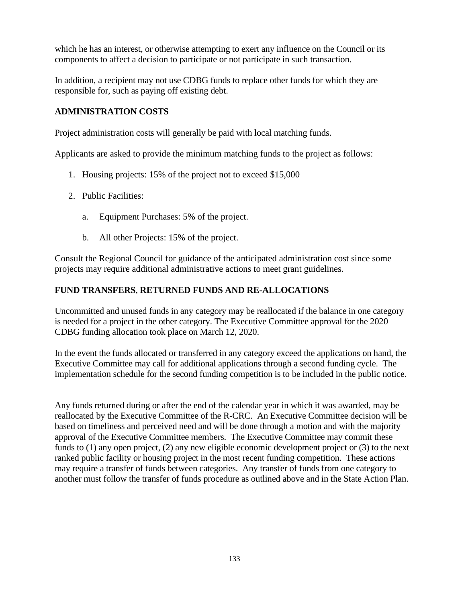which he has an interest, or otherwise attempting to exert any influence on the Council or its components to affect a decision to participate or not participate in such transaction.

In addition, a recipient may not use CDBG funds to replace other funds for which they are responsible for, such as paying off existing debt.

#### **ADMINISTRATION COSTS**

Project administration costs will generally be paid with local matching funds.

Applicants are asked to provide the minimum matching funds to the project as follows:

- 1. Housing projects: 15% of the project not to exceed \$15,000
- 2. Public Facilities:
	- a. Equipment Purchases: 5% of the project.
	- b. All other Projects: 15% of the project.

Consult the Regional Council for guidance of the anticipated administration cost since some projects may require additional administrative actions to meet grant guidelines.

# **FUND TRANSFERS**, **RETURNED FUNDS AND RE-ALLOCATIONS**

Uncommitted and unused funds in any category may be reallocated if the balance in one category is needed for a project in the other category. The Executive Committee approval for the 2020 CDBG funding allocation took place on March 12, 2020.

In the event the funds allocated or transferred in any category exceed the applications on hand, the Executive Committee may call for additional applications through a second funding cycle. The implementation schedule for the second funding competition is to be included in the public notice.

Any funds returned during or after the end of the calendar year in which it was awarded, may be reallocated by the Executive Committee of the R-CRC. An Executive Committee decision will be based on timeliness and perceived need and will be done through a motion and with the majority approval of the Executive Committee members.The Executive Committee may commit these funds to (1) any open project, (2) any new eligible economic development project or (3) to the next ranked public facility or housing project in the most recent funding competition. These actions may require a transfer of funds between categories. Any transfer of funds from one category to another must follow the transfer of funds procedure as outlined above and in the State Action Plan.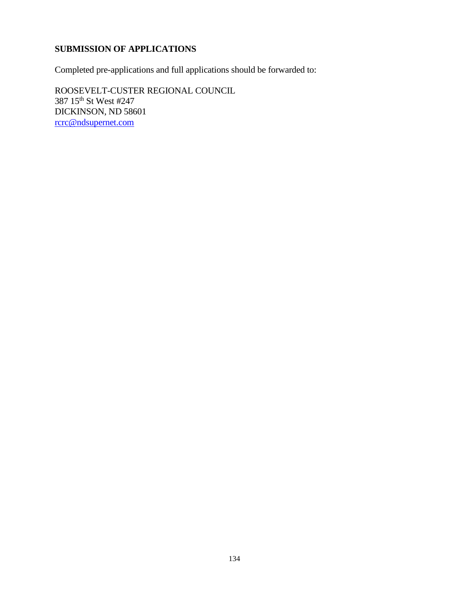# **SUBMISSION OF APPLICATIONS**

Completed pre-applications and full applications should be forwarded to:

ROOSEVELT-CUSTER REGIONAL COUNCIL 387 15th St West #247 DICKINSON, ND 58601 rcrc@ndsupernet.com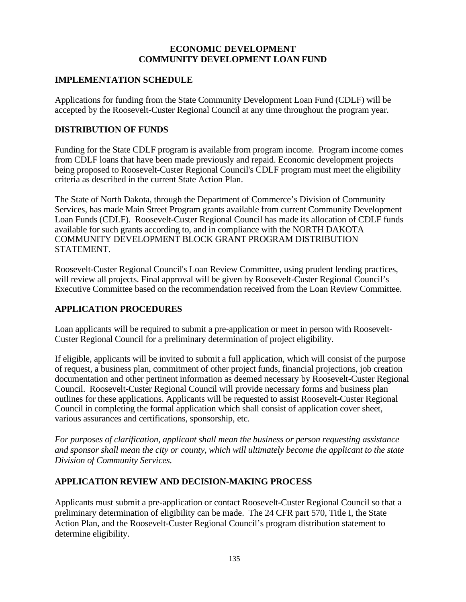#### **ECONOMIC DEVELOPMENT COMMUNITY DEVELOPMENT LOAN FUND**

#### **IMPLEMENTATION SCHEDULE**

Applications for funding from the State Community Development Loan Fund (CDLF) will be accepted by the Roosevelt-Custer Regional Council at any time throughout the program year.

# **DISTRIBUTION OF FUNDS**

Funding for the State CDLF program is available from program income. Program income comes from CDLF loans that have been made previously and repaid. Economic development projects being proposed to Roosevelt-Custer Regional Council's CDLF program must meet the eligibility criteria as described in the current State Action Plan.

The State of North Dakota, through the Department of Commerce's Division of Community Services, has made Main Street Program grants available from current Community Development Loan Funds (CDLF). Roosevelt-Custer Regional Council has made its allocation of CDLF funds available for such grants according to, and in compliance with the NORTH DAKOTA COMMUNITY DEVELOPMENT BLOCK GRANT PROGRAM DISTRIBUTION STATEMENT.

Roosevelt-Custer Regional Council's Loan Review Committee, using prudent lending practices, will review all projects. Final approval will be given by Roosevelt-Custer Regional Council's Executive Committee based on the recommendation received from the Loan Review Committee.

# **APPLICATION PROCEDURES**

Loan applicants will be required to submit a pre-application or meet in person with Roosevelt-Custer Regional Council for a preliminary determination of project eligibility.

If eligible, applicants will be invited to submit a full application, which will consist of the purpose of request, a business plan, commitment of other project funds, financial projections, job creation documentation and other pertinent information as deemed necessary by Roosevelt-Custer Regional Council. Roosevelt-Custer Regional Council will provide necessary forms and business plan outlines for these applications. Applicants will be requested to assist Roosevelt-Custer Regional Council in completing the formal application which shall consist of application cover sheet, various assurances and certifications, sponsorship, etc.

*For purposes of clarification, applicant shall mean the business or person requesting assistance and sponsor shall mean the city or county, which will ultimately become the applicant to the state Division of Community Services.*

# **APPLICATION REVIEW AND DECISION-MAKING PROCESS**

Applicants must submit a pre-application or contact Roosevelt-Custer Regional Council so that a preliminary determination of eligibility can be made. The 24 CFR part 570, Title I, the State Action Plan, and the Roosevelt-Custer Regional Council's program distribution statement to determine eligibility.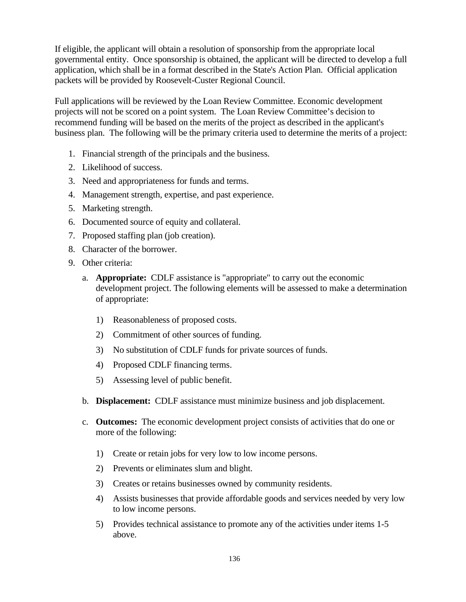If eligible, the applicant will obtain a resolution of sponsorship from the appropriate local governmental entity. Once sponsorship is obtained, the applicant will be directed to develop a full application, which shall be in a format described in the State's Action Plan. Official application packets will be provided by Roosevelt-Custer Regional Council.

Full applications will be reviewed by the Loan Review Committee. Economic development projects will not be scored on a point system. The Loan Review Committee's decision to recommend funding will be based on the merits of the project as described in the applicant's business plan. The following will be the primary criteria used to determine the merits of a project:

- 1. Financial strength of the principals and the business.
- 2. Likelihood of success.
- 3. Need and appropriateness for funds and terms.
- 4. Management strength, expertise, and past experience.
- 5. Marketing strength.
- 6. Documented source of equity and collateral.
- 7. Proposed staffing plan (job creation).
- 8. Character of the borrower.
- 9. Other criteria:
	- a. **Appropriate:** CDLF assistance is "appropriate" to carry out the economic development project. The following elements will be assessed to make a determination of appropriate:
		- 1) Reasonableness of proposed costs.
		- 2) Commitment of other sources of funding.
		- 3) No substitution of CDLF funds for private sources of funds.
		- 4) Proposed CDLF financing terms.
		- 5) Assessing level of public benefit.
	- b. **Displacement:** CDLF assistance must minimize business and job displacement.
	- c. **Outcomes:** The economic development project consists of activities that do one or more of the following:
		- 1) Create or retain jobs for very low to low income persons.
		- 2) Prevents or eliminates slum and blight.
		- 3) Creates or retains businesses owned by community residents.
		- 4) Assists businesses that provide affordable goods and services needed by very low to low income persons.
		- 5) Provides technical assistance to promote any of the activities under items 1-5 above.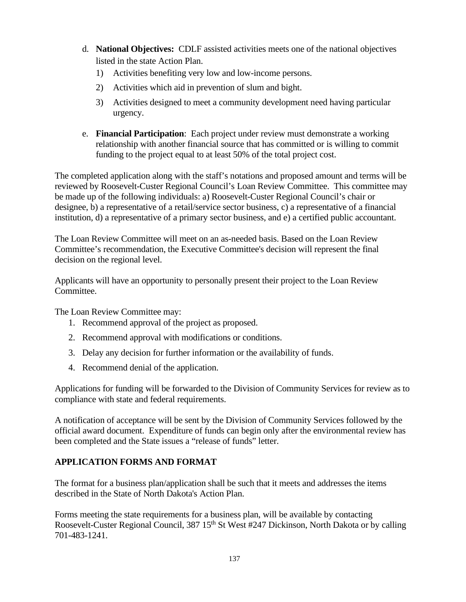- d. **National Objectives:** CDLF assisted activities meets one of the national objectives listed in the state Action Plan.
	- 1) Activities benefiting very low and low-income persons.
	- 2) Activities which aid in prevention of slum and bight.
	- 3) Activities designed to meet a community development need having particular urgency.
- e. **Financial Participation**: Each project under review must demonstrate a working relationship with another financial source that has committed or is willing to commit funding to the project equal to at least 50% of the total project cost.

The completed application along with the staff's notations and proposed amount and terms will be reviewed by Roosevelt-Custer Regional Council's Loan Review Committee. This committee may be made up of the following individuals: a) Roosevelt-Custer Regional Council's chair or designee, b) a representative of a retail/service sector business, c) a representative of a financial institution, d) a representative of a primary sector business, and e) a certified public accountant.

The Loan Review Committee will meet on an as-needed basis. Based on the Loan Review Committee's recommendation, the Executive Committee's decision will represent the final decision on the regional level.

Applicants will have an opportunity to personally present their project to the Loan Review Committee.

The Loan Review Committee may:

- 1. Recommend approval of the project as proposed.
- 2. Recommend approval with modifications or conditions.
- 3. Delay any decision for further information or the availability of funds.
- 4. Recommend denial of the application.

Applications for funding will be forwarded to the Division of Community Services for review as to compliance with state and federal requirements.

A notification of acceptance will be sent by the Division of Community Services followed by the official award document. Expenditure of funds can begin only after the environmental review has been completed and the State issues a "release of funds" letter.

# **APPLICATION FORMS AND FORMAT**

The format for a business plan/application shall be such that it meets and addresses the items described in the State of North Dakota's Action Plan.

Forms meeting the state requirements for a business plan, will be available by contacting Roosevelt-Custer Regional Council, 387 15<sup>th</sup> St West #247 Dickinson, North Dakota or by calling 701-483-1241.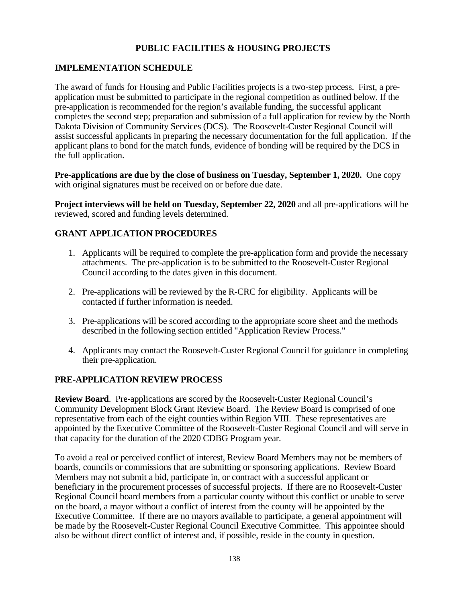# **PUBLIC FACILITIES & HOUSING PROJECTS**

# **IMPLEMENTATION SCHEDULE**

The award of funds for Housing and Public Facilities projects is a two-step process. First, a preapplication must be submitted to participate in the regional competition as outlined below. If the pre-application is recommended for the region's available funding, the successful applicant completes the second step; preparation and submission of a full application for review by the North Dakota Division of Community Services (DCS). The Roosevelt-Custer Regional Council will assist successful applicants in preparing the necessary documentation for the full application. If the applicant plans to bond for the match funds, evidence of bonding will be required by the DCS in the full application.

**Pre-applications are due by the close of business on Tuesday, September 1, 2020.** One copy with original signatures must be received on or before due date.

**Project interviews will be held on Tuesday, September 22, 2020** and all pre-applications will be reviewed, scored and funding levels determined.

# **GRANT APPLICATION PROCEDURES**

- 1. Applicants will be required to complete the pre-application form and provide the necessary attachments. The pre-application is to be submitted to the Roosevelt-Custer Regional Council according to the dates given in this document.
- 2. Pre-applications will be reviewed by the R-CRC for eligibility. Applicants will be contacted if further information is needed.
- 3. Pre-applications will be scored according to the appropriate score sheet and the methods described in the following section entitled "Application Review Process."
- 4. Applicants may contact the Roosevelt-Custer Regional Council for guidance in completing their pre-application.

#### **PRE-APPLICATION REVIEW PROCESS**

**Review Board**. Pre-applications are scored by the Roosevelt-Custer Regional Council's Community Development Block Grant Review Board. The Review Board is comprised of one representative from each of the eight counties within Region VIII. These representatives are appointed by the Executive Committee of the Roosevelt-Custer Regional Council and will serve in that capacity for the duration of the 2020 CDBG Program year.

To avoid a real or perceived conflict of interest, Review Board Members may not be members of boards, councils or commissions that are submitting or sponsoring applications. Review Board Members may not submit a bid, participate in, or contract with a successful applicant or beneficiary in the procurement processes of successful projects. If there are no Roosevelt-Custer Regional Council board members from a particular county without this conflict or unable to serve on the board, a mayor without a conflict of interest from the county will be appointed by the Executive Committee. If there are no mayors available to participate, a general appointment will be made by the Roosevelt-Custer Regional Council Executive Committee. This appointee should also be without direct conflict of interest and, if possible, reside in the county in question.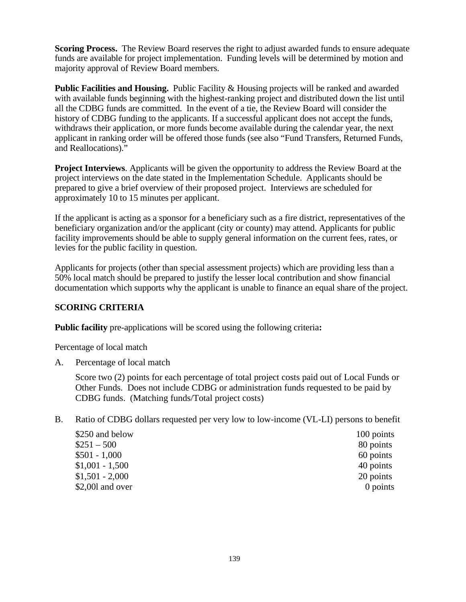**Scoring Process.** The Review Board reserves the right to adjust awarded funds to ensure adequate funds are available for project implementation. Funding levels will be determined by motion and majority approval of Review Board members.

**Public Facilities and Housing.** Public Facility & Housing projects will be ranked and awarded with available funds beginning with the highest-ranking project and distributed down the list until all the CDBG funds are committed. In the event of a tie, the Review Board will consider the history of CDBG funding to the applicants. If a successful applicant does not accept the funds, withdraws their application, or more funds become available during the calendar year, the next applicant in ranking order will be offered those funds (see also "Fund Transfers, Returned Funds, and Reallocations)."

**Project Interviews**. Applicants will be given the opportunity to address the Review Board at the project interviews on the date stated in the Implementation Schedule. Applicants should be prepared to give a brief overview of their proposed project. Interviews are scheduled for approximately 10 to 15 minutes per applicant.

If the applicant is acting as a sponsor for a beneficiary such as a fire district, representatives of the beneficiary organization and/or the applicant (city or county) may attend. Applicants for public facility improvements should be able to supply general information on the current fees, rates, or levies for the public facility in question.

Applicants for projects (other than special assessment projects) which are providing less than a 50% local match should be prepared to justify the lesser local contribution and show financial documentation which supports why the applicant is unable to finance an equal share of the project.

# **SCORING CRITERIA**

**Public facility** pre-applications will be scored using the following criteria**:** 

Percentage of local match

A. Percentage of local match

Score two (2) points for each percentage of total project costs paid out of Local Funds or Other Funds. Does not include CDBG or administration funds requested to be paid by CDBG funds. (Matching funds/Total project costs)

B. Ratio of CDBG dollars requested per very low to low-income (VL-LI) persons to benefit

| \$250 and below  | 100 points |
|------------------|------------|
| $$251 - 500$     | 80 points  |
| $$501 - 1,000$   | 60 points  |
| $$1,001 - 1,500$ | 40 points  |
| $$1,501 - 2,000$ | 20 points  |
| \$2,001 and over | 0 points   |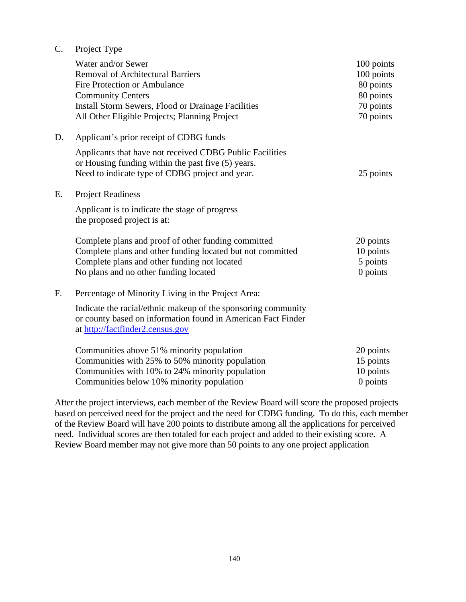| C. | Project Type |
|----|--------------|
|    |              |

|    | Water and/or Sewer<br><b>Removal of Architectural Barriers</b><br>Fire Protection or Ambulance<br><b>Community Centers</b><br><b>Install Storm Sewers, Flood or Drainage Facilities</b><br>All Other Eligible Projects; Planning Project | 100 points<br>100 points<br>80 points<br>80 points<br>70 points<br>70 points |
|----|------------------------------------------------------------------------------------------------------------------------------------------------------------------------------------------------------------------------------------------|------------------------------------------------------------------------------|
| D. | Applicant's prior receipt of CDBG funds                                                                                                                                                                                                  |                                                                              |
|    | Applicants that have not received CDBG Public Facilities<br>or Housing funding within the past five (5) years.<br>Need to indicate type of CDBG project and year.                                                                        | 25 points                                                                    |
| E. | <b>Project Readiness</b>                                                                                                                                                                                                                 |                                                                              |
|    | Applicant is to indicate the stage of progress<br>the proposed project is at:                                                                                                                                                            |                                                                              |
|    | Complete plans and proof of other funding committed<br>Complete plans and other funding located but not committed<br>Complete plans and other funding not located<br>No plans and no other funding located                               | 20 points<br>10 points<br>5 points<br>0 points                               |
| F. | Percentage of Minority Living in the Project Area:                                                                                                                                                                                       |                                                                              |
|    | Indicate the racial/ethnic makeup of the sponsoring community<br>or county based on information found in American Fact Finder<br>at http://factfinder2.census.gov                                                                        |                                                                              |
|    | Communities above 51% minority population<br>Communities with 25% to 50% minority population<br>Communities with 10% to 24% minority population<br>Communities below 10% minority population                                             | 20 points<br>15 points<br>10 points<br>$0$ points                            |

After the project interviews, each member of the Review Board will score the proposed projects based on perceived need for the project and the need for CDBG funding. To do this, each member of the Review Board will have 200 points to distribute among all the applications for perceived need. Individual scores are then totaled for each project and added to their existing score. A Review Board member may not give more than 50 points to any one project application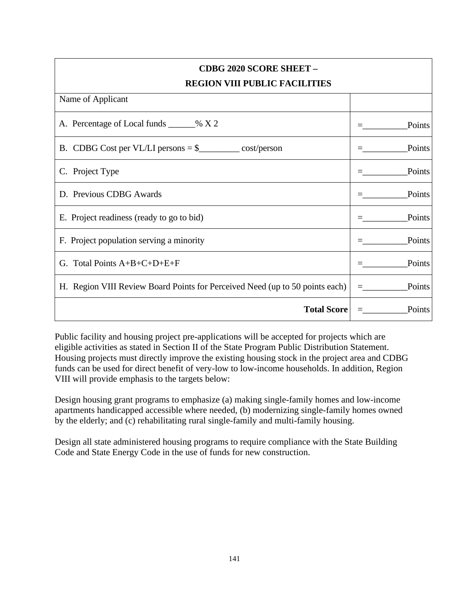| <b>CDBG 2020 SCORE SHEET -</b>                                               |        |  |  |
|------------------------------------------------------------------------------|--------|--|--|
| <b>REGION VIII PUBLIC FACILITIES</b>                                         |        |  |  |
| Name of Applicant                                                            |        |  |  |
| A. Percentage of Local funds ______% X 2                                     | Points |  |  |
| B. CDBG Cost per VL/LI persons $=\$                                          | Points |  |  |
| C. Project Type                                                              | Points |  |  |
| D. Previous CDBG Awards                                                      | Points |  |  |
| E. Project readiness (ready to go to bid)                                    | Points |  |  |
| F. Project population serving a minority                                     | Points |  |  |
| G. Total Points $A+B+C+D+E+F$                                                | Points |  |  |
| H. Region VIII Review Board Points for Perceived Need (up to 50 points each) | Points |  |  |
| <b>Total Score</b>                                                           | Points |  |  |

Public facility and housing project pre-applications will be accepted for projects which are eligible activities as stated in Section II of the State Program Public Distribution Statement. Housing projects must directly improve the existing housing stock in the project area and CDBG funds can be used for direct benefit of very-low to low-income households. In addition, Region VIII will provide emphasis to the targets below:

Design housing grant programs to emphasize (a) making single-family homes and low-income apartments handicapped accessible where needed, (b) modernizing single-family homes owned by the elderly; and (c) rehabilitating rural single-family and multi-family housing.

Design all state administered housing programs to require compliance with the State Building Code and State Energy Code in the use of funds for new construction.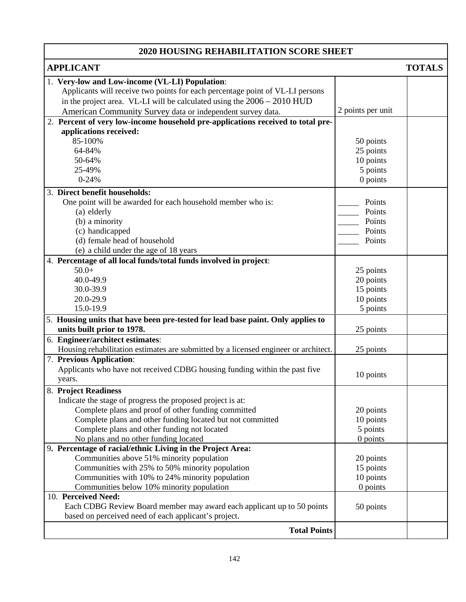#### **2020 HOUSING REHABILITATION SCORE SHEET APPLICANT TOTALS** 1. **Very-low and Low-income (VL-LI) Population**: Applicants will receive two points for each percentage point of VL-LI persons in the project area. VL-LI will be calculated using the 2006 – 2010 HUD American Community Survey data or independent survey data. 2 points per unit 2. **Percent of very low-income household pre-applications received to total preapplications received:** 85-100% 64-84% 50-64% 25-49% 0-24% 50 points 25 points 10 points 5 points 0 points 3. **Direct benefit households:** One point will be awarded for each household member who is: (a) elderly (b) a minority (c) handicapped (d) female head of household (e) a child under the age of 18 years Points Points Points Points Points 4. **Percentage of all local funds/total funds involved in project**: 50.0+ 40.0-49.9 30.0-39.9 20.0-29.9 15.0-19.9 25 points 20 points 15 points 10 points 5 points 5. **Housing units that have been pre-tested for lead base paint. Only applies to units built prior to 1978.** 25 points 6. **Engineer/architect estimates**: Housing rehabilitation estimates are submitted by a licensed engineer or architect. 25 points 7. **Previous Application**: Applicants who have not received CDBG housing funding within the past five  $10$  points years. 8. **Project Readiness** Indicate the stage of progress the proposed project is at: Complete plans and proof of other funding committed Complete plans and other funding located but not committed Complete plans and other funding not located No plans and no other funding located 9**. Percentage of racial/ethnic Living in the Project Area:** 20 points 10 points 5 points 0 points Communities above 51% minority population Communities with 25% to 50% minority population Communities with 10% to 24% minority population Communities below 10% minority population 20 points 15 points 10 points 0 points 10. **Perceived Need:**  Each CDBG Review Board member may award each applicant up to 50 points based on perceived need of each applicant's project. 50 points **Total Points**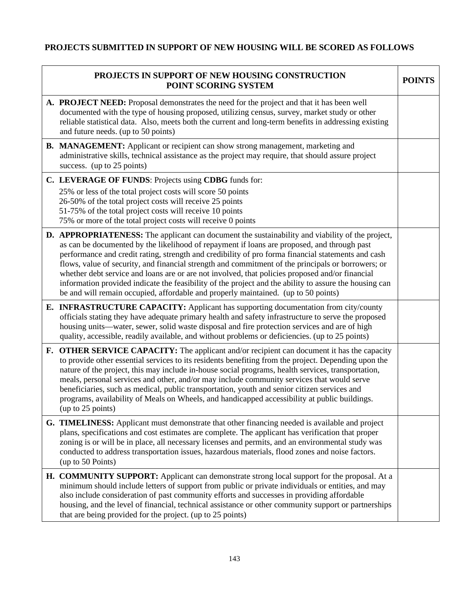# **PROJECTS SUBMITTED IN SUPPORT OF NEW HOUSING WILL BE SCORED AS FOLLOWS**

| PROJECTS IN SUPPORT OF NEW HOUSING CONSTRUCTION<br>POINT SCORING SYSTEM |                                                                                                                                                                                                                                                                                                                                                                                                                                                                                                                                                                                                                                                                                                                      | <b>POINTS</b> |
|-------------------------------------------------------------------------|----------------------------------------------------------------------------------------------------------------------------------------------------------------------------------------------------------------------------------------------------------------------------------------------------------------------------------------------------------------------------------------------------------------------------------------------------------------------------------------------------------------------------------------------------------------------------------------------------------------------------------------------------------------------------------------------------------------------|---------------|
|                                                                         | A. PROJECT NEED: Proposal demonstrates the need for the project and that it has been well<br>documented with the type of housing proposed, utilizing census, survey, market study or other<br>reliable statistical data. Also, meets both the current and long-term benefits in addressing existing<br>and future needs. (up to 50 points)                                                                                                                                                                                                                                                                                                                                                                           |               |
|                                                                         | <b>B. MANAGEMENT:</b> Applicant or recipient can show strong management, marketing and<br>administrative skills, technical assistance as the project may require, that should assure project<br>success. (up to 25 points)                                                                                                                                                                                                                                                                                                                                                                                                                                                                                           |               |
|                                                                         | C. LEVERAGE OF FUNDS: Projects using CDBG funds for:                                                                                                                                                                                                                                                                                                                                                                                                                                                                                                                                                                                                                                                                 |               |
|                                                                         | 25% or less of the total project costs will score 50 points<br>26-50% of the total project costs will receive 25 points<br>51-75% of the total project costs will receive 10 points<br>75% or more of the total project costs will receive 0 points                                                                                                                                                                                                                                                                                                                                                                                                                                                                  |               |
|                                                                         | <b>D. APPROPRIATENESS:</b> The applicant can document the sustainability and viability of the project,<br>as can be documented by the likelihood of repayment if loans are proposed, and through past<br>performance and credit rating, strength and credibility of pro forma financial statements and cash<br>flows, value of security, and financial strength and commitment of the principals or borrowers; or<br>whether debt service and loans are or are not involved, that policies proposed and/or financial<br>information provided indicate the feasibility of the project and the ability to assure the housing can<br>be and will remain occupied, affordable and properly maintained. (up to 50 points) |               |
|                                                                         | <b>E. INFRASTRUCTURE CAPACITY:</b> Applicant has supporting documentation from city/county<br>officials stating they have adequate primary health and safety infrastructure to serve the proposed<br>housing units—water, sewer, solid waste disposal and fire protection services and are of high<br>quality, accessible, readily available, and without problems or deficiencies. (up to 25 points)                                                                                                                                                                                                                                                                                                                |               |
|                                                                         | <b>F. OTHER SERVICE CAPACITY:</b> The applicant and/or recipient can document it has the capacity<br>to provide other essential services to its residents benefiting from the project. Depending upon the<br>nature of the project, this may include in-house social programs, health services, transportation,<br>meals, personal services and other, and/or may include community services that would serve<br>beneficiaries, such as medical, public transportation, youth and senior citizen services and<br>programs, availability of Meals on Wheels, and handicapped accessibility at public buildings.<br>(up to 25 points)                                                                                  |               |
|                                                                         | G. TIMELINESS: Applicant must demonstrate that other financing needed is available and project<br>plans, specifications and cost estimates are complete. The applicant has verification that proper<br>zoning is or will be in place, all necessary licenses and permits, and an environmental study was<br>conducted to address transportation issues, hazardous materials, flood zones and noise factors.<br>(up to 50 Points)                                                                                                                                                                                                                                                                                     |               |
|                                                                         | <b>H. COMMUNITY SUPPORT:</b> Applicant can demonstrate strong local support for the proposal. At a<br>minimum should include letters of support from public or private individuals or entities, and may<br>also include consideration of past community efforts and successes in providing affordable<br>housing, and the level of financial, technical assistance or other community support or partnerships<br>that are being provided for the project. (up to 25 points)                                                                                                                                                                                                                                          |               |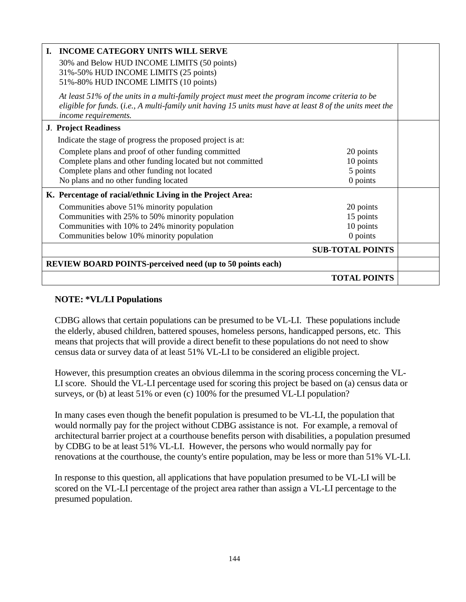| <b>INCOME CATEGORY UNITS WILL SERVE</b><br>L.                                                                                                                                                                                        |                         |  |
|--------------------------------------------------------------------------------------------------------------------------------------------------------------------------------------------------------------------------------------|-------------------------|--|
| 30% and Below HUD INCOME LIMITS (50 points)                                                                                                                                                                                          |                         |  |
| 31%-50% HUD INCOME LIMITS (25 points)                                                                                                                                                                                                |                         |  |
| 51%-80% HUD INCOME LIMITS (10 points)                                                                                                                                                                                                |                         |  |
| At least 51% of the units in a multi-family project must meet the program income criteria to be<br>eligible for funds. (i.e., A multi-family unit having 15 units must have at least 8 of the units meet the<br>income requirements. |                         |  |
| <b>J. Project Readiness</b>                                                                                                                                                                                                          |                         |  |
| Indicate the stage of progress the proposed project is at:                                                                                                                                                                           |                         |  |
| Complete plans and proof of other funding committed                                                                                                                                                                                  | 20 points               |  |
| Complete plans and other funding located but not committed                                                                                                                                                                           | 10 points               |  |
| Complete plans and other funding not located                                                                                                                                                                                         | 5 points                |  |
| No plans and no other funding located                                                                                                                                                                                                | 0 points                |  |
| K. Percentage of racial/ethnic Living in the Project Area:                                                                                                                                                                           |                         |  |
| Communities above 51% minority population                                                                                                                                                                                            | 20 points               |  |
| Communities with 25% to 50% minority population                                                                                                                                                                                      | 15 points               |  |
| Communities with 10% to 24% minority population                                                                                                                                                                                      | 10 points               |  |
| Communities below 10% minority population                                                                                                                                                                                            | 0 points                |  |
|                                                                                                                                                                                                                                      | <b>SUB-TOTAL POINTS</b> |  |
| <b>REVIEW BOARD POINTS-perceived need (up to 50 points each)</b>                                                                                                                                                                     |                         |  |
|                                                                                                                                                                                                                                      | <b>TOTAL POINTS</b>     |  |

#### **NOTE: \*VL/LI Populations**

CDBG allows that certain populations can be presumed to be VL-LI. These populations include the elderly, abused children, battered spouses, homeless persons, handicapped persons, etc. This means that projects that will provide a direct benefit to these populations do not need to show census data or survey data of at least 51% VL-LI to be considered an eligible project.

However, this presumption creates an obvious dilemma in the scoring process concerning the VL-LI score. Should the VL-LI percentage used for scoring this project be based on (a) census data or surveys, or (b) at least 51% or even (c) 100% for the presumed VL-LI population?

In many cases even though the benefit population is presumed to be VL-LI, the population that would normally pay for the project without CDBG assistance is not. For example, a removal of architectural barrier project at a courthouse benefits person with disabilities, a population presumed by CDBG to be at least 51% VL-LI. However, the persons who would normally pay for renovations at the courthouse, the county's entire population, may be less or more than 51% VL-LI.

In response to this question, all applications that have population presumed to be VL-LI will be scored on the VL-LI percentage of the project area rather than assign a VL-LI percentage to the presumed population.